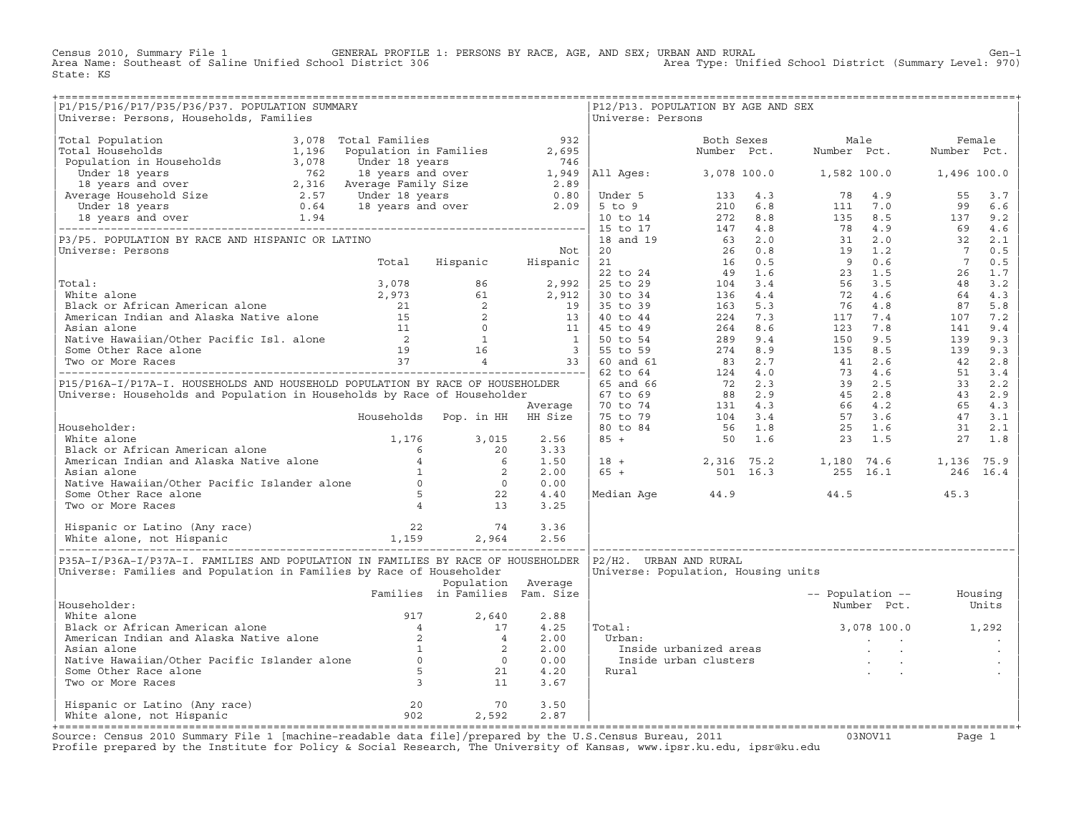Census 2010, Summary File 1 GENERAL PROFILE 1: PERSONS BY RACE, AGE, AND SEX; URBAN AND RURAL Gen−1 Area Name: Southeast of Saline Unified School District 306 Area Type: Unified School District (Summary Level: 970) State: KS

| P1/P15/P16/P17/P35/P36/P37. POPULATION SUMMARY<br>Universe: Persons, Households, Families                                                                                                                                                        |                                |                    |      | Universe: Persons | P12/P13. POPULATION BY AGE AND SEX                                                                                                                                              |                          |                   |  |
|--------------------------------------------------------------------------------------------------------------------------------------------------------------------------------------------------------------------------------------------------|--------------------------------|--------------------|------|-------------------|---------------------------------------------------------------------------------------------------------------------------------------------------------------------------------|--------------------------|-------------------|--|
|                                                                                                                                                                                                                                                  |                                |                    |      |                   |                                                                                                                                                                                 |                          |                   |  |
|                                                                                                                                                                                                                                                  |                                |                    |      |                   |                                                                                                                                                                                 |                          |                   |  |
|                                                                                                                                                                                                                                                  |                                |                    |      |                   |                                                                                                                                                                                 |                          |                   |  |
|                                                                                                                                                                                                                                                  |                                |                    |      |                   |                                                                                                                                                                                 |                          |                   |  |
|                                                                                                                                                                                                                                                  |                                |                    |      |                   |                                                                                                                                                                                 |                          |                   |  |
|                                                                                                                                                                                                                                                  |                                |                    |      |                   |                                                                                                                                                                                 |                          |                   |  |
|                                                                                                                                                                                                                                                  |                                |                    |      |                   |                                                                                                                                                                                 |                          |                   |  |
|                                                                                                                                                                                                                                                  |                                |                    |      |                   |                                                                                                                                                                                 |                          |                   |  |
|                                                                                                                                                                                                                                                  |                                |                    |      |                   |                                                                                                                                                                                 |                          |                   |  |
|                                                                                                                                                                                                                                                  |                                |                    |      |                   |                                                                                                                                                                                 |                          |                   |  |
|                                                                                                                                                                                                                                                  |                                |                    |      |                   |                                                                                                                                                                                 |                          |                   |  |
|                                                                                                                                                                                                                                                  |                                |                    |      |                   |                                                                                                                                                                                 |                          |                   |  |
|                                                                                                                                                                                                                                                  |                                |                    |      |                   |                                                                                                                                                                                 |                          |                   |  |
|                                                                                                                                                                                                                                                  |                                |                    |      |                   |                                                                                                                                                                                 |                          |                   |  |
|                                                                                                                                                                                                                                                  |                                |                    |      |                   |                                                                                                                                                                                 |                          |                   |  |
|                                                                                                                                                                                                                                                  |                                |                    |      |                   |                                                                                                                                                                                 |                          |                   |  |
|                                                                                                                                                                                                                                                  |                                |                    |      |                   |                                                                                                                                                                                 |                          |                   |  |
|                                                                                                                                                                                                                                                  |                                |                    |      |                   |                                                                                                                                                                                 |                          |                   |  |
|                                                                                                                                                                                                                                                  |                                |                    |      |                   |                                                                                                                                                                                 |                          |                   |  |
|                                                                                                                                                                                                                                                  |                                |                    |      |                   |                                                                                                                                                                                 |                          |                   |  |
|                                                                                                                                                                                                                                                  |                                |                    |      |                   |                                                                                                                                                                                 |                          |                   |  |
|                                                                                                                                                                                                                                                  |                                |                    |      |                   |                                                                                                                                                                                 |                          |                   |  |
|                                                                                                                                                                                                                                                  |                                |                    |      |                   |                                                                                                                                                                                 |                          |                   |  |
|                                                                                                                                                                                                                                                  |                                |                    |      |                   |                                                                                                                                                                                 |                          |                   |  |
|                                                                                                                                                                                                                                                  |                                |                    |      |                   |                                                                                                                                                                                 |                          |                   |  |
|                                                                                                                                                                                                                                                  |                                |                    |      |                   |                                                                                                                                                                                 |                          |                   |  |
|                                                                                                                                                                                                                                                  |                                |                    |      |                   |                                                                                                                                                                                 |                          |                   |  |
|                                                                                                                                                                                                                                                  |                                |                    |      |                   |                                                                                                                                                                                 |                          |                   |  |
|                                                                                                                                                                                                                                                  |                                |                    |      |                   |                                                                                                                                                                                 |                          |                   |  |
|                                                                                                                                                                                                                                                  |                                |                    |      |                   |                                                                                                                                                                                 |                          |                   |  |
|                                                                                                                                                                                                                                                  |                                |                    |      |                   | $\begin{array}{ rrrrrrrrrrrrrrrrrrrrrrrrrrrrrrrrrrrrrrrrrr} & 18 & + & 2,316 & 75.2 & 1,180 & 74.6 & 1,136 & 75.9 \\ 65 & + & 501 & 16.3 & 255 & 16.1 & 246 & 16.4 \end{array}$ |                          |                   |  |
|                                                                                                                                                                                                                                                  |                                |                    |      |                   |                                                                                                                                                                                 |                          |                   |  |
|                                                                                                                                                                                                                                                  |                                |                    |      |                   |                                                                                                                                                                                 |                          |                   |  |
|                                                                                                                                                                                                                                                  |                                |                    |      |                   | Median Age $44.9$ $44.5$ $45.3$                                                                                                                                                 |                          |                   |  |
| Householder:<br>White alone<br>Black or African American alone<br>American Indian and Alaska Native alone<br>Asian alone<br>Native Hawaiian/Other Pacific Islander alone<br>Some Other Race alone<br>Two or More Races<br>Asian alone<br>Some Ot |                                |                    |      |                   |                                                                                                                                                                                 |                          |                   |  |
|                                                                                                                                                                                                                                                  |                                |                    |      |                   |                                                                                                                                                                                 |                          |                   |  |
|                                                                                                                                                                                                                                                  |                                |                    |      |                   |                                                                                                                                                                                 |                          |                   |  |
|                                                                                                                                                                                                                                                  |                                |                    |      |                   |                                                                                                                                                                                 |                          |                   |  |
|                                                                                                                                                                                                                                                  |                                |                    |      |                   |                                                                                                                                                                                 |                          |                   |  |
| P35A-I/P36A-I/P37A-I. FAMILIES AND POPULATION IN FAMILIES BY RACE OF HOUSEHOLDER  P2/H2.  URBAN AND RURAL                                                                                                                                        |                                |                    |      |                   |                                                                                                                                                                                 |                          |                   |  |
| Universe: Families and Population in Families by Race of Householder                                                                                                                                                                             |                                |                    |      |                   | Universe: Population, Housing units                                                                                                                                             |                          |                   |  |
|                                                                                                                                                                                                                                                  |                                | Population Average |      |                   |                                                                                                                                                                                 |                          |                   |  |
|                                                                                                                                                                                                                                                  | Families in Families Fam. Size |                    |      |                   |                                                                                                                                                                                 | -- Population -- Housing |                   |  |
| Householder:                                                                                                                                                                                                                                     |                                |                    |      |                   |                                                                                                                                                                                 |                          | Number Pct. Units |  |
|                                                                                                                                                                                                                                                  |                                |                    | 2.88 |                   | $3,078$ 100.0 $1,292$                                                                                                                                                           |                          |                   |  |
|                                                                                                                                                                                                                                                  |                                |                    | 4.25 | Total:            |                                                                                                                                                                                 |                          |                   |  |
|                                                                                                                                                                                                                                                  |                                |                    | 2.00 | Urban:            |                                                                                                                                                                                 |                          |                   |  |
|                                                                                                                                                                                                                                                  |                                |                    | 2.00 |                   |                                                                                                                                                                                 |                          |                   |  |
|                                                                                                                                                                                                                                                  |                                |                    | 0.00 |                   | rban:<br>Inside urbanized areas<br>Inside urban clusters<br>ural                                                                                                                |                          |                   |  |
|                                                                                                                                                                                                                                                  |                                |                    | 4.20 | Rural             |                                                                                                                                                                                 |                          |                   |  |
| Mousehouter:<br>White alone<br>Black or African American alone<br>American Indian and Alaska Native alone<br>Asian alone<br>Native Hawaiian/Other Pacific Islander alone<br>Some Other Race alone<br>Two or More Races<br>3<br>11                |                                |                    | 3.67 |                   |                                                                                                                                                                                 |                          |                   |  |
|                                                                                                                                                                                                                                                  |                                |                    |      |                   |                                                                                                                                                                                 |                          |                   |  |
| Hispanic or Latino (Any race) 20 20 70<br>White alone, not Hispanic 20 302 2,592                                                                                                                                                                 |                                |                    | 3.50 |                   |                                                                                                                                                                                 |                          |                   |  |
|                                                                                                                                                                                                                                                  |                                |                    | 2.87 |                   |                                                                                                                                                                                 |                          |                   |  |

+===================================================================================================================================================+Source: Census 2010 Summary File 1 [machine−readable data file]/prepared by the U.S.Census Bureau, 2011 03NOV11 Page 1 Profile prepared by the Institute for Policy & Social Research, The University of Kansas, www.ipsr.ku.edu, ipsr@ku.edu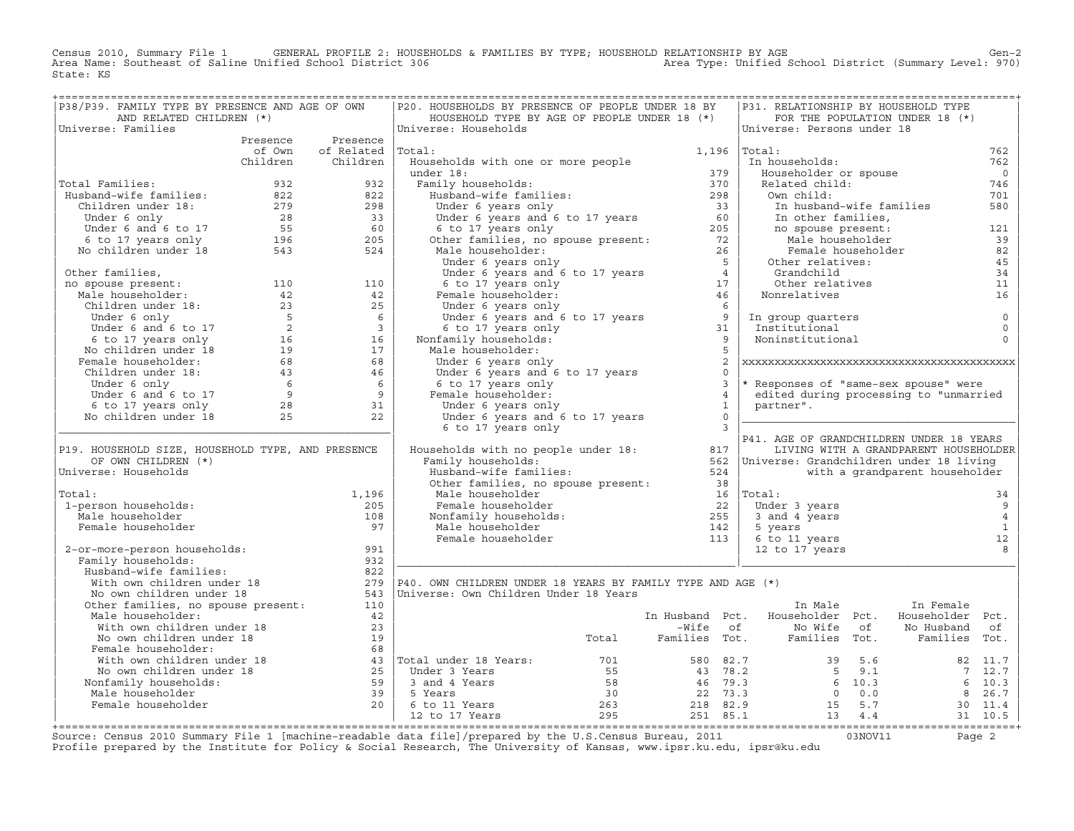Census 2010, Summary File 1 GENERAL PROFILE 2: HOUSEHOLDS & FAMILIES BY TYPE; HOUSEHOLD RELATIONSHIP BY AGE<br>Area Name: Southeast of Saline Unified School District 306 Area Type: Unified Scho State: KS

| P38/P39. FAMILY TYPE BY PRESENCE AND AGE OF OWN                                                                                                                                                                                                      |                          | P20. HOUSEHOLDS BY PRESENCE OF PEOPLE UNDER 18 BY                                                                                                                                                                                                |                         |   | P31. RELATIONSHIP BY HOUSEHOLD TYPE                                                                    |                                       |                            |
|------------------------------------------------------------------------------------------------------------------------------------------------------------------------------------------------------------------------------------------------------|--------------------------|--------------------------------------------------------------------------------------------------------------------------------------------------------------------------------------------------------------------------------------------------|-------------------------|---|--------------------------------------------------------------------------------------------------------|---------------------------------------|----------------------------|
| AND RELATED CHILDREN (*)                                                                                                                                                                                                                             |                          | HOUSEHOLD TYPE BY AGE OF PEOPLE UNDER 18 (*)                                                                                                                                                                                                     |                         |   |                                                                                                        | FOR THE POPULATION UNDER 18 (*)       |                            |
| Universe: Families                                                                                                                                                                                                                                   |                          | Universe: Households                                                                                                                                                                                                                             |                         |   | Universe: Persons under 18                                                                             |                                       |                            |
|                                                                                                                                                                                                                                                      | Presence Presence        |                                                                                                                                                                                                                                                  |                         |   |                                                                                                        |                                       |                            |
|                                                                                                                                                                                                                                                      | of Own of Related Total: |                                                                                                                                                                                                                                                  | $1,196$ $ Total:$       |   |                                                                                                        |                                       | 762                        |
|                                                                                                                                                                                                                                                      | Children Children        | Households with one or more people                                                                                                                                                                                                               |                         |   | In households:                                                                                         |                                       | 762                        |
|                                                                                                                                                                                                                                                      |                          |                                                                                                                                                                                                                                                  |                         |   | Householder or spouse                                                                                  |                                       | $\overline{0}$             |
| Total Families:                                                                                                                                                                                                                                      |                          |                                                                                                                                                                                                                                                  |                         |   | Related child:                                                                                         |                                       | 746                        |
|                                                                                                                                                                                                                                                      |                          |                                                                                                                                                                                                                                                  |                         |   | Own child:                                                                                             |                                       | 701                        |
|                                                                                                                                                                                                                                                      |                          |                                                                                                                                                                                                                                                  |                         |   | In husband-wife families                                                                               |                                       | 580                        |
|                                                                                                                                                                                                                                                      |                          |                                                                                                                                                                                                                                                  |                         |   | own chird.<br>In husband-wife families<br>In other families,<br>no spouse present:<br>Male householder |                                       |                            |
|                                                                                                                                                                                                                                                      |                          |                                                                                                                                                                                                                                                  |                         |   |                                                                                                        |                                       | 121                        |
|                                                                                                                                                                                                                                                      |                          |                                                                                                                                                                                                                                                  |                         |   |                                                                                                        |                                       | 39                         |
|                                                                                                                                                                                                                                                      |                          | dial:<br>Households with one or more people<br>under 18:<br>Tamily households:<br>Husband-wife families:<br>Under 6 years and 6 to 17 years<br>Under 6 years and 6 to 17 years<br>6 to 17 years<br>6 6 to 17 years only<br>Other families, no sp |                         |   | Female householder                                                                                     |                                       | 82                         |
|                                                                                                                                                                                                                                                      |                          |                                                                                                                                                                                                                                                  |                         |   | Other relatives:<br>Grandchild<br>Juner<br>Grandchild<br>Other relatives                               |                                       | 45                         |
|                                                                                                                                                                                                                                                      |                          |                                                                                                                                                                                                                                                  |                         |   |                                                                                                        |                                       | 34<br>11                   |
|                                                                                                                                                                                                                                                      |                          |                                                                                                                                                                                                                                                  |                         |   | Nonrelatives                                                                                           |                                       | 16                         |
|                                                                                                                                                                                                                                                      |                          |                                                                                                                                                                                                                                                  |                         |   |                                                                                                        |                                       |                            |
|                                                                                                                                                                                                                                                      |                          |                                                                                                                                                                                                                                                  |                         |   |                                                                                                        |                                       |                            |
|                                                                                                                                                                                                                                                      |                          |                                                                                                                                                                                                                                                  |                         |   | In group quarters<br>Institutional                                                                     |                                       | $\mathbb O$<br>$\mathsf 0$ |
|                                                                                                                                                                                                                                                      |                          |                                                                                                                                                                                                                                                  |                         |   | Noninstitutional                                                                                       |                                       | $\Omega$                   |
|                                                                                                                                                                                                                                                      |                          |                                                                                                                                                                                                                                                  |                         |   |                                                                                                        |                                       |                            |
|                                                                                                                                                                                                                                                      |                          | Under 6 years only                                                                                                                                                                                                                               |                         | 2 |                                                                                                        |                                       |                            |
|                                                                                                                                                                                                                                                      |                          |                                                                                                                                                                                                                                                  | $\Omega$                |   |                                                                                                        |                                       |                            |
|                                                                                                                                                                                                                                                      |                          |                                                                                                                                                                                                                                                  | $\overline{\mathbf{3}}$ |   | * Responses of "same-sex spouse" were                                                                  |                                       |                            |
|                                                                                                                                                                                                                                                      |                          |                                                                                                                                                                                                                                                  | $\overline{4}$          |   | edited during processing to "unmarried                                                                 |                                       |                            |
|                                                                                                                                                                                                                                                      |                          |                                                                                                                                                                                                                                                  | $\overline{\mathbf{1}}$ |   | partner".                                                                                              |                                       |                            |
|                                                                                                                                                                                                                                                      |                          | Summer 6 years and 6 to 17 years<br>6 to 17 years only<br>Female householder:<br>Under 6 years only<br>Under 6 years and 6 to 17                                                                                                                 | $\overline{0}$          |   |                                                                                                        |                                       |                            |
|                                                                                                                                                                                                                                                      |                          | 6 to 17 years only                                                                                                                                                                                                                               | $\overline{\mathbf{3}}$ |   |                                                                                                        |                                       |                            |
|                                                                                                                                                                                                                                                      |                          | Bould your complement of the Bird of Contraction of the Bird of Contraction of the Bird of Contraction of the Contraction of the Contraction of the Contraction of the Contraction of the Contraction of the Contraction of th                   |                         |   | P41. AGE OF GRANDCHILDREN UNDER 18 YEARS                                                               |                                       |                            |
| P19. HOUSEHOLD SIZE, HOUSEHOLD TYPE, AND PRESENCE                                                                                                                                                                                                    |                          |                                                                                                                                                                                                                                                  |                         |   |                                                                                                        | LIVING WITH A GRANDPARENT HOUSEHOLDER |                            |
| OF OWN CHILDREN (*)                                                                                                                                                                                                                                  |                          |                                                                                                                                                                                                                                                  |                         |   |                                                                                                        |                                       |                            |
| Universe: Households                                                                                                                                                                                                                                 |                          | Family nouseholds.<br>Husband-wife families: 524<br>Other families, no spouse present: 38                                                                                                                                                        |                         |   |                                                                                                        | with a grandparent householder        |                            |
|                                                                                                                                                                                                                                                      |                          |                                                                                                                                                                                                                                                  |                         |   |                                                                                                        |                                       |                            |
| Total:                                                                                                                                                                                                                                               | 1,196                    | Male householder                                                                                                                                                                                                                                 |                         |   | $16$  Total:                                                                                           |                                       | 34                         |
| 1-person households:                                                                                                                                                                                                                                 | 205                      |                                                                                                                                                                                                                                                  |                         |   | Under 3 years                                                                                          |                                       | $\overline{9}$             |
| Male householder                                                                                                                                                                                                                                     | 108                      |                                                                                                                                                                                                                                                  |                         |   | 3 and 4 years                                                                                          |                                       | $\overline{4}$             |
| Female householder                                                                                                                                                                                                                                   | 97                       |                                                                                                                                                                                                                                                  |                         |   | 5 years                                                                                                |                                       | $\overline{1}$             |
|                                                                                                                                                                                                                                                      |                          | mare nouseholder<br>Female householder<br>Monfamily households:<br>Male householder<br>Female householder<br>Temale householder<br>113                                                                                                           |                         |   | 6 to 11 years<br>12 to 17 vears                                                                        |                                       | 12                         |
| 2-or-more-person households:                                                                                                                                                                                                                         | 991                      |                                                                                                                                                                                                                                                  |                         |   | 12 to 17 years                                                                                         |                                       | 8                          |
| Family households:                                                                                                                                                                                                                                   | 932                      |                                                                                                                                                                                                                                                  |                         |   |                                                                                                        |                                       |                            |
| Nusband-wife families:<br>With own children under 18<br>No own children under 18<br>Other families, no spouse present:                                                                                                                               | 822                      |                                                                                                                                                                                                                                                  |                         |   |                                                                                                        |                                       |                            |
|                                                                                                                                                                                                                                                      |                          | 279   P40. OWN CHILDREN UNDER 18 YEARS BY FAMILY TYPE AND AGE $(*)$                                                                                                                                                                              |                         |   |                                                                                                        |                                       |                            |
|                                                                                                                                                                                                                                                      |                          | 543   Universe: Own Children Under 18 Years                                                                                                                                                                                                      |                         |   |                                                                                                        |                                       |                            |
|                                                                                                                                                                                                                                                      | 110                      |                                                                                                                                                                                                                                                  |                         |   | In Male                                                                                                | In Female                             |                            |
| Male householder:                                                                                                                                                                                                                                    | 42                       |                                                                                                                                                                                                                                                  |                         |   | In Husband Pct. Householder Pct. Householder Pct.                                                      |                                       |                            |
|                                                                                                                                                                                                                                                      |                          |                                                                                                                                                                                                                                                  |                         |   |                                                                                                        |                                       |                            |
|                                                                                                                                                                                                                                                      |                          |                                                                                                                                                                                                                                                  |                         |   |                                                                                                        |                                       |                            |
|                                                                                                                                                                                                                                                      |                          |                                                                                                                                                                                                                                                  |                         |   |                                                                                                        |                                       |                            |
|                                                                                                                                                                                                                                                      |                          |                                                                                                                                                                                                                                                  |                         |   |                                                                                                        |                                       |                            |
|                                                                                                                                                                                                                                                      |                          |                                                                                                                                                                                                                                                  |                         |   |                                                                                                        |                                       |                            |
|                                                                                                                                                                                                                                                      |                          |                                                                                                                                                                                                                                                  |                         |   |                                                                                                        |                                       |                            |
|                                                                                                                                                                                                                                                      |                          |                                                                                                                                                                                                                                                  |                         |   |                                                                                                        |                                       |                            |
|                                                                                                                                                                                                                                                      |                          |                                                                                                                                                                                                                                                  |                         |   |                                                                                                        |                                       |                            |
| Male householder:<br>Male householder:<br>Male householder:<br>Male householder:<br>Male householder:<br>Male householder:<br>Male householder:<br>Male householder:<br>Male householder:<br>Male householder:<br>Male householder:<br>Male househol |                          |                                                                                                                                                                                                                                                  |                         |   |                                                                                                        |                                       |                            |

+===================================================================================================================================================+Source: Census 2010 Summary File 1 [machine−readable data file]/prepared by the U.S.Census Bureau, 2011 03NOV11 Page 2 Profile prepared by the Institute for Policy & Social Research, The University of Kansas, www.ipsr.ku.edu, ipsr@ku.edu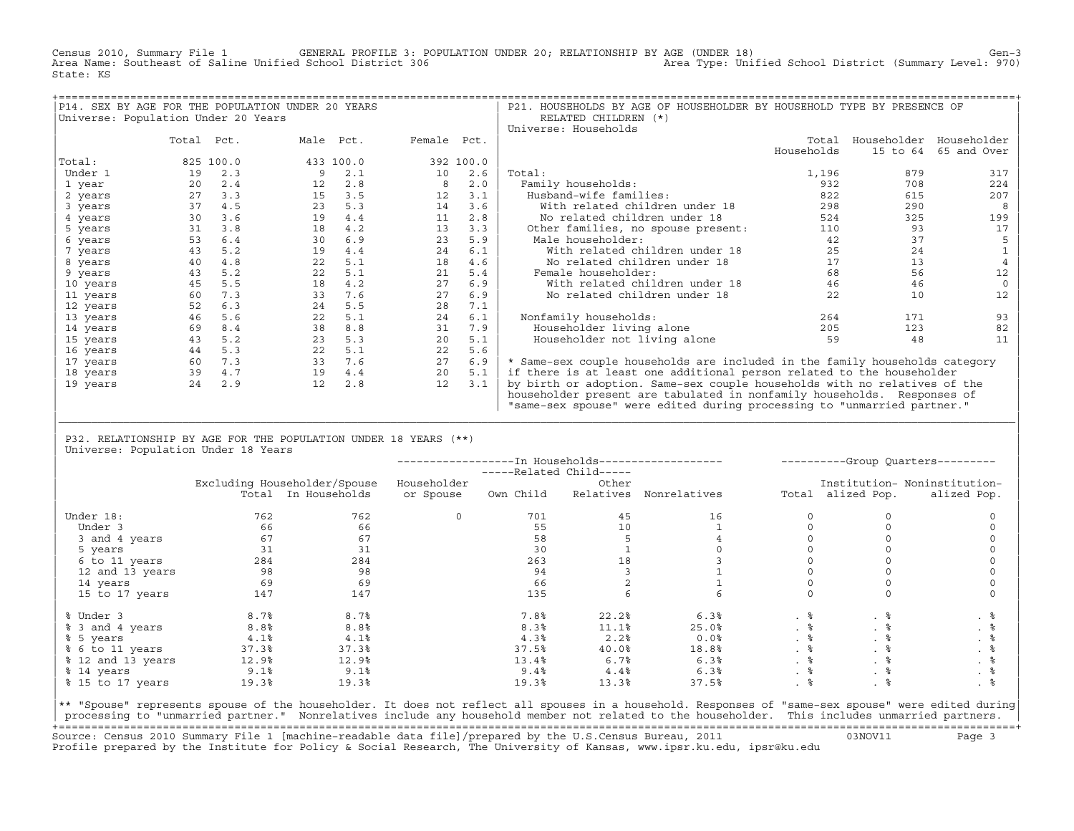Census 2010, Summary File 1 GENERAL PROFILE 3: POPULATION UNDER 20; RELATIONSHIP BY AGE (UNDER 18) Gen−3<br>Area Name: Southeast of Saline Unified School District 306 area Type: Unified School District (Summary Level: 970) Area Name: Southeast of Saline Unified School District 306 State: KS

| P14. SEX BY AGE FOR THE POPULATION UNDER 20 YEARS |            |           |                   |           |             |           | P21. HOUSEHOLDS BY AGE OF HOUSEHOLDER BY HOUSEHOLD TYPE BY PRESENCE OF      |            |                         |             |
|---------------------------------------------------|------------|-----------|-------------------|-----------|-------------|-----------|-----------------------------------------------------------------------------|------------|-------------------------|-------------|
| Universe: Population Under 20 Years               |            |           |                   |           |             |           | RELATED CHILDREN (*)                                                        |            |                         |             |
|                                                   |            |           |                   |           |             |           | Universe: Households                                                        |            |                         |             |
|                                                   | Total Pct. |           |                   | Male Pct. | Female Pct. |           |                                                                             | Total      | Householder Householder |             |
|                                                   |            |           |                   |           |             |           |                                                                             | Households | 15 to 64                | 65 and Over |
| Total:                                            |            | 825 100.0 |                   | 433 100.0 |             | 392 100.0 |                                                                             |            |                         |             |
| Under 1                                           | 19         | 2.3       |                   | 2.1       | 10          | 2.6       | Total:                                                                      | 1,196      | 879                     | 317         |
| 1 year                                            | 20         | 2.4       | $12 \overline{ }$ | 2.8       | 8           | 2.0       | Family households:                                                          | 932        | 708                     | 224         |
| 2 years                                           | 27         | 3.3       | 15                | 3.5       | 12          | 3.1       | Husband-wife families:                                                      | 822        | 615                     | 207         |
| 3 years                                           | 37         | 4.5       | 23                | 5.3       | 14          | 3.6       | With related children under 18                                              | 298        | 290                     |             |
| 4 years                                           | 30         | 3.6       | 19                | 4.4       | 11          | 2.8       | No related children under 18                                                | 524        | 325                     | 199         |
| 5 years                                           | 31         | 3.8       | 18                | 4.2       | 13          | 3.3       | Other families, no spouse present:                                          | 110        | 93                      | 17          |
| 6 years                                           | 53         | 6.4       | 30                | 6.9       | 23          | 5.9       | Male householder:                                                           | 42         | 37                      |             |
| 7 years                                           | 43         | 5.2       | 19                | 4.4       | 24          | 6.1       | With related children under 18                                              | 25         | 24                      |             |
| 8 years                                           | 40         | 4.8       | 22                | 5.1       | 18          | 4.6       | No related children under 18                                                | 17         | 13                      |             |
| 9 years                                           | 43         | 5.2       | 22                | 5.1       | 21          | 5.4       | Female householder:                                                         | 68         | 56                      | 12          |
| 10 years                                          | 45         | 5.5       | 18                | 4.2       | 27          | 6.9       | With related children under 18                                              | 46         | 46                      |             |
| 11 years                                          | 60         | 7.3       | 33                | 7.6       | 27          | 6.9       | No related children under 18                                                | 22         | 10                      | 12          |
| 12 years                                          | 52         | 6.3       | 24                | 5.5       | 28          | 7.1       |                                                                             |            |                         |             |
| 13 years                                          | 46         | 5.6       | 22                | 5.1       | 24          | 6.1       | Nonfamily households:                                                       | 264        | 171                     | 93          |
| 14 years                                          | 69         | 8.4       | 38                | 8.8       | 31          | 7.9       | Householder living alone                                                    | 205        | 123                     | 82          |
| 15 years                                          | 43         | 5.2       | 23                | 5.3       | 20          | 5.1       | Householder not living alone                                                | 59         | 48                      | 11          |
| 16 years                                          | 44         | 5.3       | 22                | 5.1       | 22          | 5.6       |                                                                             |            |                         |             |
| 17 years                                          | 60         | 7.3       | 33                | 7.6       | 27          | 6.9       | * Same-sex couple households are included in the family households category |            |                         |             |
| 18 years                                          | 39         | 4.7       | 19                | 4.4       | 20          | 5.1       | if there is at least one additional person related to the householder       |            |                         |             |
| 19 years                                          | 24         | 2.9       | 12                | 2.8       | 12          | 3.1       | by birth or adoption. Same-sex couple households with no relatives of the   |            |                         |             |
|                                                   |            |           |                   |           |             |           | householder present are tabulated in nonfamily households. Responses of     |            |                         |             |
|                                                   |            |           |                   |           |             |           | "same-sex spouse" were edited during processing to "unmarried partner."     |            |                         |             |

| P32. RELATIONSHIP BY AGE FOR THE POPULATION UNDER 18 YEARS (\*\*) | Universe: Population Under 18 Years

|                   |                  |                              |             | -----Related Child----- |           |              |           |                   | ----------Group Quarters--------- |
|-------------------|------------------|------------------------------|-------------|-------------------------|-----------|--------------|-----------|-------------------|-----------------------------------|
|                   |                  | Excluding Householder/Spouse | Householder |                         | Other     |              |           |                   | Institution- Noninstitution-      |
|                   |                  | Total In Households          | or Spouse   | Own Child               | Relatives | Nonrelatives |           | Total alized Pop. | alized Pop.                       |
| Under 18:         | 762              | 762                          | $\Omega$    | 701                     | 45        | 16           |           |                   |                                   |
| Under 3           | 66               | 66                           |             | 55                      | 10        |              |           |                   |                                   |
| 3 and 4 years     | 67               | 67                           |             | 58                      |           |              |           |                   |                                   |
| 5 years           | 31               | 31                           |             | 30                      |           |              |           |                   |                                   |
| 6 to 11 years     | 284              | 284                          |             | 263                     | 18        |              |           |                   |                                   |
| 12 and 13 years   | 98               | 98                           |             | 94                      |           |              |           |                   |                                   |
| 14 years          | 69               | 69                           |             | 66                      |           |              |           |                   |                                   |
| 15 to 17 years    | 147              | 147                          |             | 135                     |           |              |           |                   |                                   |
| % Under 3         | 8.7%             | 8.7%                         |             | 7.8%                    | 22.2%     | 6.3%         |           | . 응               | . .                               |
| % 3 and 4 years   | 8.8 <sup>8</sup> | 8.8 <sup>°</sup>             |             | 8.3%                    | 11.1%     | 25.0%        | $. \circ$ |                   | . 응                               |
| % 5 years         | 4.1%             | 4.1%                         |             | 4.3%                    | 2.2%      | 0.0%         | . 응       | . 응               |                                   |
| % 6 to 11 years   | 37.3%            | 37.3%                        |             | 37.5%                   | 40.0%     | 18.8%        | . 응       | . 응               |                                   |
| % 12 and 13 years | 12.9%            | 12.9%                        |             | 13.4%                   | 6.7%      | 6.3%         |           |                   | . 응                               |
| % 14 years        | 9.1%             | 9.1%                         |             | 9.4%                    | 4.4%      | 6.3%         | . 응       |                   | . 응                               |
| % 15 to 17 years  | 19.3%            | 19.3%                        |             | 19.3%                   | 13.3%     | 37.5%        |           |                   |                                   |

|\_\_\_\_\_\_\_\_\_\_\_\_\_\_\_\_\_\_\_\_\_\_\_\_\_\_\_\_\_\_\_\_\_\_\_\_\_\_\_\_\_\_\_\_\_\_\_\_\_\_\_\_\_\_\_\_\_\_\_\_\_\_\_\_\_\_\_\_\_\_\_\_\_\_\_\_\_\_\_\_\_\_\_\_\_\_\_\_\_\_\_\_\_\_\_\_\_\_\_\_\_\_\_\_\_\_\_\_\_\_\_\_\_\_\_\_\_\_\_\_\_\_\_\_\_\_\_\_\_\_\_\_\_\_\_\_\_\_\_\_\_\_\_\_\_\_\_| | |

|\*\* "Spouse" represents spouse of the householder. It does not reflect all spouses in a household. Responses of "same−sex spouse" were edited during| processing to "unmarried partner." Nonrelatives include any household member not related to the householder. This includes unmarried partners. +===================================================================================================================================================+ Source: Census 2010 Summary File 1 [machine−readable data file]/prepared by the U.S.Census Bureau, 2011 03NOV11 Page 3 Profile prepared by the Institute for Policy & Social Research, The University of Kansas, www.ipsr.ku.edu, ipsr@ku.edu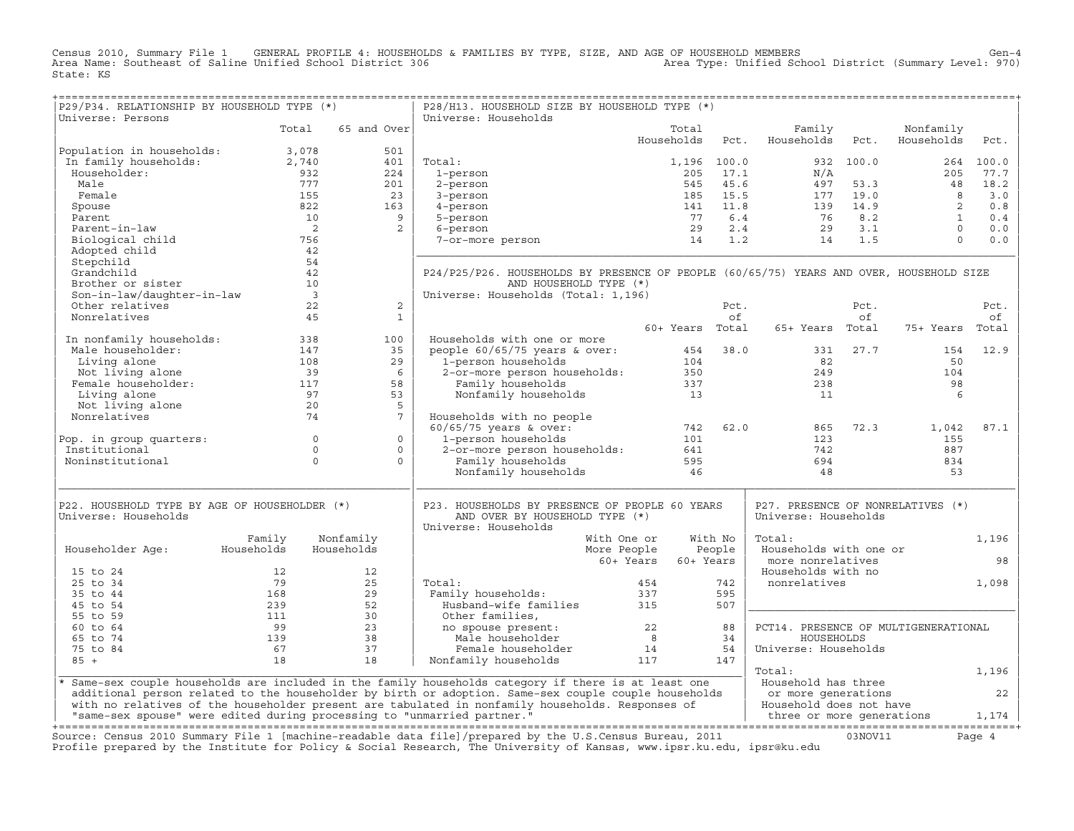Census 2010, Summary File 1 GENERAL PROFILE 4: HOUSEHOLDS & FAMILIES BY TYPE, SIZE, AND AGE OF HOUSEHOLD MEMBERS<br>Area Name: Southeast of Saline Unified School District 306 Area Type: Unifi State: KS

| P29/P34. RELATIONSHIP BY HOUSEHOLD TYPE (*)                                                                                                                               |                                                |                                                                        | P28/H13. HOUSEHOLD SIZE BY HOUSEHOLD TYPE (*)                                                                                  |                        |             |                                                                                                                                         |           |                 |           |
|---------------------------------------------------------------------------------------------------------------------------------------------------------------------------|------------------------------------------------|------------------------------------------------------------------------|--------------------------------------------------------------------------------------------------------------------------------|------------------------|-------------|-----------------------------------------------------------------------------------------------------------------------------------------|-----------|-----------------|-----------|
| Universe: Persons                                                                                                                                                         |                                                |                                                                        | Universe: Households                                                                                                           |                        |             |                                                                                                                                         |           |                 |           |
|                                                                                                                                                                           | Total                                          | 65 and Over                                                            |                                                                                                                                | Total                  |             | Family                                                                                                                                  |           | Nonfamily       |           |
|                                                                                                                                                                           |                                                |                                                                        |                                                                                                                                | Households             | Pct.        | Households                                                                                                                              | Pct.      | Households      | Pct.      |
| Population in households: 3,078<br>In family households: 2,740                                                                                                            |                                                | 501                                                                    |                                                                                                                                |                        |             |                                                                                                                                         |           |                 |           |
|                                                                                                                                                                           |                                                | 401                                                                    | Total:                                                                                                                         |                        | 1,196 100.0 |                                                                                                                                         | 932 100.0 |                 | 264 100.0 |
| Householder:                                                                                                                                                              | 932<br>777                                     | 224                                                                    | 1-person                                                                                                                       |                        |             |                                                                                                                                         |           |                 | 205 77.7  |
| Male                                                                                                                                                                      |                                                | 201                                                                    | 2-person                                                                                                                       |                        |             |                                                                                                                                         |           |                 | 18.2      |
| Female                                                                                                                                                                    | 155                                            | $\begin{array}{c} 23 \\ 163 \end{array}$                               | 3-person                                                                                                                       |                        |             |                                                                                                                                         |           |                 | 3.0       |
| Spouse                                                                                                                                                                    | 822                                            |                                                                        | 4-person                                                                                                                       |                        |             |                                                                                                                                         |           |                 | 0.8       |
| Parent                                                                                                                                                                    | 10                                             | 9                                                                      | 5-person                                                                                                                       |                        |             |                                                                                                                                         |           |                 | 0.4       |
| Parent-in-law                                                                                                                                                             | $\overline{\phantom{a}}$ 2                     | $\overline{2}$                                                         | 6-person                                                                                                                       |                        |             | 205 17.1<br>205 17.1<br>545 45.6<br>185 15.5 177 19.0 8<br>141 11.8 139 14.9 2<br>77 6.4 76 8.2 1<br>29 2.4 29 3.1 0<br>14 1.2 14 1.5 0 |           |                 | 0.0       |
| Biological child                                                                                                                                                          | 756                                            |                                                                        | 7-or-more person                                                                                                               |                        |             |                                                                                                                                         |           |                 | 0.0       |
| Adopted child                                                                                                                                                             | 42                                             |                                                                        |                                                                                                                                |                        |             |                                                                                                                                         |           |                 |           |
| Stepchild                                                                                                                                                                 | 54                                             |                                                                        |                                                                                                                                |                        |             |                                                                                                                                         |           |                 |           |
| Grandchild                                                                                                                                                                | 42                                             |                                                                        | P24/P25/P26. HOUSEHOLDS BY PRESENCE OF PEOPLE (60/65/75) YEARS AND OVER, HOUSEHOLD SIZE                                        |                        |             |                                                                                                                                         |           |                 |           |
| Brother or sister                                                                                                                                                         | 10                                             |                                                                        | AND HOUSEHOLD TYPE (*)                                                                                                         |                        |             |                                                                                                                                         |           |                 |           |
| Son-in-law/daughter-in-law                                                                                                                                                | $\begin{array}{c}\n10 \\ 3 \\ 22\n\end{array}$ |                                                                        | Universe: Households (Total: 1,196)                                                                                            |                        |             |                                                                                                                                         |           |                 |           |
| Other relatives                                                                                                                                                           | 22                                             | 2                                                                      |                                                                                                                                |                        | Pct.        |                                                                                                                                         | Pct.      |                 | Pct.      |
| Nonrelatives                                                                                                                                                              | 45                                             | $\mathbf{1}$                                                           |                                                                                                                                |                        | of          |                                                                                                                                         | of        |                 | of        |
|                                                                                                                                                                           |                                                |                                                                        |                                                                                                                                | 60+ Years Total        |             | 65+ Years Total                                                                                                                         |           | 75+ Years Total |           |
|                                                                                                                                                                           |                                                | 100                                                                    | Households with one or more                                                                                                    |                        |             |                                                                                                                                         |           |                 |           |
| In nonfamily households: 338<br>Male householder: 147                                                                                                                     |                                                | 35                                                                     |                                                                                                                                |                        |             | 331                                                                                                                                     | 27.7      | 154             | 12.9      |
|                                                                                                                                                                           |                                                | 29                                                                     |                                                                                                                                |                        |             | 82                                                                                                                                      |           | 50              |           |
|                                                                                                                                                                           |                                                | 6                                                                      |                                                                                                                                |                        |             | 249                                                                                                                                     |           | 104             |           |
|                                                                                                                                                                           |                                                | 58                                                                     | people 60/65/75 years & over:<br>1-person households 104<br>2-or-more person households: 350<br>Family households 337          |                        |             | 238                                                                                                                                     |           | 98              |           |
|                                                                                                                                                                           |                                                | 53                                                                     | Nonfamily households 13                                                                                                        |                        |             | 11                                                                                                                                      |           | 6               |           |
|                                                                                                                                                                           |                                                | -5                                                                     |                                                                                                                                |                        |             |                                                                                                                                         |           |                 |           |
| Male households:<br>Male householder:<br>Living alone 108<br>Not living alone 108<br>Female householder: 117<br>Living alone 97<br>Not living alone 20<br>Nonrelatives 74 |                                                | $\overline{7}$                                                         | Households with no people                                                                                                      |                        |             |                                                                                                                                         |           |                 |           |
|                                                                                                                                                                           |                                                |                                                                        | Households with no people<br>$60/65/75$ years & over:<br>1-person households<br>2-or-more person households:<br>$641$<br>$641$ |                        | 742 62.0    | 865                                                                                                                                     | 72.3      | 1,042           | 87.1      |
| Pop. in group quarters: 0                                                                                                                                                 |                                                | $\overline{0}$                                                         |                                                                                                                                |                        |             | 123                                                                                                                                     |           | 155             |           |
| Institutional                                                                                                                                                             | $\overline{0}$                                 | $\circ$                                                                |                                                                                                                                |                        |             | 742                                                                                                                                     |           | 887             |           |
| Noninstitutional                                                                                                                                                          | $\Omega$                                       | $\Omega$                                                               | Family households                                                                                                              | 595                    |             | 694                                                                                                                                     |           | 834             |           |
|                                                                                                                                                                           |                                                |                                                                        | Nonfamily households 46                                                                                                        |                        |             | 48                                                                                                                                      |           | 53              |           |
|                                                                                                                                                                           |                                                |                                                                        |                                                                                                                                |                        |             |                                                                                                                                         |           |                 |           |
|                                                                                                                                                                           |                                                |                                                                        |                                                                                                                                |                        |             |                                                                                                                                         |           |                 |           |
| P22. HOUSEHOLD TYPE BY AGE OF HOUSEHOLDER (*)                                                                                                                             |                                                |                                                                        | P23. HOUSEHOLDS BY PRESENCE OF PEOPLE 60 YEARS                                                                                 |                        |             | P27. PRESENCE OF NONRELATIVES (*)                                                                                                       |           |                 |           |
| Universe: Households                                                                                                                                                      |                                                |                                                                        | AND OVER BY HOUSEHOLD TYPE (*)                                                                                                 |                        |             | Universe: Households                                                                                                                    |           |                 |           |
|                                                                                                                                                                           |                                                |                                                                        | Universe: Households                                                                                                           |                        |             |                                                                                                                                         |           |                 |           |
| Family                                                                                                                                                                    |                                                | Nonfamily                                                              | With One or                                                                                                                    |                        | With No     | Total:                                                                                                                                  |           |                 | 1,196     |
| Households<br>Householder Age:                                                                                                                                            |                                                | Households                                                             | More People                                                                                                                    | People                 |             | Households with one or                                                                                                                  |           |                 |           |
|                                                                                                                                                                           |                                                |                                                                        |                                                                                                                                | 60+ Years<br>60+ Years |             | more nonrelatives                                                                                                                       |           |                 | 98        |
| 15 to 24                                                                                                                                                                  | 12                                             | 12                                                                     |                                                                                                                                |                        |             | Households with no                                                                                                                      |           |                 |           |
| 25 to 34                                                                                                                                                                  | 79                                             | 25                                                                     | Total:                                                                                                                         | 454                    | 742         | nonrelatives                                                                                                                            |           |                 | 1,098     |
| 35 to 44<br>168                                                                                                                                                           |                                                |                                                                        |                                                                                                                                |                        | 595         |                                                                                                                                         |           |                 |           |
| 45 to 54                                                                                                                                                                  | 239                                            |                                                                        |                                                                                                                                |                        | 507         |                                                                                                                                         |           |                 |           |
| 55 to 59                                                                                                                                                                  | 111                                            |                                                                        |                                                                                                                                |                        |             |                                                                                                                                         |           |                 |           |
| 99<br>60 to 64                                                                                                                                                            |                                                |                                                                        |                                                                                                                                |                        |             | PCT14. PRESENCE OF MULTIGENERATIONAL                                                                                                    |           |                 |           |
| 139<br>65 to 74                                                                                                                                                           |                                                |                                                                        |                                                                                                                                | $88$<br>$34$           |             | HOUSEHOLDS                                                                                                                              |           |                 |           |
| 67<br>75 to 84                                                                                                                                                            |                                                | $\begin{array}{r} -29 \\ 52 \\ 30 \\ 23 \\ 38 \\ 37 \\ 18 \end{array}$ | Husband-wife families 315<br>Other families, 22<br>no spouse present: 22<br>Male householder 8<br>Female householder 14        |                        | 54          | Universe: Households                                                                                                                    |           |                 |           |
| $85 +$                                                                                                                                                                    | 18                                             |                                                                        | Nonfamily households                                                                                                           |                        | 147         |                                                                                                                                         |           |                 |           |
|                                                                                                                                                                           |                                                |                                                                        |                                                                                                                                |                        |             | Total:                                                                                                                                  |           |                 | 1,196     |
| * Same-sex couple households are included in the family households category if there is at least one                                                                      |                                                |                                                                        |                                                                                                                                |                        |             | Household has three                                                                                                                     |           |                 |           |
|                                                                                                                                                                           |                                                |                                                                        | additional person related to the householder by birth or adoption. Same-sex couple couple households                           |                        |             | or more generations                                                                                                                     |           |                 | 22        |
|                                                                                                                                                                           |                                                |                                                                        | with no relatives of the householder present are tabulated in nonfamily households. Responses of                               |                        |             | Household does not have                                                                                                                 |           |                 |           |
|                                                                                                                                                                           |                                                |                                                                        |                                                                                                                                |                        |             |                                                                                                                                         |           |                 |           |
|                                                                                                                                                                           |                                                |                                                                        |                                                                                                                                |                        |             |                                                                                                                                         |           |                 |           |
| Source: Census 2010 Summary File 1 [machine-readable data file]/prepared by the U.S.Census Bureau, 2011                                                                   |                                                |                                                                        |                                                                                                                                |                        |             |                                                                                                                                         |           |                 |           |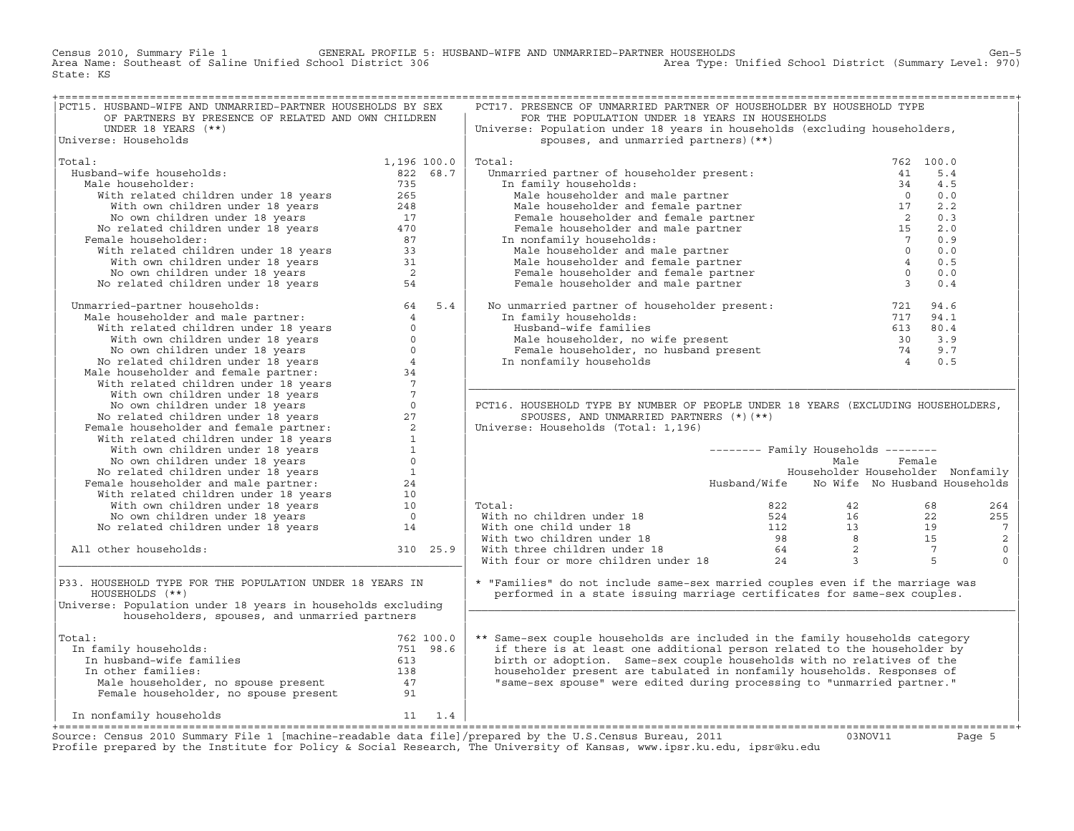CENERAL PROFILE 5: HUSBAND-WIFE AND UNMARRIED-PARTNER HOUSEHOLDS<br>School District 306 Gen−5<br>Area Type: Unified School District (Summary Level: 970) Area Name: Southeast of Saline Unified School District 306 Area Name: Southeast of Saline Unified School District 306 State: KS

| PCT15. HUSBAND-WIFE AND UNMARRIED-PARTNER HOUSEHOLDS BY SEX                                                                                                                                                                                  |             | PCT17. PRESENCE OF UNMARRIED PARTNER OF HOUSEHOLDER BY HOUSEHOLD TYPE                                                                                                                                                                                           |                                            |        |                |
|----------------------------------------------------------------------------------------------------------------------------------------------------------------------------------------------------------------------------------------------|-------------|-----------------------------------------------------------------------------------------------------------------------------------------------------------------------------------------------------------------------------------------------------------------|--------------------------------------------|--------|----------------|
| OF PARTNERS BY PRESENCE OF RELATED AND OWN CHILDREN                                                                                                                                                                                          |             | FOR THE POPULATION UNDER 18 YEARS IN HOUSEHOLDS                                                                                                                                                                                                                 |                                            |        |                |
| UNDER 18 YEARS $(**)$                                                                                                                                                                                                                        |             | Universe: Population under 18 years in households (excluding householders,                                                                                                                                                                                      |                                            |        |                |
| Universe: Households                                                                                                                                                                                                                         |             | spouses, and unmarried partners) (**)                                                                                                                                                                                                                           |                                            |        |                |
|                                                                                                                                                                                                                                              |             |                                                                                                                                                                                                                                                                 |                                            |        |                |
| Total:                                                                                                                                                                                                                                       | 1,196 100.0 | Total:                                                                                                                                                                                                                                                          |                                            |        |                |
| Husband-wife households:                                                                                                                                                                                                                     | 822 68.7    |                                                                                                                                                                                                                                                                 |                                            |        |                |
| Male householder:                                                                                                                                                                                                                            |             |                                                                                                                                                                                                                                                                 |                                            |        |                |
|                                                                                                                                                                                                                                              |             |                                                                                                                                                                                                                                                                 |                                            |        |                |
|                                                                                                                                                                                                                                              |             |                                                                                                                                                                                                                                                                 |                                            |        |                |
|                                                                                                                                                                                                                                              |             |                                                                                                                                                                                                                                                                 |                                            |        |                |
|                                                                                                                                                                                                                                              |             |                                                                                                                                                                                                                                                                 |                                            |        |                |
| Female householder:                                                                                                                                                                                                                          |             |                                                                                                                                                                                                                                                                 |                                            |        |                |
|                                                                                                                                                                                                                                              |             |                                                                                                                                                                                                                                                                 |                                            |        |                |
|                                                                                                                                                                                                                                              |             |                                                                                                                                                                                                                                                                 |                                            |        |                |
|                                                                                                                                                                                                                                              |             |                                                                                                                                                                                                                                                                 |                                            |        |                |
|                                                                                                                                                                                                                                              |             |                                                                                                                                                                                                                                                                 |                                            |        |                |
| % Board-wife households:<br>lale householder: 82268.7<br>With related children under 18 years<br>With related children under 18 years<br>No own children under 18 years<br>No related children under 18 years<br>17<br>No related children u |             |                                                                                                                                                                                                                                                                 |                                            |        |                |
| No related children under 18 years<br>Manarried-partner households:<br>Male householder and male partner:<br>With we children under 18 years<br>With we children under 18 years<br>No com children under 18 years<br>No com children under   |             | No unmarried partner of householder present: 721 94.6<br>In family households: 717 94.1<br>Husband-wife families 613 80.4<br>Male householder, no wife present 30 3.9<br>Female householder, no husband present 74 9.7<br>The part of th                        |                                            |        |                |
|                                                                                                                                                                                                                                              |             |                                                                                                                                                                                                                                                                 |                                            |        |                |
|                                                                                                                                                                                                                                              |             |                                                                                                                                                                                                                                                                 |                                            |        |                |
|                                                                                                                                                                                                                                              |             |                                                                                                                                                                                                                                                                 |                                            |        |                |
|                                                                                                                                                                                                                                              |             |                                                                                                                                                                                                                                                                 |                                            |        |                |
|                                                                                                                                                                                                                                              |             |                                                                                                                                                                                                                                                                 |                                            |        |                |
|                                                                                                                                                                                                                                              |             |                                                                                                                                                                                                                                                                 |                                            |        |                |
|                                                                                                                                                                                                                                              |             |                                                                                                                                                                                                                                                                 |                                            |        |                |
|                                                                                                                                                                                                                                              |             |                                                                                                                                                                                                                                                                 |                                            |        |                |
|                                                                                                                                                                                                                                              |             |                                                                                                                                                                                                                                                                 |                                            |        |                |
|                                                                                                                                                                                                                                              |             | PCT16. HOUSEHOLD TYPE BY NUMBER OF PEOPLE UNDER 18 YEARS (EXCLUDING HOUSEHOLDERS,                                                                                                                                                                               |                                            |        |                |
|                                                                                                                                                                                                                                              |             | SPOUSES, AND UNMARRIED PARTNERS (*) (**)                                                                                                                                                                                                                        |                                            |        |                |
|                                                                                                                                                                                                                                              |             | Universe: Households (Total: 1,196)                                                                                                                                                                                                                             |                                            |        |                |
|                                                                                                                                                                                                                                              |             |                                                                                                                                                                                                                                                                 |                                            |        |                |
|                                                                                                                                                                                                                                              |             |                                                                                                                                                                                                                                                                 | $------$ Family Households $------$        |        |                |
|                                                                                                                                                                                                                                              |             |                                                                                                                                                                                                                                                                 | Male                                       | Female |                |
|                                                                                                                                                                                                                                              |             |                                                                                                                                                                                                                                                                 | Householder Householder Nonfamily          |        |                |
|                                                                                                                                                                                                                                              |             |                                                                                                                                                                                                                                                                 | Husband/Wife No Wife No Husband Households |        |                |
|                                                                                                                                                                                                                                              |             |                                                                                                                                                                                                                                                                 |                                            |        |                |
|                                                                                                                                                                                                                                              |             | Total:                                                                                                                                                                                                                                                          |                                            |        | 264            |
|                                                                                                                                                                                                                                              |             |                                                                                                                                                                                                                                                                 |                                            |        | 255            |
|                                                                                                                                                                                                                                              |             |                                                                                                                                                                                                                                                                 |                                            |        | $\overline{7}$ |
|                                                                                                                                                                                                                                              |             |                                                                                                                                                                                                                                                                 |                                            |        | 2              |
| All other households:                                                                                                                                                                                                                        | 310 25.9    |                                                                                                                                                                                                                                                                 |                                            |        | $\mathsf 0$    |
|                                                                                                                                                                                                                                              |             | Total:<br>With no children under 18<br>With one child under 18<br>With two children under 18<br>Total:<br>With two children under 18<br>With three children under 18<br>With four or more children under 18<br>24<br>24<br>24<br>25<br>25<br>24<br>25<br>26<br> |                                            |        | $\Omega$       |
|                                                                                                                                                                                                                                              |             |                                                                                                                                                                                                                                                                 |                                            |        |                |
| P33. HOUSEHOLD TYPE FOR THE POPULATION UNDER 18 YEARS IN                                                                                                                                                                                     |             | * "Families" do not include same-sex married couples even if the marriage was                                                                                                                                                                                   |                                            |        |                |
| HOUSEHOLDS (**)                                                                                                                                                                                                                              |             | performed in a state issuing marriage certificates for same-sex couples.                                                                                                                                                                                        |                                            |        |                |
| Universe: Population under 18 years in households excluding                                                                                                                                                                                  |             |                                                                                                                                                                                                                                                                 |                                            |        |                |
| householders, spouses, and unmarried partners                                                                                                                                                                                                |             |                                                                                                                                                                                                                                                                 |                                            |        |                |
|                                                                                                                                                                                                                                              |             |                                                                                                                                                                                                                                                                 |                                            |        |                |
| Total:                                                                                                                                                                                                                                       |             | ** Same-sex couple households are included in the family households category                                                                                                                                                                                    |                                            |        |                |
| In family households:                                                                                                                                                                                                                        |             | if there is at least one additional person related to the householder by                                                                                                                                                                                        |                                            |        |                |
|                                                                                                                                                                                                                                              |             | birth or adoption. Same-sex couple households with no relatives of the                                                                                                                                                                                          |                                            |        |                |
|                                                                                                                                                                                                                                              |             | householder present are tabulated in nonfamily households. Responses of                                                                                                                                                                                         |                                            |        |                |
|                                                                                                                                                                                                                                              |             | "same-sex spouse" were edited during processing to "unmarried partner."                                                                                                                                                                                         |                                            |        |                |
|                                                                                                                                                                                                                                              |             |                                                                                                                                                                                                                                                                 |                                            |        |                |
|                                                                                                                                                                                                                                              |             |                                                                                                                                                                                                                                                                 |                                            |        |                |
| al:<br>n family households:<br>To families<br>To ther families<br>In other families:<br>Male householder, no spouse present<br>Temale householder, no spouse present<br>Temale householder, no spouse present<br>91                          |             |                                                                                                                                                                                                                                                                 |                                            |        |                |
|                                                                                                                                                                                                                                              |             |                                                                                                                                                                                                                                                                 |                                            |        |                |

Source: Census 2010 Summary File 1 [machine-readable data file]/prepared by the U.S.Census Bureau, 2011 Page 5<br>Profile prepared by the Institute for Policy & Social Research, The University of Kansas, www.i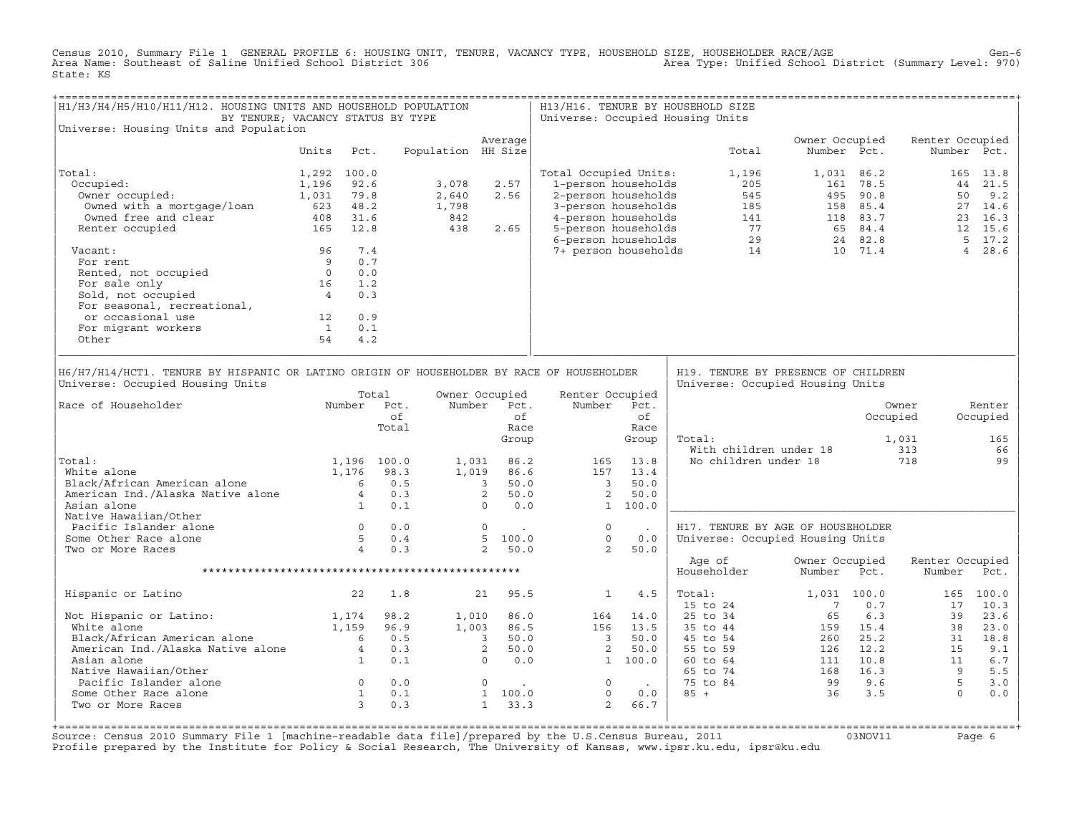Census 2010, Summary File 1 GENERAL PROFILE 6: HOUSING UNIT, TENURE, VACANCY TYPE, HOUSEHOLD SIZE, HOUSEHOLDER RACE/AGE<br>Area Name: Southeast of Saline Unified School District 306 State: KS

| H1/H3/H4/H5/H10/H11/H12. HOUSING UNITS AND HOUSEHOLD POPULATION<br>BY TENURE; VACANCY STATUS BY TYPE                                                                                                                                                                                                                                                              |                                                                |      |                      |                                |                                           |                     |                                                                                                                                                                                                                                                                                                                          |                     | H13/H16. TENURE BY HOUSEHOLD SIZE<br>Universe: Occupied Housing Units                                                                                                                                                                                                                                   |                                                        |            |                           |                                       |
|-------------------------------------------------------------------------------------------------------------------------------------------------------------------------------------------------------------------------------------------------------------------------------------------------------------------------------------------------------------------|----------------------------------------------------------------|------|----------------------|--------------------------------|-------------------------------------------|---------------------|--------------------------------------------------------------------------------------------------------------------------------------------------------------------------------------------------------------------------------------------------------------------------------------------------------------------------|---------------------|---------------------------------------------------------------------------------------------------------------------------------------------------------------------------------------------------------------------------------------------------------------------------------------------------------|--------------------------------------------------------|------------|---------------------------|---------------------------------------|
| Universe: Housing Units and Population                                                                                                                                                                                                                                                                                                                            |                                                                |      |                      |                                |                                           |                     |                                                                                                                                                                                                                                                                                                                          |                     |                                                                                                                                                                                                                                                                                                         |                                                        |            |                           |                                       |
|                                                                                                                                                                                                                                                                                                                                                                   | Units                                                          | Pct. |                      | Population HH Size             | Average                                   |                     |                                                                                                                                                                                                                                                                                                                          |                     | Total                                                                                                                                                                                                                                                                                                   | Owner Occupied<br>Number Pct.                          |            | Renter Occupied           | Number Pct.                           |
| Total:                                                                                                                                                                                                                                                                                                                                                            | 1,292 100.0                                                    |      |                      |                                |                                           |                     | Total Occupied Units:                                                                                                                                                                                                                                                                                                    |                     | 1,196                                                                                                                                                                                                                                                                                                   |                                                        | 1,031 86.2 |                           | 165 13.8                              |
| Occupied:                                                                                                                                                                                                                                                                                                                                                         | 1,196                                                          | 92.6 |                      | 3,078                          | 2.57                                      |                     |                                                                                                                                                                                                                                                                                                                          |                     |                                                                                                                                                                                                                                                                                                         |                                                        |            |                           |                                       |
|                                                                                                                                                                                                                                                                                                                                                                   |                                                                |      |                      | 2,640                          | 2.56                                      |                     |                                                                                                                                                                                                                                                                                                                          |                     |                                                                                                                                                                                                                                                                                                         |                                                        |            |                           |                                       |
|                                                                                                                                                                                                                                                                                                                                                                   |                                                                |      |                      |                                |                                           |                     |                                                                                                                                                                                                                                                                                                                          |                     |                                                                                                                                                                                                                                                                                                         |                                                        |            |                           |                                       |
|                                                                                                                                                                                                                                                                                                                                                                   |                                                                |      |                      |                                |                                           |                     |                                                                                                                                                                                                                                                                                                                          |                     |                                                                                                                                                                                                                                                                                                         |                                                        |            |                           |                                       |
| Occupied: 1,196 92.6<br>Owner occupied: 1,031 79.8<br>Owned with a mortgage/loan 623 48.2<br>Owned free and clear 408 31.6<br>Renter occupied 165 12.8                                                                                                                                                                                                            |                                                                |      |                      | 2, 040<br>1, 798<br>842<br>438 |                                           |                     |                                                                                                                                                                                                                                                                                                                          |                     |                                                                                                                                                                                                                                                                                                         |                                                        |            |                           |                                       |
|                                                                                                                                                                                                                                                                                                                                                                   |                                                                |      |                      |                                | 2.65                                      |                     |                                                                                                                                                                                                                                                                                                                          |                     |                                                                                                                                                                                                                                                                                                         |                                                        |            |                           |                                       |
| Vacant:                                                                                                                                                                                                                                                                                                                                                           |                                                                |      |                      |                                |                                           |                     |                                                                                                                                                                                                                                                                                                                          |                     |                                                                                                                                                                                                                                                                                                         |                                                        |            |                           |                                       |
|                                                                                                                                                                                                                                                                                                                                                                   |                                                                |      |                      |                                |                                           |                     |                                                                                                                                                                                                                                                                                                                          |                     |                                                                                                                                                                                                                                                                                                         |                                                        |            |                           |                                       |
|                                                                                                                                                                                                                                                                                                                                                                   |                                                                |      |                      |                                |                                           |                     |                                                                                                                                                                                                                                                                                                                          |                     |                                                                                                                                                                                                                                                                                                         |                                                        |            |                           |                                       |
|                                                                                                                                                                                                                                                                                                                                                                   |                                                                |      |                      |                                |                                           |                     |                                                                                                                                                                                                                                                                                                                          |                     |                                                                                                                                                                                                                                                                                                         |                                                        |            |                           |                                       |
|                                                                                                                                                                                                                                                                                                                                                                   |                                                                |      |                      |                                |                                           |                     |                                                                                                                                                                                                                                                                                                                          |                     |                                                                                                                                                                                                                                                                                                         |                                                        |            |                           |                                       |
|                                                                                                                                                                                                                                                                                                                                                                   |                                                                |      |                      |                                |                                           |                     |                                                                                                                                                                                                                                                                                                                          |                     |                                                                                                                                                                                                                                                                                                         |                                                        |            |                           |                                       |
|                                                                                                                                                                                                                                                                                                                                                                   |                                                                |      |                      |                                |                                           |                     |                                                                                                                                                                                                                                                                                                                          |                     |                                                                                                                                                                                                                                                                                                         |                                                        |            |                           |                                       |
|                                                                                                                                                                                                                                                                                                                                                                   |                                                                |      |                      |                                |                                           |                     |                                                                                                                                                                                                                                                                                                                          |                     |                                                                                                                                                                                                                                                                                                         |                                                        |            |                           |                                       |
| For seasonal, recreational,<br>or occasional use 12 0.9<br>For migrant workers 1 0.1<br>Other 54 4.2                                                                                                                                                                                                                                                              |                                                                |      |                      |                                |                                           |                     |                                                                                                                                                                                                                                                                                                                          |                     |                                                                                                                                                                                                                                                                                                         |                                                        |            |                           |                                       |
| Universe: Occupied Housing Units<br>Number Pct.<br>Race of Householder<br>Total:<br>Total:<br>White alone<br>White alone<br>White alone<br>Black/African American alone<br>American Ind./Alaska Native alone<br>American Ind./Alaska Native alone<br>American Ind./Alaska Native alone<br>Asian alone<br>Asian alone<br>Asian alone<br>A<br>Native Hawaiian/Other |                                                                |      | Total<br>of<br>Total |                                | Owner Occupied<br>Number Pct.             | of<br>Race<br>Group | Renter Occupied<br>Number Pct.                                                                                                                                                                                                                                                                                           | of<br>Race<br>Group | Universe: Occupied Housing Units<br>Total:                                                                                                                                                                                                                                                              | With children under 18 313<br>No children under 18 718 | Occupied   | Owner<br>1,031            | Renter<br>Occupied<br>165<br>66<br>99 |
|                                                                                                                                                                                                                                                                                                                                                                   |                                                                |      |                      |                                |                                           |                     |                                                                                                                                                                                                                                                                                                                          | $\sim 10^{-1}$      | H17. TENURE BY AGE OF HOUSEHOLDER                                                                                                                                                                                                                                                                       |                                                        |            |                           |                                       |
| water in the same particle is lander alone<br>Some Other Race alone by the same by the same of the same of the same of the same of the same of the same of the same of the same of the same of the same of the same of the same<br>Some Other Race alone                                                                                                          |                                                                |      |                      |                                |                                           |                     | $\begin{matrix}0\\0\end{matrix}$                                                                                                                                                                                                                                                                                         | 0.0                 | Universe: Occupied Housing Units                                                                                                                                                                                                                                                                        |                                                        |            |                           |                                       |
| Two or More Races                                                                                                                                                                                                                                                                                                                                                 |                                                                |      |                      |                                |                                           |                     | $\overline{\phantom{a}}$ 2                                                                                                                                                                                                                                                                                               | 50.0                |                                                                                                                                                                                                                                                                                                         |                                                        |            |                           |                                       |
|                                                                                                                                                                                                                                                                                                                                                                   |                                                                |      |                      |                                |                                           |                     |                                                                                                                                                                                                                                                                                                                          |                     | Age of<br>Householder                                                                                                                                                                                                                                                                                   | Owner Occupied<br>Number Pct.                          |            | Renter Occupied<br>Number | Pct.                                  |
|                                                                                                                                                                                                                                                                                                                                                                   |                                                                |      |                      |                                |                                           |                     |                                                                                                                                                                                                                                                                                                                          |                     |                                                                                                                                                                                                                                                                                                         |                                                        |            |                           |                                       |
| Hispanic or Latino                                                                                                                                                                                                                                                                                                                                                |                                                                | 22   | 1.8                  |                                | 21 95.5                                   |                     | 1 4.5                                                                                                                                                                                                                                                                                                                    |                     | Total:<br>15 to 24                                                                                                                                                                                                                                                                                      | 1,031 100.0<br>$\overline{7}$                          | 0.7        | 17                        | 165 100.0<br>10.3                     |
| Not Hispanic or Latino: 1,174<br>White alone 1,159<br>Black/African American alone 6<br>American Ind./Alaska Native alone 4<br>Anian alone 1                                                                                                                                                                                                                      |                                                                |      | 98.2                 |                                |                                           |                     | $\begin{array}{cccccc} 98.2 & \phantom{0}1,010 & 86.0 & \phantom{0}164 & 14.0 \\ 96.9 & \phantom{0}1,003 & 86.5 & \phantom{0}156 & \phantom{0}13.5 \\ 0.5 & \phantom{0}3 & 50.0 & \phantom{0}3 & 50.0 \\ 0.3 & \phantom{0}2 & 50.0 & \phantom{0}2 & 50.0 \\ 0.1 & \phantom{0}0 & 0.0 & \phantom{0}1 & 100.0 \end{array}$ |                     | 15 to 24<br>25 to 34<br>35 to 44<br>45 to 54<br>45 to 54<br>55 to 59<br>126<br>126<br>126<br>127<br>139<br>23.6<br>260<br>25.2<br>31<br>18.8<br>23.0<br>31<br>18.8<br>55 to 59<br>126<br>12.2<br>15<br>9.1<br>67<br>55 to 84<br>11<br>10.8<br>11<br>67<br>55 to 84<br>99<br>9.6<br>55<br>9.5<br>9.5<br> |                                                        |            |                           |                                       |
|                                                                                                                                                                                                                                                                                                                                                                   |                                                                |      | 96.9                 |                                |                                           |                     |                                                                                                                                                                                                                                                                                                                          |                     |                                                                                                                                                                                                                                                                                                         |                                                        |            |                           |                                       |
|                                                                                                                                                                                                                                                                                                                                                                   |                                                                |      |                      |                                |                                           |                     |                                                                                                                                                                                                                                                                                                                          |                     |                                                                                                                                                                                                                                                                                                         |                                                        |            |                           |                                       |
|                                                                                                                                                                                                                                                                                                                                                                   |                                                                |      |                      |                                |                                           |                     |                                                                                                                                                                                                                                                                                                                          |                     |                                                                                                                                                                                                                                                                                                         |                                                        |            |                           |                                       |
|                                                                                                                                                                                                                                                                                                                                                                   |                                                                |      | 0.1                  |                                |                                           |                     |                                                                                                                                                                                                                                                                                                                          |                     |                                                                                                                                                                                                                                                                                                         |                                                        |            |                           |                                       |
| Native Hawaiian/Other                                                                                                                                                                                                                                                                                                                                             |                                                                |      |                      |                                |                                           |                     |                                                                                                                                                                                                                                                                                                                          |                     |                                                                                                                                                                                                                                                                                                         |                                                        |            |                           |                                       |
|                                                                                                                                                                                                                                                                                                                                                                   |                                                                |      |                      |                                |                                           |                     |                                                                                                                                                                                                                                                                                                                          |                     |                                                                                                                                                                                                                                                                                                         |                                                        |            |                           |                                       |
| Pacific Islander alone                                                                                                                                                                                                                                                                                                                                            | $\begin{array}{ccc} 0 & 0.0 \\ 1 & 0.1 \\ 3 & 0.3 \end{array}$ |      |                      |                                | $\begin{matrix}0&. \ 1&100.0\end{matrix}$ |                     | $\overline{0}$                                                                                                                                                                                                                                                                                                           |                     |                                                                                                                                                                                                                                                                                                         |                                                        |            |                           |                                       |
| Some Other Race alone                                                                                                                                                                                                                                                                                                                                             |                                                                |      |                      |                                | 1 100.0                                   |                     | $\overline{0}$                                                                                                                                                                                                                                                                                                           | 0.0                 |                                                                                                                                                                                                                                                                                                         |                                                        |            |                           |                                       |
| Two or More Races                                                                                                                                                                                                                                                                                                                                                 |                                                                |      |                      |                                | $1 \t33.3$                                |                     |                                                                                                                                                                                                                                                                                                                          | 2 66.7              |                                                                                                                                                                                                                                                                                                         |                                                        |            |                           |                                       |

+===================================================================================================================================================+Source: Census 2010 Summary File 1 [machine-readable data file]/prepared by the U.S.Census Bureau, 2011 Page 6<br>Profile prepared by the Institute for Policy & Social Research, The University of Kansas, www.ip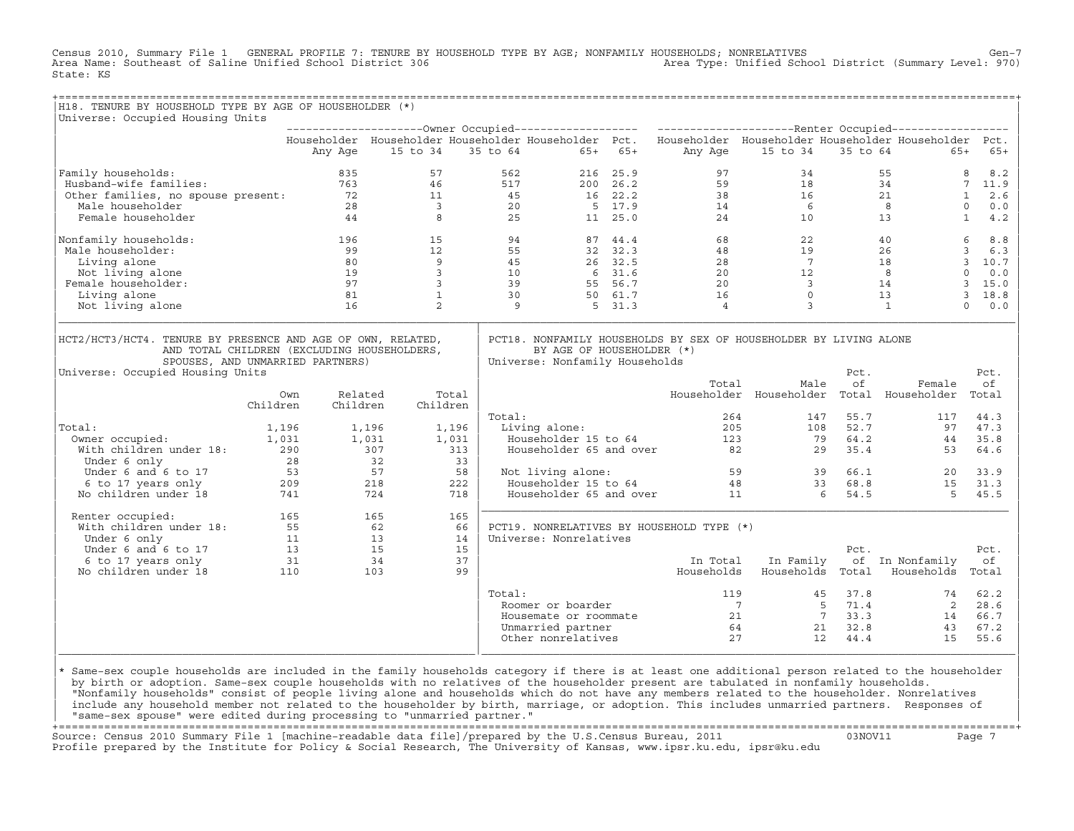Census 2010, Summary File 1 GENERAL PROFILE 7: TENURE BY HOUSEHOLD TYPE BY AGE; NONFAMILY HOUSEHOLDS; NONRELATIVES Gen−7<br>Area Name: Southeast of Saline Unified School District 306 Area Type: Unified School District (Summary Level: 970) State: KS

| H18. TENURE BY HOUSEHOLD TYPE BY AGE OF HOUSEHOLDER (*)<br>Universe: Occupied Housing Units                                                                                                                                       |                 |                     |                    |                                                                                |        |                                                       |               |                                           |                                                                                                                                                      |                 |                                                                                                           |                                |
|-----------------------------------------------------------------------------------------------------------------------------------------------------------------------------------------------------------------------------------|-----------------|---------------------|--------------------|--------------------------------------------------------------------------------|--------|-------------------------------------------------------|---------------|-------------------------------------------|------------------------------------------------------------------------------------------------------------------------------------------------------|-----------------|-----------------------------------------------------------------------------------------------------------|--------------------------------|
|                                                                                                                                                                                                                                   |                 |                     |                    |                                                                                |        |                                                       |               |                                           |                                                                                                                                                      |                 |                                                                                                           |                                |
|                                                                                                                                                                                                                                   |                 |                     |                    |                                                                                |        |                                                       |               |                                           |                                                                                                                                                      |                 | Householder Householder Householder Householder Pct. Householder Householder Householder Householder Pct. |                                |
|                                                                                                                                                                                                                                   |                 | Any Age             | 15 to 34 35 to 64  |                                                                                |        |                                                       | $65+ 65+$     |                                           | Any Age 15 to 34 35 to 64                                                                                                                            |                 | $65+$                                                                                                     | 65+                            |
| Family households:<br>% 335<br>Husband-wife families: 835<br>Other families, no spouse present: 72<br>11<br>128<br>23<br>20<br>25<br>25<br>25<br>25                                                                               |                 |                     |                    |                                                                                |        | 562                                                   | 216 25.9      | 97                                        |                                                                                                                                                      | 34              |                                                                                                           | 8<br>8.2                       |
|                                                                                                                                                                                                                                   |                 |                     |                    |                                                                                |        | 517<br>$45$<br>$16$<br>$22.2$<br>$17$<br>$17$<br>$17$ | $200 \t 26.2$ |                                           |                                                                                                                                                      |                 |                                                                                                           | 7 11.9                         |
|                                                                                                                                                                                                                                   |                 |                     |                    |                                                                                |        |                                                       |               |                                           |                                                                                                                                                      |                 |                                                                                                           | 2.6<br>$\mathbf{1}$            |
|                                                                                                                                                                                                                                   |                 |                     |                    |                                                                                |        |                                                       |               |                                           |                                                                                                                                                      |                 |                                                                                                           | $\circ$<br>0.0                 |
|                                                                                                                                                                                                                                   |                 |                     |                    |                                                                                |        |                                                       |               |                                           | 200 26.2<br>16 22.2<br>16 22.2<br>5 17.9<br>17.9<br>14<br>6 8<br>11 25.0<br>24<br>10<br>13                                                           |                 |                                                                                                           | $\mathbf{1}$<br>4.2            |
| Nonfamily households:                                                                                                                                                                                                             |                 |                     | 196 15 94          |                                                                                |        |                                                       | 87 44.4       |                                           | $\begin{array}{cccc} 68 & & 22 & & 40 \\ 48 & & 19 & & 26 \\ 28 & & 7 & & 18 \\ 20 & & 12 & & 8 \\ 20 & & 3 & & 14 \\ 16 & & & 0 & & 13 \end{array}$ |                 |                                                                                                           | 6<br>8.8                       |
| Male householder:                                                                                                                                                                                                                 |                 | 99                  |                    | $\begin{array}{ccc} 12 & & 55 \\ 9 & & 45 \\ 3 & & 10 \\ 3 & & 39 \end{array}$ |        | 32 32.3<br>26 32.5                                    |               |                                           |                                                                                                                                                      |                 |                                                                                                           | $\overline{\mathbf{3}}$<br>6.3 |
| Living alone                                                                                                                                                                                                                      |                 | 80                  | 9                  |                                                                                |        |                                                       |               |                                           |                                                                                                                                                      |                 |                                                                                                           | 3, 10.7                        |
| Not living alone                                                                                                                                                                                                                  |                 | 19                  |                    |                                                                                |        |                                                       |               |                                           |                                                                                                                                                      |                 |                                                                                                           | $\circ$<br>0.0                 |
| Female householder:                                                                                                                                                                                                               |                 | 97                  |                    |                                                                                |        | $6\quad 31.6$<br>55 56.7                              |               |                                           |                                                                                                                                                      |                 |                                                                                                           | 3, 15.0                        |
| Living alone                                                                                                                                                                                                                      |                 | 81                  | $\mathbf{1}$       |                                                                                | 30     | 50 61.7                                               |               |                                           |                                                                                                                                                      |                 |                                                                                                           | 3 18.8                         |
| Not living alone                                                                                                                                                                                                                  |                 | 16                  | $\overline{2}$     |                                                                                | 9      |                                                       | 5 31.3        | $\overline{4}$                            | $\overline{3}$                                                                                                                                       |                 | $\overline{1}$                                                                                            | $\Omega$<br>0.0                |
| SPOUSES, AND UNMARRIED PARTNERS)<br>Universe: Occupied Housing Units                                                                                                                                                              |                 |                     |                    |                                                                                |        | Universe: Nonfamily Households                        |               | Total                                     | Male                                                                                                                                                 | Pct.<br>οf      | Female                                                                                                    | Pct.<br>оf                     |
|                                                                                                                                                                                                                                   | Own<br>Children | Related<br>Children | Children           | Total                                                                          |        |                                                       |               |                                           | Householder Householder Total Householder                                                                                                            |                 |                                                                                                           | Total                          |
|                                                                                                                                                                                                                                   |                 |                     |                    |                                                                                | Total: |                                                       |               |                                           | 264                                                                                                                                                  | 55.7<br>147     | 117                                                                                                       | 44.3                           |
| Total:                                                                                                                                                                                                                            |                 |                     | $1,196$<br>$1,031$ | 1,196                                                                          |        | Living alone:                                         |               |                                           | 205                                                                                                                                                  | 108 52.7        |                                                                                                           | 97 47.3                        |
| otal: 1,196<br>Owner occupied: 1,031                                                                                                                                                                                              |                 |                     |                    | 1,031                                                                          |        | Householder 15 to 64                                  |               |                                           |                                                                                                                                                      | 79 64.2         | 44                                                                                                        | 35.8                           |
| With children under 18:<br>With children under 18:<br>Under 6 only<br>$\begin{array}{ccc}\n\text{Under 6 and 6 to 17} & 53 & 57 \\ \text{6 to 17 years only} & 209 & 218 \\ \text{No children under 18} & 741 & 724\n\end{array}$ |                 |                     |                    | 313                                                                            |        | Householder 65 and over                               |               |                                           | $\begin{array}{ccc}\n 123 & 79 \\  82 & 29\n\end{array}$                                                                                             | 35.4            | $44$<br>53                                                                                                | 64.6                           |
|                                                                                                                                                                                                                                   |                 |                     |                    | 33                                                                             |        |                                                       |               |                                           |                                                                                                                                                      |                 |                                                                                                           |                                |
|                                                                                                                                                                                                                                   |                 |                     |                    | 58                                                                             |        | Not living alone:                                     |               |                                           | Not living alone: 59 39 66.1<br>Householder 15 to 64 48 33 68.8<br>Householder 65 and over 11 6 54.5                                                 |                 | 20                                                                                                        | 33.9                           |
|                                                                                                                                                                                                                                   | 209<br>741      |                     |                    | 222                                                                            |        |                                                       |               |                                           |                                                                                                                                                      |                 |                                                                                                           | 15 31.3                        |
|                                                                                                                                                                                                                                   |                 |                     |                    | 718                                                                            |        |                                                       |               |                                           |                                                                                                                                                      |                 | 5 <sup>1</sup>                                                                                            | 45.5                           |
| Renter occupied:                                                                                                                                                                                                                  |                 |                     |                    | 165                                                                            |        |                                                       |               |                                           |                                                                                                                                                      |                 |                                                                                                           |                                |
|                                                                                                                                                                                                                                   |                 |                     |                    | 66                                                                             |        |                                                       |               | PCT19. NONRELATIVES BY HOUSEHOLD TYPE (*) |                                                                                                                                                      |                 |                                                                                                           |                                |
|                                                                                                                                                                                                                                   |                 |                     |                    | 14                                                                             |        | Universe: Nonrelatives                                |               |                                           |                                                                                                                                                      |                 |                                                                                                           |                                |
|                                                                                                                                                                                                                                   |                 |                     |                    | 15                                                                             |        |                                                       |               |                                           |                                                                                                                                                      | Pct.            |                                                                                                           | Pct.                           |
|                                                                                                                                                                                                                                   |                 |                     |                    | 37                                                                             |        |                                                       |               | In Total                                  | In Family                                                                                                                                            |                 | of In Nonfamily                                                                                           | оf                             |
|                                                                                                                                                                                                                                   |                 |                     |                    | 99                                                                             |        |                                                       |               |                                           |                                                                                                                                                      |                 | Households Households Total Households Total                                                              |                                |
|                                                                                                                                                                                                                                   |                 |                     |                    |                                                                                | Total: |                                                       |               |                                           | 119                                                                                                                                                  | $45 \quad 37.8$ | 74                                                                                                        | 62.2                           |
|                                                                                                                                                                                                                                   |                 |                     |                    |                                                                                |        | Roomer or boarder                                     |               |                                           |                                                                                                                                                      |                 |                                                                                                           | 2 28.6                         |
|                                                                                                                                                                                                                                   |                 |                     |                    |                                                                                |        | Housemate or roommate                                 |               |                                           |                                                                                                                                                      |                 |                                                                                                           | 66.7                           |
|                                                                                                                                                                                                                                   |                 |                     |                    |                                                                                |        | Unmarried partner                                     |               |                                           |                                                                                                                                                      |                 |                                                                                                           | 67.2                           |
|                                                                                                                                                                                                                                   |                 |                     |                    |                                                                                |        | Other nonrelatives                                    |               |                                           | 27<br>12 <sup>°</sup>                                                                                                                                | 44.4            | 15                                                                                                        | 55.6                           |

design to the control of the control of the control of the control of the control of the control of the control of the control of the control of the control of the control of the control of the control of the control of th |\* Same−sex couple households are included in the family households category if there is at least one additional person related to the householder | | by birth or adoption. Same−sex couple households with no relatives of the householder present are tabulated in nonfamily households. | | "Nonfamily households" consist of people living alone and households which do not have any members related to the householder. Nonrelatives | include any household member not related to the householder by birth, marriage, or adoption. This includes unmarried partners. Responses of | "same−sex spouse" were edited during processing to "unmarried partner." |

|\_\_\_\_\_\_\_\_\_\_\_\_\_\_\_\_\_\_\_\_\_\_\_\_\_\_\_\_\_\_\_\_\_\_\_\_\_\_\_\_\_\_\_\_\_\_\_\_\_\_\_\_\_\_\_\_\_\_\_\_\_\_\_\_|\_\_\_\_\_\_\_\_\_\_\_\_\_\_\_\_\_\_\_\_\_\_\_\_\_\_\_\_\_\_\_\_\_\_\_\_\_\_\_\_\_\_\_\_\_\_\_\_\_\_\_\_\_\_\_\_\_\_\_\_\_\_\_\_\_\_\_\_\_\_\_\_\_\_\_\_\_\_\_\_\_\_|

+===================================================================================================================================================+ Source: Census 2010 Summary File 1 [machine−readable data file]/prepared by the U.S.Census Bureau, 2011 03NOV11 Page 7 Profile prepared by the Institute for Policy & Social Research, The University of Kansas, www.ipsr.ku.edu, ipsr@ku.edu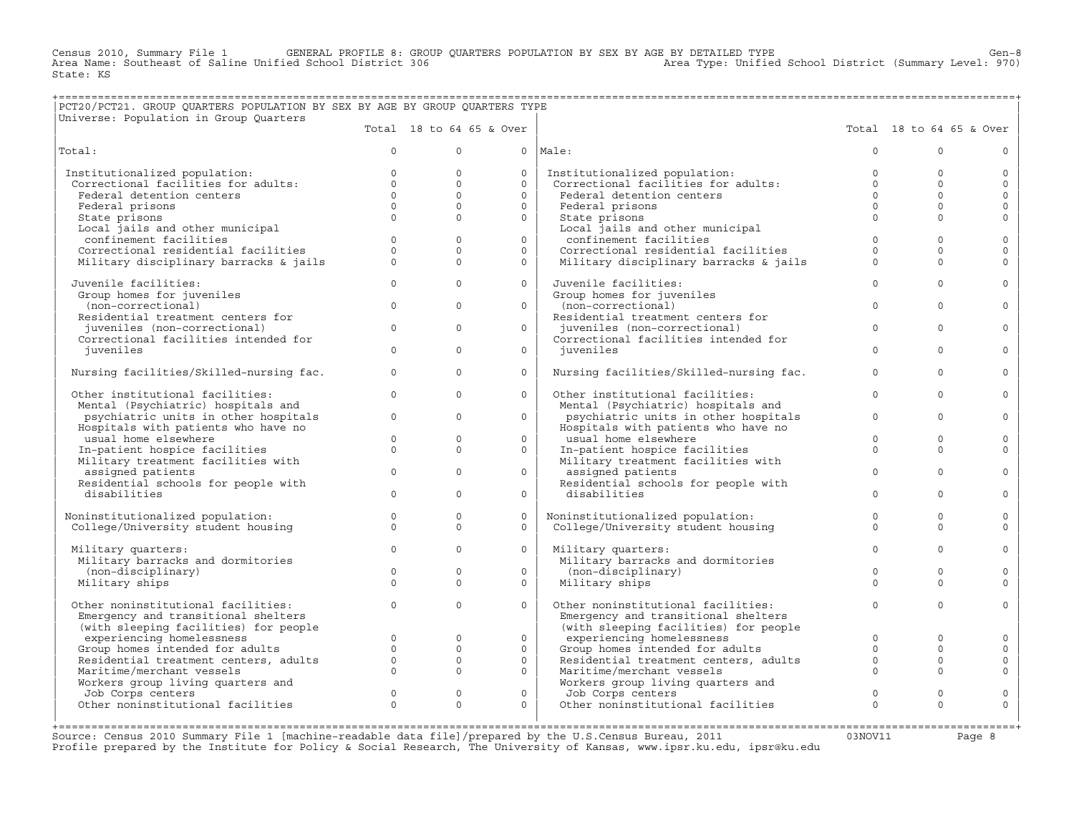CENERAL PROFILE 8: GROUP QUARTERS POPULATION BY SEX BY AGE BY DETAILED TYPE<br>2010, ied School District 1970, Steed School District (Summary Level: 970 Census 2010, Summary File 1 GENERAL PROFILE 8: GROU Area Name: Southeast of Saline Unified School District 306 State: KS

## +===================================================================================================================================================+ |PCT20/PCT21. GROUP QUARTERS POPULATION BY SEX BY AGE BY GROUP QUARTERS TYPE |

| Universe: Population in Group Quarters                               |                         |                              |                          |                                                                      |                         |                          |                     |
|----------------------------------------------------------------------|-------------------------|------------------------------|--------------------------|----------------------------------------------------------------------|-------------------------|--------------------------|---------------------|
|                                                                      |                         |                              | Total 18 to 64 65 & Over |                                                                      |                         | Total 18 to 64 65 & Over |                     |
| Total:                                                               | $\Omega$                | $\Omega$                     |                          | $0$   Male:                                                          | $\Omega$                | $\Omega$                 | $\circ$             |
| Institutionalized population:                                        | $\Omega$                | $\Omega$                     | $\circ$                  | Institutionalized population:                                        | $\Omega$                | $\Omega$                 | $\circ$             |
| Correctional facilities for adults:                                  | $\Omega$                | $\Omega$                     | $\Omega$                 | Correctional facilities for adults:                                  | $\Omega$                | $\Omega$                 | $\Omega$            |
| Federal detention centers                                            | $\Omega$                | $\Omega$                     | $\Omega$                 | Federal detention centers                                            | $\Omega$                | $\Omega$                 | $\circ$             |
| Federal prisons                                                      | $\mathbf{0}$            | $\Omega$                     | $\circ$                  | Federal prisons                                                      | $\Omega$                | $\Omega$                 | $\circ$             |
| State prisons                                                        | $\Omega$                | $\Omega$                     | $\Omega$                 | State prisons                                                        | $\Omega$                | $\Omega$                 | $\mathbf{0}$        |
| Local jails and other municipal                                      |                         |                              |                          | Local jails and other municipal                                      |                         |                          |                     |
| confinement facilities                                               | $\Omega$                | $\Omega$                     | $\Omega$                 | confinement facilities                                               | $\Omega$                | $\Omega$                 | $\mathbf 0$         |
| Correctional residential facilities                                  | $\Omega$                | $\Omega$                     | $\Omega$                 | Correctional residential facilities                                  | $\Omega$                | $\Omega$                 | $\mathbf{0}$        |
| Military disciplinary barracks & jails                               | $\Omega$                | $\Omega$                     | $\Omega$                 | Military disciplinary barracks & jails                               | $\Omega$                | $\Omega$                 | $\Omega$            |
| Juvenile facilities:                                                 | $\circ$                 | $\Omega$                     | $\Omega$                 | Juvenile facilities:                                                 | $\Omega$                | $\Omega$                 | $\mathbf{0}$        |
| Group homes for juveniles                                            |                         |                              |                          | Group homes for juveniles                                            |                         |                          |                     |
| (non-correctional)                                                   | $\Omega$                | $\Omega$                     | $\Omega$                 | (non-correctional)                                                   | $\Omega$                | $\Omega$                 | $\circ$             |
| Residential treatment centers for                                    |                         |                              |                          | Residential treatment centers for                                    |                         |                          |                     |
| juveniles (non-correctional)<br>Correctional facilities intended for | $\Omega$                | $\Omega$                     | $\Omega$                 | juveniles (non-correctional)<br>Correctional facilities intended for | $\Omega$                | $\Omega$                 | $\Omega$            |
| iuveniles                                                            | $\circ$                 | $\Omega$                     | $\Omega$                 | iuveniles                                                            | $\Omega$                | $\Omega$                 | $\circ$             |
|                                                                      |                         |                              |                          |                                                                      |                         |                          |                     |
| Nursing facilities/Skilled-nursing fac.                              | $\circ$                 | $\Omega$                     | $\circ$                  | Nursing facilities/Skilled-nursing fac.                              | $\Omega$                | $\Omega$                 | $\circ$             |
| Other institutional facilities:                                      | $\mathbf{0}$            | $\Omega$                     | $\circ$                  | Other institutional facilities:                                      | $\Omega$                | $\Omega$                 | $\circ$             |
| Mental (Psychiatric) hospitals and                                   |                         |                              |                          | Mental (Psychiatric) hospitals and                                   |                         |                          |                     |
| psychiatric units in other hospitals                                 | $\mathbf{0}$            | $\Omega$                     | $\Omega$                 | psychiatric units in other hospitals                                 | $\mathbf{0}$            | $\Omega$                 | $\circ$             |
| Hospitals with patients who have no                                  |                         |                              |                          | Hospitals with patients who have no                                  |                         |                          |                     |
| usual home elsewhere                                                 | $\circ$                 | $\Omega$                     | $\circ$                  | usual home elsewhere                                                 | $\Omega$                | $\Omega$<br>$\Omega$     | $\circ$             |
| In-patient hospice facilities<br>Military treatment facilities with  | $\circ$                 | $\Omega$                     | $\Omega$                 | In-patient hospice facilities<br>Military treatment facilities with  | $\Omega$                |                          | $\Omega$            |
| assigned patients                                                    | $\Omega$                | $\Omega$                     | $\Omega$                 | assigned patients                                                    | $\Omega$                | $\Omega$                 | $\Omega$            |
| Residential schools for people with                                  |                         |                              |                          | Residential schools for people with                                  |                         |                          |                     |
| disabilities                                                         | $\circ$                 | $\Omega$                     | $\circ$                  | disabilities                                                         | $\Omega$                | $\Omega$                 | $\mathbf{0}$        |
|                                                                      |                         |                              |                          |                                                                      |                         |                          |                     |
| Noninstitutionalized population:                                     | $\mathbf{0}$            | $\mathbf{0}$                 | $\circ$                  | Noninstitutionalized population:                                     | $\circ$                 | $\mathbf{0}$             | $\circ$             |
| College/University student housing                                   | $\Omega$                | $\Omega$                     | $\Omega$                 | College/University student housing                                   | $\Omega$                | $\Omega$                 | $\Omega$            |
|                                                                      | $\mathbf{0}$            | $\Omega$                     | $\Omega$                 |                                                                      | $\Omega$                | $\Omega$                 | $\mathbf{0}$        |
| Military quarters:<br>Military barracks and dormitories              |                         |                              |                          | Military quarters:<br>Military barracks and dormitories              |                         |                          |                     |
| (non-disciplinary)                                                   | $\mathbf{0}$            | $\circ$                      | $\circ$                  | (non-disciplinary)                                                   | $\mathbf{0}$            | $\mathbf{0}$             | $\mathbf{0}$        |
| Military ships                                                       | $\Omega$                | $\Omega$                     | $\circ$                  | Military ships                                                       | $\Omega$                | $\Omega$                 | $\Omega$            |
|                                                                      |                         |                              |                          |                                                                      |                         |                          |                     |
| Other noninstitutional facilities:                                   | $\Omega$                | $\Omega$                     | $\Omega$                 | Other noninstitutional facilities:                                   | $\Omega$                | $\Omega$                 | $\Omega$            |
| Emergency and transitional shelters                                  |                         |                              |                          | Emergency and transitional shelters                                  |                         |                          |                     |
| (with sleeping facilities) for people                                |                         |                              |                          | (with sleeping facilities) for people                                |                         |                          |                     |
| experiencing homelessness                                            | $\Omega$                | $\Omega$                     | $\Omega$                 | experiencing homelessness                                            | $\Omega$                | $\Omega$                 | $\circ$             |
| Group homes intended for adults                                      | $\mathbf{0}$            | $\circ$                      | $\mathbf{0}$             | Group homes intended for adults                                      | $\Omega$                | $\Omega$                 | $\circ$             |
| Residential treatment centers, adults                                | $\mathbf{0}$            | $\mathbf{0}$                 | $\circ$                  | Residential treatment centers, adults                                | $\mathbf{0}$            | $\Omega$                 | $\mathbb O$         |
| Maritime/merchant vessels                                            | $\circ$                 | $\Omega$                     | $\circ$                  | Maritime/merchant vessels                                            | $\mathbf{0}$            | $\Omega$                 | $\mathbf 0$         |
| Workers group living quarters and                                    |                         |                              |                          | Workers group living quarters and                                    |                         |                          |                     |
| Job Corps centers<br>Other noninstitutional facilities               | $\mathbf 0$<br>$\Omega$ | $\mathbf{0}$<br>$\mathbf{0}$ | $\circ$                  | Job Corps centers<br>Other noninstitutional facilities               | $\mathbf 0$<br>$\Omega$ | $\Omega$<br>$\Omega$     | $\circ$<br>$\Omega$ |
|                                                                      |                         |                              | $\circ$                  |                                                                      |                         |                          |                     |
|                                                                      |                         |                              |                          |                                                                      |                         |                          |                     |

+===================================================================================================================================================+Source: Census 2010 Summary File 1 [machine−readable data file]/prepared by the U.S.Census Bureau, 2011 03NOV11 Page 8 Profile prepared by the Institute for Policy & Social Research, The University of Kansas, www.ipsr.ku.edu, ipsr@ku.edu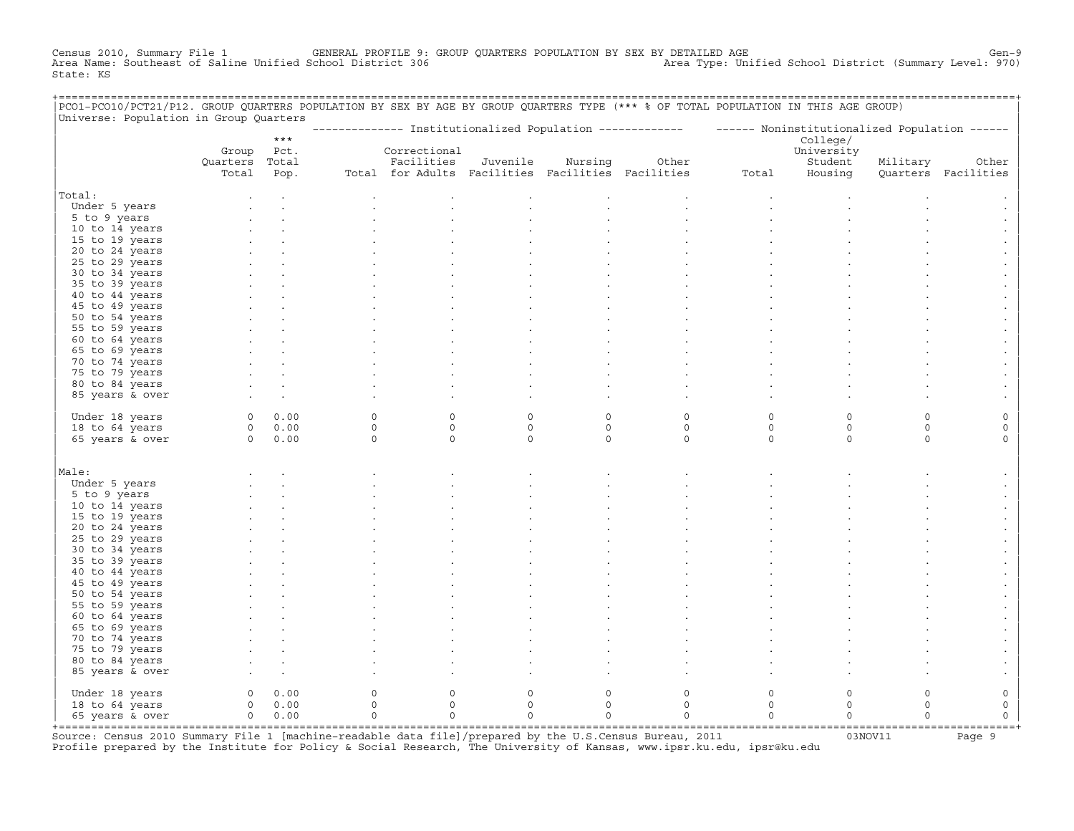Census 2010, Summary File 1 GENERAL PROFILE 9: GROUP QUARTERS POPULATION BY SEX BY DETAILED AGE Gen−9 Area Name: Southeast of Saline Unified School District 306 Area Type: Unified School District (Summary Level: 970) State: KS

| PCO1-PCO10/PCT21/P12. GROUP QUARTERS POPULATION BY SEX BY AGE BY GROUP QUARTERS TYPE (*** % OF TOTAL POPULATION IN THIS AGE GROUP) |                |             |          |                                                   |             |             |             |                                                                                                          |             |                     |                     |
|------------------------------------------------------------------------------------------------------------------------------------|----------------|-------------|----------|---------------------------------------------------|-------------|-------------|-------------|----------------------------------------------------------------------------------------------------------|-------------|---------------------|---------------------|
| Universe: Population in Group Quarters                                                                                             |                |             |          |                                                   |             |             |             | -------------- Institutionalized Population ------------- - ----- Noninstitutionalized Population ------ |             |                     |                     |
|                                                                                                                                    |                | $***$       |          |                                                   |             |             |             |                                                                                                          | College/    |                     |                     |
|                                                                                                                                    |                | Group Pct.  |          | Correctional                                      |             |             |             |                                                                                                          | University  |                     |                     |
|                                                                                                                                    | Quarters Total |             |          | Facilities                                        | Juvenile    | Nursing     | Other       |                                                                                                          | Student     | Military            | Other               |
|                                                                                                                                    | Total          | Pop.        |          | Total for Adults Facilities Facilities Facilities |             |             |             | Total                                                                                                    | Housing     |                     | Quarters Facilities |
| Total:                                                                                                                             |                |             |          |                                                   |             |             |             |                                                                                                          |             |                     |                     |
| Under 5 years                                                                                                                      |                |             |          |                                                   |             |             |             |                                                                                                          |             |                     |                     |
| 5 to 9 years                                                                                                                       |                |             |          |                                                   |             |             |             |                                                                                                          |             |                     |                     |
| 10 to 14 years                                                                                                                     |                |             |          |                                                   |             |             |             |                                                                                                          |             |                     |                     |
| 15 to 19 years                                                                                                                     |                |             |          |                                                   |             |             |             |                                                                                                          |             |                     |                     |
| 20 to 24 years                                                                                                                     |                |             |          |                                                   |             |             |             |                                                                                                          |             |                     |                     |
| 25 to 29 years                                                                                                                     |                |             |          |                                                   |             |             |             |                                                                                                          |             |                     |                     |
| 30 to 34 years                                                                                                                     |                |             |          |                                                   |             |             |             |                                                                                                          |             |                     |                     |
| 35 to 39 years                                                                                                                     |                |             |          |                                                   |             |             |             |                                                                                                          |             |                     |                     |
| 40 to 44 years                                                                                                                     |                |             |          |                                                   |             |             |             |                                                                                                          |             |                     |                     |
| 45 to 49 years                                                                                                                     |                |             |          |                                                   |             |             |             |                                                                                                          |             |                     |                     |
| 50 to 54 years                                                                                                                     |                |             |          |                                                   |             |             |             |                                                                                                          |             |                     |                     |
| 55 to 59 years                                                                                                                     |                |             |          |                                                   |             |             |             |                                                                                                          |             |                     |                     |
| 60 to 64 years                                                                                                                     |                |             |          |                                                   |             |             |             |                                                                                                          |             |                     |                     |
| 65 to 69 years                                                                                                                     |                |             |          |                                                   |             |             |             |                                                                                                          |             |                     |                     |
| 70 to 74 years                                                                                                                     |                |             |          |                                                   |             |             |             |                                                                                                          |             |                     |                     |
| 75 to 79 years                                                                                                                     |                |             |          |                                                   |             |             |             |                                                                                                          |             |                     |                     |
| 80 to 84 years                                                                                                                     |                |             |          |                                                   |             |             |             |                                                                                                          |             |                     |                     |
| 85 years & over                                                                                                                    |                |             |          |                                                   |             |             |             |                                                                                                          |             |                     |                     |
|                                                                                                                                    |                |             |          |                                                   |             |             |             |                                                                                                          |             |                     |                     |
| Under 18 years                                                                                                                     |                | 0 0.00      | $\circ$  | $\mathbf 0$                                       | $\circ$     | $\circ$     | $\mathsf O$ | $\circ$                                                                                                  | $\Omega$    | $\Omega$            | $\Omega$            |
| 18 to 64 years                                                                                                                     |                | 0 0.00      | $\circ$  | $\circ$                                           | $\circ$     | $\mathsf O$ | $\mathsf O$ | $\mathsf O$                                                                                              | $\circ$     | $\mathsf{O}\xspace$ | $\mathsf O$         |
| 65 years & over                                                                                                                    |                | 0 0.00      | $\Omega$ | $\Omega$                                          | $\Omega$    | $\Omega$    | $\Omega$    | $\Omega$                                                                                                 | $\Omega$    | $\Omega$            | $\Omega$            |
|                                                                                                                                    |                |             |          |                                                   |             |             |             |                                                                                                          |             |                     |                     |
| Male:                                                                                                                              |                |             |          |                                                   |             |             |             |                                                                                                          |             |                     |                     |
| Under 5 years                                                                                                                      |                |             |          |                                                   |             |             |             |                                                                                                          |             |                     |                     |
| 5 to 9 years                                                                                                                       |                |             |          |                                                   |             |             |             |                                                                                                          |             |                     |                     |
| 10 to 14 years                                                                                                                     |                |             |          |                                                   |             |             |             |                                                                                                          |             |                     |                     |
| 15 to 19 years                                                                                                                     |                |             |          |                                                   |             |             |             |                                                                                                          |             |                     |                     |
| 20 to 24 years                                                                                                                     |                |             |          |                                                   |             |             |             |                                                                                                          |             |                     |                     |
| 25 to 29 years                                                                                                                     |                |             |          |                                                   |             |             |             |                                                                                                          |             |                     |                     |
| 30 to 34 years                                                                                                                     |                |             |          |                                                   |             |             |             |                                                                                                          |             |                     |                     |
| 35 to 39 years                                                                                                                     |                |             |          |                                                   |             |             |             |                                                                                                          |             |                     |                     |
| 40 to 44 years                                                                                                                     |                |             |          |                                                   |             |             |             |                                                                                                          |             |                     |                     |
| 45 to 49 years                                                                                                                     |                |             |          |                                                   |             |             |             |                                                                                                          |             |                     |                     |
| 50 to 54 years                                                                                                                     |                |             |          |                                                   |             |             |             |                                                                                                          |             |                     |                     |
| 55 to 59 years                                                                                                                     |                |             |          |                                                   |             |             |             |                                                                                                          |             |                     |                     |
| 60 to 64 years                                                                                                                     |                |             |          |                                                   |             |             |             |                                                                                                          |             |                     |                     |
| 65 to 69 years                                                                                                                     |                |             |          |                                                   |             |             |             |                                                                                                          |             |                     |                     |
| 70 to 74 years                                                                                                                     |                |             |          |                                                   |             |             |             |                                                                                                          |             |                     |                     |
| 75 to 79 years                                                                                                                     |                |             |          |                                                   |             |             |             |                                                                                                          |             |                     |                     |
| 80 to 84 years                                                                                                                     |                |             |          |                                                   |             |             |             |                                                                                                          |             |                     |                     |
| 85 years & over                                                                                                                    |                |             |          |                                                   |             |             |             |                                                                                                          |             |                     |                     |
| Under 18 years                                                                                                                     | $\overline{0}$ | 0.00        | $\circ$  | $\mathbf{0}$                                      | $\mathbf 0$ | $\circ$     | $\mathbf 0$ | $\circ$                                                                                                  | $\mathbf 0$ | $\circ$             | $\mathsf{O}\xspace$ |
| 18 to 64 years                                                                                                                     |                | $0 \t 0.00$ | $\circ$  | $\mathbf 0$                                       | $\circ$     | $\circ$     | $\circ$     | $\circ$                                                                                                  | $\Omega$    | $\Omega$            | $\mathsf{O}\xspace$ |
| 65 years & over                                                                                                                    |                | $0 \t 0.00$ | $\Omega$ | $\Omega$                                          | $\Omega$    | $\Omega$    | $\Omega$    | $\circ$                                                                                                  | $\Omega$    | $\Omega$            | $\Omega$            |
|                                                                                                                                    |                |             |          |                                                   |             |             |             |                                                                                                          |             |                     |                     |

+===================================================================================================================================================+Source: Census 2010 Summary File 1 [machine−readable data file]/prepared by the U.S.Census Bureau, 2011 03NOV11 Page 9 Profile prepared by the Institute for Policy & Social Research, The University of Kansas, www.ipsr.ku.edu, ipsr@ku.edu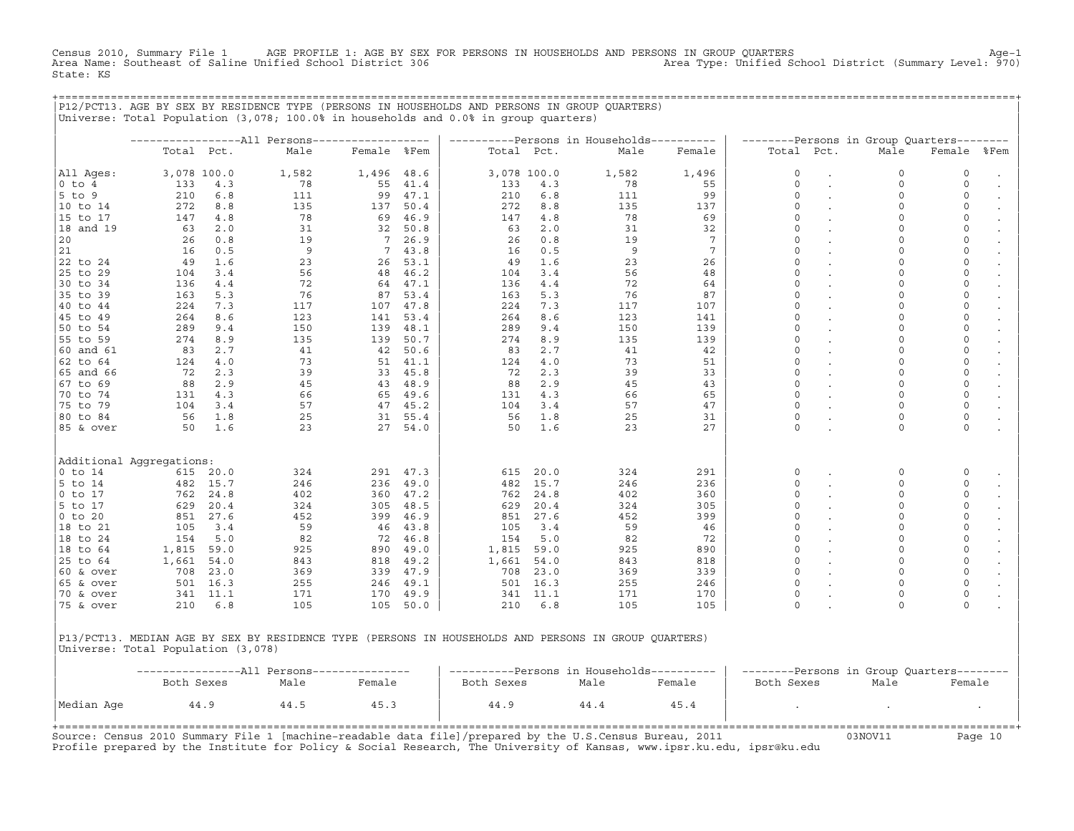Census 2010, Summary File 1 AGE PROFILE 1: AGE BY SEX FOR PERSONS IN HOUSEHOLDS AND PERSONS IN GROUP QUARTERS Age−1 Area Name: Southeast of Saline Unified School District 306 Area Type: Unified School District (Summary Level: 970) State: KS

+===================================================================================================================================================+

|P12/PCT13. AGE BY SEX BY RESIDENCE TYPE (PERSONS IN HOUSEHOLDS AND PERSONS IN GROUP QUARTERS) | |Universe: Total Population (3,078; 100.0% in households and 0.0% in group quarters) | | | | −−−−−−−−−−−−−−−−−All Persons−−−−−−−−−−−−−−−−−− | −−−−−−−−−−Persons in Households−−−−−−−−−− | −−−−−−−−Persons in Group Quarters−−−−−−−− | | Total Pct. Male Female %Fem | Total Pct. Male Female | Total Pct. Male Female %Fem | | | | | |All Ages: 3,078 100.0 1,582 1,496 48.6 | 3,078 100.0 1,582 1,496 | 0 . 0 0 . | |0 to 4 133 4.3 78 55 41.4 | 133 4.3 78 55 | 0 . 0 0 0 . | |5 to 9 210 6.8 111 99 47.1 | 210 6.8 111 99 | 0 . 0 0 . | |10 to 14 272 8.8 135 137 50.4 | 272 8.8 135 137 | 0 . 0 0 . | |15 to 17 147 4.8 78 69 46.9 | 147 4.8 78 69 | 0 . 0 0 0 . |18 and 19  $\begin{array}{cccccccccccc} 63 & 2.0 & 31 & 32 & 50.8 & \end{array}$   $\begin{array}{cccccccc} 63 & 2.0 & 31 & 32 & \end{array}$   $\begin{array}{cccccccc} 0 & . & 0 & 0 & . \end{array}$  $|20$  26 0.8 19 7 26.9 | 26 0.8 19 7 | 0 . 0 0 . |  $|21$  16 0.5 9 7 43.8 16 0.5 9 7 0 0 0 0 .  $|22 \text{ to } 24$  49 1.6 23 26 53.1 49 1.6 23 26 0 . 0 0 . |25 to 29 104 3.4 56 48 46.2 | 104 3.4 56 48 | 0 . 0 0 0 . |30 to 34 136 4.4 72 64 47.1 | 136 4.4 72 64 | 0 . 0 0 . | |35 to 39 163 5.3 76 87 53.4 | 163 5.3 76 87 | 0 . 0 0 . | |40 to 44 224 7.3 117 107 47.8 | 224 7.3 117 107 | 0 . 0 0 0 . | |45 to 49 264 8.6 123 141 53.4 | 264 8.6 123 141 | 0 . 0 0 . | |50 to 54 289 9.4 150 139 48.1 | 289 9.4 150 139 | 0 . 0 0 . | |55 to 59 274 8.9 135 139 50.7 | 274 8.9 135 139 | 0 . 0 0 . |  $|\,$  60 and 61  $|$  83  $|$  2.7  $|$  41  $|$  42  $|$  50.6  $|$  83  $|$  2.7  $|$  41  $|$  42  $|$  0  $|$  0  $|$  0  $|$  0  $|$  0  $|$ |62 to 64 124 4.0 73 51 41.1 | 124 4.0 73 51 | 0 . 0 0 . | |65 and 66 72 2.3 39 33 45.8 | 72 2.3 39 33 | 0 . 0 0 . | |67 to 69 88 2.9 45 43 48.9 | 88 2.9 45 43 | 0 . 0 0 . | |70 to 74 131 4.3 66 65 49.6 | 131 4.3 66 65 | 0 . 0 0 . | |75 to 79 104 3.4 57 47 45.2 | 104 3.4 57 47 | 0 . 0 0 . |  $|\,80\,$  to 84 56 1.8 25 31 55.4  $|\,$  56 1.8 25 31  $|\,$  0 . 0 0 .  $|\,$ |85 & over 50 1.6 23 27 54.0 | 50 1.6 23 27 | 0 . 0 0 . | | | | | | | | | |Additional Aggregations: | | | |0 to 14 615 20.0 324 291 47.3 | 615 20.0 324 291 | 0 . 0 0 . | |5 to 14 482 15.7 246 236 49.0 | 482 15.7 246 236 | 0 . 0 0 . | |0 to 17 762 24.8 402 360 47.2 | 762 24.8 402 360 | 0 . 0 0 . | |5 to 17 629 20.4 324 305 48.5 | 629 20.4 324 305 | 0 . 0 0 . | |0 to 20 851 27.6 452 399 46.9 | 851 27.6 452 399 | 0 . 0 0 . | |18 to 21 105 3.4 59 46 43.8 | 105 3.4 59 46 | 0 . 0 0 0 . |18 to 24 154 5.0 82 72 46.8 | 154 5.0 82 72 | 0 . 0 0 . | |18 to 64 1,815 59.0 925 890 49.0 | 1,815 59.0 925 890 | 0 . 0 0 . | |25 to 64 1,661 54.0 843 818 49.2 | 1,661 54.0 843 818 | 0 . 0 0 . | |60 & over 708 23.0 369 339 47.9 | 708 23.0 369 339 | 0 . 0 0 . | |65 & over 501 16.3 255 246 49.1 | 501 16.3 255 246 | 0 . 0 0 . | |70 & over 341 11.1 171 170 49.9 | 341 11.1 171 170 | 0 . 0 0 . | |75 & over 210 6.8 105 105 50.0 | 210 6.8 105 105 | 0 . 0 0 . | | | | | |P13/PCT13. MEDIAN AGE BY SEX BY RESIDENCE TYPE (PERSONS IN HOUSEHOLDS AND PERSONS IN GROUP QUARTERS) | Universe: Total Population (3,078)

| | | −−−−−−−−−−−−−−−−All Persons−−−−−−−−−−−−−−− | −−−−−−−−−−Persons in Households−−−−−−−−−− | −−−−−−−−Persons in Group Quarters−−−−−−−− | | Both Sexes Male Female | Both Sexes Male Female | Both Sexes Male Female | | | | | |Median Age 44.9 44.5 45.3 | 44.9 44.4 45.4 | . . . | | | | | +===================================================================================================================================================+

Source: Census 2010 Summary File 1 [machine−readable data file]/prepared by the U.S.Census Bureau, 2011 03NOV11 Page 10 Profile prepared by the Institute for Policy & Social Research, The University of Kansas, www.ipsr.ku.edu, ipsr@ku.edu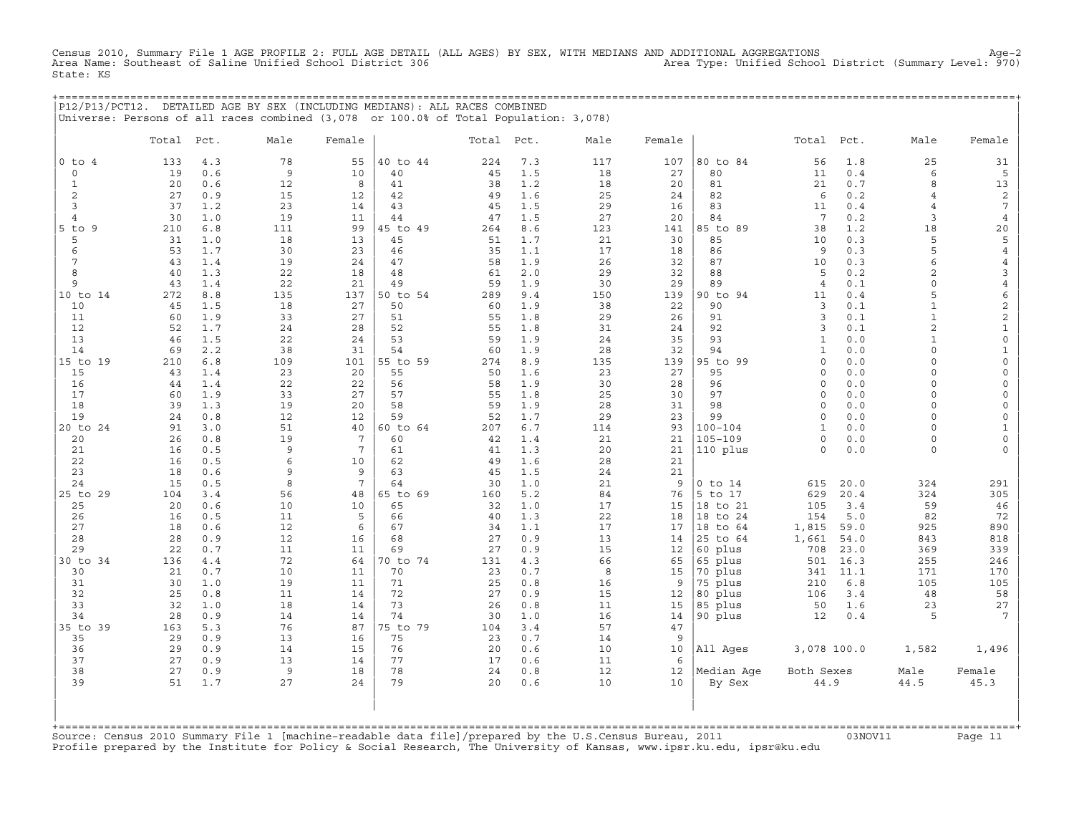Census 2010, Summary File 1 AGE PROFILE 2: FULL AGE DETAIL (ALL AGES) BY SEX, WITH MEDIANS AND ADDITIONAL AGGREGATIONS<br>Area Name: Southeast of Saline Unified School District 306 Area Type: Unifi State: KS

|                |            |            | P12/P13/PCT12. DETAILED AGE BY SEX (INCLUDING MEDIANS): ALL RACES COMBINED<br>Universe: Persons of all races combined (3,078 or 100.0% of Total Population: 3,078) |                 |          |            |            |          |          |                 |                    |              |                      |                            |
|----------------|------------|------------|--------------------------------------------------------------------------------------------------------------------------------------------------------------------|-----------------|----------|------------|------------|----------|----------|-----------------|--------------------|--------------|----------------------|----------------------------|
|                | Total Pct. |            | Male                                                                                                                                                               | Female          |          | Total Pct. |            | Male     | Female   |                 | Total Pct.         |              | Male                 | Female                     |
| $0$ to $4$     | 133        | 4.3        | 78                                                                                                                                                                 | 55              | 40 to 44 | 224        | 7.3        | 117      | 107      | 80 to 84        | 56                 | 1.8          | 25                   | 31                         |
| $\Omega$       | 19         | 0.6        | 9                                                                                                                                                                  | 10              | 40       | 45         | 1.5        | 18       | 27       | 80              | 11                 | 0.4          | 6                    | 5                          |
| 1              | 20         | 0.6        | 12                                                                                                                                                                 | 8               | 41       | 38         | 1.2        | 18       | 20       | 81              | 21                 | 0.7          | 8                    | 13                         |
| 2              | 27         | 0.9        | 15                                                                                                                                                                 | 12              | 42       | 49         | 1.6        | 25       | 24       | 82              | 6                  | 0.2          | $\overline{4}$       | 2                          |
| 3              | 37         | 1.2        | 23                                                                                                                                                                 | 14              | 43       | 45         | 1.5        | 29       | 16       | 83              | 11                 | 0.4          | $\overline{4}$       | $\overline{7}$             |
| $\overline{4}$ | 30         | 1.0        | 19                                                                                                                                                                 | 11              | 44       | 47         | 1.5        | 27       | 20       | 84              | 7                  | 0.2          | 3                    | $\overline{4}$             |
| $5$ to $9$     | 210        | 6.8        | 111                                                                                                                                                                | 99              | 45 to 49 | 264        | 8.6        | 123      | 141      | 85 to 89        | 38                 | 1.2          | 18                   | 20                         |
| 5              | 31         | 1.0        | 18                                                                                                                                                                 | 13              | 45       | 51         | 1.7        | 21       | 30       | 85              | 10                 | 0.3          | 5                    | 5                          |
| 6              | 53         | 1.7        | 30                                                                                                                                                                 | 23              | 46       | 35         | 1.1        | 17       | 18       | 86              | 9                  | 0.3          | 5                    | 4                          |
| 7              | 43         | 1.4        | 19                                                                                                                                                                 | 24              | 47       | 58         | 1.9        | 26       | 32       | 87              | 10                 | 0.3          | 6                    | 4                          |
| 8              | 40         | 1.3        | 22                                                                                                                                                                 | 18              | 48       | 61         | 2.0        | 29       | 32       | 88              | 5                  | 0.2          | $\overline{2}$       | 3                          |
| 9              | 43         | 1.4        | 22                                                                                                                                                                 | 21              | 49       | 59         | 1.9        | 30       | 29       | 89              | $\overline{4}$     | 0.1          | $\cap$               | 4                          |
| 10 to 14       | 272        | 8.8        | 135                                                                                                                                                                | 137             | 50 to 54 | 289        | 9.4        | 150      | 139      | 90 to 94        | 11                 | 0.4          | 5                    | 6                          |
| 10             | 45         | 1.5        | 18                                                                                                                                                                 | 27              | 50       | 60         | 1.9        | 38       | 22       | 90              | 3                  | 0.1          | $\mathbf{1}$         | $\sqrt{2}$                 |
| 11             | 60         | 1.9        | 33                                                                                                                                                                 | 27              | 51       | 55         | 1.8        | 29       | 26       | 91              | 3                  | 0.1          | $\mathbf{1}$         | $\overline{c}$             |
| 12             | 52         | 1.7        | 24                                                                                                                                                                 | 28              | 52       | 55         | 1.8        | 31       | 24       | 92              | 3                  | 0.1          | $\overline{a}$       | $\mathbf 1$                |
| 13             | 46         | 1.5        | 22                                                                                                                                                                 | 24              | 53       | 59         | 1.9        | 24       | 35       | 93              | $\mathbf{1}$       | 0.0          | $\mathbf{1}$         | $\mathsf{O}\xspace$        |
| 14             | 69         | 2.2        | 38                                                                                                                                                                 | 31              | 54       | 60         | 1.9        | 28       | 32       | 94              | $\mathbf{1}$       | 0.0          | $\Omega$             | $\mathbf{1}$               |
| 15 to 19       | 210        | 6.8        | 109                                                                                                                                                                | 101             | 55 to 59 | 274        | 8.9        | 135      | 139      | 95 to 99        | $\Omega$           | 0.0          | $\Omega$<br>$\Omega$ | $\mathbf 0$                |
| 15             | 43         | 1.4        | 23                                                                                                                                                                 | 20<br>22        | 55       | 50         | 1.6        | 23<br>30 | 27       | 95<br>96        | $\circ$<br>$\circ$ | $0.0$<br>0.0 | $\Omega$             | $\mathbf 0$<br>$\mathbf 0$ |
| 16<br>17       | 44<br>60   | 1.4<br>1.9 | 22<br>33                                                                                                                                                           | 27              | 56<br>57 | 58<br>55   | 1.9<br>1.8 | 25       | 28<br>30 | 97              | $\Omega$           | 0.0          | $\Omega$             | $\mathbf 0$                |
| 18             | 39         | 1.3        | 19                                                                                                                                                                 | 20              | 58       | 59         | 1.9        | 28       | 31       | 98              | $\Omega$           | 0.0          | $\Omega$             | $\mathbf 0$                |
| 19             | 24         | 0.8        | 12                                                                                                                                                                 | 12              | 59       | 52         | 1.7        | 29       | 23       | 99              | $\Omega$           | 0.0          | $\Omega$             | $\mathbf 0$                |
| 20 to 24       | 91         | 3.0        | 51                                                                                                                                                                 | 40              | 60 to 64 | 207        | 6.7        | 114      | 93       | 100-104         | 1                  | 0.0          | $\cap$               | $1\,$                      |
| 20             | 26         | 0.8        | 19                                                                                                                                                                 | 7               | 60       | 42         | 1.4        | 21       | 21       | 105-109         | $\Omega$           | 0.0          | $\Omega$             | $\mathbf 0$                |
| 21             | 16         | 0.5        | 9                                                                                                                                                                  | $7\phantom{.0}$ | 61       | 41         | 1.3        | 20       | 21       | 110 plus        | $\Omega$           | 0.0          | $\circ$              | $\Omega$                   |
| 22             | 16         | 0.5        | 6                                                                                                                                                                  | 10              | 62       | 49         | 1.6        | 28       | 21       |                 |                    |              |                      |                            |
| 23             | 18         | 0.6        | 9                                                                                                                                                                  | 9               | 63       | 45         | 1.5        | 24       | 21       |                 |                    |              |                      |                            |
| 24             | 15         | 0.5        | 8                                                                                                                                                                  | $7\phantom{.0}$ | 64       | 30         | 1.0        | 21       | 9        | $0$ to $14$     | 615                | 20.0         | 324                  | 291                        |
| 25 to 29       | 104        | 3.4        | 56                                                                                                                                                                 | 48              | 65 to 69 | 160        | 5.2        | 84       | 76       | 5 to 17         | 629                | 20.4         | 324                  | 305                        |
| 25             | 20         | 0.6        | 10                                                                                                                                                                 | 10              | 65       | 32         | 1.0        | 17       | 15       | 18 to 21        | 105                | 3.4          | 59                   | 46                         |
| 26             | 16         | 0.5        | 11                                                                                                                                                                 | 5               | 66       | 40         | 1.3        | 22       | 18       | 18 to 24        | 154                | 5.0          | 82                   | 72                         |
| 27             | 18         | 0.6        | 12                                                                                                                                                                 | 6               | 67       | 34         | 1.1        | 17       | 17       | 18 to 64        | 1,815              | 59.0         | 925                  | 890                        |
| 28             | 28         | 0.9        | 12                                                                                                                                                                 | 16              | 68       | 27         | 0.9        | 13       | 14       | 25 to 64        | 1,661              | 54.0         | 843                  | 818                        |
| 29             | 22         | 0.7        | 11                                                                                                                                                                 | 11              | 69       | 27         | 0.9        | 15       | 12       | 60 plus         | 708                | 23.0         | 369                  | 339                        |
| 30 to 34       | 136        | 4.4        | 72                                                                                                                                                                 | 64              | 70 to 74 | 131        | 4.3        | 66       | 65       | 65 plus         | 501                | 16.3         | 255                  | 246                        |
| 30             | 21         | 0.7        | 10                                                                                                                                                                 | 11              | 70       | 23         | 0.7        | 8        | 15       | 70 plus         | 341                | 11.1         | 171                  | 170                        |
| 31             | 30         | 1.0        | 19                                                                                                                                                                 | 11              | 71       | 25         | 0.8        | 16       | 9        | 75 plus         | 210                | 6.8          | 105                  | 105                        |
| 32             | 25         | 0.8        | 11                                                                                                                                                                 | 14              | 72       | 27         | 0.9        | 15       | 12       | 80 plus         | 106                | 3.4          | 48                   | 58                         |
| 33             | 32         | 1.0        | 18                                                                                                                                                                 | 14              | 73       | 26         | 0.8        | 11       | 15       | 85 plus         | 50                 | 1.6          | 23                   | 27                         |
| 34             | 28         | 0.9        | 14                                                                                                                                                                 | 14              | 74       | 30         | 1.0        | 16       | 14       | 90 plus         | 12                 | 0.4          | 5                    |                            |
| 35 to 39       | 163        | 5.3        | 76                                                                                                                                                                 | 87              | 75 to 79 | 104        | 3.4        | 57       | 47       |                 |                    |              |                      |                            |
| 35             | 29         | 0.9        | 13                                                                                                                                                                 | 16              | 75       | 23         | 0.7        | 14       | 9        |                 |                    |              |                      |                            |
| 36             | 29         | 0.9        | 14                                                                                                                                                                 | 15              | 76       | 20         | 0.6        | 10       | 10       | All Ages        | 3,078 100.0        |              | 1,582                | 1,496                      |
| 37             | 27         | 0.9        | 13                                                                                                                                                                 | 14              | 77       | 17         | 0.6        | 11       | 6        |                 |                    |              |                      |                            |
| 38             | 27         | 0.9        | 9                                                                                                                                                                  | 18              | 78       | 24         | 0.8        | 12       |          | 12   Median Age | Both Sexes         |              | Male                 | Female                     |

| | +===================================================================================================================================================+ Source: Census 2010 Summary File 1 [machine−readable data file]/prepared by the U.S.Census Bureau, 2011 03NOV11 Page 11 Profile prepared by the Institute for Policy & Social Research, The University of Kansas, www.ipsr.ku.edu, ipsr@ku.edu

| 39 51 1.7 27 24 | 79 20 0.6 10 10 | By Sex 44.9 44.5 45.3 | | | | | | | | |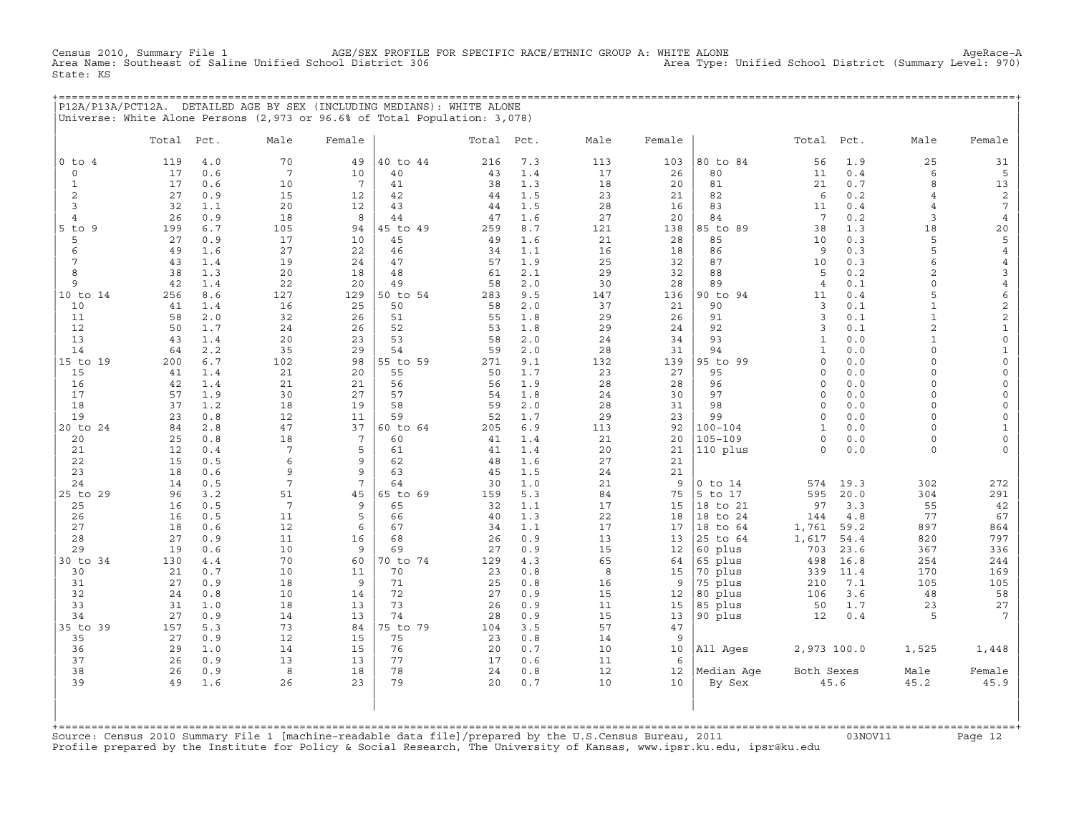Census 2010, Summary File 1 AGE/SEX PROFILE FOR SPECIFIC RACE/ETHNIC GROUP A: WHITE ALONE AgeRace−A Area Name: Southeast of Saline Unified School District 306 Area Type: Unified School District (Summary Level: 970) State: KS

+===================================================================================================================================================+ |P12A/P13A/PCT12A. DETAILED AGE BY SEX (INCLUDING MEDIANS): WHITE ALONE | |Universe: White Alone Persons (2,973 or 96.6% of Total Population: 3,078) |

|                      | Total    | Pct.       | Male            | Female   |          | Total Pct. |            | Male     | Female          |             | Total           | Pct.       | Male                | Female              |
|----------------------|----------|------------|-----------------|----------|----------|------------|------------|----------|-----------------|-------------|-----------------|------------|---------------------|---------------------|
| $0$ to $4$           | 119      | 4.0        | 70              | 49       | 40 to 44 | 216        | 7.3        | 113      | 103             | 80 to 84    | 56              | 1.9        | 25                  | 31                  |
| $\circ$              | 17       | 0.6        | $7\phantom{.0}$ | 10       | 40       | 43         | 1.4        | 17       | 26              | 80          | 11              | 0.4        | 6                   | 5                   |
| $\mathbf{1}$         | 17       | 0.6        | 10              | 7        | 41       | 38         | 1.3        | 18       | 20              | 81          | 21              | 0.7        | 8                   | 13                  |
| 2                    | 27       | 0.9        | 15              | 12       | 42       | 44         | 1.5        | 23       | 21              | 82          | 6               | 0.2        | $\overline{4}$      | $\overline{c}$      |
| 3                    | 32       | 1.1        | 20              | 12       | 43       | 44         | 1.5        | 28       | 16              | 83          | 11              | 0.4        | $\overline{4}$      | $7\phantom{.0}$     |
| $\overline{4}$       | 26       | 0.9        | 18              | 8        | 44       | 47         | 1.6        | 27       | 20              | 84          | $7\phantom{.0}$ | 0.2        | 3                   | $\overline{4}$      |
| $5$ to<br>9          | 199      | 6.7        | 105             | 94       | 45 to 49 | 259        | 8.7        | 121      | 138             | 85 to 89    | 38              | 1.3        | 18                  | $20$                |
| 5                    | 27       | 0.9        | 17              | 10       | 45       | 49         | 1.6        | 21       | 28              | 85          | 10              | 0.3        | 5                   | 5                   |
| 6                    | 49       | 1.6        | 27              | 22       | 46       | 34         | 1.1        | 16       | 18              | 86          | 9               | 0.3        | 5                   | $\overline{4}$      |
| $7\phantom{.0}$<br>8 | 43<br>38 | 1.4<br>1.3 | 19              | 24<br>18 | 47<br>48 | 57<br>61   | 1.9<br>2.1 | 25<br>29 | 32              | 87<br>88    | 10<br>5         | 0.3<br>0.2 | 6<br>$\overline{2}$ | $\overline{4}$      |
| 9                    | 42       | 1.4        | 20<br>22        | 20       | 49       | 58         | 2.0        | 30       | 32<br>28        | 89          | $\overline{4}$  | 0.1        | $\circ$             | 3<br>$\,4$          |
| 10 to 14             | 256      | 8.6        | 127             | 129      | 50 to 54 | 283        | 9.5        | 147      | 136             | 90 to 94    | 11              | 0.4        | 5                   | 6                   |
| 10                   | 41       | 1.4        | 16              | 25       | 50       | 58         | 2.0        | 37       | 21              | 90          | $\overline{3}$  | 0.1        | $\mathbf{1}$        | $\overline{c}$      |
| 11                   | 58       | 2.0        | 32              | 26       | 51       | 55         | 1.8        | 29       | 26              | 91          | $\overline{3}$  | 0.1        | $\mathbf{1}$        | $\overline{c}$      |
| 12                   | 50       | 1.7        | 24              | 26       | 52       | 53         | 1.8        | 29       | 24              | 92          | 3               | 0.1        | $\overline{a}$      | $\mathbf 1$         |
| 13                   | 43       | 1.4        | 20              | 23       | 53       | 58         | 2.0        | 24       | 34              | 93          | $\mathbf{1}$    | 0.0        | $\mathbf{1}$        | $\mathsf{O}\xspace$ |
| 14                   | 64       | 2.2        | 35              | 29       | 54       | 59         | $2.0$      | 28       | 31              | 94          | $\mathbf{1}$    | 0.0        | $\circ$             | $\mathbf{1}$        |
| 15 to 19             | 200      | 6.7        | 102             | 98       | 55 to 59 | 271        | 9.1        | 132      | 139             | 95 to 99    | $\Omega$        | 0.0        | $\circ$             | $\mathsf{O}$        |
| 15                   | 41       | 1.4        | 21              | 20       | 55       | 50         | 1.7        | 23       | 27              | 95          | $\Omega$        | 0.0        | $\Omega$            | $\mathsf{O}\xspace$ |
| 16                   | 42       | 1.4        | 21              | 21       | 56       | 56         | 1.9        | 28       | 28              | 96          | $\circ$         | 0.0        | $\circ$             | $\mathsf{O}\xspace$ |
| 17                   | 57       | 1.9        | 30              | 27       | 57       | 54         | 1.8        | 24       | 30              | 97          | $\Omega$        | 0.0        | $\circ$             | $\mathsf{O}\xspace$ |
| 18                   | 37       | 1.2        | 18              | 19       | 58       | 59         | 2.0        | 28       | 31              | 98          | $\circ$         | 0.0        | $\circ$             | $\mathsf{O}\xspace$ |
| 19                   | 23       | 0.8        | 12              | 11       | 59       | 52         | 1.7        | 29       | 23              | 99          | $\circ$         | 0.0        | 0                   | $\mathsf{O}$        |
| 20 to 24             | 84       | 2.8        | 47              | 37       | 60 to 64 | 205        | 6.9        | 113      | 92              | $100 - 104$ | $\mathbf{1}$    | 0.0        | $\Omega$            | $\mathbf{1}$        |
| 20                   | 25       | 0.8        | 18              | 7        | 60       | 41         | 1.4        | 21       | 20              | $105 - 109$ | $\circ$         | 0.0        | $\circ$             | $\mathsf{O}\xspace$ |
| 21                   | 12       | 0.4        | $7\phantom{.0}$ | 5        | 61       | 41         | 1.4        | 20       | 21              | 110 plus    | $\Omega$        | 0.0        | $\circ$             | $\mathbf 0$         |
| 22                   | 15       | 0.5        | 6               | 9        | 62       | 48         | 1.6        | 27       | 21              |             |                 |            |                     |                     |
| 23<br>24             | 18<br>14 | 0.6<br>0.5 | 9<br>7          | 9<br>7   | 63<br>64 | 45<br>30   | 1.5<br>1.0 | 24       | 21<br>9         | $0$ to $14$ | 574             | 19.3       | 302                 | 272                 |
| 25 to 29             | 96       | 3.2        | 51              | 45       | 65 to 69 | 159        | 5.3        | 21<br>84 | 75              | 5 to 17     | 595             | 20.0       | 304                 | 291                 |
| 25                   | 16       | 0.5        | $7\overline{ }$ | 9        | 65       | 32         | 1.1        | 17       | 15              | 18 to 21    | 97              | 3.3        | 55                  | $4\sqrt{2}$         |
| 26                   | 16       | 0.5        | 11              | 5        | 66       | 40         | 1.3        | 22       | 18              | 18 to 24    | 144             | 4.8        | 77                  | 67                  |
| 27                   | 18       | 0.6        | 12              | 6        | 67       | 34         | 1.1        | 17       | 17              | 18 to 64    | 1,761           | 59.2       | 897                 | 864                 |
| 28                   | 27       | 0.9        | 11              | 16       | 68       | 26         | 0.9        | 13       | 13              | 25 to 64    | 1,617           | 54.4       | 820                 | 797                 |
| 29                   | 19       | 0.6        | 10              | 9        | 69       | 27         | 0.9        | 15       | 12              | 60 plus     | 703             | 23.6       | 367                 | 336                 |
| 30 to 34             | 130      | 4.4        | 70              | 60       | 70 to 74 | 129        | 4.3        | 65       | 64              | 65 plus     | 498             | 16.8       | 254                 | 244                 |
| 30                   | 21       | 0.7        | 10              | 11       | 70       | 23         | 0.8        | 8        | 15              | 70 plus     | 339             | 11.4       | 170                 | 169                 |
| 31                   | 27       | 0.9        | 18              | 9        | 71       | 25         | 0.8        | 16       | 9               | 75 plus     | 210             | 7.1        | 105                 | 105                 |
| 32                   | 24       | 0.8        | 10              | 14       | 72       | 27         | 0.9        | 15       | 12              | 80 plus     | 106             | 3.6        | 48                  | 58                  |
| 33                   | 31       | 1.0        | 18              | 13       | 73       | 26         | 0.9        | 11       | 15              | 85 plus     | 50              | 1.7        | 23                  | 27                  |
| 34                   | 27       | 0.9        | 14              | 13       | 74       | 28         | 0.9        | 15       | 13              | 90 plus     | 12              | 0.4        | 5                   | $7\phantom{.0}$     |
| 35 to 39             | 157      | 5.3        | 73              | 84       | 75 to 79 | 104        | 3.5        | 57       | 47              |             |                 |            |                     |                     |
| 35                   | 27       | 0.9        | 12              | 15       | 75       | 23         | 0.8        | 14       | 9               |             |                 |            |                     |                     |
| 36<br>37             | 29<br>26 | 1.0<br>0.9 | 14              | 15<br>13 | 76<br>77 | 20<br>17   | 0.7<br>0.6 | 10<br>11 | 10<br>6         | All Ages    | 2,973 100.0     |            | 1,525               | 1,448               |
| 38                   | 26       | 0.9        | 13<br>8         | 18       | 78       | 24         | 0.8        | 12       | 12 <sup>°</sup> | Median Age  | Both Sexes      |            | Male                | Female              |
| 39                   | 49       | 1.6        | 26              | 23       | 79       | 20         | 0.7        | 10       | 10              | By Sex      |                 | 45.6       | 45.2                | 45.9                |
|                      |          |            |                 |          |          |            |            |          |                 |             |                 |            |                     |                     |

+===================================================================================================================================================+Source: Census 2010 Summary File 1 [machine−readable data file]/prepared by the U.S.Census Bureau, 2011 03NOV11 Page 12 Profile prepared by the Institute for Policy & Social Research, The University of Kansas, www.ipsr.ku.edu, ipsr@ku.edu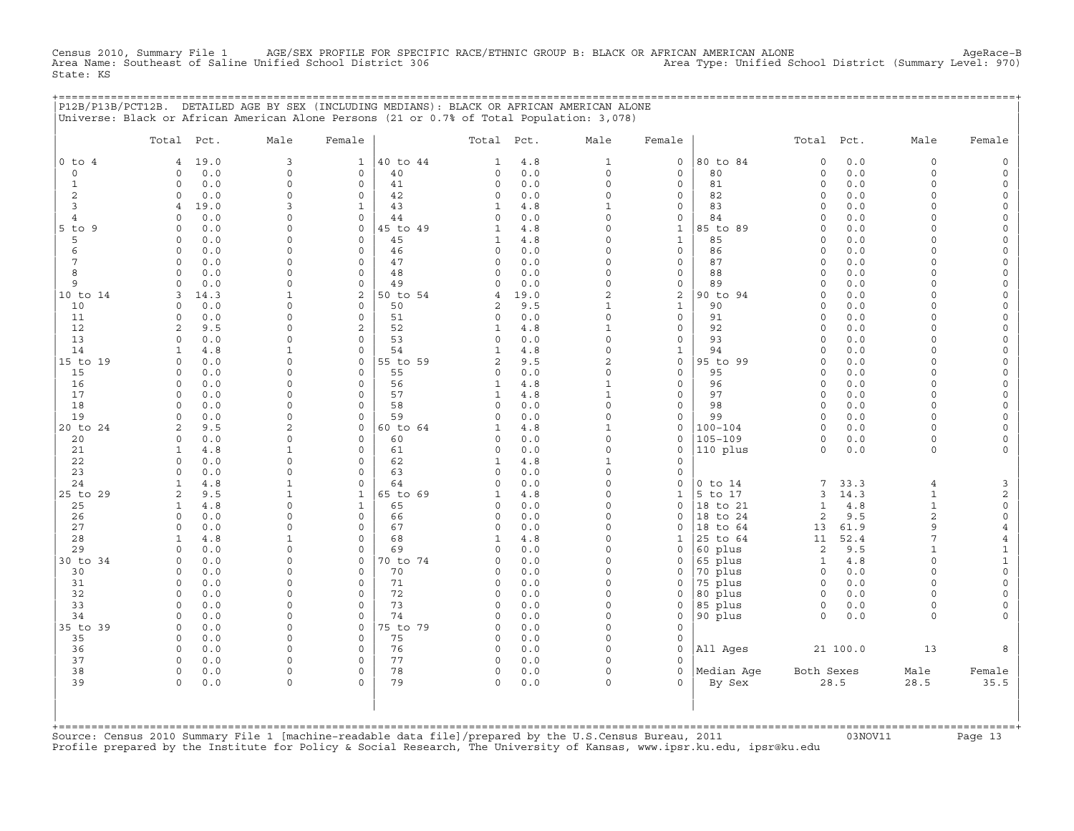Census 2010, Summary File 1 AGE/SEX PROFILE FOR SPECIFIC RACE/ETHNIC GROUP B: BLACK OR AFRICAN AMERICAN ALONE AgeRace−B Area Name: Southeast of Saline Unified School District 306 Area Type: Unified School District (Summary Level: 970) State: KS

+===================================================================================================================================================+

|                | P12B/P13B/PCT12B. DETAILED AGE BY SEX (INCLUDING MEDIANS): BLACK OR AFRICAN AMERICAN ALONE<br>Universe: Black or African American Alone Persons (21 or 0.7% of Total Population: 3,078) |                      |                            |                |                |            |                          |                                    |                    |                                |            |                      |                                     |
|----------------|-----------------------------------------------------------------------------------------------------------------------------------------------------------------------------------------|----------------------|----------------------------|----------------|----------------|------------|--------------------------|------------------------------------|--------------------|--------------------------------|------------|----------------------|-------------------------------------|
|                | Total Pct.                                                                                                                                                                              | Male                 | Female                     |                | Total          | Pct.       | Male                     | Female                             |                    | Total                          | Pct.       | Male                 | Female                              |
| $0$ to $4$     | 19.0<br>4                                                                                                                                                                               | 3                    | $\mathbf{1}$               | 40 to 44       | 1              | $4.8$      | $\mathbf{1}$             | $\mathbf 0$                        | 80 to 84           | $\mathbf 0$                    | $0.0$      | $\circ$              | $\mathsf{O}$                        |
| 0              | 0.0<br>$\Omega$                                                                                                                                                                         | $\Omega$             | $\mathbf 0$                | 40             | 0              | 0.0        | $\circ$                  | $\mathbf 0$                        | 80                 | $\mathsf{O}\xspace$            | 0.0        | $\circ$              | $\mathsf{O}\xspace$                 |
| $\mathbf{1}$   | 0.0<br>$\Omega$                                                                                                                                                                         | $\Omega$             | $\mathbf 0$                | 41             | 0              | 0.0        | $\mathbf 0$              | $\mathbf 0$                        | 81                 | $\circ$                        | 0.0        | $\circ$              | $\mathsf{O}\xspace$                 |
| 2              | 0.0<br>0                                                                                                                                                                                | $\Omega$             | $\mathbf 0$                | 42             | 0              | 0.0        | $\Omega$                 | $\mathbf 0$                        | 82                 | $\circ$                        | 0.0        | $\Omega$             | $\mathbf 0$                         |
| 3              | 19.0<br>4                                                                                                                                                                               | 3                    | $\mathbf{1}$               | 43             | $\mathbf{1}$   | 4.8        | $\mathbf{1}$             | $\mathbf 0$                        | 83                 | $\circ$                        | 0.0        | $\Omega$             | 0                                   |
| $\overline{4}$ | 0.0<br>$\Omega$                                                                                                                                                                         | $\Omega$             | $\mathbf 0$                | 44             | 0              | 0.0        | $\Omega$                 | $\mathsf O$                        | 84                 | $\mathbf 0$                    | 0.0        | $\Omega$             | $\mathsf{O}\xspace$                 |
| 5 to 9         | 0.0<br>$\Omega$                                                                                                                                                                         | $\Omega$             | 0                          | 45 to 49       | $\mathbf{1}$   | $4.8$      | $\Omega$                 | $1\,$                              | 85 to 89           | $\Omega$                       | $0.0$      | $\Omega$             | $\mathsf{O}\xspace$                 |
| 5<br>6         | 0.0<br>$\Omega$<br>$\mathbf 0$                                                                                                                                                          | $\Omega$<br>$\Omega$ | $\mathbf 0$<br>$\mathbf 0$ | 45             | 1              | 4.8<br>0.0 | $\Omega$<br>$\Omega$     | $\mathbf{1}$<br>$\mathbf 0$        | 85<br>86           | $\circ$<br>$\circ$             | 0.0        | $\Omega$<br>$\Omega$ | 0                                   |
| 7              | 0.0<br>0.0<br>$\Omega$                                                                                                                                                                  | $\Omega$             | $\Omega$                   | 46<br>47       | 0<br>0         | 0.0        | $\Omega$                 | $\mathsf{O}\xspace$                | 87                 | $\Omega$                       | 0.0<br>0.0 | $\Omega$             | $\mathsf{O}$<br>$\mathsf{O}\xspace$ |
| 8              | $\Omega$<br>0.0                                                                                                                                                                         | $\Omega$             | $\mathbf 0$                | 48             | 0              | 0.0        | $\Omega$                 | $\mathbf 0$                        | 88                 | $\circ$                        | 0.0        | $\Omega$             | 0                                   |
| 9              | $\mathbf 0$<br>0.0                                                                                                                                                                      | $\Omega$             | $\mathsf{O}\xspace$        | 49             | 0              | 0.0        | $\mathbf 0$              | $\mathsf{O}$                       | 89                 | $\circ$                        | 0.0        | $\circ$              | $\mathsf{O}\xspace$                 |
| 10 to 14       | 14.3<br>3                                                                                                                                                                               | $\mathbf{1}$         | 2                          | 50 to 54       | 4              | 19.0       | $\overline{a}$           | $\sqrt{2}$                         | 90 to 94           | $\Omega$                       | $0.0$      | $\Omega$             | $\mathsf{O}\xspace$                 |
| 10             | $\Omega$<br>0.0                                                                                                                                                                         | $\Omega$             | $\Omega$                   | 50             | 2              | 9.5        | $\mathbf{1}$             | $\mathbf{1}$                       | 90                 | $\Omega$                       | 0.0        | $\Omega$             | 0                                   |
| 11             | 0.0<br>$\mathsf{O}$                                                                                                                                                                     | $\Omega$             | $\mathsf{O}\xspace$        | 51             | 0              | 0.0        | $\mathbf 0$              | $\mathsf{O}\xspace$                | 91                 | $\mathsf{O}\xspace$            | 0.0        | $\Omega$             | $\mathsf{O}\xspace$                 |
| 12             | 9.5<br>2                                                                                                                                                                                | 0                    | 2                          | 52             | $\mathbf{1}$   | 4.8        | $\mathbf{1}$             | $\mathsf{O}\xspace$                | 92                 | $\Omega$                       | 0.0        | $\Omega$             | $\mathsf{O}\xspace$                 |
| 13             | 0.0<br>$\Omega$                                                                                                                                                                         | $\Omega$             | $\Omega$                   | 53             | $\Omega$       | 0.0        | $\Omega$                 | $\mathbf 0$                        | 93                 | $\Omega$                       | 0.0        | $\Omega$             | 0                                   |
| 14             | 4.8<br>$\mathbf{1}$                                                                                                                                                                     | $\mathbf{1}$         | $\mathbf 0$                | 54             | $\mathbf{1}$   | $4.8$      | $\mathbf 0$              | $\mathbf{1}$                       | 94                 | $\Omega$                       | 0.0        | $\circ$              | $\mathsf{O}\xspace$                 |
| 15 to 19       | 0.0<br>$\Omega$                                                                                                                                                                         | $\Omega$             | 0                          | 55 to 59       | $\overline{a}$ | 9.5        | $\overline{c}$           | $\mathsf O$                        | 95 to 99           | $\circ$                        | 0.0        | $\Omega$             | $\mathsf{O}\xspace$                 |
| 15             | 0.0<br>$\Omega$                                                                                                                                                                         | $\Omega$             | $\Omega$                   | 55             | 0              | 0.0        | $\Omega$                 | $\mathbf 0$                        | 95                 | $\Omega$                       | 0.0        | $\Omega$             | 0                                   |
| 16             | $\Omega$<br>0.0                                                                                                                                                                         | $\Omega$             | $\mathsf{O}\xspace$        | 56             | $\mathbf{1}$   | 4.8        | $\mathbf 1$              | $\mathsf{O}\xspace$                | 96                 | $\circ$                        | 0.0        | $\circ$              | $\mathsf{O}\xspace$                 |
| 17<br>18       | $\Omega$<br>0.0<br>$\Omega$                                                                                                                                                             | $\Omega$<br>$\Omega$ | $\mathsf{O}\xspace$        | 57<br>58       | $\mathbf{1}$   | 4.8<br>0.0 | $\mathbf{1}$<br>$\Omega$ | $\mathsf{O}\xspace$                | 97<br>98           | $\circ$                        | 0.0        | $\Omega$             | 0                                   |
| 19             | 0.0<br>0.0<br>$\Omega$                                                                                                                                                                  | $\Omega$             | $\mathbf 0$<br>$\mathbf 0$ | 59             | 0<br>0         | 0.0        | $\mathbf 0$              | $\mathbf 0$<br>$\mathsf{O}\xspace$ | 99                 | $\circ$<br>$\circ$             | 0.0<br>0.0 | $\circ$<br>$\Omega$  | $\mathsf O$<br>$\mathsf{O}\xspace$  |
| 20 to 24       | 2<br>9.5                                                                                                                                                                                | 2                    | 0                          | 60 to 64       | $\mathbf{1}$   | 4.8        | $\mathbf{1}$             | $\mathsf{O}$                       | $100 - 104$        | $\circ$                        | 0.0        | $\Omega$             | 0                                   |
| 20             | 0.0<br>0                                                                                                                                                                                | $\Omega$             | $\mathbf 0$                | 60             | 0              | 0.0        | $\Omega$                 | $\mathbf 0$                        | $105 - 109$        | $\circ$                        | 0.0        | $\circ$              | 0                                   |
| 21             | 4.8<br>$\mathbf{1}$                                                                                                                                                                     | $\mathbf{1}$         | $\mathbf 0$                | 61             | $\circ$        | 0.0        | $\Omega$                 | $\mathsf{O}\xspace$                | 110 plus           | $\circ$                        | $0.0$      | $\circ$              | $\mathsf{O}\xspace$                 |
| 22             | $\Omega$<br>0.0                                                                                                                                                                         | $\Omega$             | 0                          | 62             | $\mathbf{1}$   | 4.8        | $\mathbf{1}$             | $\mathbf 0$                        |                    |                                |            |                      |                                     |
| 23             | 0.0<br>$\Omega$                                                                                                                                                                         | $\Omega$             | $\Omega$                   | 63             | 0              | 0.0        | $\Omega$                 | $\mathbf 0$                        |                    |                                |            |                      |                                     |
| 24             | 4.8<br>$\mathbf{1}$                                                                                                                                                                     | $\mathbf{1}$         | $\Omega$                   | 64             | $\circ$        | 0.0        | $\Omega$                 | $\mathbf 0$                        | $0$ to $14$        | 7                              | 33.3       | $\overline{4}$       | $\mathbf{3}$                        |
| 25 to 29       | 2<br>9.5                                                                                                                                                                                | $\mathbf{1}$         | $\mathbf{1}$               | 65 to 69       | $\mathbf{1}$   | $4.8$      | $\Omega$                 | $\mathbf 1$                        | 5 to 17            | 3                              | 14.3       | $\mathbf{1}$         | $\overline{c}$                      |
| 25             | $\mathbf{1}$<br>4.8                                                                                                                                                                     | $\Omega$             | $\mathbf{1}$               | 65             | 0              | 0.0        | $\Omega$                 | $\mathbf 0$                        | 18 to 21           | $\mathbf{1}$                   | 4.8        | $\mathbf{1}$         | $\circ$                             |
| 26             | $\circ$<br>0.0                                                                                                                                                                          | $\Omega$             | $\mathbf 0$                | 66             | $\circ$        | 0.0        | $\Omega$                 | $\Omega$                           | 18 to 24           | $\overline{2}$                 | 9.5        | $\overline{a}$       | $\circ$                             |
| 27             | 0<br>0.0                                                                                                                                                                                | $\Omega$             | $\mathsf{O}\xspace$        | 67             | 0              | 0.0        | $\Omega$                 | $\mathsf{O}$                       | 18 to 64           | 13                             | 61.9       | 9                    | $\overline{4}$                      |
| 28             | 4.8<br>1                                                                                                                                                                                | 1<br>$\Omega$        | 0<br>$\Omega$              | 68             | $\mathbf{1}$   | 4.8        | $\Omega$<br>$\Omega$     | 1                                  | 25 to 64           | 11                             | 52.4       | 7                    | $\overline{4}$                      |
| 29<br>30 to 34 | 0.0<br>$\Omega$<br>0<br>0.0                                                                                                                                                             | $\Omega$             | 0                          | 69<br>70 to 74 | 0<br>0         | 0.0<br>0.0 | $\Omega$                 | $\mathbf 0$<br>$\mathsf{O}$        | 60 plus<br>65 plus | $\overline{2}$<br>$\mathbf{1}$ | 9.5<br>4.8 | $\mathbf{1}$<br>0    | $\mathbf{1}$<br>$\mathbf{1}$        |
| 30             | 0.0<br>$\Omega$                                                                                                                                                                         | $\Omega$             | $\mathbf 0$                | 70             | 0              | 0.0        | $\Omega$                 | $\Omega$                           | 70 plus            | $\circ$                        | 0.0        | $\Omega$             | $\mathsf{O}\xspace$                 |
| 31             | 0.0<br>$\Omega$                                                                                                                                                                         | $\Omega$             | $\Omega$                   | 71             | 0              | 0.0        | $\Omega$                 | $\mathbf 0$                        | 75 plus            | $\circ$                        | 0.0        | $\Omega$             | $\mathsf{O}\xspace$                 |
| 32             | 0<br>0.0                                                                                                                                                                                | $\Omega$             | $\mathsf{O}\xspace$        | 72             | 0              | 0.0        | $\mathbf 0$              | $\mathsf{O}$                       | 80 plus            | $\circ$                        | 0.0        | $\circ$              | $\mathsf{O}\xspace$                 |
| 33             | 0.0<br>$\Omega$                                                                                                                                                                         | 0                    | $\mathbf 0$                | 73             | 0              | 0.0        | $\Omega$                 | $\mathbf 0$                        | 85 plus            | $\mathsf{O}$                   | 0.0        | $\circ$              | 0                                   |
| 34             | 0.0<br>$\Omega$                                                                                                                                                                         | $\Omega$             | $\mathbf 0$                | 74             | 0              | 0.0        | $\Omega$                 | $\mathbf 0$                        | 90 plus            | $\circ$                        | 0.0        | $\circ$              | $\mathsf{O}\xspace$                 |
| 35 to 39       | $\mathbf 0$<br>0.0                                                                                                                                                                      | $\Omega$             | 0                          | 75 to 79       | 0              | 0.0        | $\mathbf 0$              | $\mathsf{O}\xspace$                |                    |                                |            |                      |                                     |
| 35             | $\circ$<br>0.0                                                                                                                                                                          | $\Omega$             | $\mathbf 0$                | 75             | 0              | 0.0        | $\Omega$                 | $\mathbf 0$                        |                    |                                |            |                      |                                     |
| 36             | 0.0<br>$\circ$                                                                                                                                                                          | $\Omega$             | $\mathbf 0$                | 76             | $\circ$        | 0.0        | $\Omega$                 | $\mathbf 0$                        | All Ages           |                                | 21 100.0   | 13                   | 8                                   |
| 37             | $\Omega$<br>0.0                                                                                                                                                                         | $\Omega$             | $\mathbf 0$                | 77             | 0              | 0.0        | $\mathbf 0$              | $\mathbf 0$                        |                    |                                |            |                      |                                     |
| 38             | $\circ$<br>0.0                                                                                                                                                                          | $\Omega$             | $\Omega$                   | 78             | 0              | 0.0        | $\Omega$                 | $\Omega$                           | Median Age         | Both Sexes                     |            | Male                 | Female                              |
| 39             | 0.0<br>$\circ$                                                                                                                                                                          | $\Omega$             | $\circ$                    | 79             | $\circ$        | 0.0        | $\Omega$                 | $\Omega$                           | By Sex             |                                | 28.5       | 28.5                 | 35.5                                |
|                |                                                                                                                                                                                         |                      |                            |                |                |            |                          |                                    |                    |                                |            |                      |                                     |
|                |                                                                                                                                                                                         |                      |                            |                |                |            |                          |                                    |                    |                                |            |                      |                                     |
|                | +=============================                                                                                                                                                          |                      |                            |                |                |            |                          |                                    |                    |                                |            |                      |                                     |

+===================================================================================================================================================+Source: Census 2010 Summary File 1 [machine−readable data file]/prepared by the U.S.Census Bureau, 2011 03NOV11 Page 13 Profile prepared by the Institute for Policy & Social Research, The University of Kansas, www.ipsr.ku.edu, ipsr@ku.edu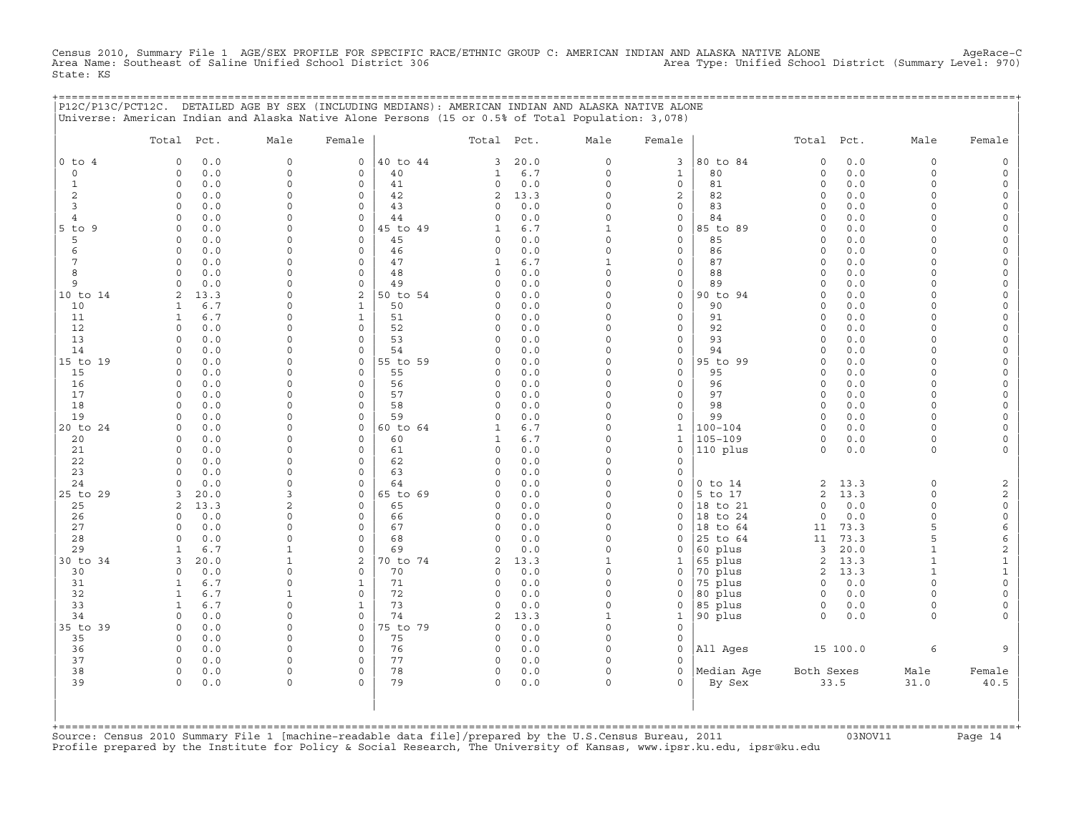Census 2010, Summary File 1 AGE/SEX PROFILE FOR SPECIFIC RACE/ETHNIC GROUP C: AMERICAN INDIAN AND ALASKA NATIVE ALONE AgeRace−C Area Name: Southeast of Saline Unified School District 306 Area Type: Unified School District (Summary Level: 970) State: KS

|                     | P12C/P13C/PCT12C. DETAILED AGE BY SEX (INCLUDING MEDIANS): AMERICAN INDIAN AND ALASKA NATIVE ALONE<br>Universe: American Indian and Alaska Native Alone Persons (15 or 0.5% of Total Population: 3,078) |                      |                     |                |                     |             |                     |                             | ============================ |                     |              |                      |                      |
|---------------------|---------------------------------------------------------------------------------------------------------------------------------------------------------------------------------------------------------|----------------------|---------------------|----------------|---------------------|-------------|---------------------|-----------------------------|------------------------------|---------------------|--------------|----------------------|----------------------|
|                     | Total Pct.                                                                                                                                                                                              | Male                 | Female              |                | Total Pct.          |             | Male                | Female                      |                              | Total Pct.          |              | Male                 | Female               |
| $0$ to $4$          | $\circ$<br>0.0                                                                                                                                                                                          | $\mathsf{O}\xspace$  | 0                   | 40 to 44       | 3                   | 20.0        | 0                   | $\overline{3}$              | 80 to 84                     | $\circ$             | 0.0          | $\mathbf 0$          | $\Omega$             |
| $\mathsf{O}$        | 0.0<br>$\Omega$                                                                                                                                                                                         | $\mathbf 0$          | 0                   | 40             | 1                   | 6.7         | $\circ$             | $\mathbf{1}$                | 80                           | $\circ$             | $0.0$        | $\circ$              | $\Omega$             |
| 1<br>$\overline{c}$ | $\circ$<br>0.0<br>$\circ$                                                                                                                                                                               | $\Omega$             | $\mathbf 0$         | 41             | 0                   | 0.0         | $\Omega$            | 0<br>$\mathbf{2}$           | 81                           | $\Omega$<br>$\circ$ | 0.0<br>0.0   | $\Omega$<br>$\Omega$ | $\Omega$<br>$\Omega$ |
| 3                   | 0.0<br>$\circ$<br>0.0                                                                                                                                                                                   | 0<br>$\Omega$        | 0<br>$\mathbf 0$    | 42<br>43       | 2<br>0              | 13.3<br>0.0 | 0<br>0              | 0                           | 82<br>83                     | $\circ$             | 0.0          | $\Omega$             | $\Omega$             |
| 4                   | 0.0<br>$\circ$                                                                                                                                                                                          | $\Omega$             | $\mathbf 0$         | 44             | $\Omega$            | 0.0         | $\Omega$            | 0                           | 84                           | $\Omega$            | 0.0          | $\Omega$             |                      |
| $5$ to<br>9         | $\Omega$<br>0.0                                                                                                                                                                                         | $\Omega$             | $\mathbf 0$         | 45 to 49       | 1                   | 6.7         | 1                   | 0                           | 85 to 89                     | $\Omega$            | 0.0          | $\Omega$             | $\Omega$             |
| 5                   | $\circ$<br>0.0                                                                                                                                                                                          | 0                    | 0                   | 45             | 0                   | 0.0         | $\Omega$            | 0                           | 85                           | $\Omega$            | 0.0          | $\Omega$             | $\Omega$             |
| 6                   | 0.0<br>0                                                                                                                                                                                                | 0                    | 0                   | 46             | $\circ$             | 0.0         | $\Omega$            | 0                           | 86                           | $\circ$             | 0.0          | $\Omega$             |                      |
| 7                   | $\circ$<br>0.0                                                                                                                                                                                          | $\mathbf 0$          | $\mathbf 0$         | 47             | 1                   | 6.7         | 1                   | 0                           | 87                           | $\circ$             | 0.0          | $\Omega$             |                      |
| 8                   | $\circ$<br>0.0                                                                                                                                                                                          | $\mathbf 0$          | $\mathbf 0$         | 48             | $\circ$             | 0.0         | $\mathbf 0$         | 0                           | 88                           | $\circ$             | 0.0          | $\Omega$             | $\Omega$             |
| 9                   | 0.0<br>$\Omega$                                                                                                                                                                                         | $\Omega$             | $\mathbf 0$         | 49             | $\Omega$            | 0.0         | $\Omega$            | 0                           | 89                           | $\Omega$            | 0.0          | $\Omega$<br>$\Omega$ | $\Omega$             |
| 10 to 14<br>10      | 2<br>13.3<br>6.7<br>1                                                                                                                                                                                   | $\Omega$<br>0        | 2<br>$\mathbf{1}$   | 50 to 54<br>50 | $\Omega$<br>$\circ$ | 0.0<br>0.0  | $\Omega$<br>$\circ$ | $\mathbf 0$<br>$\mathbf{0}$ | 90 to 94<br>90               | $\Omega$<br>$\circ$ | 0.0<br>$0.0$ | $\Omega$             | $\Omega$             |
| 11                  | $\mathbf{1}$<br>6.7                                                                                                                                                                                     | 0                    | $\mathbf{1}$        | 51             | $\mathbf 0$         | 0.0         | 0                   | 0                           | 91                           | $\circ$             | 0.0          | $\Omega$             | $\Omega$             |
| 12                  | $\circ$<br>0.0                                                                                                                                                                                          | $\mathbf 0$          | $\mathbf 0$         | 52             | $\Omega$            | 0.0         | $\Omega$            | 0                           | 92                           | $\circ$             | 0.0          | $\Omega$             | $\Omega$             |
| 13                  | 0.0<br>$\mathbf 0$                                                                                                                                                                                      | 0                    | $\mathbf 0$         | 53             | $\mathbf 0$         | 0.0         | $\circ$             | $\mathbf 0$                 | 93                           | $\circ$             | 0.0          | $\Omega$             | $\Omega$             |
| 14                  | 0.0<br>$\Omega$                                                                                                                                                                                         | 0                    | 0                   | 54             | <sup>0</sup>        | 0.0         | $\Omega$            | 0                           | 94                           | $\Omega$            | 0.0          | $\Omega$             | $\Omega$             |
| 15 to 19            | 0.0<br>$\circ$                                                                                                                                                                                          | $\Omega$             | 0                   | 55 to 59       | <sup>0</sup>        | 0.0         | $\Omega$            | 0                           | 95 to 99                     | $\Omega$            | 0.0          | $\Omega$             | $\Omega$             |
| 15                  | $\circ$<br>0.0                                                                                                                                                                                          | $\mathbf 0$          | $\mathsf{O}\xspace$ | 55             | $\mathbf 0$         | 0.0         | 0                   | 0                           | 95                           | $\circ$             | 0.0          | $\Omega$             | $\Omega$             |
| 16                  | $\circ$<br>0.0                                                                                                                                                                                          | $\Omega$             | 0                   | 56             | $\Omega$            | 0.0         | 0                   | 0                           | 96                           | $\circ$             | 0.0          | $\Omega$             | $\Omega$             |
| 17                  | 0.0<br>$\Omega$                                                                                                                                                                                         | $\Omega$             | 0                   | 57             | $\Omega$            | 0.0         | $\Omega$            | 0                           | 97                           | $\Omega$            | 0.0          | $\Omega$             |                      |
| 18                  | 0.0<br>$\Omega$                                                                                                                                                                                         | $\Omega$             | $\mathbf 0$         | 58             | $\Omega$            | 0.0         | $\Omega$            | 0                           | 98                           | $\Omega$            | 0.0          | $\Omega$             |                      |
| 19<br>20 to 24      | 0.0<br>$\Omega$<br>0.0<br>$\circ$                                                                                                                                                                       | 0<br>$\mathbf 0$     | $\mathbf 0$<br>0    | 59<br>60 to 64 | $\Omega$<br>1       | 0.0<br>6.7  | $\Omega$<br>0       | 0<br>$\mathbf{1}$           | 99<br>$100 - 104$            | $\Omega$<br>$\circ$ | 0.0<br>0.0   | $\Omega$<br>$\Omega$ | $\Omega$<br>$\Omega$ |
| 20                  | 0.0<br>$\circ$                                                                                                                                                                                          | $\mathbf 0$          | $\circ$             | 60             | 1                   | 6.7         | 0                   | 1                           | $105 - 109$                  | $\circ$             | $0.0$        | $\circ$              |                      |
| 21                  | 0.0<br>$\Omega$                                                                                                                                                                                         | $\Omega$             | $\Omega$            | 61             | 0                   | 0.0         | 0                   | 0                           | 110 plus                     | $\Omega$            | 0.0          | $\Omega$             |                      |
| 22                  | 0.0<br>$\mathbf 0$                                                                                                                                                                                      | 0                    | 0                   | 62             | 0                   | 0.0         | $\Omega$            | 0                           |                              |                     |              |                      |                      |
| 23                  | 0.0<br>$\Omega$                                                                                                                                                                                         | $\Omega$             | $\mathbf 0$         | 63             | $\Omega$            | 0.0         | $\Omega$            | 0                           |                              |                     |              |                      |                      |
| 24                  | $\circ$<br>0.0                                                                                                                                                                                          | $\mathbf 0$          | 0                   | 64             | $\circ$             | 0.0         | 0                   | 0                           | $0$ to $14$                  | 2                   | 13.3         | $\circ$              | $\overline{2}$       |
| 25 to 29            | 20.0<br>3                                                                                                                                                                                               | 3                    | 0                   | 65 to 69       | $\Omega$            | 0.0         | 0                   | 0                           | 5 to 17                      | 2                   | 13.3         | $\circ$              | $\sqrt{2}$           |
| 25                  | 2<br>13.3                                                                                                                                                                                               | 2                    | $\mathbf 0$         | 65             | 0                   | 0.0         | $\Omega$            | 0                           | 18 to 21                     | $\circ$             | 0.0          | $\circ$              | $\mathsf O$          |
| 26                  | $\mathbf 0$<br>0.0                                                                                                                                                                                      | 0                    | $\mathbf 0$         | 66             | $\circ$             | 0.0         | 0                   | 0                           | 18 to 24                     | $\circ$             | 0.0          | $\Omega$             | $\mathsf O$          |
| 27<br>28            | 0.0<br>$\circ$<br>0.0<br>$\circ$                                                                                                                                                                        | $\Omega$<br>$\Omega$ | 0<br>$\mathbf 0$    | 67<br>68       | 0                   | 0.0         | $\circ$<br>$\Omega$ | 0<br>$\Omega$               | 18 to 64<br>25 to 64         | 11                  | 73.3<br>73.3 | 5<br>5               | 6                    |
| 29                  | $\mathbf{1}$<br>6.7                                                                                                                                                                                     | $\mathbf{1}$         | 0                   | 69             | 0<br>0              | 0.0<br>0.0  | 0                   | 0                           | 60 plus                      | 11<br>3             | 20.0         | $\mathbf{1}$         | 6<br>$\sqrt{2}$      |
| 30 to 34            | 3<br>20.0                                                                                                                                                                                               | 1                    | 2                   | 70 to 74       | 2                   | 13.3        | 1                   | 1                           | 65 plus                      | 2                   | 13.3         | $\mathbf{1}$         | $\mathbf{1}$         |
| 30                  | 0.0<br>$\circ$                                                                                                                                                                                          | $\mathbf 0$          | $\mathbf 0$         | 70             | $\Omega$            | 0.0         | $\circ$             | 0                           | 70 plus                      | 2                   | 13.3         | $\mathbf{1}$         | $\mathbf{1}$         |
| 31                  | 6.7<br>1                                                                                                                                                                                                | $\Omega$             | $\mathbf{1}$        | 71             | 0                   | 0.0         | $\Omega$            | $\Omega$                    | 75 plus                      | $\circ$             | 0.0          | $\Omega$             | $\Omega$             |
| 32                  | 6.7<br>$\mathbf{1}$                                                                                                                                                                                     | $\mathbf{1}$         | $\mathbf 0$         | 72             | 0                   | 0.0         | 0                   | 0                           | 80 plus                      | $\circ$             | 0.0          | $\Omega$             | $\Omega$             |
| 33                  | 6.7<br>$\mathbf{1}$                                                                                                                                                                                     | $\mathbf 0$          | $\mathbf{1}$        | 73             | $\circ$             | 0.0         | 0                   | 0                           | 85 plus                      | $\mathsf{O}$        | 0.0          | $\circ$              | $\Omega$             |
| 34                  | $\circ$<br>0.0                                                                                                                                                                                          | $\mathbf 0$          | $\mathbf 0$         | 74             | 2                   | 13.3        | 1                   | 1                           | 90 plus                      | $\Omega$            | 0.0          | $\Omega$             |                      |
| 35 to 39            | 0.0<br>$\circ$                                                                                                                                                                                          | $\mathbf 0$          | $\mathbf 0$         | 75 to 79       | $\circ$             | 0.0         | $\circ$             | 0                           |                              |                     |              |                      |                      |
| 35                  | $\mathbf 0$<br>0.0                                                                                                                                                                                      | 0                    | 0                   | 75             | $\circ$             | 0.0         | $\mathbf 0$         | 0                           |                              |                     |              |                      |                      |
| 36                  | $\circ$<br>0.0                                                                                                                                                                                          | $\mathbf 0$          | $\mathbf 0$         | 76             | $\circ$             | 0.0         | $\Omega$            | 0<br>0                      | All Ages                     |                     | 15 100.0     | 6                    | 9                    |
| 37<br>38            | $\circ$<br>0.0<br>$\circ$<br>0.0                                                                                                                                                                        | 0<br>0               | 0<br>0              | 77<br>78       | 0<br>0              | 0.0<br>0.0  | 0<br>0              | 0                           | Median Age                   | Both Sexes          |              | Male                 | Female               |
| 39                  | $\Omega$<br>0.0                                                                                                                                                                                         | $\Omega$             | $\Omega$            | 79             | $\Omega$            | 0.0         | $\Omega$            | $\Omega$                    | By Sex                       | 33.5                |              | 31.0                 | 40.5                 |
|                     |                                                                                                                                                                                                         |                      |                     |                |                     |             |                     |                             |                              |                     |              |                      |                      |

+===================================================================================================================================================+Source: Census 2010 Summary File 1 [machine−readable data file]/prepared by the U.S.Census Bureau, 2011 03NOV11 Page 14 Profile prepared by the Institute for Policy & Social Research, The University of Kansas, www.ipsr.ku.edu, ipsr@ku.edu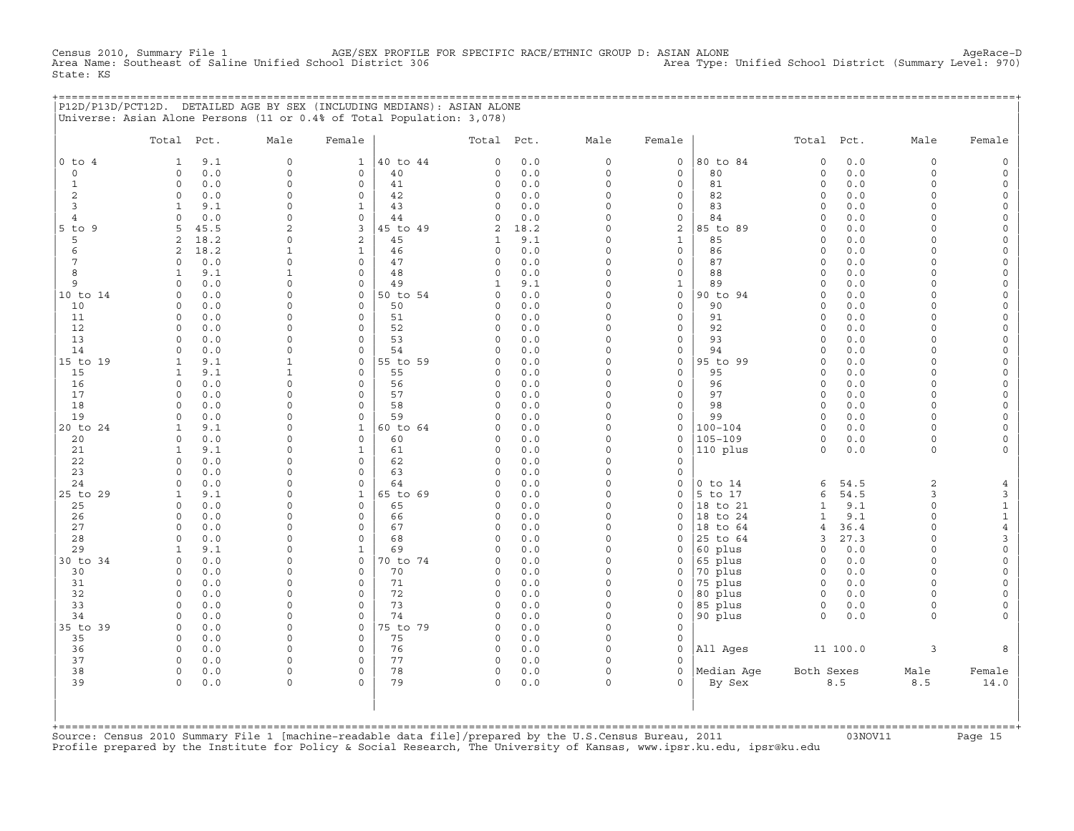Census 2010, Summary File 1 AGE/SEX PROFILE FOR SPECIFIC RACE/ETHNIC GROUP D: ASIAN ALONE AgeRace−D Area Name: Southeast of Saline Unified School District 306 Area Type: Unified School District (Summary Level: 970) State: KS

|  | P12D/P13D/PCT12D. DETAILED AGE BY SEX (INCLUDING MEDIANS): ASIAN ALONE |  |  |  |
|--|------------------------------------------------------------------------|--|--|--|
|  | Universe: Asian Alone Persons (11 or 0.4% of Total Population: 3,078)  |  |  |  |

|                 | Total Pct.               |              | Male                         | Female                         |                | Total Pct.                 |            | Male                 | Female                              |                     | Total Pct.           |             | Male                 | Female                                     |
|-----------------|--------------------------|--------------|------------------------------|--------------------------------|----------------|----------------------------|------------|----------------------|-------------------------------------|---------------------|----------------------|-------------|----------------------|--------------------------------------------|
| $0$ to $4$      | $\mathbf{1}$             | 9.1          | $\mathbf{0}$                 | $\mathbf{1}$                   | 40 to 44       | $\mathbf 0$                | 0.0        | $\circ$              | $\mathbf 0$                         | 80 to 84            | $\circ$              | 0.0         | $\circ$              | $\mathbb O$                                |
| $\mathbf 0$     | $\circ$                  | 0.0          | $\circ$                      | $\mathbf 0$                    | 40             | $\mathbf 0$                | 0.0        | $\mathbf 0$          | $\mathbf 0$                         | 80                  | $\circ$              | 0.0         | $\circ$              | $\mathsf{O}\xspace$                        |
| $\mathbf{1}$    | $\mathbf 0$              | 0.0          | $\Omega$                     | $\mathbf 0$                    | 41             | $\circ$                    | 0.0        | $\mathbf 0$          | $\mathbf 0$                         | 81                  | $\mathbf 0$          | 0.0         | $\circ$              | $\mathsf{O}\xspace$                        |
| 2               | $\circ$                  | 0.0          | 0                            | $\mathbf 0$                    | 42             | $\circ$                    | 0.0        | $\mathsf O$          | $\mathsf{O}\xspace$                 | 82                  | $\mathbf 0$          | 0.0         | $\circ$              | $\mathsf{O}\xspace$                        |
| $\overline{3}$  | $\mathbf{1}$             | 9.1          | 0                            | $\mathbf{1}$                   | 43             | $\mathbf 0$                | 0.0        | $\Omega$             | $\mathbf 0$                         | 83                  | $\Omega$             | 0.0         | $\Omega$             | $\mathsf{O}\xspace$                        |
| $\overline{4}$  | $\Omega$                 | $0.0$        | $\Omega$                     | $\Omega$                       | 44             | $\Omega$                   | 0.0        | $\Omega$             | $\mathbf 0$                         | 84                  | $\Omega$             | 0.0         | $\Omega$             | $\mathsf{O}\xspace$                        |
| $5$ to $9$      | 5                        | 45.5         | $\overline{a}$               | 3                              | 45 to 49       | 2                          | 18.2       | $\Omega$<br>$\Omega$ | 2                                   | 85 to 89            | $\mathbf 0$          | 0.0         | $\Omega$             | $\mathsf{O}$                               |
| 5<br>6          | 2<br>2                   | 18.2<br>18.2 | 0<br>$\mathbf{1}$            | $\overline{a}$<br>$\mathbf{1}$ | 45<br>46       | 1<br>$\mathbf 0$           | 9.1<br>0.0 | $\Omega$             | $\mathbf{1}$<br>$\mathsf{O}\xspace$ | 85<br>86            | $\circ$<br>$\Omega$  | 0.0<br>0.0  | $\Omega$<br>$\Omega$ | $\mathsf{O}\xspace$<br>$\mathsf{O}\xspace$ |
| $7\phantom{.0}$ | $\circ$                  | 0.0          | 0                            | $\Omega$                       | 47             | $\mathsf{O}$               | $0.0$      | $\Omega$             | $\mathbf{0}$                        | 87                  | $\circ$              | 0.0         | $\Omega$             | $\mathsf{O}\xspace$                        |
| 8               | $\mathbf{1}$             | 9.1          | $\mathbf{1}$                 | $\Omega$                       | 48             | $\Omega$                   | 0.0        | $\Omega$             | $\mathbf 0$                         | 88                  | $\Omega$             | 0.0         | $\Omega$             | $\mathsf{O}\xspace$                        |
| 9               | $\Omega$                 | 0.0          | $\Omega$                     | $\Omega$                       | 49             | $\mathbf{1}$               | 9.1        | $\Omega$             | $\mathbf{1}$                        | 89                  | $\Omega$             | 0.0         | $\Omega$             | $\circ$                                    |
| 10 to 14        | $\Omega$                 | 0.0          | 0                            | $\mathbf 0$                    | 50 to 54       | $\Omega$                   | 0.0        | $\Omega$             | $\circ$                             | 90 to 94            | $\Omega$             | 0.0         | $\circ$              | $\circ$                                    |
| 10              | $\Omega$                 | 0.0          | $\Omega$                     | $\Omega$                       | 50             | $\Omega$                   | 0.0        | $\Omega$             | $\mathbf 0$                         | 90                  | $\Omega$             | 0.0         | $\Omega$             | $\mathsf{O}\xspace$                        |
| 11              | $\circ$                  | 0.0          | $\Omega$                     | $\circ$                        | 51             | $\mathbf 0$                | 0.0        | $\Omega$             | $\mathsf{O}\xspace$                 | 91                  | $\mathbf 0$          | 0.0         | $\circ$              | $\mathsf{O}\xspace$                        |
| 12              | $\circ$                  | 0.0          | 0                            | $\circ$                        | 52             | $\mathsf O$                | 0.0        | $\Omega$             | $\mathsf O$                         | 92                  | $\circ$              | 0.0         | $\Omega$             | $\mathsf{O}$                               |
| 13              | $\Omega$                 | 0.0          | $\Omega$                     | $\circ$                        | 53             | $\mathbf 0$                | 0.0        | $\Omega$             | $\mathbf{0}$                        | 93                  | $\Omega$             | 0.0         | $\Omega$             | $\mathsf{O}\xspace$                        |
| 14              | $\Omega$                 | 0.0          | $\Omega$                     | $\Omega$                       | 54             | $\Omega$                   | 0.0        | $\Omega$             | $\mathbf 0$                         | 94                  | $\Omega$             | 0.0         | $\Omega$             | $\mathsf{O}\xspace$                        |
| 15 to 19        | $\mathbf{1}$             | 9.1          | $\mathbf{1}$<br>$\mathbf{1}$ | $\circ$                        | 55 to 59       | $\circ$                    | 0.0        | $\Omega$<br>$\Omega$ | $\circ$                             | 95 to 99            | $\Omega$             | 0.0         | $\Omega$             | $\mathsf{O}\xspace$                        |
| 15<br>16        | $\mathbf{1}$<br>$\Omega$ | 9.1<br>0.0   | $\Omega$                     | $\Omega$<br>$\Omega$           | 55<br>56       | $\Omega$<br>$\mathbf 0$    | 0.0<br>0.0 | $\Omega$             | $\circ$<br>$\mathbf{0}$             | 95<br>96            | $\Omega$<br>$\Omega$ | 0.0<br>0.0  | $\Omega$<br>$\Omega$ | $\circ$<br>$\mathsf{O}\xspace$             |
| 17              | $\Omega$                 | 0.0          | $\Omega$                     | $\Omega$                       | 57             | $\circ$                    | 0.0        | $\Omega$             | $\mathbf{0}$                        | 97                  | $\circ$              | 0.0         | $\circ$              | $\mathsf{O}\xspace$                        |
| 18              | $\circ$                  | 0.0          | $\Omega$                     | $\circ$                        | 58             | $\mathbf 0$                | 0.0        | $\Omega$             | $\mathsf{O}\xspace$                 | 98                  | $\circ$              | 0.0         | $\circ$              | $\circ$                                    |
| 19              | $\circ$                  | 0.0          | 0                            | $\circ$                        | 59             | $\mathbf 0$                | 0.0        | $\Omega$             | $\mathsf{O}$                        | 99                  | $\circ$              | 0.0         | $\circ$              | $\mathsf{O}\xspace$                        |
| 20 to 24        | $\mathbf{1}$             | 9.1          | $\Omega$                     | $\mathbf{1}$                   | 60 to 64       | $\Omega$                   | 0.0        | $\Omega$             | $\Omega$                            | $100 - 104$         | $\Omega$             | 0.0         | $\Omega$             | $\mathsf{O}\xspace$                        |
| 20              | $\circ$                  | 0.0          | $\Omega$                     | $\circ$                        | 60             | $\circ$                    | 0.0        | $\Omega$             | $\mathbf 0$                         | 105-109             | $\mathbf 0$          | 0.0         | $\circ$              | $\mathsf{O}\xspace$                        |
| 21              | $\mathbf{1}$             | 9.1          | $\Omega$                     | $\mathbf{1}$                   | 61             | $\mathbf 0$                | 0.0        | $\Omega$             | $\circ$                             | 110 plus            | $\circ$              | 0.0         | $\circ$              | $\circ$                                    |
| 22              | $\Omega$                 | 0.0          | $\mathsf{O}$                 | $\Omega$                       | 62             | $\mathbf 0$                | 0.0        | $\Omega$             | $\mathbf 0$                         |                     |                      |             |                      |                                            |
| 23              | $\Omega$                 | 0.0          | $\Omega$                     | $\Omega$                       | 63             | $\mathbf 0$                | 0.0        | $\Omega$             | $\mathbf 0$                         |                     |                      |             |                      |                                            |
| 24              | $\circ$                  | 0.0          | $\Omega$                     | $\circ$                        | 64             | $\mathbf 0$                | 0.0        | $\Omega$             | $\mathsf{O}$                        | $0$ to $14$         | 6                    | 54.5        | 2                    | $\overline{4}$                             |
| 25 to 29        | $\mathbf{1}$<br>$\Omega$ | 9.1<br>0.0   | $\Omega$<br>$\Omega$         | $\mathbf 1$<br>$\Omega$        | 65 to 69<br>65 | $\mathbf 0$<br>$\mathbf 0$ | 0.0<br>0.0 | $\Omega$<br>$\Omega$ | $\mathsf O$<br>$\mathbf 0$          | 5 to 17<br>18 to 21 | 6<br>$\mathbf{1}$    | 54.5<br>9.1 | 3<br>$\Omega$        | $\mathbf{3}$<br>$\mathbf{1}$               |
| 25<br>26        | $\Omega$                 | 0.0          | $\Omega$                     | $\Omega$                       | 66             | $\Omega$                   | 0.0        | $\Omega$             | $\Omega$                            | 18 to 24            | $\mathbf{1}$         | 9.1         | $\Omega$             | $\mathbf 1$                                |
| 27              | $\circ$                  | 0.0          | $\Omega$                     | $\Omega$                       | 67             | $\mathbf 0$                | 0.0        | $\Omega$             | $\circ$                             | 18 to 64            | $\overline{4}$       | 36.4        | $\Omega$             | $\overline{4}$                             |
| 28              | $\Omega$                 | 0.0          | $\Omega$                     | $\circ$                        | 68             | $\circ$                    | 0.0        | $\Omega$             | $\mathbf 0$                         | 25 to 64            | 3                    | 27.3        | $\Omega$             | 3                                          |
| 29              | $\mathbf{1}$             | 9.1          | 0                            | $\mathbf{1}$                   | 69             | $\mathbf 0$                | 0.0        | $\Omega$             | $\mathbf 0$                         | 60 plus             | $\circ$              | 0.0         | $\circ$              | $\circ$                                    |
| 30 to 34        | $\circ$                  | 0.0          | $\Omega$                     | $\mathbf 0$                    | 70 to 74       | $\mathbf 0$                | 0.0        | $\Omega$             | $\mathsf{O}$                        | 65 plus             | $\circ$              | 0.0         | $\circ$              | $\mathsf{O}\xspace$                        |
| 30              | $\circ$                  | 0.0          | 0                            | $\mathbf 0$                    | 70             | $\mathsf O$                | 0.0        | $\Omega$             | $\mathsf{O}$                        | 70 plus             | $\circ$              | 0.0         | $\circ$              | $\mathsf{O}\xspace$                        |
| 31              | $\Omega$                 | 0.0          | $\Omega$                     | $\Omega$                       | 71             | $\mathbf 0$                | 0.0        | $\Omega$             | $\mathbf 0$                         | 75 plus             | $\Omega$             | 0.0         | $\Omega$             | $\mathsf{O}\xspace$                        |
| 32              | $\Omega$                 | 0.0          | $\Omega$                     | $\mathbf 0$                    | 72             | $\mathbf 0$                | 0.0        | $\Omega$             | $\mathsf O$                         | 80 plus             | $\Omega$             | 0.0         | $\Omega$             | $\mathsf{O}\xspace$                        |
| 33              | $\Omega$                 | 0.0          | $\Omega$                     | $\Omega$                       | 73             | $\Omega$                   | 0.0        | $\Omega$             | $\mathbf 0$                         | 85 plus             | $\circ$              | 0.0         | $\Omega$             | $\mathsf{O}\xspace$                        |
| 34              | $\circ$                  | 0.0          | $\Omega$                     | $\mathbf 0$<br>$\mathbf 0$     | 74             | $\mathbf 0$<br>$\mathbf 0$ | 0.0        | $\Omega$<br>$\Omega$ | $\mathsf{O}$<br>$\mathbf 0$         | 90 plus             | $\circ$              | 0.0         | $\Omega$             | $\circ$                                    |
| 35 to 39<br>35  | $\mathbf 0$<br>$\Omega$  | 0.0<br>0.0   | 0<br>$\Omega$                | $\circ$                        | 75 to 79<br>75 | $\mathbf 0$                | 0.0<br>0.0 | $\Omega$             | $\mathsf{O}$                        |                     |                      |             |                      |                                            |
| 36              | $\circ$                  | 0.0          | $\Omega$                     | $\circ$                        | 76             | $\circ$                    | 0.0        | $\Omega$             | $\mathbb O$                         | All Ages            |                      | 11 100.0    | 3                    | 8                                          |
| 37              | $\Omega$                 | 0.0          | $\Omega$                     | $\Omega$                       | 77             | $\circ$                    | 0.0        | $\Omega$             | $\Omega$                            |                     |                      |             |                      |                                            |
| 38              | $\Omega$                 | 0.0          | $\mathsf{O}$                 | $\circ$                        | 78             | $\circ$                    | 0.0        | $\Omega$             | $\Omega$                            | Median Age          | Both Sexes           |             | Male                 | Female                                     |
| 39              | $\Omega$                 | 0.0          | 0                            | $\Omega$                       | 79             | $\mathbf 0$                | 0.0        | $\Omega$             | $\Omega$                            | By Sex              |                      | 8.5         | 8.5                  | 14.0                                       |
|                 |                          |              |                              |                                |                |                            |            |                      |                                     |                     |                      |             |                      |                                            |

+===================================================================================================================================================+Source: Census 2010 Summary File 1 [machine−readable data file]/prepared by the U.S.Census Bureau, 2011 03NOV11 Page 15 Profile prepared by the Institute for Policy & Social Research, The University of Kansas, www.ipsr.ku.edu, ipsr@ku.edu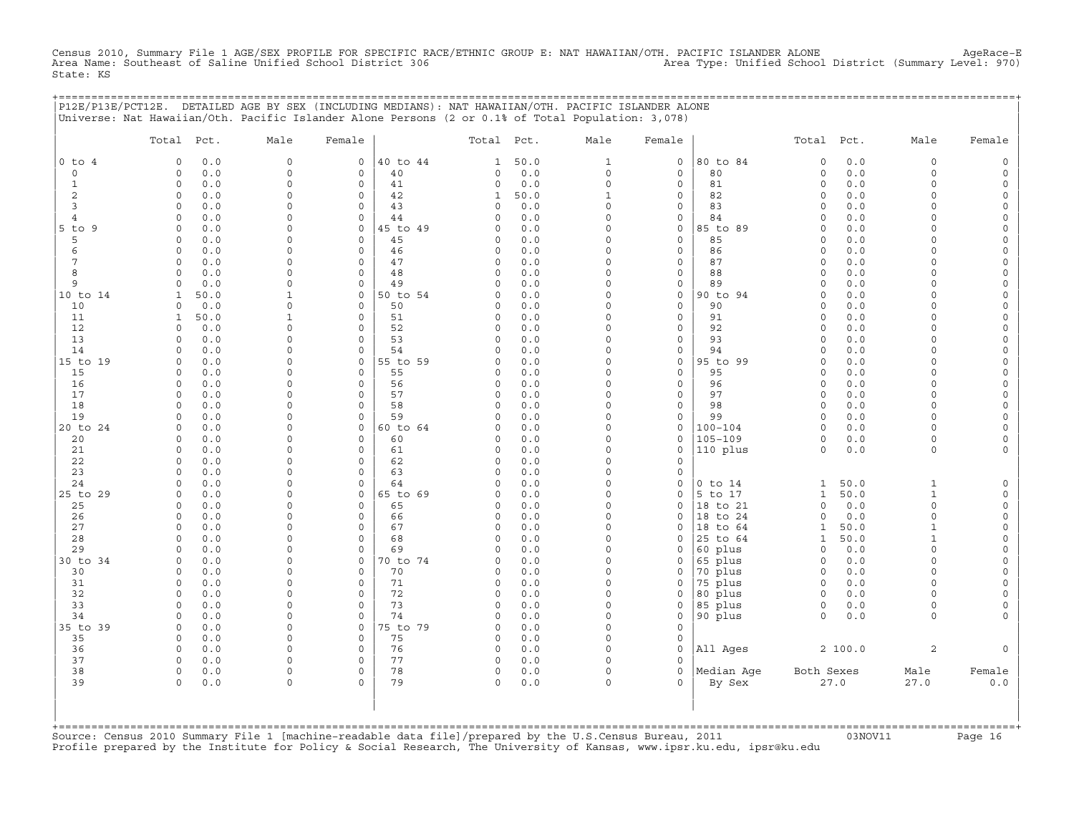Census 2010, Summary File 1 AGE/SEX PROFILE FOR SPECIFIC RACE/ETHNIC GROUP E: NAT HAWAIIAN/OTH. PACIFIC ISLANDER ALONE AgeRace-E<br>Area Name: Southeast of Saline Unified School District 306 State: KS

|                | P12E/P13E/PCT12E. DETAILED AGE BY SEX (INCLUDING MEDIANS): NAT HAWAIIAN/OTH. PACIFIC ISLANDER ALONE |                      |                                               |                          |             |                      |                            | ================================ |                      |              |                      |          |
|----------------|-----------------------------------------------------------------------------------------------------|----------------------|-----------------------------------------------|--------------------------|-------------|----------------------|----------------------------|----------------------------------|----------------------|--------------|----------------------|----------|
|                | Universe: Nat Hawaiian/Oth. Pacific Islander Alone Persons (2 or 0.1% of Total Population: 3,078)   |                      |                                               |                          |             |                      |                            |                                  |                      |              |                      |          |
|                | Total Pct.                                                                                          | Male                 | Female                                        | Total Pct.               |             | Male                 | Female                     |                                  | Total Pct.           |              | Male                 | Female   |
| $0$ to $4$     | 0.0<br>$\circ$                                                                                      | $\mathbf 0$          | $\mathsf{O}$<br>40 to 44                      | $\mathbf{1}$             | 50.0        | $\mathbf{1}$         | 0                          | 80 to 84                         | $\mathsf{O}\xspace$  | 0.0          | $\circ$              |          |
| $\mathbf 0$    | 0.0<br>$\circ$                                                                                      | $\mathbf 0$          | 40<br>0                                       | $\circ$                  | 0.0         | $\circ$              | 0                          | 80                               | $\mathsf O$          | 0.0          | $\circ$              | $\Omega$ |
| 1              | $\circ$<br>0.0                                                                                      | $\Omega$             | $\mathbf 0$<br>41                             | $\mathsf{O}$             | 0.0         | $\Omega$             | 0                          | 81                               | $\circ$              | 0.0          | $\Omega$             | $\Omega$ |
| 2<br>3         | $\Omega$<br>0.0<br>$\Omega$<br>0.0                                                                  | $\Omega$<br>$\Omega$ | $\mathsf{O}$<br>42<br>$\Omega$<br>43          | $\mathbf{1}$<br>$\Omega$ | 50.0<br>0.0 | $\mathbf{1}$<br>0    | 0<br>0                     | 82<br>83                         | 0<br>$\Omega$        | 0.0<br>0.0   | $\cap$<br>$\cap$     |          |
| $\overline{4}$ | 0.0<br>$\Omega$                                                                                     | $\Omega$             | $\mathbf 0$<br>44                             | $\Omega$                 | 0.0         | $\Omega$             | 0                          | 84                               | $\Omega$             | 0.0          | $\cap$               |          |
| 5 to 9         | 0.0<br>$\Omega$                                                                                     | $\Omega$             | $\mathbf 0$<br>45 to 49                       | 0                        | 0.0         | $\Omega$             | 0                          | 85 to 89                         | $\Omega$             | 0.0          |                      |          |
| 5              | $\Omega$<br>0.0                                                                                     | $\Omega$             | $\mathbf 0$<br>45                             | 0                        | 0.0         | $\Omega$             | $\mathbf 0$                | 85                               | $\circ$              | 0.0          | $\Omega$             |          |
| 6              | $\circ$<br>0.0                                                                                      | $\Omega$             | $\mathbf 0$<br>46                             | 0                        | 0.0         | $\Omega$             | 0                          | 86                               | $\circ$              | 0.0          | $\Omega$             | $\Omega$ |
| 7              | 0.0<br>$\circ$                                                                                      | $\Omega$             | $\mathbf 0$<br>47                             | $\mathsf{O}$             | 0.0         | $\Omega$             | 0                          | 87                               | $\mathbf 0$          | 0.0          | $\cap$               |          |
| 8              | $\Omega$<br>0.0                                                                                     | $\Omega$             | $\Omega$<br>48                                | $\Omega$                 | 0.0         | $\Omega$             | 0                          | 88                               | $\Omega$             | 0.0          | $\Omega$             |          |
| 9<br>10 to 14  | 0.0<br>$\Omega$<br>50.0<br>$\mathbf{1}$                                                             | $\Omega$<br>1        | 49<br>0<br>$\mathbf 0$<br>50 to 54            | $\Omega$<br>$\Omega$     | 0.0<br>0.0  | $\Omega$<br>$\Omega$ | 0<br>$\mathbf 0$           | 89<br>90 to 94                   | $\Omega$<br>$\Omega$ | $0.0$<br>0.0 | $\Omega$<br>$\cap$   | $\Omega$ |
| 10             | 0.0<br>0                                                                                            | $\Omega$             | $\mathbf 0$<br>50                             | 0                        | 0.0         | $\Omega$             | $\circ$                    | 90                               | $\circ$              | 0.0          | $\Omega$             |          |
| 11             | 50.0<br>1                                                                                           |                      | $\mathbf 0$<br>51                             | 0                        | 0.0         | $\Omega$             | 0                          | 91                               | $\circ$              | 0.0          | $\Omega$             |          |
| 12             | $\Omega$<br>0.0                                                                                     | $\Omega$             | $\mathbf 0$<br>52                             | 0                        | 0.0         | $\Omega$             | $\mathbf 0$                | 92                               | $\Omega$             | 0.0          | $\Omega$             | $\Omega$ |
| 13             | 0.0<br>$\circ$                                                                                      | $\Omega$             | $\mathbf 0$<br>53                             | 0                        | 0.0         | $\mathbf 0$          | 0                          | 93                               | $\circ$              | 0.0          | $\cap$               | $\cap$   |
| 14             | $\Omega$<br>0.0                                                                                     | $\Omega$             | $\Omega$<br>54                                | $\Omega$                 | 0.0         | $\Omega$             | 0                          | 94                               | $\Omega$             | 0.0          | $\cap$               |          |
| 15 to 19       | 0.0<br>$\Omega$                                                                                     | $\Omega$             | 55 to 59<br>$\mathbf 0$                       | $\Omega$                 | 0.0         | $\Omega$             | $\mathbf 0$                | 95 to 99                         | $\Omega$             | 0.0          | $\Omega$             |          |
| 15<br>16       | 0.0<br>$\Omega$<br>$\Omega$<br>0.0                                                                  | $\Omega$<br>$\Omega$ | $\Omega$<br>55<br>$\mathbf 0$<br>56           | 0<br>$\circ$             | 0.0<br>0.0  | $\Omega$<br>$\Omega$ | 0<br>$\mathbf 0$           | 95<br>96                         | $\Omega$<br>$\circ$  | 0.0<br>0.0   | $\Omega$<br>$\Omega$ | $\Omega$ |
| 17             | $\circ$<br>0.0                                                                                      | $\Omega$             | $\mathbf 0$<br>57                             | $\circ$                  | 0.0         | $\Omega$             | 0                          | 97                               | $\circ$              | 0.0          | $\Omega$             | $\Omega$ |
| 18             | 0.0<br>$\Omega$                                                                                     | $\Omega$             | $\mathbf 0$<br>58                             | 0                        | 0.0         | $\Omega$             | $\mathbf 0$                | 98                               | $\circ$              | 0.0          | $\Omega$             |          |
| 19             | $\circ$<br>0.0                                                                                      | $\Omega$             | $\mathbf 0$<br>59                             | 0                        | 0.0         | $\Omega$             | 0                          | 99                               | $\circ$              | 0.0          | $\Omega$             |          |
| 20 to 24       | 0.0<br>$\Omega$                                                                                     | $\Omega$             | 60 to 64<br>$\mathbf{0}$                      | $\Omega$                 | 0.0         | $\Omega$             | 0                          | 100-104                          | $\Omega$             | 0.0          | $\Omega$             |          |
| 20             | 0.0<br>$\Omega$                                                                                     | $\Omega$             | $\Omega$<br>60                                | $\Omega$                 | 0.0         | $\Omega$             | 0                          | $105 - 109$                      | $\Omega$             | 0.0          | $\Omega$             |          |
| 21             | $\circ$<br>0.0                                                                                      | $\Omega$             | $\mathbf 0$<br>61                             | 0                        | 0.0         | $\Omega$             | $\mathbf 0$                | 110 plus                         | $\mathbf 0$          | 0.0          | $\circ$              |          |
| 22<br>23       | 0.0<br>$\Omega$<br>$\Omega$<br>0.0                                                                  | $\Omega$<br>$\Omega$ | 62<br>$\mathbf 0$<br>$\mathbf 0$<br>63        | $\mathbf 0$<br>0         | 0.0<br>0.0  | $\Omega$<br>$\Omega$ | O.<br>0                    |                                  |                      |              |                      |          |
| 24             | $\Omega$<br>0.0                                                                                     | $\Omega$             | $\mathbf 0$<br>64                             | $\circ$                  | 0.0         | $\mathbf 0$          | 0                          | $0$ to $14$                      | $\mathbf{1}$         | 50.0         | $\mathbf{1}$         |          |
| 25 to 29       | $\circ$<br>0.0                                                                                      | $\Omega$             | 65 to 69<br>$\mathsf{O}$                      | 0                        | 0.0         | $\Omega$             | 0                          | 5 to 17                          | $\mathbf{1}$         | 50.0         | $\mathbf{1}$         |          |
| 25             | 0.0<br>$\Omega$                                                                                     | $\Omega$             | $\Omega$<br>65                                | 0                        | 0.0         | $\Omega$             | $\Omega$                   | 18 to 21                         | $\Omega$             | 0.0          | $\Omega$             |          |
| 26             | 0.0<br>$\Omega$                                                                                     | $\Omega$             | $\mathbf 0$<br>66                             | 0                        | 0.0         | $\Omega$             | 0                          | 18 to 24                         | $\mathbf 0$          | 0.0          | $\Omega$             |          |
| 27             | 0.0<br>$\Omega$                                                                                     | $\Omega$             | $\mathbf 0$<br>67                             | 0                        | 0.0         | $\Omega$             | 0                          | 18 to 64                         | 1                    | 50.0         | 1                    | $\Omega$ |
| 28             | 0.0<br>$\Omega$                                                                                     | $\Omega$             | 68<br>$\mathbf 0$                             | $\mathbf 0$              | 0.0         | $\Omega$             | 0                          | 25 to 64                         | $\mathbf{1}$         | 50.0         | $\mathbf{1}$         | $\Omega$ |
| 29<br>30 to 34 | 0.0<br>$\Omega$<br>$\circ$<br>0.0                                                                   | $\Omega$<br>$\Omega$ | $\mathbf 0$<br>69<br>$\mathsf{O}$<br>70 to 74 | $\mathbf 0$<br>0         | 0.0<br>0.0  | $\Omega$<br>0        | $\mathbf 0$<br>0           | 60 plus<br>65 plus               | $\circ$<br>0         | 0.0<br>0.0   | $\Omega$<br>$\Omega$ |          |
| 30             | 0.0<br>$\Omega$                                                                                     | $\Omega$             | 70<br>0                                       | $\Omega$                 | 0.0         | $\Omega$             | 0                          | 70 plus                          | $\Omega$             | 0.0          | $\Omega$             |          |
| 31             | 0.0<br>$\Omega$                                                                                     | $\Omega$             | $\Omega$<br>71                                | $\Omega$                 | 0.0         | $\Omega$             | 0                          | 75 plus                          | $\Omega$             | 0.0          | $\cap$               |          |
| 32             | $\circ$<br>0.0                                                                                      | $\Omega$             | $\mathbf 0$<br>72                             | $\circ$                  | 0.0         | 0                    | 0                          | 80 plus                          | $\circ$              | 0.0          | $\Omega$             |          |
| 33             | 0.0<br>$\Omega$                                                                                     | $\Omega$             | 73<br>$\mathbf 0$                             | 0                        | 0.0         | 0                    | 0                          | 85 plus                          | $\circ$              | 0.0          | $\Omega$             |          |
| 34             | 0.0<br>$\Omega$                                                                                     | $\Omega$             | $\mathbf 0$<br>74                             | 0                        | 0.0         | $\Omega$             | $\mathbf 0$                | 90 plus                          | $\Omega$             | 0.0          | $\Omega$             |          |
| 35 to 39<br>35 | $\circ$<br>0.0<br>$\circ$<br>0.0                                                                    | $\Omega$<br>0        | 0<br>75 to 79<br>75<br>$\mathbf 0$            | $\circ$<br>$\circ$       | 0.0<br>0.0  | $\Omega$<br>$\Omega$ | $\mathbf 0$<br>$\mathbf 0$ |                                  |                      |              |                      |          |
| 36             | 0.0<br>$\Omega$                                                                                     | $\Omega$             | $\mathsf{O}$<br>76                            | 0                        | 0.0         | $\Omega$             | $\Omega$                   | All Ages                         |                      | 2 100.0      | 2                    |          |
| 37             | 0.0<br>$\Omega$                                                                                     | $\Omega$             | $\mathbf 0$<br>77                             | $\circ$                  | 0.0         | $\Omega$             | $\Omega$                   |                                  |                      |              |                      |          |
| 38             | 0<br>0.0                                                                                            | $\Omega$             | $\Omega$<br>78                                | $\circ$                  | 0.0         | $\Omega$             | $\mathbf 0$                | Median Age                       | Both Sexes           |              | Male                 | Female   |
| 39             | $\Omega$<br>0.0                                                                                     | $\Omega$             | 79<br>$\Omega$                                | $\Omega$                 | 0.0         | $\Omega$             | $\Omega$                   | By Sex                           |                      | 27.0         | 27.0                 | 0.0      |
|                |                                                                                                     |                      |                                               |                          |             |                      |                            |                                  |                      |              |                      |          |
|                |                                                                                                     |                      |                                               |                          |             |                      |                            |                                  |                      |              |                      |          |
|                |                                                                                                     |                      |                                               |                          |             |                      |                            |                                  |                      |              |                      |          |

+===================================================================================================================================================+Source: Census 2010 Summary File 1 [machine−readable data file]/prepared by the U.S.Census Bureau, 2011 03NOV11 Page 16 Profile prepared by the Institute for Policy & Social Research, The University of Kansas, www.ipsr.ku.edu, ipsr@ku.edu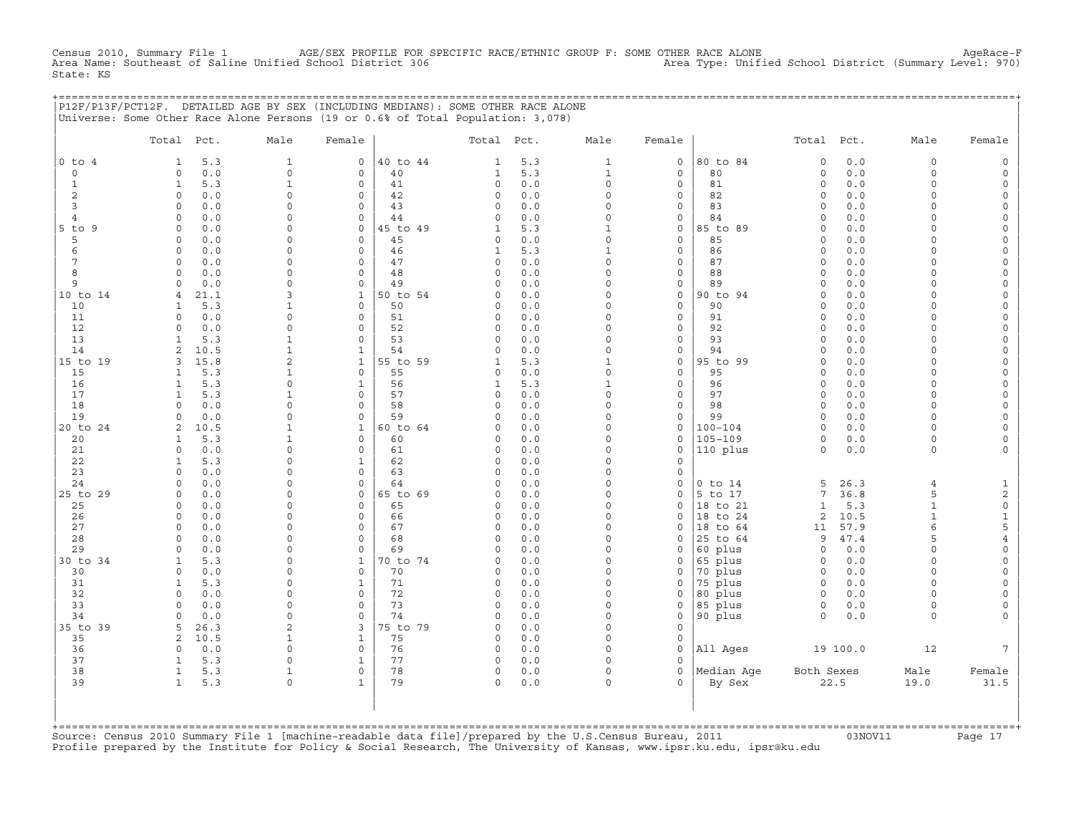Census 2010, Summary File 1 AGE/SEX PROFILE FOR SPECIFIC RACE/ETHNIC GROUP F: SOME OTHER RACE ALONE AgeRace−F<br>Area Name: Southeast of Saline Unified School District 306 Area Type: Unified School District (Summary Level: 9 Area Name: Southeast of Saline Unified School District 306 State: KS

|                |                |      | P12F/P13F/PCT12F. DETAILED AGE BY SEX (INCLUDING MEDIANS): SOME OTHER RACE ALONE |              |          |              |     |              |              |                |              |          |                |        |
|----------------|----------------|------|----------------------------------------------------------------------------------|--------------|----------|--------------|-----|--------------|--------------|----------------|--------------|----------|----------------|--------|
|                |                |      | Universe: Some Other Race Alone Persons (19 or 0.6% of Total Population: 3,078)  |              |          |              |     |              |              |                |              |          |                |        |
|                |                |      |                                                                                  |              |          |              |     |              |              |                |              |          |                |        |
|                | Total Pct.     |      | Male                                                                             | Female       |          | Total Pct.   |     | Male         | Female       |                | Total Pct.   |          | Male           | Female |
|                |                |      |                                                                                  |              |          |              |     |              |              |                |              |          |                |        |
| $0$ to $4$     |                | 5.3  | $\mathbf{1}$                                                                     | $\mathbf{0}$ | 40 to 44 | $\mathbf{1}$ | 5.3 | $\mathbf{1}$ | 0            | 80 to 84       | $\Omega$     | 0.0      | $\Omega$       |        |
| $\circ$        | $\Omega$       | 0.0  | $\Omega$                                                                         | $\mathbf 0$  | 40       | $\mathbf{1}$ | 5.3 | $\mathbf{1}$ | $\mathbf{0}$ | 80             | $\circ$      | 0.0      | $\cap$         |        |
| 1              | $\mathbf{1}$   | 5.3  | $\mathbf{1}$                                                                     | $\Omega$     | 41       | $\Omega$     | 0.0 | $\Omega$     | $\mathbf{0}$ | 81             | $\Omega$     | 0.0      |                |        |
| 2              | $\Omega$       | 0.0  | $\cap$                                                                           | $\Omega$     | 42       | $\Omega$     | 0.0 | $\Omega$     | $\mathbf{0}$ | 82             | $\Omega$     | 0.0      |                |        |
| 3              | $\Omega$       | 0.0  | $\Omega$                                                                         | $\Omega$     | 43       | $\Omega$     | 0.0 | $\Omega$     | $\mathbf{0}$ | 83             | $\Omega$     | 0.0      |                |        |
| $\overline{4}$ | $\Omega$       | 0.0  | $\Omega$                                                                         | $\Omega$     | 44       | $\cap$       | 0.0 | $\Omega$     | $\Omega$     | 84             | $\Omega$     | $0.0$    |                |        |
| $5$ to $9$     | $\Omega$       | 0.0  | $\Omega$                                                                         | $\mathbf 0$  | 45 to 49 | $\mathbf{1}$ | 5.3 | $\mathbf{1}$ | $\circ$      | 85 to 89       | $\Omega$     | 0.0      |                |        |
| 5              | $\Omega$       | 0.0  | $\Omega$                                                                         | $\Omega$     | 45       | $\Omega$     | 0.0 | $\Omega$     | $\circ$      | 85             | $\Omega$     | 0.0      | $\cap$         |        |
| 6              | $\Omega$       | 0.0  | $\Omega$                                                                         | $\Omega$     | 46       | $\mathbf{1}$ | 5.3 | $\mathbf{1}$ | $\circ$      | 86             | $\Omega$     | 0.0      | $\cap$         |        |
| 7              | $\Omega$       | 0.0  | $\Omega$                                                                         | $\Omega$     | 47       | $\Omega$     | 0.0 | $\Omega$     | $\circ$      | 87             | $\Omega$     | 0.0      |                |        |
|                | $\Omega$       |      | $\Omega$                                                                         | $\Omega$     | 48       | $\Omega$     | 0.0 | $\Omega$     |              | 88             | $\Omega$     | 0.0      |                |        |
| 8              |                | 0.0  |                                                                                  |              |          |              |     |              | $\mathbf{0}$ |                |              |          |                |        |
| 9              |                | 0.0  | $\Omega$                                                                         | $\Omega$     | 49       |              | 0.0 | $\Omega$     | $\mathbf{0}$ | 89             | $\Omega$     | 0.0      |                |        |
| 10 to 14       | $\overline{4}$ | 21.1 |                                                                                  | $\mathbf{1}$ | 50 to 54 | O            | 0.0 | $\Omega$     | $\mathbf{0}$ | 90 to 94       | $\Omega$     | 0.0      |                |        |
| 10             |                | 5.3  |                                                                                  | $\mathbf{0}$ | 50       | O            | 0.0 | $\Omega$     | $\mathbf{0}$ | 90             | $\Omega$     | 0.0      |                |        |
| 11             | $\Omega$       | 0.0  | $\Omega$                                                                         | $\mathbf 0$  | 51       | $\Omega$     | 0.0 | $\Omega$     | $\mathbf{0}$ | 91             | $\Omega$     | 0.0      |                |        |
| 12             | $\Omega$       | 0.0  | $\Omega$                                                                         | 0            | 52       | $\Omega$     | 0.0 | $\Omega$     | $\mathbf{0}$ | 92             | $\Omega$     | 0.0      |                |        |
| 13             | 1              | 5.3  | $\mathbf{1}$                                                                     | $\Omega$     | 53       | $\Omega$     | 0.0 | $\Omega$     | $\circ$      | 93             | $\Omega$     | 0.0      |                |        |
| 14             |                | 10.5 | $\mathbf{1}$                                                                     | $\mathbf{1}$ | 54       | $\cap$       | 0.0 | $\Omega$     | $\mathbf{0}$ | 94             | $\Omega$     | 0.0      |                |        |
| 15 to 19       | 3              | 15.8 |                                                                                  | $\mathbf{1}$ | 55 to 59 |              | 5.3 | $\mathbf{1}$ | $\circ$      | 95 to 99       | $\Omega$     | 0.0      |                |        |
| 15             |                | 5.3  |                                                                                  | $\mathbf{0}$ | 55       | $\Omega$     | 0.0 | $\Omega$     | $\mathbf{0}$ | 95             | $\Omega$     | 0.0      |                |        |
| 16             | $\mathbf{1}$   | 5.3  | $\Omega$                                                                         | $\mathbf{1}$ | 56       | $\mathbf{1}$ | 5.3 | $\mathbf{1}$ | $\mathbf{0}$ | 96             | $\Omega$     | 0.0      | $\Omega$       |        |
| 17             |                | 5.3  |                                                                                  | $\mathbf 0$  | 57       | $\Omega$     | 0.0 | $\Omega$     | $\mathbf{0}$ | 97             | $\mathbf 0$  | 0.0      | $\Omega$       |        |
| 18             | $\Omega$       | 0.0  | $\Omega$                                                                         | $\mathbf 0$  | 58       | $\Omega$     | 0.0 | $\Omega$     | $\mathbf{0}$ | 98             | $\Omega$     | 0.0      | $\Omega$       |        |
| 19             | $\Omega$       | 0.0  | $\Omega$                                                                         | $\Omega$     | 59       | $\Omega$     | 0.0 | $\Omega$     | $\mathbf{0}$ | 99             | $\circ$      | 0.0      | $\Omega$       |        |
| 20 to 24       | 2              | 10.5 |                                                                                  | $\mathbf{1}$ | 60 to 64 | $\cap$       | 0.0 | $\Omega$     | $\mathbf{0}$ | $100 - 104$    | $\Omega$     | 0.0      | $\cap$         |        |
| 20             |                | 5.3  |                                                                                  | 0            | 60       | $\Omega$     | 0.0 | $\Omega$     | $\mathbf{0}$ | $105 - 109$    | $\circ$      | 0.0      | $\Omega$       |        |
|                |                |      |                                                                                  |              |          |              |     |              |              |                |              |          |                |        |
| 21             | $\Omega$       | 0.0  | $\Omega$                                                                         | $\Omega$     | 61       | $\Omega$     | 0.0 | $\Omega$     | $\mathbf 0$  | 110 plus       | $\Omega$     | 0.0      | $\Omega$       |        |
| 22             |                | 5.3  | $\Omega$                                                                         | $\mathbf{1}$ | 62       | $\Omega$     | 0.0 | $\Omega$     | $\Omega$     |                |              |          |                |        |
| 23             | $\Omega$       | 0.0  | $\Omega$                                                                         | $\Omega$     | 63       | $\cap$       | 0.0 | $\cap$       | $\Omega$     |                |              |          |                |        |
| 24             | $\Omega$       | 0.0  | $\Omega$                                                                         | $\Omega$     | 64       | $\Omega$     | 0.0 | $\Omega$     | $\mathbf 0$  | $0$ to $14$    | 5            | 26.3     | $\overline{4}$ |        |
| 25 to 29       | $\Omega$       | 0.0  | $\Omega$                                                                         | $\Omega$     | 65 to 69 |              | 0.0 | $\Omega$     | $\Omega$     | 5 to 17        | 7            | 36.8     | 5              |        |
| 25             | $\Omega$       | 0.0  | $\Omega$                                                                         | $\mathbf 0$  | 65       | $\Omega$     | 0.0 | $\Omega$     | $\mathbf 0$  | 18 to 21       | $\mathbf{1}$ | 5.3      | $\mathbf{1}$   |        |
| 26             | $\Omega$       | 0.0  | $\Omega$                                                                         | $\mathbf 0$  | 66       | $\Omega$     | 0.0 | $\Omega$     | $\Omega$     | 18 to 24       | 2            | 10.5     |                |        |
| 27             | $\Omega$       | 0.0  |                                                                                  | $\Omega$     | 67       | $\Omega$     | 0.0 | $\Omega$     | $\mathbf 0$  | 18 to 64       | 11           | 57.9     |                |        |
| 28             | $\Omega$       | 0.0  | $\Omega$                                                                         | $\Omega$     | 68       | $\Omega$     | 0.0 | $\Omega$     | $\Omega$     | 25 to 64       | 9            | 47.4     | 5              |        |
| 29             | $\Omega$       | 0.0  | $\Omega$                                                                         | $\Omega$     | 69       | $\Omega$     | 0.0 | $\Omega$     | $\mathbf 0$  | 60 plus        | $\circ$      | 0.0      | $\Omega$       |        |
| 30 to 34       |                | 5.3  | $\Omega$                                                                         | $\mathbf{1}$ | 70 to 74 | $\Omega$     | 0.0 | $\Omega$     | 0            | 65 plus        | $\Omega$     | 0.0      | $\cap$         |        |
| 30             | $\Omega$       | 0.0  | $\Omega$                                                                         | $\mathbf{0}$ | 70       | $\Omega$     | 0.0 | $\Omega$     | $\mathbf{0}$ | 70 plus        | $\Omega$     | 0.0      | $\Omega$       |        |
| 31             | $\mathbf{1}$   | 5.3  | $\Omega$                                                                         | $\mathbf{1}$ | 71       | $\Omega$     | 0.0 | $\Omega$     | 0            | 75 plus        | $\Omega$     | 0.0      |                |        |
| 32             | $\Omega$       | 0.0  | $\Omega$                                                                         | $\mathbf{0}$ | 72       | $\Omega$     | 0.0 | $\Omega$     | 0            | 80 plus        | $\circ$      | 0.0      |                |        |
| 33             |                | 0.0  | $\Omega$                                                                         | $\mathbf 0$  | 73       | O            | 0.0 | $\Omega$     | 0            | 85 plus        | $\mathbf 0$  | 0.0      | $\Omega$       |        |
| 34             |                |      | $\cap$                                                                           | $\mathbf 0$  | 74       |              | 0.0 | $\Omega$     | $\mathbf 0$  | 90 plus        | $\circ$      | 0.0      | $\Omega$       |        |
|                |                | 0.0  |                                                                                  |              |          |              |     |              |              |                |              |          |                |        |
| 35 to 39       |                | 26.3 |                                                                                  | 3            | 75 to 79 |              | 0.0 |              | $\Omega$     |                |              |          |                |        |
| 35             |                | 10.5 |                                                                                  | $\mathbf{1}$ | 75       | $\Omega$     | 0.0 | $\Omega$     | 0            |                |              |          |                |        |
| 36             | $\Omega$       | 0.0  | $\Omega$                                                                         | $\Omega$     | 76       | $\Omega$     | 0.0 | $\Omega$     |              | $0$   All Ages |              | 19 100.0 | 12             | 7      |

| | +===================================================================================================================================================+ Source: Census 2010 Summary File 1 [machine-readable data file]/prepared by the U.S.Census Bureau, 2011 Page 17<br>Profile prepared by the Institute for Policy & Social Research, The University of Kansas, www

| 37 1 5.3 0 1 | 77 0 0.0 0 0 | | | 38 1 5.3 1 0 | 78 0 0.0 0 0 |Median Age Both Sexes Male Female | | 39 1 5.3 0 1 | 79 0 0.0 0 0 | By Sex 22.5 19.0 31.5 | | | | | | | | |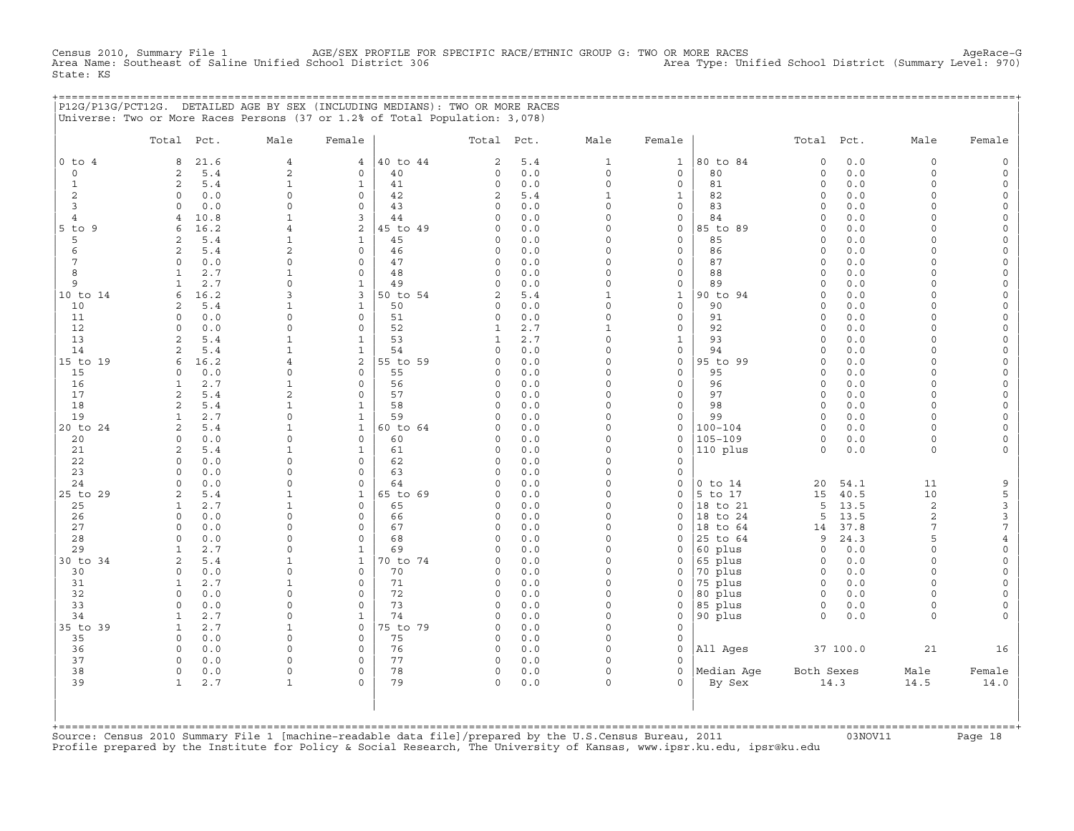CHE 1 AGE/SEX PROFILE FOR SPECIFIC RACE/ETHNIC GROUP G: TWO OR MORE RACES Achool District (Summary Level: 970<br>(970) Area Type: Unified School District (Summary Level: 970 Census 2010, Summary File 1 AGE/SEX PROFILE FOR<br>Area Name: Southeast of Saline Unified School District 306 State: KS

+===================================================================================================================================================+

|                | P12G/P13G/PCT12G. DETAILED AGE BY SEX (INCLUDING MEDIANS): TWO OR MORE RACES<br>Universe: Two or More Races Persons (37 or 1.2% of Total Population: 3,078) |                             |                              |                |                              |            |                          |                              |                        |                      |              |                            |                                 |
|----------------|-------------------------------------------------------------------------------------------------------------------------------------------------------------|-----------------------------|------------------------------|----------------|------------------------------|------------|--------------------------|------------------------------|------------------------|----------------------|--------------|----------------------------|---------------------------------|
|                | Total Pct.                                                                                                                                                  | Male                        | Female                       |                | Total                        | Pct.       | Male                     | Female                       |                        | Total Pct.           |              | Male                       | Female                          |
| $0$ to $4$     | 21.6<br>8                                                                                                                                                   | $\overline{4}$              | $\overline{4}$               | 40 to 44       | 2                            | 5.4        | $\mathbf{1}$             | $\mathbf{1}$                 | 80 to 84               | $\mathsf O$          | 0.0          | $\mathbf 0$                | $\mathbf 0$                     |
| $\circ$        | 5.4<br>2                                                                                                                                                    | $\overline{c}$              | 0                            | 40             | 0                            | 0.0        | 0                        | $\circ$                      | 80                     | $\circ$              | 0.0          | $\mathbf 0$                | $\circ$                         |
| $\mathbf{1}$   | 2<br>5.4                                                                                                                                                    | $\mathbf{1}$<br>$\Omega$    | $\mathbf{1}$<br>$\mathbf 0$  | 41             | $\circ$                      | 0.0        | 0                        | $\mathsf{O}\xspace$          | 81                     | 0<br>$\Omega$        | 0.0          | $\mathbf 0$<br>$\Omega$    | $\circ$<br>$\Omega$             |
| 2<br>3         | $\mathbf 0$<br>0.0<br>$\Omega$<br>0.0                                                                                                                       | $\Omega$                    | $\Omega$                     | 42<br>43       | $\overline{c}$<br>$\circ$    | 5.4<br>0.0 | $\mathbf{1}$<br>$\circ$  | $\mathbf 1$<br>$\mathbf{0}$  | 82<br>83               | $\Omega$             | 0.0<br>0.0   | $\Omega$                   | $\Omega$                        |
| $\overline{4}$ | 10.8<br>$\overline{4}$                                                                                                                                      | 1                           | 3                            | 44             | $\circ$                      | 0.0        | $\circ$                  | $\mathbf{0}$                 | 84                     | $\circ$              | 0.0          | $\Omega$                   | $\Omega$                        |
| $5$ to $9$     | 16.2<br>6                                                                                                                                                   | $\overline{4}$              | 2                            | 45 to 49       | $\Omega$                     | 0.0        | $\circ$                  | $\mathbf 0$                  | 85 to 89               | $\Omega$             | 0.0          | $\Omega$                   | $\Omega$                        |
| 5              | 5.4<br>2                                                                                                                                                    | $\mathbf{1}$                | $\mathbf{1}$                 | 45             | $\mathbf 0$                  | 0.0        | $\circ$                  | $\circ$                      | 85                     | $\Omega$             | 0.0          | $\Omega$                   | $\Omega$                        |
| 6              | 2<br>5.4                                                                                                                                                    | $\overline{\mathbf{c}}$     | $\mathbf 0$                  | 46             | 0                            | 0.0        | $\Omega$                 | $\circ$                      | 86                     | $\mathbf 0$          | 0.0          | $\Omega$                   | $\Omega$                        |
| 7<br>8         | $\Omega$<br>0.0<br>2.7<br>$\mathbf{1}$                                                                                                                      | $\Omega$<br>$\mathbf{1}$    | $\mathbf 0$<br>$\mathbf 0$   | 47<br>48       | $\mathbf 0$<br>$\Omega$      | 0.0<br>0.0 | $\circ$<br>$\circ$       | $\mathbf{0}$<br>$\mathbf{0}$ | 87<br>88               | $\Omega$<br>$\Omega$ | 0.0<br>0.0   | $\Omega$<br>$\Omega$       | $\circ$<br>$\Omega$             |
| 9              | $\mathbf{1}$<br>2.7                                                                                                                                         | $\mathbf 0$                 | $\mathbf{1}$                 | 49             | $\circ$                      | 0.0        | $\mathbf 0$              | $\circ$                      | 89                     | $\circ$              | 0.0          | $\Omega$                   | $\Omega$                        |
| 10 to 14       | 16.2<br>6                                                                                                                                                   | 3                           | 3                            | 50 to 54       | 2                            | $5.4$      | $\mathbf 1$              | $\mathbf{1}$                 | 90 to 94               | $\mathbf 0$          | 0.0          | $\Omega$                   | $\Omega$                        |
| 10             | 5.4<br>2                                                                                                                                                    | $\mathbf{1}$                | $\mathbf{1}$                 | 50             | 0                            | 0.0        | $\circ$                  | $\circ$                      | 90                     | $\Omega$             | 0.0          | $\cap$                     | $\Omega$                        |
| 11             | $\Omega$<br>0.0                                                                                                                                             | $\Omega$                    | $\mathbf 0$                  | 51             | $\circ$                      | 0.0        | $\circ$                  | $\circ$                      | 91                     | $\mathbf 0$          | 0.0          | $\Omega$                   | $\Omega$                        |
| 12<br>13       | 0.0<br>$\Omega$<br>2                                                                                                                                        | $\Omega$<br>$\mathbf{1}$    | $\Omega$<br>$\mathbf{1}$     | 52<br>53       | $\mathbf{1}$<br>$\mathbf{1}$ | 2.7<br>2.7 | $\mathbf{1}$<br>$\Omega$ | 0<br>$\mathbf 1$             | 92<br>93               | $\Omega$<br>$\Omega$ | 0.0<br>0.0   | $\Omega$<br>$\Omega$       | $\Omega$<br>$\Omega$            |
| 14             | 5.4<br>2<br>5.4                                                                                                                                             | $\mathbf{1}$                | $\mathbf{1}$                 | 54             | 0                            | 0.0        | 0                        | $\circ$                      | 94                     | $\Omega$             | 0.0          | $\Omega$                   | $\Omega$                        |
| 15 to 19       | 16.2<br>6                                                                                                                                                   | $\overline{4}$              | 2                            | 55 to 59       | $\Omega$                     | 0.0        | $\circ$                  | $\circ$                      | 95 to 99               | $\Omega$             | 0.0          | $\Omega$                   | $\circ$                         |
| 15             | 0.0<br>$\Omega$                                                                                                                                             | $\Omega$                    | $\Omega$                     | 55             | $\Omega$                     | 0.0        | $\Omega$                 | $\mathbf{0}$                 | 95                     | $\Omega$             | 0.0          | $\Omega$                   | $\Omega$                        |
| 16             | 2.7<br>1                                                                                                                                                    | 1                           | $\mathbf 0$                  | 56             | 0                            | 0.0        | $\Omega$                 | $\circ$                      | 96                     | $\Omega$             | 0.0          | $\Omega$                   | $\Omega$                        |
| 17             | 2<br>5.4                                                                                                                                                    | $\overline{\mathbf{c}}$     | $\Omega$                     | 57             | 0                            | 0.0        | $\circ$                  | $\circ$                      | 97                     | $\circ$              | 0.0          | $\Omega$                   | $\Omega$                        |
| 18<br>19       | 2<br>5.4<br>2.7<br>$\mathbf{1}$                                                                                                                             | $\mathbf{1}$<br>$\Omega$    | $\mathbf{1}$<br>$\mathbf{1}$ | 58<br>59       | $\Omega$<br>$\Omega$         | 0.0<br>0.0 | $\Omega$<br>$\Omega$     | $\circ$<br>$\mathbf{0}$      | 98<br>99               | $\Omega$<br>$\Omega$ | 0.0<br>0.0   | $\mathbf 0$<br>$\Omega$    | $\Omega$<br>$\Omega$            |
| 20 to 24       | 2<br>5.4                                                                                                                                                    | $\mathbf{1}$                | $\mathbf{1}$                 | 60 to 64       | $\Omega$                     | 0.0        | $\Omega$                 | 0                            | $100 - 104$            | $\Omega$             | 0.0          | $\Omega$                   | $\Omega$                        |
| 20             | $\Omega$<br>0.0                                                                                                                                             | $\Omega$                    | $\mathbf 0$                  | 60             | $\Omega$                     | 0.0        | $\Omega$                 | $\circ$                      | $105 - 109$            | $\circ$              | 0.0          | $\Omega$                   | $\Omega$                        |
| 21             | 2<br>5.4                                                                                                                                                    | $\mathbf{1}$                | $\mathbf{1}$                 | 61             | $\Omega$                     | 0.0        | $\circ$                  | $\circ$                      | 110 plus               | $\circ$              | 0.0          | $\Omega$                   | $\Omega$                        |
| 22             | $\mathbf 0$<br>0.0                                                                                                                                          | $\Omega$                    | $\mathbf 0$                  | 62             | 0                            | 0.0        | $\circ$                  | $\mathbf 0$                  |                        |                      |              |                            |                                 |
| 23<br>24       | 0.0<br>$\Omega$<br>$\Omega$                                                                                                                                 | $\Omega$<br>$\Omega$        | 0<br>$\Omega$                | 63<br>64       | 0<br>$\Omega$                | 0.0<br>0.0 | $\Omega$<br>$\Omega$     | 0                            |                        |                      |              | 11                         |                                 |
| 25 to 29       | 0.0<br>2<br>5.4                                                                                                                                             | $\mathbf{1}$                | $\mathbf{1}$                 | 65 to 69       | $\circ$                      | 0.0        | $\circ$                  | 0<br>$\mathsf{O}\xspace$     | $0$ to $14$<br>5 to 17 | 20<br>15             | 54.1<br>40.5 | 10                         | 9<br>5                          |
| 25             | 2.7<br>1                                                                                                                                                    | $\mathbf{1}$                | $\mathbf 0$                  | 65             | $\Omega$                     | 0.0        | $\Omega$                 | $\mathbf 0$                  | 18 to 21               | 5                    | 13.5         | $\sqrt{2}$                 | $\mathsf 3$                     |
| 26             | $\Omega$<br>0.0                                                                                                                                             | $\Omega$                    | $\Omega$                     | 66             | $\Omega$                     | 0.0        | $\Omega$                 | $\Omega$                     | 18 to 24               | 5                    | 13.5         | $\mathbf{2}$               | $\ensuremath{\mathsf{3}}$       |
| 27             | $\Omega$<br>0.0                                                                                                                                             | $\Omega$                    | $\Omega$                     | 67             | $\circ$                      | 0.0        | $\Omega$                 | 0                            | 18 to 64               | 14                   | 37.8         | $7\phantom{.0}$            | $\overline{7}$                  |
| 28             | $\Omega$<br>0.0                                                                                                                                             | $\mathbf 0$                 | $\mathbf 0$                  | 68             | $\mathbf 0$                  | 0.0        | $\circ$                  | 0                            | 25 to 64               | 9                    | 24.3         | 5                          | $\overline{4}$                  |
| 29<br>30 to 34 | 2.7<br>$\mathbf{1}$<br>2<br>5.4                                                                                                                             | $\Omega$<br>$\mathbf{1}$    | $\mathbf{1}$<br>$\mathbf{1}$ | 69<br>70 to 74 | $\Omega$<br>0                | 0.0<br>0.0 | $\circ$<br>$\circ$       | $\mathbf 0$<br>0             | 60 plus<br>65 plus     | $\circ$<br>$\circ$   | 0.0<br>0.0   | $\mathbf 0$<br>$\mathbf 0$ | $\mathsf{O}\xspace$<br>$\Omega$ |
| 30             | $\Omega$<br>0.0                                                                                                                                             | $\Omega$                    | $\Omega$                     | 70             | $\circ$                      | 0.0        | $\Omega$                 | $\mathbf 0$                  | 70 plus                | $\circ$              | 0.0          | $\Omega$                   | $\Omega$                        |
| 31             | 2.7<br>1                                                                                                                                                    | 1                           | $\circ$                      | 71             | $\Omega$                     | 0.0        | $\circ$                  | $\mathbf 0$                  | 75 plus                | $\circ$              | 0.0          | $\Omega$                   | $\Omega$                        |
| 32             | $\mathbf{0}$<br>0.0                                                                                                                                         | $\Omega$                    | $\mathbf 0$                  | 72             | $\Omega$                     | 0.0        | $\circ$                  | $\mathbf 0$                  | 80 plus                | $\circ$              | 0.0          | $\Omega$                   | $\Omega$                        |
| 33             | $\Omega$<br>0.0                                                                                                                                             | $\Omega$                    | $\mathbf 0$                  | 73             | $\circ$                      | 0.0        | $\Omega$                 | 0                            | 85 plus                | $\circ$              | $0.0$        | $\Omega$                   | $\Omega$                        |
| 34             | 2.7<br>1                                                                                                                                                    | $\mathbf 0$                 | $\mathbf{1}$                 | 74             | 0                            | 0.0        | 0                        | 0                            | 90 plus                | $\Omega$             | 0.0          | $\Omega$                   |                                 |
| 35 to 39<br>35 | $\mathbf{1}$<br>2.7<br>$\mathbf 0$<br>0.0                                                                                                                   | $\mathbf{1}$<br>$\mathbf 0$ | $\mathbf 0$<br>$\mathbf 0$   | 75 to 79<br>75 | $\Omega$<br>$\mathbf 0$      | 0.0<br>0.0 | $\Omega$<br>$\circ$      | $\circ$<br>$\mathbf 0$       |                        |                      |              |                            |                                 |
| 36             | $\mathbf 0$<br>0.0                                                                                                                                          | $\Omega$                    | 0                            | 76             | $\circ$                      | 0.0        | $\Omega$                 | $\circ$                      | All Ages               |                      | 37 100.0     | 21                         | 16                              |
| 37             | $\Omega$<br>0.0                                                                                                                                             | $\Omega$                    | $\mathbf 0$                  | 77             | $\circ$                      | 0.0        | $\Omega$                 | $\Omega$                     |                        |                      |              |                            |                                 |
| 38             | $\mathbf 0$<br>0.0                                                                                                                                          | $\mathbf 0$                 | $\mathbf 0$                  | 78             | $\mathbf 0$                  | 0.0        | $\circ$                  | $\circ$                      | Median Aqe             | Both Sexes           |              | Male                       | Female                          |
| 39             | 2.7<br>$\mathbf{1}$                                                                                                                                         | 1                           | $\Omega$                     | 79             | $\mathbf 0$                  | 0.0        | $\circ$                  | $\cap$                       | By Sex                 |                      | 14.3         | 14.5                       | 14.0                            |
|                |                                                                                                                                                             |                             |                              |                |                              |            |                          |                              |                        |                      |              |                            |                                 |
|                |                                                                                                                                                             |                             |                              |                |                              |            |                          |                              |                        |                      |              |                            |                                 |
|                |                                                                                                                                                             |                             |                              |                |                              |            |                          |                              |                        |                      |              |                            |                                 |

Source: Census 2010 Summary File 1 [machine-readable data file]/prepared by the U.S.Census Bureau, 2011 Page 18<br>Profile prepared by the Institute for Policy & Social Research, The University of Kansas, www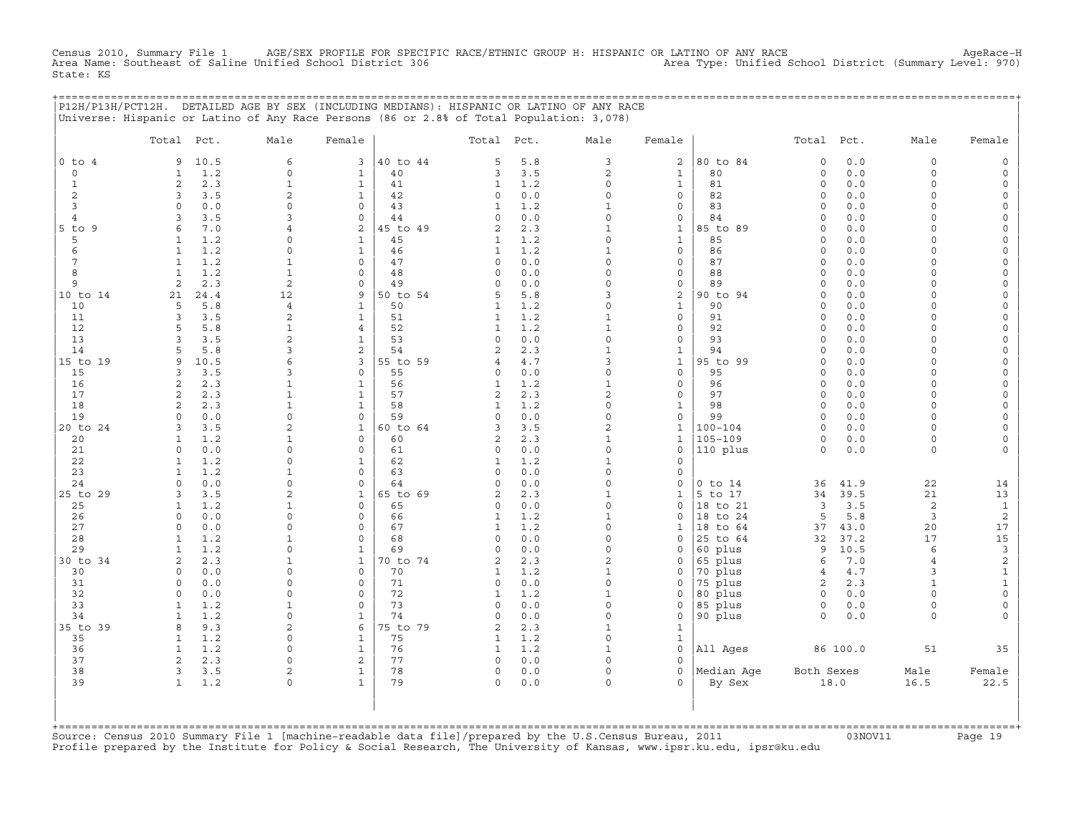Census 2010, Summary File 1 AGE/SEX PROFILE FOR SPECIFIC RACE/ETHNIC GROUP H: HISPANIC OR LATINO OF ANY RACE AgeRace−H Area Name: Southeast of Saline Unified School District 306 Area Type: Unified School District (Summary Level: 970) State: KS

+===================================================================================================================================================+

|                     | Universe: Hispanic or Latino of Any Race Persons (86 or 2.8% of Total Population: 3,078) |                                |                        |                |                     |            |                                     |                                     |                |                        |            |                      |                                     |
|---------------------|------------------------------------------------------------------------------------------|--------------------------------|------------------------|----------------|---------------------|------------|-------------------------------------|-------------------------------------|----------------|------------------------|------------|----------------------|-------------------------------------|
|                     | Total Pct.                                                                               | Male                           | Female                 |                | Total Pct.          |            | Male                                | Female                              |                | Total Pct.             |            | Male                 | Female                              |
| $0$ to $4$          | 10.5<br>9                                                                                | 6                              | 3                      | 40 to 44       | 5                   | $5.8$      | 3                                   | $\overline{c}$                      | 80 to 84       | $\circ$                | 0.0        | 0                    | $\mathsf{O}\xspace$                 |
| $\circ$             | $\mathbf{1}$<br>1.2                                                                      | $\circ$                        | $\mathbf{1}$           | 40             | 3                   | 3.5        | $\overline{c}$                      | $\mathbf{1}$                        | 80             | $\circ$                | 0.0        | $\circ$              | $\mathsf{O}\xspace$                 |
| $\mathbf{1}$        | $\overline{a}$<br>2.3                                                                    | $\mathbf{1}$                   | $\mathbf{1}$           | 41             | $\mathbf{1}$        | 1.2        | $\mathsf{O}\xspace$                 | $\mathbf{1}$                        | 81             | $\circ$                | 0.0        | 0                    | $\mathsf{O}$                        |
| $\mathbf{2}$        | 3<br>3.5                                                                                 | $\overline{2}$                 | $\mathbf{1}$           | 42             | 0                   | $0.0$      | $\mathsf{O}\xspace$                 | $\mathsf{O}\xspace$                 | 82             | $\circ$                | 0.0        | $\mathbf 0$          | $\mathsf O$                         |
| 3                   | $\Omega$<br>0.0                                                                          | $\Omega$                       | $\Omega$               | 43             | $\mathbf 1$         | 1.2        | $\mathbf{1}$                        | $\circ$                             | 83             | $\mathbf 0$            | 0.0        | $\Omega$             | $\mathsf O$                         |
| $\overline{4}$<br>9 | 3<br>3.5<br>6                                                                            | 3                              | $\mathsf{O}\xspace$    | 44<br>45 to 49 | 0                   | 0.0        | $\mathsf{O}\xspace$<br>$\mathbf{1}$ | $\mathsf{O}\xspace$                 | 84             | $\circ$                | 0.0        | $\Omega$<br>$\Omega$ | $\mathsf{O}\xspace$                 |
| $5$ to<br>5         | 7.0<br>1.2<br>1                                                                          | 4<br>$\Omega$                  | 2<br>$\mathbf{1}$      | 45             | 2<br>1              | 2.3<br>1.2 | $\circ$                             | $\mathbf{1}$<br>$\mathbf{1}$        | 85 to 89<br>85 | $\circ$<br>$\mathbf 0$ | 0.0<br>0.0 | $\Omega$             | $\mathsf{O}\xspace$<br>$\mathsf{O}$ |
| 6                   | 1.2<br>$\mathbf{1}$                                                                      | $\mathbf 0$                    | $\mathbf{1}$           | 46             | $\mathbf{1}$        | 1.2        | $\mathbf{1}$                        | $\mathsf{O}\xspace$                 | 86             | $\circ$                | 0.0        | $\Omega$             | $\mathsf{O}\xspace$                 |
| 7                   | $\mathbf{1}$<br>1.2                                                                      | $\mathbf{1}$                   | $\mathbf 0$            | 47             | 0                   | 0.0        | $\Omega$                            | 0                                   | 87             | $\circ$                | 0.0        | $\Omega$             | 0                                   |
| 8                   | $\mathbf{1}$<br>1.2                                                                      | $\mathbf{1}$                   | $\mathbf 0$            | 48             | $\Omega$            | 0.0        | $\Omega$                            | $\mathsf{O}\xspace$                 | 88             | $\circ$                | 0.0        | $\Omega$             | $\mathbb O$                         |
| 9                   | 2<br>2.3                                                                                 | 2                              | $\circ$                | 49             | $\Omega$            | 0.0        | $\Omega$                            | $\mathsf{O}\xspace$                 | 89             | $\circ$                | 0.0        | $\Omega$             | $\mathsf{O}\xspace$                 |
| 10 to 14            | 21<br>24.4                                                                               | 12                             | 9                      | 50 to 54       | 5                   | $5.8$      | 3                                   | $\overline{c}$                      | 90 to 94       | $\circ$                | 0.0        | $\Omega$             | $\mathsf{O}\xspace$                 |
| 10                  | 5<br>5.8                                                                                 | $\overline{4}$                 | $\mathbf{1}$           | 50             | $\mathbf{1}$        | 1.2        | $\circ$                             | $\mathbf{1}$                        | 90             | $\circ$                | 0.0        | $\Omega$             | $\mathsf O$                         |
| 11                  | 3<br>3.5                                                                                 | 2                              | $\mathbf{1}$           | 51             | $\mathbf{1}$        | 1.2        | $\mathbf{1}$                        | $\mathsf{O}\xspace$                 | 91             | $\circ$                | 0.0        | $\Omega$             | 0                                   |
| 12                  | 5<br>5.8                                                                                 | $\mathbf{1}$                   | $\overline{4}$         | 52             | $\mathbf{1}$        | 1.2        | $\mathbf{1}$                        | $\mathsf{O}\xspace$                 | 92             | $\circ$                | 0.0        | $\mathbf 0$          | $\mathsf{O}\xspace$                 |
| 13                  | 3<br>3.5                                                                                 | 2                              | $\mathbf{1}$           | 53             | 0                   | 0.0        | $\circ$                             | 0                                   | 93             | $\circ$                | 0.0        | $\Omega$             | 0                                   |
| 14                  | 5<br>5.8                                                                                 | 3                              | $\overline{c}$         | 54             | $\overline{c}$      | 2.3        | $\mathbf 1$                         | $\mathbf{1}$                        | 94             | $\circ$                | 0.0        | $\Omega$             | $\mathsf{O}\xspace$                 |
| 15 to 19            | 9<br>10.5                                                                                | 6                              | 3                      | 55 to 59       | $\overline{4}$      | 4.7        | 3                                   | $\mathbf{1}$                        | 95 to 99       | $\circ$                | 0.0        | $\Omega$             | $\mathsf{O}\xspace$                 |
| 15                  | 3<br>3.5                                                                                 | 3                              | $\mathbf 0$            | 55             | 0                   | 0.0        | $\circ$                             | 0                                   | 95             | $\circ$                | 0.0        | $\Omega$             | 0                                   |
| 16                  | $\overline{a}$<br>2.3                                                                    | $\mathbf{1}$                   | $\mathbf{1}$           | 56             | $\mathbf 1$         | 1.2        | $\mathbf{1}$                        | $\mathsf{O}\xspace$                 | 96             | $\circ$                | 0.0        | $\Omega$             | $\mathsf{O}\xspace$                 |
| 17                  | 2<br>2.3                                                                                 | $\mathbf{1}$                   | $\mathbf{1}$           | 57             | 2                   | 2.3        | $\sqrt{2}$                          | 0                                   | 97             | $\mathbf 0$            | 0.0        | $\Omega$             | 0                                   |
| 18                  | $\overline{a}$<br>2.3                                                                    | $\mathbf{1}$                   | $\mathbf{1}$           | 58             | $\mathbf{1}$        | 1.2        | $\mathsf{O}\xspace$                 | $\mathbf{1}$                        | 98             | $\circ$                | 0.0        | $\mathbf 0$          | $\mathsf{O}\xspace$                 |
| 19                  | 0.0<br>$\Omega$                                                                          | $\Omega$                       | $\mathbf 0$            | 59             | $\Omega$            | 0.0        | $\Omega$                            | $\mathsf{O}\xspace$                 | 99             | $\circ$                | 0.0        | $\Omega$             | $\mathsf{O}\xspace$                 |
| 20 to 24            | 3.5<br>3                                                                                 | $\overline{2}$<br>$\mathbf{1}$ | $\mathbf{1}$           | 60 to 64       | 3<br>$\overline{2}$ | 3.5        | $\sqrt{2}$                          | $\mathbf{1}$                        | $100 - 104$    | $\circ$<br>$\Omega$    | 0.0        | $\Omega$<br>$\Omega$ | $\mathsf O$                         |
| 20                  | 1.2<br>$\mathbf{1}$<br>$\circ$                                                           | $\Omega$                       | $\mathbf 0$<br>$\circ$ | 60             | 0                   | 2.3        | $\mathbf 1$<br>$\circ$              | $\mathbf{1}$<br>$\mathsf{O}\xspace$ | $105 - 109$    | $\circ$                | 0.0        | $\circ$              | $\mathsf{O}\xspace$                 |
| 21<br>22            | 0.0<br>$\mathbf{1}$<br>1.2                                                               | $\Omega$                       | $\mathbf 1$            | 61<br>62       | $\mathbf{1}$        | 0.0<br>1.2 | $\mathbf{1}$                        | $\mathsf{O}\xspace$                 | 110 plus       |                        | 0.0        |                      | 0                                   |
| 23                  | $\mathbf{1}$<br>1.2                                                                      | 1                              | $\mathbf 0$            | 63             | 0                   | 0.0        | $\Omega$                            | 0                                   |                |                        |            |                      |                                     |
| 24                  | 0.0<br>$\Omega$                                                                          | $\Omega$                       | $\circ$                | 64             | $\Omega$            | 0.0        | $\Omega$                            | $\mathbf 0$                         | $0$ to $14$    | 36                     | 41.9       | 22                   | 14                                  |
| 25 to 29            | 3.5<br>3                                                                                 | $\overline{2}$                 | $\mathbf{1}$           | 65 to 69       | $\overline{2}$      | 2.3        | $\mathbf{1}$                        | $\mathbf{1}$                        | 5 to 17        | 34                     | 39.5       | 21                   | 13                                  |
| 25                  | 1.2<br>1                                                                                 | 1                              | 0                      | 65             | 0                   | 0.0        | $\Omega$                            | 0                                   | 18 to 21       | 3                      | 3.5        | $\mathbf{2}$         | $\mathbf 1$                         |
| 26                  | $\Omega$<br>0.0                                                                          | $\Omega$                       | $\Omega$               | 66             | 1                   | 1.2        | $\mathbf{1}$                        | $\Omega$                            | 18 to 24       | 5                      | 5.8        | 3                    | $\sqrt{2}$                          |
| 27                  | $\circ$<br>0.0                                                                           | $\Omega$                       | $\circ$                | 67             | $\mathbf{1}$        | 1.2        | $\circ$                             | $\mathbf{1}$                        | 18<br>to 64    | 37                     | 43.0       | 20                   | 17                                  |
| 28                  | 1.2<br>$\mathbf{1}$                                                                      | $\mathbf{1}$                   | $\mathbf 0$            | 68             | 0                   | 0.0        | 0                                   | 0                                   | 25 to 64       | 32                     | 37.2       | 17                   | 15                                  |
| 29                  | 1.2<br>$\mathbf{1}$                                                                      | $\Omega$                       | $\mathbf{1}$           | 69             | $\Omega$            | 0.0        | $\Omega$                            | $\mathbf 0$                         | 60 plus        | 9                      | 10.5       | 6                    | $\mathbf{3}$                        |
| 30 to 34            | $\overline{a}$<br>2.3                                                                    | $\mathbf{1}$                   | $\mathbf{1}$           | 70 to 74       | 2                   | 2.3        | $\overline{c}$                      | 0                                   | 65 plus        | 6                      | 7.0        | $\overline{4}$       | $\sqrt{2}$                          |
| 30                  | 0.0<br>$\Omega$                                                                          | $\Omega$                       | $\mathbf 0$            | 70             | $\mathbf{1}$        | 1.2        | $\mathbf{1}$                        | 0                                   | 70 plus        | $\overline{4}$         | 4.7        | 3                    | $\mathbf 1$                         |
| 31                  | 0.0<br>0                                                                                 | $\Omega$                       | $\Omega$               | 71             | $\circ$             | 0.0        | $\Omega$                            | $\mathbf 0$                         | 75 plus        | 2                      | 2.3        | $\mathbf{1}$         | $1\,$                               |
| 32                  | $0.0$<br>$\circ$                                                                         | $\mathbf 0$                    | $\mathsf{O}\xspace$    | 72             | $\mathbf{1}$        | 1.2        | $\mathbf{1}$                        | 0                                   | 80 plus        | $\circ$                | 0.0        | 0                    | $\mathsf{O}$                        |
| 33                  | 1.2<br>$\mathbf{1}$                                                                      | $\mathbf{1}$                   | $\circ$                | 73             | 0                   | 0.0        | $\mathsf{O}\xspace$                 | 0                                   | 85 plus        | $\circ$                | 0.0        | $\circ$              | $\mathsf{O}$                        |
| 34                  | $\mathbf{1}$<br>1.2                                                                      | $\Omega$                       | $\mathbf{1}$           | 74             | $\Omega$            | 0.0        | $\circ$                             | $\mathsf{O}\xspace$                 | 90 plus        | $\circ$                | 0.0        | $\circ$              | $\mathsf O$                         |
| 35 to 39            | 9.3<br>8                                                                                 | $\overline{2}$                 | 6                      | 75 to 79       | 2                   | 2.3        | $\mathbf{1}$                        | $\mathbf{1}$                        |                |                        |            |                      |                                     |
| 35                  | 1.2<br>1                                                                                 | 0                              | 1                      | 75             | 1                   | 1.2        | 0                                   | $\mathbf{1}$                        |                |                        |            |                      |                                     |
| 36                  | $\mathbf{1}$<br>1.2                                                                      | $\Omega$                       | $\mathbf 1$            | 76             | $\mathbf{1}$        | 1.2        | $\mathbf{1}$                        | $\mathsf{O}\xspace$                 | All Ages       |                        | 86 100.0   | 51                   | 35                                  |
| 37                  | 2<br>2.3                                                                                 | $\Omega$                       | $\mathbf{2}$           | 77             | 0                   | 0.0        | $\circ$                             | $\Omega$                            |                |                        |            |                      |                                     |
| 38                  | 3<br>3.5                                                                                 | $\overline{2}$                 | $\mathbf{1}$           | 78             | 0                   | 0.0        | $\mathsf{O}\xspace$                 | $\mathbf 0$<br>$\Omega$             | Median Aqe     | Both Sexes             |            | Male                 | Female                              |
| 39                  | 1.2<br>$\mathbf{1}$                                                                      | $\Omega$                       | $\mathbf{1}$           | 79             | $\circ$             | 0.0        | $\circ$                             |                                     | By Sex         |                        | 18.0       | 16.5                 | 22.5                                |

+===================================================================================================================================================+Source: Census 2010 Summary File 1 [machine−readable data file]/prepared by the U.S.Census Bureau, 2011 03NOV11 Page 19 Profile prepared by the Institute for Policy & Social Research, The University of Kansas, www.ipsr.ku.edu, ipsr@ku.edu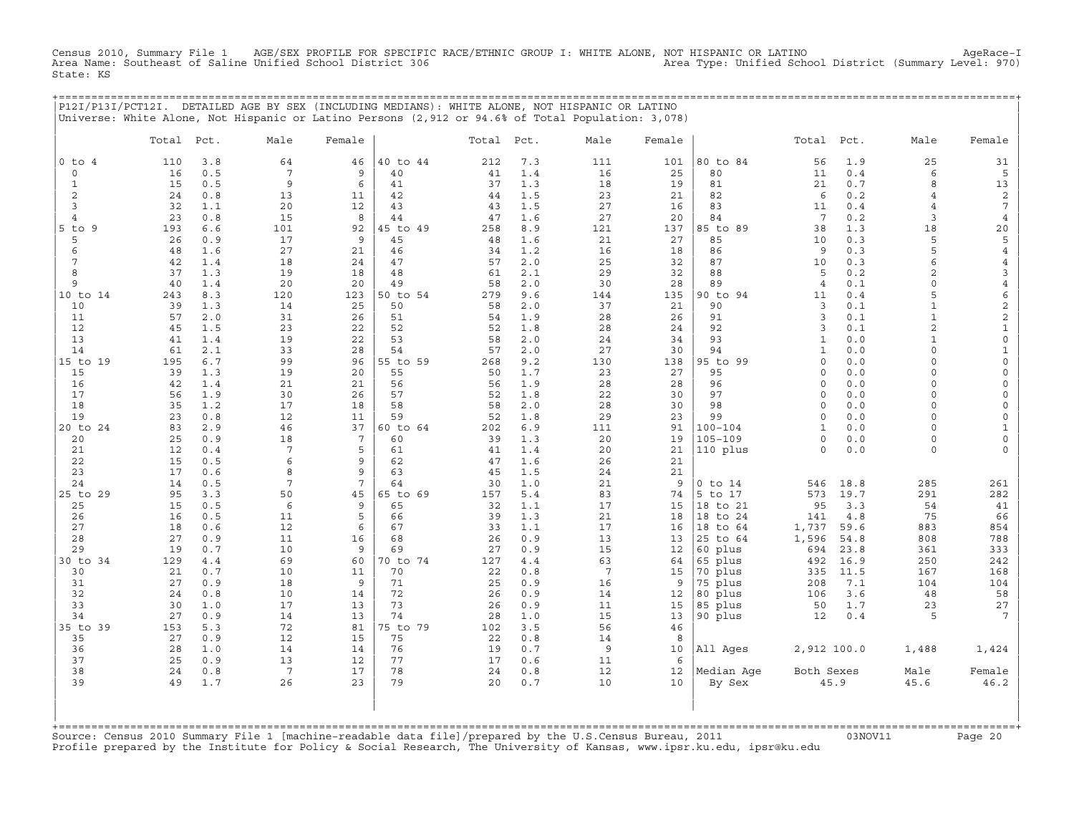Census 2010, Summary File 1 AGE/SEX PROFILE FOR SPECIFIC RACE/ETHNIC GROUP I: WHITE ALONE, NOT HISPANIC OR LATINO AgeRace-I<br>Area Name: Southeast of Saline Unified School District 306 Area Name: Southeast of Saline Unified School District 306 State: KS

+===================================================================================================================================================+ |P12I/P13I/PCT12I. DETAILED AGE BY SEX (INCLUDING MEDIANS): WHITE ALONE, NOT HISPANIC OR LATINO | |Universe: White Alone, Not Hispanic or Latino Persons (2,912 or 94.6% of Total Population: 3,078) |

|                | Total    | Pct.       | Male                  | Female   |                | Total Pct. |            | Male            | Female   |                        | Total           | Pct.         | Male                | Female                         |
|----------------|----------|------------|-----------------------|----------|----------------|------------|------------|-----------------|----------|------------------------|-----------------|--------------|---------------------|--------------------------------|
| $0$ to $4$     | 110      | 3.8        | 64                    | 46       | 40 to 44       | 212        | 7.3        | 111             | 101      | 80 to 84               | 56              | 1.9          | 25                  | 31                             |
| $\mathbf 0$    | 16       | 0.5        | $7\phantom{.0}$       | 9        | 40             | 41         | 1.4        | 16              | 25       | 80                     | 11              | 0.4          | 6                   | 5                              |
| $\mathbf 1$    | 15       | 0.5        | 9                     | 6        | 41             | 37         | 1.3        | 18              | 19       | 81                     | 21              | 0.7          | 8                   | 13                             |
| 2              | 24       | 0.8        | 13                    | 11       | 42             | 44         | 1.5        | 23              | 21       | 82                     | 6               | 0.2          | 4                   | $\overline{c}$                 |
| 3              | 32       | 1.1        | 20                    | 12       | 43             | 43         | 1.5        | 27              | 16       | 83                     | 11              | 0.4          | $\overline{4}$      | $7\phantom{.0}$                |
| $\overline{4}$ | 23       | 0.8        | 15                    | 8        | 44             | 47         | 1.6        | 27              | 20       | 84                     | $7\overline{ }$ | 0.2          | 3                   | $\overline{4}$                 |
| $5$ to<br>9    | 193      | 6.6        | 101                   | 92       | 45 to 49       | 258        | 8.9        | 121             | 137      | 85 to 89               | 38              | 1.3          | 18                  | 20                             |
| 5              | 26       | 0.9        | 17                    | 9        | 45             | 48         | 1.6        | 21              | 27       | 85                     | 10              | 0.3          | 5                   | 5                              |
| 6              | 48       | 1.6        | 27                    | 21       | 46             | 34         | 1.2        | 16              | 18       | 86                     | 9               | 0.3          | 5                   | $\,4$                          |
| 7<br>8         | 42<br>37 | 1.4<br>1.3 | 18                    | 24<br>18 | 47<br>48       | 57<br>61   | 2.0<br>2.1 | 25<br>29        | 32       | 87<br>88               | 10<br>5         | 0.3<br>0.2   | 6<br>$\overline{c}$ | $\overline{4}$                 |
| 9              | 40       | 1.4        | 19<br>20              | 20       | 49             | 58         | 2.0        | 30              | 32<br>28 | 89                     | $\overline{4}$  | 0.1          | $\circ$             | $\mathbf{3}$<br>$\overline{4}$ |
| 10 to 14       | 243      | 8.3        | 120                   | 123      | 50 to 54       | 279        | 9.6        | 144             | 135      | 90 to 94               | 11              | 0.4          | 5                   | 6                              |
| 10             | 39       | 1.3        | 14                    | 25       | 50             | 58         | 2.0        | 37              | 21       | 90                     | 3               | 0.1          | $\mathbf{1}$        | $\mathbf{2}$                   |
| 11             | 57       | 2.0        | 31                    | 26       | 51             | 54         | 1.9        | 28              | 26       | 91                     | $\overline{3}$  | $0.1$        | $\mathbf{1}$        | $\overline{c}$                 |
| 12             | 45       | 1.5        | 23                    | 22       | 52             | 52         | 1.8        | 28              | 24       | 92                     | 3               | 0.1          | $\overline{c}$      | $\mathtt 1$                    |
| 13             | 41       | 1.4        | 19                    | 22       | 53             | 58         | 2.0        | 24              | 34       | 93                     | $\mathbf{1}$    | 0.0          | $\mathbf{1}$        | $\mathsf{O}\xspace$            |
| 14             | 61       | 2.1        | 33                    | 28       | 54             | 57         | 2.0        | 27              | 30       | 94                     | $\mathbf{1}$    | 0.0          | 0                   | $\mathbf{1}$                   |
| 15 to 19       | 195      | 6.7        | 99                    | 96       | 55 to 59       | 268        | 9.2        | 130             | 138      | 95 to 99               | $\Omega$        | 0.0          | $\Omega$            | $\mathsf{O}\xspace$            |
| 15             | 39       | 1.3        | 19                    | 20       | 55             | 50         | 1.7        | 23              | 27       | 95                     | $\circ$         | 0.0          | $\circ$             | $\circ$                        |
| 16             | 42       | 1.4        | 21                    | 21       | 56             | 56         | 1.9        | 28              | 28       | 96                     | $\circ$         | 0.0          | $\circ$             | $\mathsf{O}\xspace$            |
| 17             | 56       | 1.9        | 30                    | 26       | 57             | 52         | 1.8        | 22              | 30       | 97                     | $\circ$         | 0.0          | $\circ$             | $\mathsf{O}\xspace$            |
| 18             | 35       | 1.2        | 17                    | 18       | 58             | 58         | 2.0        | 28              | 30       | 98                     | $\Omega$        | 0.0          | $\circ$             | $\mathsf O$                    |
| 19             | 23       | 0.8        | 12                    | 11       | 59             | 52         | 1.8        | 29              | 23       | 99                     | $\circ$         | 0.0          | $\circ$             | $\mathsf O$                    |
| 20 to 24       | 83       | 2.9        | 46                    | 37       | 60 to 64       | 202        | 6.9        | 111             | 91       | $100 - 104$            | $\mathbf{1}$    | 0.0          | $\circ$             | $\mathbf{1}$                   |
| 20             | 25       | 0.9        | 18                    | 7        | 60             | 39         | 1.3        | 20              | 19       | 105-109                | $\circ$         | 0.0          | 0                   | $\mathsf{O}\xspace$            |
| 21             | 12       | 0.4        | $7\phantom{.0}$       | 5        | 61             | 41         | 1.4        | 20              | 21       | 110 plus               | $\Omega$        | 0.0          | $\Omega$            | $\circ$                        |
| 22             | 15       | 0.5        | 6                     | 9        | 62             | 47         | 1.6        | 26              | 21       |                        |                 |              |                     |                                |
| 23             | 17       | 0.6        | 8                     | 9        | 63             | 45         | 1.5        | 24              | 21       |                        |                 |              |                     |                                |
| 24             | 14<br>95 | 0.5<br>3.3 | 7<br>50               | 7<br>45  | 64<br>65 to 69 | 30<br>157  | 1.0<br>5.4 | 21<br>83        | 9<br>74  | $0$ to $14$<br>5 to 17 | 546<br>573      | 18.8<br>19.7 | 285<br>291          | 261<br>282                     |
| 25 to 29<br>25 | 15       | 0.5        | 6                     | 9        | 65             | 32         | 1.1        | 17              | 15       | 18 to 21               | 95              | 3.3          | 54                  | 41                             |
| 26             | 16       | 0.5        | 11                    | 5        | 66             | 39         | 1.3        | 21              | 18       | 18 to 24               | 141             | $4.8\,$      | 75                  | 66                             |
| 27             | 18       | 0.6        | 12                    | 6        | 67             | 33         | 1.1        | 17              | 16       | 18 to 64               | 1,737           | 59.6         | 883                 | 854                            |
| 28             | 27       | 0.9        | 11                    | 16       | 68             | 26         | 0.9        | 13              | 13       | 25 to 64               | 1,596           | 54.8         | 808                 | 788                            |
| 29             | 19       | 0.7        | 10                    | 9        | 69             | 27         | 0.9        | 15              | 12       | 60 plus                | 694             | 23.8         | 361                 | 333                            |
| 30 to 34       | 129      | 4.4        | 69                    | 60       | 70 to 74       | 127        | 4.4        | 63              | 64       | 65 plus                | 492             | 16.9         | 250                 | 242                            |
| 30             | 21       | 0.7        | 10                    | 11       | 70             | 22         | 0.8        | $7\phantom{.0}$ | 15       | 70 plus                | 335             | 11.5         | 167                 | 168                            |
| 31             | 27       | 0.9        | 18                    | 9        | 71             | 25         | 0.9        | 16              | 9        | 75 plus                | 208             | 7.1          | 104                 | 104                            |
| 32             | 24       | 0.8        | 10                    | 14       | 72             | 26         | 0.9        | 14              | 12       | 80 plus                | 106             | 3.6          | 48                  | 58                             |
| 33             | 30       | 1.0        | 17                    | 13       | 73             | 26         | 0.9        | 11              | 15       | 85 plus                | 50              | 1.7          | 23                  | $2\,7$                         |
| 34             | 27       | 0.9        | 14                    | 13       | 74             | 28         | 1.0        | 15              | 13       | 90 plus                | 12              | 0.4          | 5                   | $7\overline{ }$                |
| 35 to 39       | 153      | 5.3        | 72                    | 81       | 75 to 79       | 102        | 3.5        | 56              | 46       |                        |                 |              |                     |                                |
| 35             | 27       | 0.9        | 12                    | 15       | 75             | 22         | 0.8        | 14              | 8        |                        |                 |              |                     |                                |
| 36             | 28       | 1.0        | 14                    | 14       | 76             | 19         | 0.7        | $\overline{9}$  | 10       | All Ages               | 2,912 100.0     |              | 1,488               | 1,424                          |
| 37<br>38       | 25       | 0.9        | 13                    | 12<br>17 | 77<br>78       | 17         | 0.6<br>0.8 | 11<br>12        | 6        |                        |                 |              |                     |                                |
| 39             | 24<br>49 | 0.8<br>1.7 | $7\phantom{.0}$<br>26 | 23       | 79             | 24<br>20   | 0.7        | 10              | 12<br>10 | Median Age             | Both Sexes      | 45.9         | Male<br>45.6        | Female<br>46.2                 |
|                |          |            |                       |          |                |            |            |                 |          | By Sex                 |                 |              |                     |                                |
|                |          |            |                       |          |                |            |            |                 |          |                        |                 |              |                     |                                |

+===================================================================================================================================================+Source: Census 2010 Summary File 1 [machine−readable data file]/prepared by the U.S.Census Bureau, 2011 03NOV11 Page 20 Profile prepared by the Institute for Policy & Social Research, The University of Kansas, www.ipsr.ku.edu, ipsr@ku.edu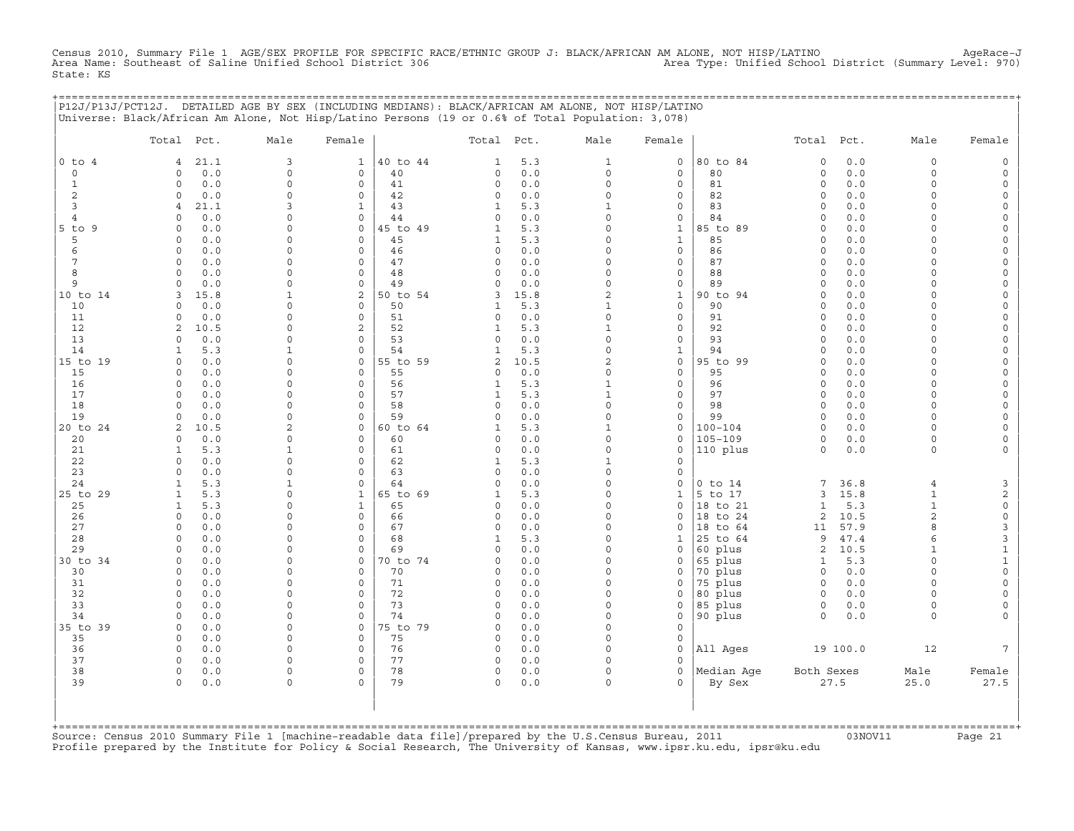Census 2010, Summary File 1 AGE/SEX PROFILE FOR SPECIFIC RACE/ETHNIC GROUP J: BLACK/AFRICAN AM ALONE, NOT HISP/LATINO AgeRace-J<br>Area Name: Southeast of Saline Unified School District 306 State: KS

+===================================================================================================================================================+

| $0$ to $4$<br>$\mathsf O$<br>$\mathbf{1}$<br>2<br>3<br>$\overline{4}$ | Total<br>Pct.<br>21.1<br>4<br>0.0<br>0<br>0.0<br>$\Omega$<br>$\circ$<br>0.0<br>$\overline{4}$<br>21.1<br>0.0<br>$\Omega$<br>0.0<br>$\Omega$<br>0.0<br>0<br>$\circ$<br>0.0<br>$\circ$<br>0.0 | Male<br>3<br>0<br>0<br>$\Omega$<br>3<br>0<br>$\Omega$<br>0 | Female<br>$\mathbf{1}$<br>$\mathsf{O}\xspace$<br>$\circ$<br>$\circ$<br>$\mathbf{1}$<br>0<br>$\circ$ | 40 to 44<br>40<br>41<br>42<br>43<br>44 | Total Pct.<br>$\mathbf{1}$<br>$\mathbf 0$<br>$\circ$<br>$\Omega$<br>$\mathbf{1}$ | 5.3<br>0.0<br>0.0<br>0.0 | Male<br>$\mathbf{1}$<br>$\mathbf 0$<br>$\Omega$ | Female<br>$\mathsf O$<br>$\mathsf O$ | 80 to 84           | Total<br>$\mathbf 0$ | Pct.<br>0.0 | Male<br>0                | Female                             |
|-----------------------------------------------------------------------|---------------------------------------------------------------------------------------------------------------------------------------------------------------------------------------------|------------------------------------------------------------|-----------------------------------------------------------------------------------------------------|----------------------------------------|----------------------------------------------------------------------------------|--------------------------|-------------------------------------------------|--------------------------------------|--------------------|----------------------|-------------|--------------------------|------------------------------------|
|                                                                       |                                                                                                                                                                                             |                                                            |                                                                                                     |                                        |                                                                                  |                          |                                                 |                                      |                    |                      |             |                          |                                    |
|                                                                       |                                                                                                                                                                                             |                                                            |                                                                                                     |                                        |                                                                                  |                          |                                                 |                                      |                    |                      |             |                          | $\mathsf{O}$                       |
|                                                                       |                                                                                                                                                                                             |                                                            |                                                                                                     |                                        |                                                                                  |                          |                                                 |                                      | 80                 | $\mathsf O$          | 0.0         | 0                        | $\mathsf{O}\xspace$                |
|                                                                       |                                                                                                                                                                                             |                                                            |                                                                                                     |                                        |                                                                                  |                          |                                                 | $\mathbf 0$                          | 81                 | $\circ$              | 0.0         | $\Omega$                 | $\mathbf 0$                        |
|                                                                       |                                                                                                                                                                                             |                                                            |                                                                                                     |                                        |                                                                                  |                          | $\Omega$                                        | $\mathbf 0$                          | 82                 | $\mathbf 0$          | 0.0         | $\Omega$                 | 0                                  |
|                                                                       |                                                                                                                                                                                             |                                                            |                                                                                                     |                                        |                                                                                  | 5.3                      | $\mathbf{1}$<br>$\Omega$                        | $\mathsf O$                          | 83                 | $\circ$              | 0.0         | $\Omega$                 | $\mathsf{O}\xspace$                |
| $5$ to $9$                                                            |                                                                                                                                                                                             |                                                            |                                                                                                     | 45 to 49                               | $\mathbf 0$<br>$\mathbf{1}$                                                      | 0.0<br>5.3               | $\Omega$                                        | $\mathsf{O}$<br>$\mathbf{1}$         | 84<br>85 to 89     | $\circ$<br>$\circ$   | 0.0<br>0.0  | $\circ$<br>$\Omega$      | $\mathsf{O}\xspace$<br>$\mathbf 0$ |
| 5                                                                     |                                                                                                                                                                                             |                                                            | $\Omega$                                                                                            | 45                                     | 1                                                                                | 5.3                      | $\mathbf 0$                                     | $\mathbf{1}$                         | 85                 | $\mathbf 0$          | 0.0         | $\Omega$                 | 0                                  |
| 6                                                                     |                                                                                                                                                                                             | 0                                                          | $\circ$                                                                                             | 46                                     | $\mathsf O$                                                                      | 0.0                      | $\Omega$                                        | $\mathsf O$                          | 86                 | $\circ$              | 0.0         | $\Omega$                 | $\mathsf{O}\xspace$                |
| 7                                                                     |                                                                                                                                                                                             | 0                                                          | 0                                                                                                   | 47                                     | $\mathbf 0$                                                                      | $0.0$                    | $\Omega$                                        | $\mathsf{O}$                         | 87                 | $\circ$              | 0.0         | $\Omega$                 | 0                                  |
| 8                                                                     | $\Omega$<br>0.0                                                                                                                                                                             | $\Omega$                                                   | $\circ$                                                                                             | 48                                     | $\Omega$                                                                         | 0.0                      | $\Omega$                                        | $\mathsf O$                          | 88                 | $\Omega$             | 0.0         | $\Omega$                 | 0                                  |
| 9                                                                     | $\circ$<br>0.0                                                                                                                                                                              | $\Omega$                                                   | $\mathbf 0$                                                                                         | 49                                     | $\mathbf 0$                                                                      | 0.0                      | $\mathbf 0$                                     | $\mathsf{O}$                         | 89                 | $\mathbf 0$          | 0.0         | 0                        | $\mathsf{O}$                       |
| 10 to 14                                                              | 3<br>15.8                                                                                                                                                                                   | $\mathbf{1}$                                               | $\mathbf{2}$                                                                                        | 50 to 54                               | 3                                                                                | 15.8                     | $\sqrt{2}$                                      | $\mathbf{1}$                         | 90 to 94           | $\mathbf 0$          | 0.0         | $\Omega$                 | $\mathsf{O}\xspace$                |
| 10                                                                    | $\Omega$<br>0.0                                                                                                                                                                             | $\Omega$                                                   | $\Omega$                                                                                            | 50                                     | $\mathbf{1}$                                                                     | 5.3                      | $\mathbf{1}$                                    | $\mathsf O$                          | 90                 | $\Omega$             | 0.0         | $\Omega$                 | 0                                  |
| 11                                                                    | $\circ$<br>0.0                                                                                                                                                                              | $\Omega$                                                   | $\mathbf 0$                                                                                         | 51                                     | $\mathbf 0$                                                                      | 0.0                      | $\mathbf 0$                                     | $\mathbf 0$                          | 91                 | $\circ$              | 0.0         | $\Omega$                 | $\mathsf{O}\xspace$                |
| 12                                                                    | 10.5<br>2                                                                                                                                                                                   | $\Omega$                                                   | 2                                                                                                   | 52                                     | $\mathbf{1}$                                                                     | 5.3                      | $\mathbf{1}$                                    | 0                                    | 92                 | $\circ$              | 0.0         | $\Omega$                 | 0                                  |
| 13                                                                    | $\Omega$<br>0.0                                                                                                                                                                             | $\Omega$                                                   | $\Omega$                                                                                            | 53                                     | $\Omega$                                                                         | 0.0                      | $\Omega$                                        | $\mathsf O$                          | 93                 | $\circ$              | 0.0         | $\Omega$                 | 0                                  |
| 14                                                                    | $\mathbf{1}$<br>5.3                                                                                                                                                                         | $\mathbf{1}$                                               | $\mathbf 0$                                                                                         | 54                                     | $\mathbf{1}$                                                                     | 5.3                      | $\mathbf 0$                                     | $\mathbf{1}$                         | 94                 | $\circ$              | 0.0         | $\Omega$                 | $\mathbf 0$                        |
| 15 to 19                                                              | $\circ$<br>0.0                                                                                                                                                                              | 0                                                          | $\mathbf 0$                                                                                         | 55 to 59                               | 2                                                                                | 10.5                     | 2                                               | $\mathsf O$                          | 95 to 99           | $\circ$              | 0.0         | 0                        | 0                                  |
| 15                                                                    | 0.0<br>$\Omega$                                                                                                                                                                             | $\Omega$                                                   | $\Omega$<br>$\mathbf 0$                                                                             | 55                                     | $\Omega$                                                                         | 0.0                      | $\mathbf 0$                                     | $\mathbf 0$                          | 95                 | $\circ$              | 0.0         | $\Omega$                 | $\mathsf{O}\xspace$                |
| 16<br>17                                                              | $\circ$<br>0.0<br>$\Omega$<br>0.0                                                                                                                                                           | 0<br>$\Omega$                                              | $\mathbf 0$                                                                                         | 56<br>57                               | $\mathbf{1}$<br>$\mathbf{1}$                                                     | 5.3<br>5.3               | $\mathbf{1}$<br>$\mathbf{1}$                    | $\mathsf O$<br>$\mathbf 0$           | 96<br>97           | $\circ$<br>$\circ$   | 0.0<br>0.0  | $\circ$<br>$\circ$       | $\mathsf{O}\xspace$<br>0           |
| 18                                                                    | $\Omega$<br>0.0                                                                                                                                                                             | $\Omega$                                                   | $\mathbf 0$                                                                                         | 58                                     | $\Omega$                                                                         | 0.0                      | $\mathbf 0$                                     | $\mathbf 0$                          | 98                 | $\circ$              | 0.0         | $\circ$                  | $\mathsf{O}$                       |
| 19                                                                    | 0.0<br>$\Omega$                                                                                                                                                                             | $\Omega$                                                   | $\mathbf 0$                                                                                         | 59                                     | $\Omega$                                                                         | 0.0                      | $\mathbf 0$                                     | $\mathsf O$                          | 99                 | $\circ$              | 0.0         | $\Omega$                 | $\mathsf{O}\xspace$                |
| 20 to 24                                                              | 2<br>10.5                                                                                                                                                                                   | 2                                                          | 0                                                                                                   | 60 to 64                               | $\mathbf{1}$                                                                     | 5.3                      | $\mathbf{1}$                                    | $\mathsf{O}$                         | $100 - 104$        | $\circ$              | 0.0         | 0                        | 0                                  |
| 20                                                                    | $\Omega$<br>0.0                                                                                                                                                                             | $\Omega$                                                   | $\mathbf 0$                                                                                         | 60                                     | $\Omega$                                                                         | 0.0                      | $\Omega$                                        | $\mathbf 0$                          | $105 - 109$        | $\circ$              | 0.0         | $\circ$                  | 0                                  |
| 21                                                                    | 5.3<br>1                                                                                                                                                                                    | $\mathbf{1}$                                               | $\mathbf 0$                                                                                         | 61                                     | $\Omega$                                                                         | 0.0                      | $\mathbf 0$                                     | $\circ$                              | 110 plus           | $\Omega$             | 0.0         | $\circ$                  | 0                                  |
| 22                                                                    | $\Omega$<br>0.0                                                                                                                                                                             | $\Omega$                                                   | $\mathbf 0$                                                                                         | 62                                     | $\mathbf{1}$                                                                     | 5.3                      | $\mathbf{1}$                                    | $\mathbf 0$                          |                    |                      |             |                          |                                    |
| 23                                                                    | $\circ$<br>0.0                                                                                                                                                                              | 0                                                          | 0                                                                                                   | 63                                     | $\mathbf 0$                                                                      | 0.0                      | $\Omega$                                        | $\circ$                              |                    |                      |             |                          |                                    |
| 24                                                                    | $\mathbf{1}$<br>5.3                                                                                                                                                                         | $\mathbf{1}$                                               | $\mathbf 0$                                                                                         | 64                                     | $\Omega$                                                                         | 0.0                      | $\Omega$                                        | $\mathbf 0$                          | $0$ to $14$        | 7                    | 36.8        | $\overline{4}$           | 3                                  |
| 25 to 29                                                              | $\mathbf{1}$<br>5.3                                                                                                                                                                         | $\Omega$                                                   | $\mathbf{1}$                                                                                        | 65 to 69                               | $\mathbf{1}$                                                                     | 5.3                      | $\Omega$                                        | $\mathbf{1}$                         | 5 to 17            | 3                    | 15.8        | $\mathbf{1}$             | 2                                  |
| 25                                                                    | 5.3<br>$\mathbf{1}$                                                                                                                                                                         | 0                                                          | $\mathbf{1}$                                                                                        | 65                                     | $\mathbf 0$                                                                      | 0.0                      | $\Omega$                                        | $\circ$                              | 18 to 21           | $\mathbf 1$          | 5.3         | $\mathbf 1$              | $\mathbb O$                        |
| 26                                                                    | $\Omega$<br>0.0                                                                                                                                                                             | $\Omega$                                                   | $\Omega$                                                                                            | 66                                     | $\Omega$                                                                         | 0.0                      | $\Omega$                                        | $\Omega$                             | 18 to 24           | 2                    | 10.5        | $\overline{2}$           | $\mathsf{O}\xspace$                |
| 27                                                                    | $\circ$<br>0.0                                                                                                                                                                              | $\Omega$                                                   | $\mathbf 0$                                                                                         | 67                                     | $\mathbf 0$                                                                      | 0.0                      | $\Omega$                                        | $\mathbf 0$                          | 18 to 64           | 11                   | 57.9        | 8                        | 3                                  |
| 28                                                                    | 0.0<br>$\circ$<br>$\Omega$                                                                                                                                                                  | 0<br>$\Omega$                                              | $\mathbf 0$<br>$\mathbf 0$                                                                          | 68                                     | $\mathbf{1}$<br>$\Omega$                                                         | 5.3                      | $\Omega$<br>$\Omega$                            | 1                                    | 25 to 64           | 9                    | 47.4        | 6                        | 3                                  |
| 29<br>30 to 34                                                        | 0.0<br>$\circ$<br>0.0                                                                                                                                                                       | $\Omega$                                                   | $\mathbf 0$                                                                                         | 69<br>70 to 74                         | $\Omega$                                                                         | 0.0<br>0.0               | $\Omega$                                        | $\mathbf 0$<br>$\mathbf 0$           | 60 plus<br>65 plus | $\overline{a}$<br>1  | 10.5<br>5.3 | $\mathbf{1}$<br>$\Omega$ | $\mathbf 1$<br>$\mathbf{1}$        |
| 30                                                                    | $\circ$<br>0.0                                                                                                                                                                              | $\Omega$                                                   | $\mathbf 0$                                                                                         | 70                                     | $\Omega$                                                                         | 0.0                      | $\Omega$                                        | 0                                    | 70 plus            | $\circ$              | 0.0         | $\circ$                  | $\mathsf{O}\xspace$                |
| 31                                                                    | 0.0<br>$\circ$                                                                                                                                                                              | $\Omega$                                                   | $\mathbf 0$                                                                                         | 71                                     | $\Omega$                                                                         | 0.0                      | $\Omega$                                        | $\mathbf 0$                          | 75 plus            | $\circ$              | 0.0         | $\Omega$                 | $\mathsf{O}\xspace$                |
| 32                                                                    | $\circ$<br>0.0                                                                                                                                                                              | 0                                                          | $\mathbf 0$                                                                                         | 72                                     | $\mathbf 0$                                                                      | 0.0                      | $\Omega$                                        | $\circ$                              | 80 plus            | $\circ$              | 0.0         | $\Omega$                 | 0                                  |
| 33                                                                    | $\Omega$<br>0.0                                                                                                                                                                             | $\Omega$                                                   | $\Omega$                                                                                            | 73                                     | $\circ$                                                                          | 0.0                      | $\Omega$                                        | $\mathbf 0$                          | 85 plus            | $\circ$              | 0.0         | $\circ$                  | $\mathbf 0$                        |
| 34                                                                    | 0.0<br>0                                                                                                                                                                                    | $\Omega$                                                   | $\mathbf 0$                                                                                         | 74                                     | $\Omega$                                                                         | 0.0                      | $\Omega$                                        | $\circ$                              | 90 plus            | $\circ$              | 0.0         | $\circ$                  | $\mathbf 0$                        |
| 35 to 39                                                              | $\circ$<br>0.0                                                                                                                                                                              | $\Omega$                                                   | $\mathbf 0$                                                                                         | 75 to 79                               | $\Omega$                                                                         | 0.0                      | $\Omega$                                        | $\mathbf 0$                          |                    |                      |             |                          |                                    |
| 35                                                                    | $\circ$<br>0.0                                                                                                                                                                              | 0                                                          | $\mathbf 0$                                                                                         | 75                                     | $\mathsf O$                                                                      | 0.0                      | $\Omega$                                        | $\circ$                              |                    |                      |             |                          |                                    |
| 36                                                                    | 0.0<br>0                                                                                                                                                                                    | $\Omega$                                                   | $\mathbf 0$                                                                                         | 76                                     | $\mathbf 0$                                                                      | 0.0                      | $\Omega$                                        | $\circ$                              | All Ages           |                      | 19 100.0    | 12                       | $7\phantom{.0}$                    |
| 37                                                                    | 0.0<br>0                                                                                                                                                                                    | 0                                                          | $\circ$                                                                                             | 77                                     | $\mathbf 0$                                                                      | 0.0                      | $\Omega$                                        | $\Omega$                             |                    |                      |             |                          |                                    |
| 38                                                                    | $\circ$<br>0.0                                                                                                                                                                              | 0                                                          | $\circ$                                                                                             | 78                                     | $\circ$                                                                          | 0.0                      | $\Omega$                                        | $\circ$                              | Median Age         | Both Sexes           |             | Male                     | Female                             |
| 39                                                                    | $\circ$<br>0.0                                                                                                                                                                              | 0                                                          | $\Omega$                                                                                            | 79                                     | $\Omega$                                                                         | 0.0                      | $\Omega$                                        | $\Omega$                             | By Sex             |                      | 27.5        | 25.0                     | 27.5                               |
|                                                                       |                                                                                                                                                                                             |                                                            |                                                                                                     |                                        |                                                                                  |                          |                                                 |                                      |                    |                      |             |                          |                                    |

+===================================================================================================================================================+Source: Census 2010 Summary File 1 [machine−readable data file]/prepared by the U.S.Census Bureau, 2011 03NOV11 Page 21 Profile prepared by the Institute for Policy & Social Research, The University of Kansas, www.ipsr.ku.edu, ipsr@ku.edu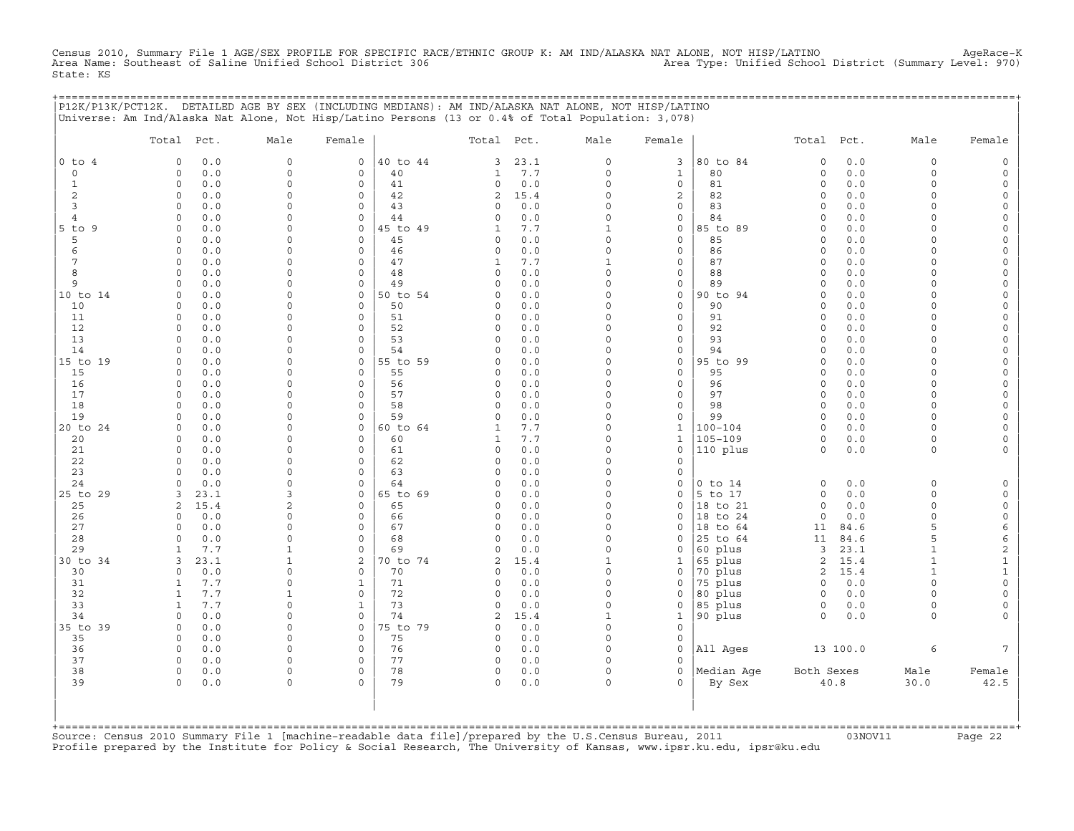Census 2010, Summary File 1 AGE/SEX PROFILE FOR SPECIFIC RACE/ETHNIC GROUP K: AM IND/ALASKA NAT ALONE, NOT HISP/LATINO AgeRace-K<br>Area Name: Southeast of Saline Unified School District 306 State: KS

|                                                                                                    |                              |              | P12K/P13K/PCT12K. DETAILED AGE BY SEX (INCLUDING MEDIANS): AM IND/ALASKA NAT ALONE, NOT HISP/LATINO |                             |                |                            |            |                  |               | =============================== |                            |            |                      |                      |
|----------------------------------------------------------------------------------------------------|------------------------------|--------------|-----------------------------------------------------------------------------------------------------|-----------------------------|----------------|----------------------------|------------|------------------|---------------|---------------------------------|----------------------------|------------|----------------------|----------------------|
| Universe: Am Ind/Alaska Nat Alone, Not Hisp/Latino Persons (13 or 0.4% of Total Population: 3,078) |                              |              |                                                                                                     |                             |                |                            |            |                  |               |                                 |                            |            |                      |                      |
|                                                                                                    | Total Pct.                   |              | Male                                                                                                | Female                      |                | Total Pct.                 |            | Male             | Female        |                                 | Total Pct.                 |            | Male                 | Female               |
| $0$ to $4$                                                                                         | 0                            | 0.0          | $\mathsf{O}\xspace$                                                                                 | 0                           | 40 to 44       | 3                          | 23.1       | 0                | 3             | 80 to 84                        | $\circ$                    | 0.0        | $\Omega$             |                      |
| $\circ$                                                                                            | $\circ$                      | 0.0          | $\mathbf 0$                                                                                         | 0                           | 40             | 1                          | 7.7        | 0                | 1             | 80                              | $\circ$                    | 0.0        | $\circ$              | $\Omega$             |
| 1                                                                                                  | 0                            | 0.0          | $\mathbf 0$                                                                                         | 0                           | 41             | 0                          | 0.0        | $\Omega$         | 0             | 81                              | $\circ$                    | 0.0        | $\Omega$             |                      |
| $\overline{c}$                                                                                     | $\circ$<br>$\circ$           | 0.0          | 0<br>$\Omega$                                                                                       | 0                           | 42<br>43       | $\overline{c}$<br>$\Omega$ | 15.4       | 0<br>0           | $\mathbf{2}$  | 82<br>83                        | $\circ$<br>$\circ$         | 0.0        | $\Omega$<br>$\Omega$ | $\Omega$             |
| 3<br>$\overline{4}$                                                                                | $\Omega$                     | 0.0<br>0.0   | $\Omega$                                                                                            | 0<br>$\Omega$               | 44             | $\Omega$                   | 0.0<br>0.0 | $\Omega$         | 0<br>$\Omega$ | 84                              | $\Omega$                   | 0.0<br>0.0 | $\Omega$             |                      |
| $5$ to<br>9                                                                                        | $\circ$                      | 0.0          | 0                                                                                                   | 0                           | 45 to 49       | 1                          | 7.7        | 1                | 0             | 85 to 89                        | $\circ$                    | 0.0        | $\Omega$             |                      |
| 5                                                                                                  | $\circ$                      | 0.0          | $\Omega$                                                                                            | 0                           | 45             | $\Omega$                   | 0.0        | 0                | 0             | 85                              | $\circ$                    | 0.0        | $\Omega$             |                      |
| 6                                                                                                  | $\circ$                      | 0.0          | $\mathbf 0$                                                                                         | 0                           | 46             | $\circ$                    | 0.0        | 0                | 0             | 86                              | $\circ$                    | 0.0        | $\Omega$             |                      |
| 7                                                                                                  | $\circ$                      | 0.0          | 0                                                                                                   | $\mathsf{O}\xspace$         | 47             | 1                          | 7.7        | 1                | 0             | 87                              | $\circ$                    | 0.0        | $\Omega$             |                      |
| 8                                                                                                  | $\Omega$                     | 0.0          | 0                                                                                                   | $\mathbf 0$                 | 48             | $\mathbf 0$                | 0.0        | $\Omega$         | 0             | 88                              | $\Omega$                   | 0.0        | $\Omega$             | $\Omega$             |
| 9                                                                                                  | $\circ$                      | 0.0          | 0                                                                                                   | 0                           | 49             | 0                          | 0.0        | 0                | 0             | 89                              | $\circ$                    | 0.0        | $\Omega$             | $\Omega$             |
| 10 to 14                                                                                           | $\circ$<br>$\mathbf 0$       | 0.0          | $\mathbf 0$<br>0                                                                                    | $\mathbf 0$<br>$\mathbf 0$  | 50 to 54<br>50 | $\Omega$                   | 0.0        | $\mathbf 0$<br>0 | 0<br>0        | 90 to 94<br>90                  | $\circ$                    | 0.0<br>0.0 | $\Omega$<br>$\Omega$ | $\Omega$             |
| 10<br>11                                                                                           | 0                            | 0.0<br>0.0   | 0                                                                                                   | 0                           | 51             | 0<br>0                     | 0.0<br>0.0 | 0                | 0             | 91                              | 0<br>$\circ$               | 0.0        | $\Omega$             | $\Omega$             |
| 12                                                                                                 | $\circ$                      | 0.0          | 0                                                                                                   | $\mathbf 0$                 | 52             | $\Omega$                   | 0.0        | $\Omega$         | 0             | 92                              | $\circ$                    | 0.0        | $\Omega$             |                      |
| 13                                                                                                 | $\mathbf 0$                  | 0.0          | 0                                                                                                   | 0                           | 53             | 0                          | 0.0        | 0                | 0             | 93                              | $\circ$                    | 0.0        | $\Omega$             |                      |
| 14                                                                                                 | $\Omega$                     | 0.0          | $\Omega$                                                                                            | $\mathsf O$                 | 54             | $\Omega$                   | 0.0        | 0                | 0             | 94                              | $\Omega$                   | 0.0        | $\Omega$             |                      |
| 15 to 19                                                                                           | $\circ$                      | 0.0          | $\Omega$                                                                                            | $\mathbf 0$                 | 55 to 59       | $\Omega$                   | 0.0        | $\Omega$         | 0             | 95 to 99                        | $\Omega$                   | 0.0        | $\Omega$             |                      |
| 15                                                                                                 | $\circ$                      | 0.0          | 0                                                                                                   | $\mathbf 0$                 | 55             | $\Omega$                   | 0.0        | $\Omega$         | $\mathbf{0}$  | 95                              | $\circ$                    | 0.0        | $\Omega$             |                      |
| 16                                                                                                 | $\circ$                      | 0.0          | $\Omega$                                                                                            | $\mathbf 0$                 | 56             | $\Omega$                   | 0.0        | $\Omega$         | 0             | 96                              | $\circ$                    | 0.0        | $\Omega$             |                      |
| 17                                                                                                 | $\circ$<br>$\circ$           | 0.0          | $\Omega$<br>$\mathbf 0$                                                                             | 0                           | 57<br>58       | $\Omega$<br>$\Omega$       | 0.0        | $\Omega$<br>0    | 0             | 97                              | $\circ$<br>$\circ$         | 0.0        | $\Omega$<br>$\Omega$ |                      |
| 18<br>19                                                                                           | $\circ$                      | 0.0<br>0.0   | 0                                                                                                   | 0<br>0                      | 59             | $\Omega$                   | 0.0<br>0.0 | 0                | 0<br>0        | 98<br>99                        | $\circ$                    | 0.0<br>0.0 | $\Omega$             | $\Omega$             |
| 20 to 24                                                                                           | $\circ$                      | 0.0          | 0                                                                                                   | 0                           | 60 to 64       | 1                          | 7.7        | $\Omega$         | $\mathbf{1}$  | $100 - 104$                     | $\circ$                    | 0.0        | $\Omega$             |                      |
| 20                                                                                                 | $\mathbf 0$                  | 0.0          | 0                                                                                                   | $\mathbf 0$                 | 60             | 1                          | 7.7        | $\Omega$         | 1             | $105 - 109$                     | $\circ$                    | 0.0        | $\circ$              |                      |
| 21                                                                                                 | $\circ$                      | 0.0          | $\mathbf 0$                                                                                         | $\mathbf 0$                 | 61             | $\mathsf O$                | 0.0        | 0                | 0             | 110 plus                        | $\circ$                    | $0.0$      | $\circ$              | $\Omega$             |
| 22                                                                                                 | $\circ$                      | 0.0          | $\mathbf 0$                                                                                         | 0                           | 62             | $\circ$                    | 0.0        | 0                | 0             |                                 |                            |            |                      |                      |
| 23                                                                                                 | $\circ$                      | 0.0          | 0                                                                                                   | 0                           | 63             | $\Omega$                   | 0.0        | 0                | 0             |                                 |                            |            |                      |                      |
| 24                                                                                                 | $\circ$                      | 0.0          | $\mathbf 0$                                                                                         | $\mathbf 0$                 | 64             | $\Omega$                   | 0.0        | $\Omega$         | 0             | $0$ to $14$                     | $\circ$                    | 0.0        | $\Omega$             |                      |
| 25 to 29<br>25                                                                                     | 3<br>2                       | 23.1<br>15.4 | 3<br>$\overline{2}$                                                                                 | 0<br>$\mathbf 0$            | 65 to 69<br>65 | $\Omega$<br>$\Omega$       | 0.0<br>0.0 | 0<br>$\Omega$    | 0<br>$\Omega$ | 5 to 17<br>18 to 21             | $\circ$<br>$\circ$         | 0.0<br>0.0 | $\circ$<br>$\Omega$  | $\Omega$             |
| 26                                                                                                 | $\circ$                      | 0.0          | 0                                                                                                   | 0                           | 66             | 0                          | 0.0        | 0                | 0             | 18 to 24                        | $\circ$                    | 0.0        | $\circ$              | $\mathbf 0$          |
| 27                                                                                                 | $\Omega$                     | 0.0          | $\Omega$                                                                                            | $\mathbf 0$                 | 67             | $\Omega$                   | 0.0        | $\Omega$         | 0             | 18 to 64                        | 11                         | 84.6       | 5                    | 6                    |
| 28                                                                                                 | $\Omega$                     | 0.0          | $\Omega$                                                                                            | $\mathbf 0$                 | 68             | $\Omega$                   | 0.0        | $\Omega$         | $\Omega$      | 25 to 64                        | 11                         | 84.6       | 5                    | 6                    |
| 29                                                                                                 | $\mathbf{1}$                 | 7.7          | $\mathbf{1}$                                                                                        | 0                           | 69             | 0                          | 0.0        | 0                | 0             | 60 plus                         | 3                          | 23.1       | 1                    | $\overline{c}$       |
| 30 to 34                                                                                           | 3                            | 23.1         | $\mathbf{1}$                                                                                        | 2                           | 70 to 74       | 2                          | 15.4       | 1                | 1             | 65 plus                         | 2                          | 15.4       | $\mathbf{1}$         | $\mathbf{1}$         |
| 30                                                                                                 | 0                            | 0.0          | $\mathbf 0$                                                                                         | 0                           | 70             | $\Omega$                   | 0.0        | 0                | 0             | 70 plus                         | 2                          | 15.4       | $\mathbf{1}$         | $\mathbf{1}$         |
| 31                                                                                                 | $\mathbf{1}$                 | 7.7          | 0                                                                                                   | $\mathbf{1}$                | 71             | 0                          | 0.0        | $\Omega$         | $\Omega$      | 75 plus                         | $\circ$                    | 0.0        | $\Omega$             | $\Omega$             |
| 32<br>33                                                                                           | $\mathbf{1}$<br>$\mathbf{1}$ | 7.7<br>7.7   | 1<br>$\circ$                                                                                        | $\mathbf 0$<br>$\mathbf{1}$ | 72<br>73       | 0<br>0                     | 0.0<br>0.0 | $\Omega$<br>0    | 0             | 80 plus<br>85 plus              | $\mathbf 0$<br>$\mathsf O$ | 0.0<br>0.0 | $\Omega$<br>$\circ$  | $\Omega$<br>$\Omega$ |
| 34                                                                                                 | $\circ$                      | 0.0          | $\mathbf 0$                                                                                         | $\mathbf 0$                 | 74             | 2                          | 15.4       | $\mathbf{1}$     | 0<br>1        | 90 plus                         | $\mathbf 0$                | $0.0$      | $\circ$              |                      |
| 35 to 39                                                                                           | 0                            | 0.0          | 0                                                                                                   | 0                           | 75 to 79       | $\mathbf 0$                | 0.0        | $\mathbf 0$      | 0             |                                 |                            |            |                      |                      |
| 35                                                                                                 | $\circ$                      | 0.0          | 0                                                                                                   | 0                           | 75             | 0                          | 0.0        | $\Omega$         | 0             |                                 |                            |            |                      |                      |
| 36                                                                                                 | $\circ$                      | 0.0          | 0                                                                                                   | $\mathbf 0$                 | 76             | 0                          | $0.0$      | $\Omega$         | 0             | All Ages                        |                            | 13 100.0   | 6                    | 7                    |
| 37                                                                                                 | $\circ$                      | 0.0          | $\mathbf 0$                                                                                         | 0                           | 77             | 0                          | 0.0        | 0                | 0             |                                 |                            |            |                      |                      |
| 38                                                                                                 | $\circ$                      | $0.0$        | 0                                                                                                   | 0                           | 78             | 0                          | 0.0        | 0                | 0             | Median Age                      | Both Sexes                 |            | Male                 | Female               |
| 39                                                                                                 | $\Omega$                     | 0.0          | $\cap$                                                                                              | $\Omega$                    | 79             | $\Omega$                   | 0.0        | $\Omega$         | $\Omega$      | By Sex                          |                            | $40.8$     | 30.0                 | 42.5                 |
|                                                                                                    |                              |              |                                                                                                     |                             |                |                            |            |                  |               |                                 |                            |            |                      |                      |
|                                                                                                    |                              |              |                                                                                                     |                             |                |                            |            |                  |               |                                 |                            |            |                      |                      |
|                                                                                                    |                              |              |                                                                                                     |                             |                |                            |            |                  |               |                                 |                            |            |                      |                      |

+===================================================================================================================================================+Source: Census 2010 Summary File 1 [machine−readable data file]/prepared by the U.S.Census Bureau, 2011 03NOV11 Page 22 Profile prepared by the Institute for Policy & Social Research, The University of Kansas, www.ipsr.ku.edu, ipsr@ku.edu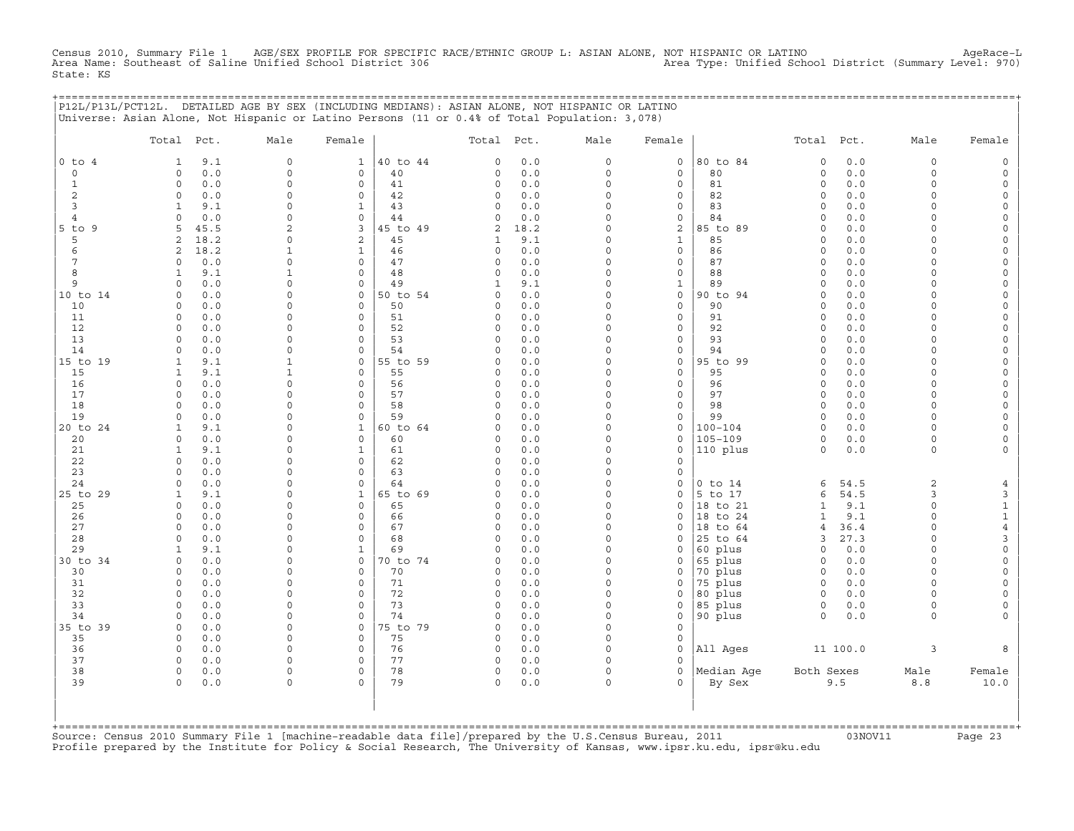Census 2010, Summary File 1 AGE/SEX PROFILE FOR SPECIFIC RACE/ETHNIC GROUP L: ASIAN ALONE, NOT HISPANIC OR LATINO<br>Area Name: Southeast of Saline Unified School District 306 Area Type: Unif State: KS

| P12L/P13L/PCT12L. DETAILED AGE BY SEX (INCLUDING MEDIANS): ASIAN ALONE, NOT HISPANIC OR LATINO |  |
|------------------------------------------------------------------------------------------------|--|
| Universe: Asian Alone, Not Hispanic or Latino Persons (11 or 0.4% of Total Population: 3,078)  |  |
|                                                                                                |  |

|                | Total                            | Pct.         | Male                               | Female                         |          | Total Pct.              |              | Male                    | Female                         |                      | Total Pct.                   |            | Male                 | Female                                     |
|----------------|----------------------------------|--------------|------------------------------------|--------------------------------|----------|-------------------------|--------------|-------------------------|--------------------------------|----------------------|------------------------------|------------|----------------------|--------------------------------------------|
| $0$ to $4$     | 1                                | 9.1          | $\mathbf 0$                        | $\mathbf{1}$                   | 40 to 44 | $\circ$                 | 0.0          | $\circ$                 | $\mathbf 0$                    | 80 to 84             | $\circ$                      | 0.0        | $\circ$              | $\mathbb O$                                |
| $\circ$        | $\circ$                          | 0.0          | $\circ$                            | 0                              | 40       | $\circ$                 | $0.0$        | $\circ$                 | $\mathbf 0$                    | 80                   | $\mathsf O$                  | 0.0        | 0                    | $\mathsf{O}\xspace$                        |
| $\mathbf{1}$   | $\Omega$                         | 0.0          | $\circ$                            | $\Omega$                       | 41       | $\Omega$                | 0.0          | $\Omega$                | $\mathbf 0$                    | 81                   | $\circ$                      | 0.0        | $\circ$              | $\mathsf{O}\xspace$                        |
| 2              | $\circ$                          | 0.0          | 0                                  | $\circ$                        | 42       | $\circ$                 | 0.0          | $\Omega$                | $\mathbf 0$                    | 82                   | $\mathbf 0$                  | 0.0        | $\circ$              | $\mathsf{O}\xspace$                        |
| 3              | 1                                | 9.1          | $\mathsf{O}\xspace$                | $\mathbf{1}$                   | 43       | $\circ$                 | 0.0          | $\Omega$                | $\mathbf 0$                    | 83                   | $\mathbf 0$                  | 0.0        | $\circ$              | $\mathsf{O}\xspace$                        |
| $\overline{4}$ | $\Omega$                         | 0.0          | 0                                  | $\circ$                        | 44       | $\Omega$                | 0.0          | $\Omega$                | 0                              | 84                   | $\Omega$                     | 0.0        | $\Omega$             | $\mathsf{O}\xspace$                        |
| $5$ to $9$     | 5                                | 45.5         | $\overline{2}$                     | 3                              | 45 to 49 | $\sqrt{2}$              | 18.2         | $\Omega$                | $\mathbf 2$                    | 85 to 89             | $\mathsf O$                  | 0.0        | $\Omega$             | $\mathsf O$                                |
| 5<br>6         | $\overline{2}$<br>$\overline{a}$ | 18.2<br>18.2 | 0<br>$\mathbf{1}$                  | $\overline{a}$<br>$\mathbf{1}$ | 45<br>46 | $\mathbf{1}$<br>$\circ$ | 9.1<br>0.0   | $\Omega$<br>$\Omega$    | $\mathbf{1}$<br>$\mathbf{0}$   | 85<br>86             | $\Omega$<br>$\Omega$         | 0.0<br>0.0 | $\Omega$<br>$\Omega$ | $\mathsf{O}$                               |
| 7              | $\Omega$                         | 0.0          | 0                                  | 0                              | 47       | $\circ$                 | 0.0          | $\Omega$                | $\mathbf 0$                    | 87                   | $\mathbf 0$                  | 0.0        | $\circ$              | $\mathsf{O}\xspace$<br>$\mathsf{O}\xspace$ |
| 8              | $\mathbf{1}$                     | 9.1          | $\mathbf{1}$                       | $\circ$                        | 48       | $\circ$                 | 0.0          | $\Omega$                | $\mathbf 0$                    | 88                   | $\circ$                      | 0.0        | $\circ$              | $\mathsf O$                                |
| 9              | $\circ$                          | 0.0          | 0                                  | 0                              | 49       | $\mathbf{1}$            | 9.1          | $\mathbf 0$             | $\mathbf{1}$                   | 89                   | $\mathbf 0$                  | 0.0        | $\Omega$             | $\mathsf{O}\xspace$                        |
| 10 to 14       | $\Omega$                         | 0.0          | $\Omega$                           | $\circ$                        | 50 to 54 | $\Omega$                | 0.0          | $\Omega$                | $\mathbf 0$                    | 90 to 94             | $\circ$                      | 0.0        | $\Omega$             | $\mathsf{O}\xspace$                        |
| 10             | $\Omega$                         | 0.0          | $\Omega$                           | $\Omega$                       | 50       | $\Omega$                | 0.0          | $\Omega$                | $\Omega$                       | 90                   | $\Omega$                     | 0.0        | $\Omega$             | $\mathsf{O}\xspace$                        |
| 11             | $\circ$                          | 0.0          | $\Omega$                           | $\Omega$                       | 51       | $\circ$                 | 0.0          | $\Omega$                | $\mathbf 0$                    | 91                   | $\circ$                      | 0.0        | $\circ$              | $\mathbb O$                                |
| 12             | 0                                | 0.0          | 0                                  | 0                              | 52       | $\circ$                 | 0.0          | $\Omega$                | 0                              | 92                   | $\mathbf 0$                  | 0.0        | $\Omega$             | $\mathsf{O}\xspace$                        |
| 13             | $\circ$                          | 0.0          | 0                                  | 0                              | 53       | $\circ$                 | 0.0          | $\Omega$                | $\mathsf{O}\xspace$            | 93                   | $\circ$                      | 0.0        | $\circ$              | $\mathsf{O}\xspace$                        |
| 14             | $\Omega$                         | 0.0          | $\Omega$                           | $\Omega$                       | 54       | $\Omega$                | $0.0$        | $\Omega$                | $\mathbf 0$                    | 94                   | $\circ$                      | 0.0        | $\Omega$             | $\mathsf{O}\xspace$                        |
| 15 to 19       | $\mathbf{1}$                     | 9.1          | $\mathbf{1}$                       | $\circ$                        | 55 to 59 | $\circ$                 | $0.0$        | $\Omega$                | $\mathbf 0$                    | 95 to 99             | $\Omega$                     | 0.0        | $\Omega$             | $\mathsf{O}$                               |
| 15             | $\mathbf{1}$                     | 9.1          | $\mathbf{1}$                       | 0                              | 55       | $\circ$                 | 0.0          | $\Omega$<br>$\Omega$    | $\mathbf 0$                    | 95                   | $\Omega$                     | 0.0        | $\Omega$             | $\mathsf{O}\xspace$                        |
| 16<br>17       | $\circ$<br>$\Omega$              | 0.0<br>0.0   | $\mathsf{O}\xspace$<br>0           | 0<br>0                         | 56<br>57 | $\circ$<br>$\Omega$     | 0.0<br>0.0   | $\Omega$                | $\mathsf{O}\xspace$<br>0       | 96<br>97             | $\circ$<br>$\mathbf 0$       | 0.0<br>0.0 | $\circ$<br>$\Omega$  | 0<br>$\mathsf{O}\xspace$                   |
| 18             | $\Omega$                         | 0.0          | $\Omega$                           | $\Omega$                       | 58       | $\circ$                 | 0.0          | $\Omega$                | $\mathbf 0$                    | 98                   | $\mathbf 0$                  | 0.0        | $\circ$              | $\mathsf{O}\xspace$                        |
| 19             | $\Omega$                         | 0.0          | 0                                  | 0                              | 59       | $\Omega$                | 0.0          | $\Omega$                | $\mathbf 0$                    | 99                   | $\circ$                      | 0.0        | $\Omega$             | $\mathsf{O}\xspace$                        |
| 20 to 24       | $\mathbf{1}$                     | 9.1          | $\Omega$                           | $\mathbf{1}$                   | 60 to 64 | $\Omega$                | 0.0          | $\Omega$                | $\mathbf 0$                    | $100 - 104$          | $\Omega$                     | 0.0        | $\Omega$             | $\circ$                                    |
| 20             | $\circ$                          | 0.0          | 0                                  | $\circ$                        | 60       | $\circ$                 | 0.0          | $\Omega$                | $\mathsf{O}\xspace$            | 105-109              | $\mathsf O$                  | 0.0        | 0                    | $\mathsf{O}\xspace$                        |
| 21             | 1                                | 9.1          | $\mathbf 0$                        | $\mathbf{1}$                   | 61       | $\circ$                 | 0.0          | $\mathbf 0$             | $\mathsf O$                    | 110 plus             | $\circ$                      | 0.0        | $\circ$              | 0                                          |
| 22             | $\Omega$                         | 0.0          | $\Omega$                           | $\Omega$                       | 62       | $\Omega$                | 0.0          | $\Omega$                | $\circ$                        |                      |                              |            |                      |                                            |
| 23             | $\Omega$                         | 0.0          | 0                                  | $\Omega$                       | 63       | $\circ$                 | 0.0          | $\Omega$                | $\mathbf 0$                    |                      |                              |            |                      |                                            |
| 24             | $\Omega$                         | 0.0          | $\Omega$                           | $\Omega$                       | 64       | $\Omega$                | $0.0$        | $\Omega$                | $\circ$                        | $0$ to $14$          | 6                            | 54.5       | $\overline{c}$       | $\overline{4}$                             |
| 25 to 29       | $\mathbf{1}$                     | 9.1          | 0                                  | $\mathbf{1}$                   | 65 to 69 | $\circ$                 | 0.0          | $\mathbf 0$             | $\mathsf O$                    | 5 to 17              | 6                            | 54.5       | 3                    | 3                                          |
| 25<br>26       | 0<br>$\Omega$                    | 0.0<br>0.0   | 0<br>$\Omega$                      | 0<br>$\Omega$                  | 65<br>66 | $\Omega$<br>$\Omega$    | $0.0$<br>0.0 | $\mathbf 0$<br>$\Omega$ | $\circ$<br>$\Omega$            | 18 to 21<br>18 to 24 | $\mathbf{1}$<br>$\mathbf{1}$ | 9.1<br>9.1 | $\circ$<br>$\circ$   | $\mathbf 1$                                |
| 27             | $\Omega$                         | 0.0          | $\Omega$                           | $\Omega$                       | 67       | $\circ$                 | $0.0$        | $\Omega$                | $\Omega$                       | 18 to 64             | $\overline{4}$               | 36.4       | $\Omega$             | $\mathtt 1$<br>$\bf 4$                     |
| 28             | $\Omega$                         | 0.0          | 0                                  | 0                              | 68       | $\circ$                 | 0.0          | $\Omega$                | $\circ$                        | 25 to 64             | 3                            | 27.3       | $\Omega$             | 3                                          |
| 29             | 1                                | 9.1          | 0                                  | $\mathbf{1}$                   | 69       | $\Omega$                | 0.0          | $\Omega$                | $\circ$                        | 60 plus              | $\mathbf 0$                  | 0.0        | $\Omega$             | $\mathsf{O}\xspace$                        |
| 30 to 34       | $\circ$                          | 0.0          | 0                                  | 0                              | 70 to 74 | $\circ$                 | 0.0          | $\Omega$                | $\mathbf 0$                    | 65 plus              | $\mathbf 0$                  | 0.0        | 0                    | 0                                          |
| 30             | $\Omega$                         | 0.0          | $\Omega$                           | $\Omega$                       | 70       | $\Omega$                | 0.0          | $\Omega$                | $\circ$                        | 70 plus              | $\Omega$                     | 0.0        | $\Omega$             | $\mathbb O$                                |
| 31             | $\circ$                          | 0.0          | 0                                  | $\circ$                        | 71       | $\circ$                 | 0.0          | $\Omega$                | $\mathsf O$                    | 75 plus              | $\circ$                      | 0.0        | $\circ$              | $\mathsf{O}\xspace$                        |
| 32             | $\Omega$                         | 0.0          | 0                                  | 0                              | 72       | $\circ$                 | 0.0          | $\Omega$                | $\mathsf O$                    | 80 plus              | $\circ$                      | $0.0$      | $\Omega$             | $\mathsf{O}\xspace$                        |
| 33             | $\Omega$                         | 0.0          | $\mathsf{O}\xspace$                | 0                              | 73       | $\circ$                 | 0.0          | $\Omega$                | $\mathsf O$                    | 85 plus              | $\circ$                      | 0.0        | $\circ$              | $\mathsf{O}\xspace$                        |
| 34             | $\Omega$                         | 0.0          | $\mathbf 0$                        | $\Omega$                       | 74       | $\Omega$                | 0.0          | $\Omega$                | $\circ$                        | 90 plus              | $\Omega$                     | 0.0        | $\Omega$             | $\mathbf{0}$                               |
| 35 to 39       | $\Omega$                         | 0.0          | $\mathsf{O}\xspace$                | $\circ$                        | 75 to 79 | $\circ$                 | 0.0          | $\Omega$                | $\mathbf 0$                    |                      |                              |            |                      |                                            |
| 35             | $\circ$                          | 0.0          | 0                                  | $\Omega$                       | 75       | $\circ$                 | 0.0          | $\mathbf 0$             | $\mathbf 0$                    |                      |                              |            |                      |                                            |
| 36<br>37       | $\circ$<br>$\circ$               | 0.0<br>0.0   | $\mathsf{O}\xspace$<br>$\mathbf 0$ | 0<br>0                         | 76<br>77 | $\circ$<br>$\circ$      | 0.0<br>0.0   | $\mathbf 0$<br>$\Omega$ | $\mathsf{O}\xspace$<br>$\circ$ | All Ages             |                              | 11 100.0   | 3                    | 8                                          |
| 38             | $\circ$                          | 0.0          | $\mathbf 0$                        | 0                              | 78       | $\circ$                 | 0.0          | $\Omega$                | $\Omega$                       | Median Age           | Both Sexes                   |            | Male                 | Female                                     |
| 39             | $\Omega$                         | 0.0          | $\mathbf 0$                        | $\Omega$                       | 79       | $\circ$                 | 0.0          | $\Omega$                | $\Omega$                       | By Sex               |                              | 9.5        | $8.8\,$              | 10.0                                       |
| +============= |                                  |              |                                    |                                |          |                         |              |                         |                                |                      |                              |            |                      |                                            |

+===================================================================================================================================================+Source: Census 2010 Summary File 1 [machine−readable data file]/prepared by the U.S.Census Bureau, 2011 03NOV11 Page 23 Profile prepared by the Institute for Policy & Social Research, The University of Kansas, www.ipsr.ku.edu, ipsr@ku.edu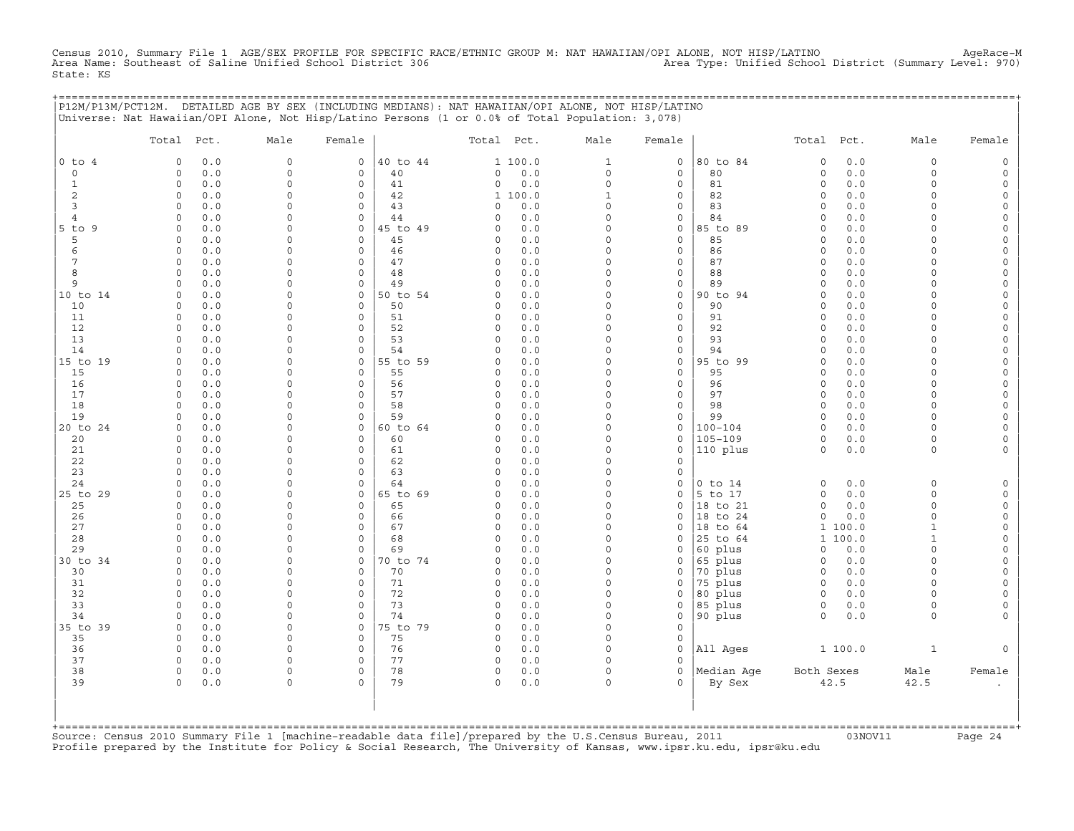Census 2010, Summary File 1 AGE/SEX PROFILE FOR SPECIFIC RACE/ETHNIC GROUP M: NAT HAWAIIAN/OPI ALONE, NOT HISP/LATINO<br>Area Name: Southeast of Saline Unified School District 306 Area Type: Unif State: KS

+===================================================================================================================================================+

|                     |                                   |                     |               |                | P12M/P13M/PCT12M. DETAILED AGE BY SEX (INCLUDING MEDIANS): NAT HAWAIIAN/OPI ALONE, NOT HISP/LATINO<br>Universe: Nat Hawaiian/OPI Alone, Not Hisp/Latino Persons (1 or 0.0% of Total Population: 3,078) |                          |                            |                    |                                          |                      |                                    |
|---------------------|-----------------------------------|---------------------|---------------|----------------|--------------------------------------------------------------------------------------------------------------------------------------------------------------------------------------------------------|--------------------------|----------------------------|--------------------|------------------------------------------|----------------------|------------------------------------|
|                     | Total Pct.                        | Male                | Female        |                | Total Pct.                                                                                                                                                                                             | Male                     | Female                     |                    | Total<br>Pct.                            | Male                 | Female                             |
| $0$ to $4$          | 0.0<br>$\Omega$                   | 0                   | 0             | 40 to 44       | 1 100.0                                                                                                                                                                                                | $\mathbf{1}$             | $\mathsf O$                | 80 to 84           | 0.0<br>$\circ$                           | 0                    | $\mathsf{O}$                       |
| $\circ$             | 0<br>0.0                          | $\mathsf{O}\xspace$ | $\circ$       | 40             | $\circ$<br>0.0                                                                                                                                                                                         | $\circ$                  | $\mathsf{O}\xspace$        | 80                 | $\circ$<br>0.0                           | 0                    | $\mathsf O$                        |
| $\mathbf{1}$        | $\mathbf 0$<br>0.0                | 0                   | 0             | 41             | $0.0$<br>$\circ$                                                                                                                                                                                       | $\mathbf 0$              | $\mathsf O$                | 81                 | $0.0$<br>$\mathsf O$                     | $\Omega$             | $\mathsf{O}$                       |
| 2                   | $\Omega$<br>0.0<br>0.0<br>$\circ$ | 0<br>0              | $\Omega$<br>0 | 42<br>43       | 1 100.0<br>0.0<br>$\circ$                                                                                                                                                                              | $\mathbf{1}$<br>$\Omega$ | $\circ$<br>$\circ$         | 82<br>83           | 0.0<br>$\mathbf 0$<br>0.0<br>$\mathbf 0$ | $\Omega$<br>0        | 0<br>0                             |
| 3<br>$\overline{4}$ | 0.0<br>$\Omega$                   | 0                   | 0             | 44             | 0.0<br>$\Omega$                                                                                                                                                                                        | $\Omega$                 | $\mathsf O$                | 84                 | 0.0<br>$\mathbf 0$                       | $\circ$              | $\mathsf{O}\xspace$                |
| $5$ to $9$          | $\circ$<br>0.0                    | 0                   | 0             | 45 to 49       | 0.0<br>$\Omega$                                                                                                                                                                                        | $\Omega$                 | $\mathsf{O}\xspace$        | 85 to 89           | 0.0<br>$\Omega$                          | $\Omega$             | $\mathsf{O}\xspace$                |
| 5                   | 0.0<br>$\Omega$                   | 0                   | $\Omega$      | 45             | 0.0<br>$\circ$                                                                                                                                                                                         | $\Omega$                 | $\circ$                    | 85                 | 0.0<br>$\mathbf 0$                       | $\Omega$             | $\mathbf 0$                        |
| 6                   | 0.0<br>$\Omega$                   | 0                   | 0             | 46             | $\circ$<br>0.0                                                                                                                                                                                         | $\Omega$                 | $\circ$                    | 86                 | 0.0<br>$\mathbf 0$                       | $\Omega$             | 0                                  |
| 7                   | 0.0<br>$\circ$                    | 0                   | $\circ$       | 47             | $\circ$<br>0.0                                                                                                                                                                                         | $\Omega$                 | $\mathsf{O}\xspace$        | 87                 | 0.0<br>$\Omega$                          | $\Omega$             | $\mathsf{O}\xspace$                |
| 8                   | $\Omega$<br>0.0                   | 0                   | 0             | 48             | 0.0<br>$\Omega$                                                                                                                                                                                        | $\Omega$                 | $\mathsf{O}\xspace$        | 88                 | 0.0<br>$\Omega$                          | $\Omega$             | 0                                  |
| 9                   | 0.0<br>$\Omega$                   | $\Omega$<br>0       | $\Omega$      | 49             | $\Omega$<br>0.0<br>$\Omega$                                                                                                                                                                            | $\Omega$<br>$\Omega$     | $\circ$                    | 89                 | 0.0<br>$\mathbf 0$<br>$\Omega$           | $\Omega$<br>$\Omega$ | 0<br>$\mathbf 0$                   |
| 10 to 14<br>10      | 0.0<br>0<br>0.0<br>$\circ$        | $\Omega$            | 0<br>$\circ$  | 50 to 54<br>50 | 0.0<br>0.0<br>$\Omega$                                                                                                                                                                                 | $\Omega$                 | $\mathsf O$<br>$\circ$     | 90 to 94<br>90     | 0.0<br>0.0<br>$\Omega$                   | $\Omega$             | $\mathsf{O}\xspace$                |
| 11                  | $\circ$<br>0.0                    | 0                   | $\circ$       | 51             | 0.0<br>$\circ$                                                                                                                                                                                         | $\Omega$                 | $\mathsf{O}\xspace$        | 91                 | $\mathsf O$<br>0.0                       | $\Omega$             | $\mathsf{O}\xspace$                |
| 12                  | 0.0<br>0                          | 0                   | 0             | 52             | $\circ$<br>0.0                                                                                                                                                                                         | $\Omega$                 | $\circ$                    | 92                 | $\mathbf 0$<br>0.0                       | $\Omega$             | $\mathbf 0$                        |
| 13                  | 0.0<br>$\Omega$                   | $\Omega$            | $\Omega$      | 53             | $\Omega$<br>0.0                                                                                                                                                                                        | $\Omega$                 | $\mathbf 0$                | 93                 | 0.0<br>$\Omega$                          | $\Omega$             | 0                                  |
| 14                  | $\circ$<br>0.0                    | 0                   | $\circ$       | 54             | $\circ$<br>0.0                                                                                                                                                                                         | $\Omega$                 | $\mathsf{O}\xspace$        | 94                 | $\mathsf O$<br>0.0                       | $\circ$              | $\mathsf{O}\xspace$                |
| 15 to 19            | 0.0<br>$\Omega$                   | 0                   | 0             | 55 to 59       | $\Omega$<br>0.0                                                                                                                                                                                        | $\Omega$                 | $\mathsf O$                | 95 to 99           | $0.0$<br>$\mathsf O$                     | $\Omega$             | 0                                  |
| 15                  | $\Omega$<br>0.0                   | 0                   | $\Omega$      | 55             | $0.0$<br>$\Omega$                                                                                                                                                                                      | $\Omega$<br>$\Omega$     | $\Omega$                   | 95                 | $\Omega$<br>0.0                          | $\Omega$             | $\mathbf 0$                        |
| 16<br>17            | 0.0<br>$\circ$<br>0.0<br>$\Omega$ | 0<br>0              | 0<br>0        | 56<br>57       | 0.0<br>0<br>$\circ$<br>0.0                                                                                                                                                                             | $\Omega$                 | $\mathbf 0$<br>$\mathsf O$ | 96<br>97           | 0.0<br>$\mathbf 0$<br>0.0<br>$\mathsf O$ | 0<br>$\circ$         | $\mathbf 0$<br>$\mathsf{O}\xspace$ |
| 18                  | $\circ$<br>0.0                    | $\Omega$            | $\circ$       | 58             | 0.0<br>$\Omega$                                                                                                                                                                                        | $\Omega$                 | $\mathsf O$                | 98                 | 0.0<br>$\mathbf 0$                       | $\Omega$             | $\mathsf{O}\xspace$                |
| 19                  | 0.0<br>$\Omega$                   | 0                   | 0             | 59             | $\Omega$<br>0.0                                                                                                                                                                                        | $\Omega$                 | $\circ$                    | 99                 | $\mathbf 0$<br>0.0                       | $\Omega$             | $\mathbf 0$                        |
| 20 to 24            | 0.0<br>$\Omega$                   | 0                   | 0             | 60 to 64       | 0.0<br>$\Omega$                                                                                                                                                                                        | $\Omega$                 | 0                          | $100 - 104$        | $\mathbf 0$<br>0.0                       | $\Omega$             | 0                                  |
| 20                  | 0.0<br>$\circ$                    | 0                   | $\circ$       | 60             | 0.0<br>$\Omega$                                                                                                                                                                                        | $\Omega$                 | $\mathsf{O}\xspace$        | $105 - 109$        | 0.0<br>0                                 | $\circ$              | $\mathsf{O}\xspace$                |
| 21                  | $\Omega$<br>0.0                   | 0                   | $\circ$       | 61             | 0.0<br>$\circ$                                                                                                                                                                                         | $\Omega$                 | $\mathsf O$                | 110 plus           | $\mathbf 0$<br>0.0                       | $\circ$              | $\mathsf{O}\xspace$                |
| 22                  | $\Omega$<br>0.0                   | 0                   | $\Omega$      | 62             | $\Omega$<br>0.0                                                                                                                                                                                        | $\Omega$<br>$\Omega$     | $\Omega$                   |                    |                                          |                      |                                    |
| 23<br>24            | 0.0<br>0<br>0.0<br>$\circ$        | 0<br>0              | 0<br>$\circ$  | 63<br>64       | $\circ$<br>0.0<br>0.0<br>$\Omega$                                                                                                                                                                      | $\Omega$                 | $\circ$<br>$\circ$         | $0$ to $14$        | $\mathsf O$<br>0.0                       | $\circ$              | $\mathsf O$                        |
| 25 to 29            | $\circ$<br>0.0                    | 0                   | $\circ$       | 65 to 69       | 0.0<br>$\circ$                                                                                                                                                                                         | $\Omega$                 | $\mathsf O$                | 5 to 17            | $\circ$<br>0.0                           | $\circ$              | $\mathsf O$                        |
| 25                  | 0.0<br>0                          | 0                   | 0             | 65             | $\circ$<br>0.0                                                                                                                                                                                         | $\Omega$                 | $\circ$                    | 18 to 21           | $\Omega$<br>0.0                          | $\Omega$             | 0                                  |
| 26                  | 0.0<br>$\Omega$                   | 0                   | $\Omega$      | 66             | 0.0<br>$\Omega$                                                                                                                                                                                        | $\Omega$                 | $\Omega$                   | 18 to 24           | $\Omega$<br>0.0                          | $\Omega$             | 0                                  |
| 27                  | $\mathsf O$<br>0.0                | $\mathbf 0$         | $\circ$       | 67             | $\mathsf{O}\xspace$<br>0.0                                                                                                                                                                             | $\Omega$                 | $\circ$                    | 18 to 64           | 100.0<br>$\mathbf{1}$                    | $\mathbf{1}$         | $\mathsf{O}\xspace$                |
| 28                  | 0.0<br>$\Omega$                   | 0                   | 0             | 68             | $\circ$<br>0.0                                                                                                                                                                                         | $\Omega$                 | $\Omega$                   | 25 to 64           | 100.0<br>1                               | $\mathbf{1}$         | $\mathsf{O}\xspace$                |
| 29<br>30 to 34      | 0.0<br>$\Omega$<br>0.0<br>$\circ$ | 0<br>0              | $\Omega$<br>0 | 69             | $0.0$<br>$\cap$<br>0.0<br>$\circ$                                                                                                                                                                      | $\Omega$<br>$\Omega$     | $\Omega$<br>$\circ$        | 60 plus            | $\Omega$<br>0.0<br>0.0                   | $\Omega$<br>0        | $\mathbf 0$<br>$\mathbf 0$         |
| 30                  | 0.0<br>$\Omega$                   | 0                   | 0             | 70 to 74<br>70 | 0.0<br>$\circ$                                                                                                                                                                                         | $\Omega$                 | $\mathsf O$                | 65 plus<br>70 plus | 0<br>0.0<br>$\circ$                      | $\circ$              | $\mathsf{O}\xspace$                |
| 31                  | $\circ$<br>0.0                    | 0                   | $\circ$       | 71             | 0.0<br>$\Omega$                                                                                                                                                                                        | $\Omega$                 | $\circ$                    | 75 plus            | 0.0<br>$\circ$                           | $\Omega$             | $\mathsf{O}\xspace$                |
| 32                  | $\circ$<br>0.0                    | 0                   | $\Omega$      | 72             | $\circ$<br>0.0                                                                                                                                                                                         | $\Omega$                 | $\circ$                    | 80 plus            | $\circ$<br>0.0                           | $\Omega$             | $\mathbf 0$                        |
| 33                  | $\Omega$<br>0.0                   | $\mathbf 0$         | 0             | 73             | $\Omega$<br>0.0                                                                                                                                                                                        | $\Omega$                 | $\circ$                    | 85 plus            | $\circ$<br>0.0                           | $\circ$              | 0                                  |
| 34                  | 0.0<br>$\circ$                    | 0                   | $\circ$       | 74             | 0.0<br>$\Omega$                                                                                                                                                                                        | $\Omega$                 | $\mathsf{O}\xspace$        | 90 plus            | 0.0<br>$\circ$                           | $\circ$              | $\mathbf 0$                        |
| 35 to 39            | 0.0<br>$\circ$                    | 0                   | 0             | 75 to 79       | 0.0<br>$\Omega$                                                                                                                                                                                        | $\Omega$                 | $\circ$                    |                    |                                          |                      |                                    |
| 35                  | $\Omega$<br>0.0                   | 0                   | 0             | 75             | $\Omega$<br>0.0                                                                                                                                                                                        | $\Omega$                 | $\Omega$                   |                    |                                          |                      |                                    |
| 36<br>37            | 0.0<br>0<br>$\circ$<br>0.0        | 0<br>$\mathbf 0$    | 0<br>0        | 76<br>77       | $\circ$<br>0.0<br>0.0<br>$\circ$                                                                                                                                                                       | $\Omega$<br>$\Omega$     | $\circ$<br>$\Omega$        | All Ages           | 1 100.0                                  | $\mathbf{1}$         | $\mathbf 0$                        |
| 38                  | $\circ$<br>0.0                    | 0                   | $\circ$       | 78             | $\mathsf{O}\xspace$<br>0.0                                                                                                                                                                             | $\Omega$                 | $\circ$                    | Median Age         | Both Sexes                               | Male                 | Female                             |
| 39                  | 0.0<br>$\Omega$                   | 0                   | $\Omega$      | 79             | $\Omega$<br>0.0                                                                                                                                                                                        | $\Omega$                 | $\cap$                     | By Sex             | 42.5                                     | 42.5                 |                                    |
|                     |                                   |                     |               |                |                                                                                                                                                                                                        |                          |                            |                    |                                          |                      |                                    |

+===================================================================================================================================================+Source: Census 2010 Summary File 1 [machine−readable data file]/prepared by the U.S.Census Bureau, 2011 03NOV11 Page 24 Profile prepared by the Institute for Policy & Social Research, The University of Kansas, www.ipsr.ku.edu, ipsr@ku.edu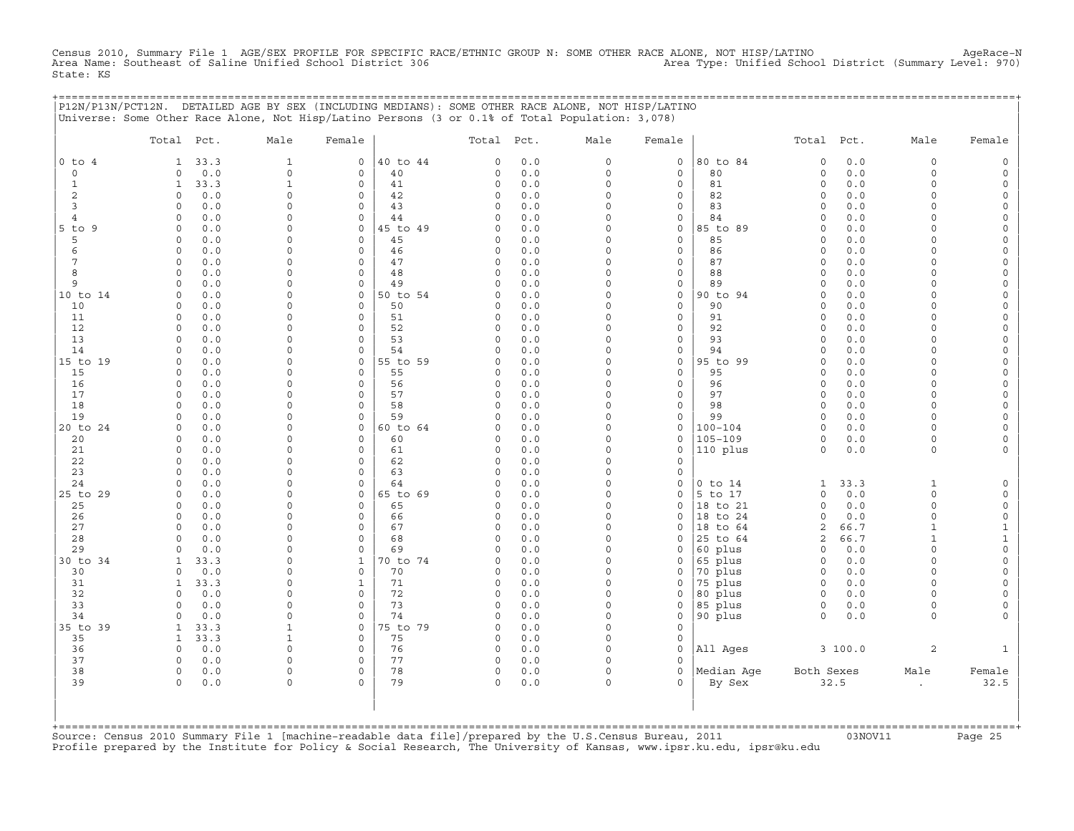Census 2010, Summary File 1 AGE/SEX PROFILE FOR SPECIFIC RACE/ETHNIC GROUP N: SOME OTHER RACE ALONE, NOT HISP/LATINO<br>Area Name: Southeast of Saline Unified School District 306 Area Type: Unifi State: KS

+===================================================================================================================================================+

|                              | P12N/P13N/PCT12N. DETAILED AGE BY SEX (INCLUDING MEDIANS): SOME OTHER RACE ALONE, NOT HISP/LATINO<br>Universe: Some Other Race Alone, Not Hisp/Latino Persons (3 or 0.1% of Total Population: 3,078) |                                |                     |                |                                               |                         |                                            |                      |                                          |                            |                                            |
|------------------------------|------------------------------------------------------------------------------------------------------------------------------------------------------------------------------------------------------|--------------------------------|---------------------|----------------|-----------------------------------------------|-------------------------|--------------------------------------------|----------------------|------------------------------------------|----------------------------|--------------------------------------------|
|                              | Total Pct.                                                                                                                                                                                           | Male                           | Female              |                | Total Pct.                                    | Male                    | Female                                     |                      | Total<br>Pct.                            | Male                       | Female                                     |
| $0$ to $4$                   | 33.3<br>$\mathbf{1}$                                                                                                                                                                                 | $\mathbf{1}$                   | $\circ$             | 40 to 44       | $0.0$<br>$\circ$                              | $\circ$                 | $\circ$                                    | 80 to 84             | $0.0$<br>$\mathbf 0$                     | $\circ$                    | $\circ$                                    |
| $\circ$                      | 0.0<br>$\circ$                                                                                                                                                                                       | $\mathbf 0$                    | $\circ$             | 40             | $\circ$<br>0.0                                | $\circ$                 | $\circ$                                    | 80                   | $\mathbf 0$<br>0.0                       | $\circ$                    | $\mathsf{O}\xspace$                        |
| $\mathbf 1$                  | 33.3<br>$\mathbf{1}$                                                                                                                                                                                 | $\mathbf 1$                    | 0                   | 41             | $\mathsf{O}\xspace$<br>0.0                    | $\mathbf 0$             | $\mathsf{O}\xspace$                        | 81                   | $\mathsf O$<br>0.0                       | $\circ$                    | $\mathsf{O}\xspace$                        |
| 2                            | $\Omega$<br>0.0                                                                                                                                                                                      | $\mathbf 0$                    | $\Omega$            | 42             | 0.0<br>$\Omega$                               | $\Omega$                | $\mathbf 0$                                | 82                   | $\mathbf 0$<br>0.0                       | $\Omega$                   | 0                                          |
| 3                            | $\circ$<br>0.0                                                                                                                                                                                       | 0                              | 0                   | 43             | $\circ$<br>0.0                                | $\Omega$                | $\mathbf 0$                                | 83                   | $\mathsf O$<br>0.0                       | $\circ$                    | 0                                          |
| $\overline{4}$<br>$5$ to $9$ | 0.0<br>$\Omega$<br>0.0<br>$\Omega$                                                                                                                                                                   | 0<br>$\Omega$                  | 0<br>$\Omega$       | 44<br>45 to 49 | 0.0<br>$\circ$<br>0.0<br>$\Omega$             | $\mathbf 0$<br>$\Omega$ | $\mathsf O$<br>$\circ$                     | 84<br>85 to 89       | $\mathsf O$<br>0.0<br>$\mathbf 0$        | 0.0<br>$\circ$<br>$\Omega$ | $\mathsf{O}\xspace$<br>$\mathsf{O}\xspace$ |
| 5                            | 0.0<br>0                                                                                                                                                                                             | 0                              | 0                   | 45             | 0.0<br>0                                      | $\Omega$                | $\mathsf O$                                | 85                   | 0.0<br>0                                 | 0                          | 0                                          |
| 6                            | 0.0<br>$\Omega$                                                                                                                                                                                      | 0                              | $\circ$             | 46             | $\mathsf{O}\xspace$<br>0.0                    | $\Omega$                | $\mathsf{O}\xspace$                        | 86                   | $\mathsf O$                              | 0.0<br>$\circ$             | $\mathsf{O}\xspace$                        |
| 7                            | 0.0<br>$\Omega$                                                                                                                                                                                      | $\Omega$                       | $\Omega$            | 47             | $\Omega$<br>0.0                               | $\Omega$                | $\mathbf 0$                                | 87                   | $\mathbf 0$                              | 0.0<br>$\Omega$            | $\mathsf{O}\xspace$                        |
| 8                            | $\circ$<br>0.0                                                                                                                                                                                       | 0                              | 0                   | 48             | $\circ$<br>0.0                                | $\Omega$                | $\circ$                                    | 88                   | $\mathbf 0$<br>0.0                       | $\circ$                    | 0                                          |
| 9                            | 0.0<br>$\Omega$                                                                                                                                                                                      | 0                              | 0                   | 49             | $\circ$<br>0.0                                | $\circ$                 | $\mathsf{O}\xspace$                        | 89                   | $\mathsf O$<br>0.0                       | $\circ$                    | $\mathsf{O}\xspace$                        |
| 10 to 14                     | 0.0<br>$\circ$                                                                                                                                                                                       | $\Omega$                       | $\circ$             | 50 to 54       | 0.0<br>$\circ$                                | $\Omega$                | $\circ$                                    | 90 to 94             | $\Omega$                                 | 0.0<br>$\Omega$            | $\mathsf{O}\xspace$                        |
| 10<br>11                     | 0.0<br>$\Omega$<br>$\circ$                                                                                                                                                                           | 0<br>$\mathsf{O}\xspace$       | $\circ$<br>$\circ$  | 50<br>51       | 0.0<br>$\Omega$<br>$\mathsf{O}\xspace$<br>0.0 | $\Omega$<br>$\Omega$    | $\mathsf{O}\xspace$<br>$\mathsf{O}\xspace$ | 90<br>91             | $\mathsf O$<br>0.0<br>$\mathsf O$<br>0.0 | $\circ$                    | $\mathsf{O}\xspace$<br>$\circ$             |
| 12                           | 0.0<br>0.0<br>$\circ$                                                                                                                                                                                | $\mathbf 0$                    | $\circ$             | 52             | $\circ$<br>0.0                                | $\Omega$                | $\circ$                                    | 92                   | $\circ$                                  | 0<br>0.0<br>$\circ$        | $\mathsf{O}\xspace$                        |
| 13                           | 0.0<br>$\circ$                                                                                                                                                                                       | $\mathbf 0$                    | $\circ$             | 53             | $\circ$<br>0.0                                | $\Omega$                | $\mathsf{O}\xspace$                        | 93                   | $\circ$                                  | 0.0<br>$\circ$             | $\mathsf{O}\xspace$                        |
| 14                           | 0.0<br>$\Omega$                                                                                                                                                                                      | $\mathsf{O}\xspace$            | $\circ$             | 54             | $\circ$<br>$0.0$                              | $\mathbf 0$             | $\mathsf{O}\xspace$                        | 94                   | $\mathsf O$<br>0.0                       | $\circ$                    | $\mathsf{O}\xspace$                        |
| 15 to 19                     | 0.0<br>0                                                                                                                                                                                             | $\mathbf 0$                    | 0                   | 55 to 59       | 0.0<br>$\circ$                                | $\Omega$                | $\circ$                                    | 95 to 99             | $\Omega$                                 | 0.0<br>$\circ$             | 0                                          |
| 15                           | 0.0<br>$\Omega$                                                                                                                                                                                      | $\Omega$                       | $\circ$             | 55             | $\circ$<br>0.0                                | $\Omega$                | $\circ$                                    | 95                   | $\Omega$                                 | 0.0<br>$\circ$             | $\mathsf{O}\xspace$                        |
| 16                           | $\circ$<br>0.0                                                                                                                                                                                       | $\mathbf 0$                    | $\Omega$            | 56             | $\circ$<br>0.0                                | $\Omega$                | $\circ$                                    | 96                   | $\mathbf 0$<br>0.0                       | $\Omega$                   | $\mathsf{O}\xspace$                        |
| 17                           | 0.0<br>$\Omega$                                                                                                                                                                                      | 0                              | 0                   | 57             | $\circ$<br>0.0                                | $\Omega$                | 0                                          | 97                   | $\mathbf 0$                              | 0.0<br>$\circ$             | 0                                          |
| 18                           | 0.0<br>$\Omega$<br>$\Omega$                                                                                                                                                                          | 0                              | $\circ$<br>$\Omega$ | 58<br>59       | $\circ$<br>0.0<br>0.0<br>$\Omega$             | $\Omega$<br>$\Omega$    | $\mathsf{O}\xspace$                        | 98<br>99             | $\circ$                                  | 0.0<br>$\circ$             | $\circ$                                    |
| 19<br>20 to 24               | 0.0<br>0.0<br>$\Omega$                                                                                                                                                                               | $\mathbf 0$<br>0               | 0                   | 60 to 64       | $\Omega$<br>0.0                               | $\Omega$                | $\circ$<br>$\mathsf O$                     | $100 - 104$          | $\mathbf 0$<br>0.0<br>$\mathsf O$<br>0.0 | $\Omega$<br>$\Omega$       | $\mathsf{O}\xspace$<br>$\mathsf{O}\xspace$ |
| 20                           | 0.0<br>$\Omega$                                                                                                                                                                                      | $\Omega$                       | $\Omega$            | 60             | $\circ$<br>0.0                                | $\Omega$                | $\circ$                                    | $105 - 109$          | $\Omega$<br>$0.0$                        | $\circ$                    | $\circ$                                    |
| 21                           | $\circ$<br>0.0                                                                                                                                                                                       | $\Omega$                       | $\Omega$            | 61             | $\circ$<br>0.0                                | $\Omega$                | $\circ$                                    | 110 plus             | $\mathbf 0$<br>0.0                       | $\circ$                    | $\circ$                                    |
| 22                           | 0.0<br>$\Omega$                                                                                                                                                                                      | 0                              | 0                   | 62             | $\circ$<br>0.0                                | $\Omega$                | $\circ$                                    |                      |                                          |                            |                                            |
| 23                           | 0.0<br>$\Omega$                                                                                                                                                                                      | 0                              | $\circ$             | 63             | 0.0<br>$\Omega$                               | $\Omega$                | $\circ$                                    |                      |                                          |                            |                                            |
| 24                           | $\Omega$<br>0.0                                                                                                                                                                                      | $\mathsf{O}\xspace$            | 0                   | 64             | 0.0<br>$\circ$                                | $\Omega$                | $\mathsf O$                                | $0$ to $14$          | 33.3<br>$\mathbf{1}$                     | $\mathbf{1}$               | $\mathsf O$                                |
| 25 to 29                     | 0.0<br>$\Omega$                                                                                                                                                                                      | 0                              | 0                   | 65 to 69       | $\circ$<br>0.0                                | $\Omega$                | $\mathsf O$                                | 5 to 17              | $\mathbf 0$<br>0.0                       | $\circ$                    | $\mathsf{O}$                               |
| 25<br>26                     | 0.0<br>$\circ$<br>$\circ$<br>0.0                                                                                                                                                                     | 0<br>0                         | $\circ$<br>0        | 65<br>66       | 0.0<br>$\Omega$<br>$\circ$<br>0.0             | $\Omega$<br>$\Omega$    | $\circ$<br>$\circ$                         | 18 to 21<br>18 to 24 | $\Omega$<br>0.0<br>$\mathbf 0$<br>0.0    | $\circ$<br>$\circ$         | $\mathsf{O}\xspace$<br>0                   |
| 27                           | 0.0<br>$\Omega$                                                                                                                                                                                      | 0                              | 0                   | 67             | $\circ$<br>0.0                                | $\Omega$                | $\circ$                                    | 18 to 64             | $\overline{c}$<br>66.7                   | $\mathbf{1}$               | $\mathbf{1}$                               |
| 28                           | 0.0<br>$\circ$                                                                                                                                                                                       | 0                              | $\circ$             | 68             | $0.0$<br>$\circ$                              | $\Omega$                | $\circ$                                    | 25 to 64             | 66.7<br>2                                | $\mathbf{1}$               | $\mathbf{1}$                               |
| 29                           | 0.0<br>$\Omega$                                                                                                                                                                                      | 0                              | 0                   | 69             | 0.0<br>$\Omega$                               | $\Omega$                | $\circ$                                    | 60 plus              | $\mathbf 0$<br>0.0                       | $\circ$                    | $\mathsf{O}\xspace$                        |
| 30 to 34                     | 33.3<br>1                                                                                                                                                                                            | 0                              | $\mathbf 1$         | 70 to 74       | $\circ$<br>0.0                                | $\Omega$                | $\circ$                                    | 65 plus              | $\mathsf O$<br>0.0                       | $\circ$                    | $\mathsf{O}\xspace$                        |
| 30                           | 0.0<br>$\Omega$                                                                                                                                                                                      | 0                              | 0                   | 70             | 0.0<br>$\circ$                                | $\Omega$                | $\mathsf O$                                | 70 plus              | 0.0<br>$\circ$                           | $\circ$                    | $\mathsf{O}\xspace$                        |
| 31                           | 33.3<br>1                                                                                                                                                                                            | 0                              | $\mathbf 1$         | 71             | $0.0$<br>$\circ$                              | $\Omega$                | $\circ$                                    | 75 plus              | $\mathbf 0$<br>0.0                       | $\Omega$                   | $\mathbf 0$                                |
| 32                           | $\circ$<br>0.0                                                                                                                                                                                       | 0                              | $\circ$             | 72             | $\circ$<br>0.0                                | $\circ$                 | $\circ$                                    | 80 plus              | $\circ$<br>0.0                           | $\circ$                    | $\mathsf{O}\xspace$                        |
| 33<br>34                     | 0.0<br>$\circ$<br>0.0<br>$\Omega$                                                                                                                                                                    | $\mathsf{O}\xspace$<br>$\circ$ | $\circ$<br>$\circ$  | 73<br>74       | $\circ$<br>0.0<br>$\Omega$<br>0.0             | $\Omega$<br>$\Omega$    | $\mathsf O$<br>$\circ$                     | 85 plus              | $\circ$<br>$\Omega$<br>0.0               | 0.0<br>0<br>$\circ$        | $\mathsf{O}\xspace$<br>0                   |
| 35 to 39                     | 33.3<br>$\mathbf{1}$                                                                                                                                                                                 | $\mathbf{1}$                   | $\circ$             | 75 to 79       | $\circ$<br>0.0                                | $\Omega$                | $\circ$                                    | 90 plus              |                                          |                            |                                            |
| 35                           | 33.3<br>$\mathbf{1}$                                                                                                                                                                                 | $\mathbf{1}$                   | 0                   | 75             | $0.0$<br>$\circ$                              | $\Omega$                | $\circ$                                    |                      |                                          |                            |                                            |
| 36                           | $\circ$<br>0.0                                                                                                                                                                                       | $\circ$                        | 0                   | 76             | 0.0<br>$\circ$                                | $\Omega$                | $\circ$                                    | All Ages             | 3100.0                                   | $\overline{a}$             | $\mathbf{1}$                               |
| 37                           | $\circ$<br>0.0                                                                                                                                                                                       | $\circ$                        | $\circ$             | 77             | $\mathsf{O}\xspace$<br>0.0                    | $\Omega$                | $\circ$                                    |                      |                                          |                            |                                            |
| 38                           | $\circ$<br>0.0                                                                                                                                                                                       | $\mathsf{O}\xspace$            | 0                   | 78             | $\mathsf O$<br>0.0                            | $\Omega$                | $\circ$                                    | Median Age           | Both Sexes                               | Male                       | Female                                     |
| 39                           | $\circ$<br>0.0                                                                                                                                                                                       | 0                              | $\Omega$            | 79             | $\circ$<br>0.0                                | $\Omega$                | $\Omega$                                   | By Sex               | 32.5                                     | $\cdot$                    | 32.5                                       |
|                              |                                                                                                                                                                                                      |                                |                     |                |                                               |                         |                                            |                      |                                          |                            |                                            |

| | +===================================================================================================================================================+Source: Census 2010 Summary File 1 [machine−readable data file]/prepared by the U.S.Census Bureau, 2011 03NOV11 Page 25 Profile prepared by the Institute for Policy & Social Research, The University of Kansas, www.ipsr.ku.edu, ipsr@ku.edu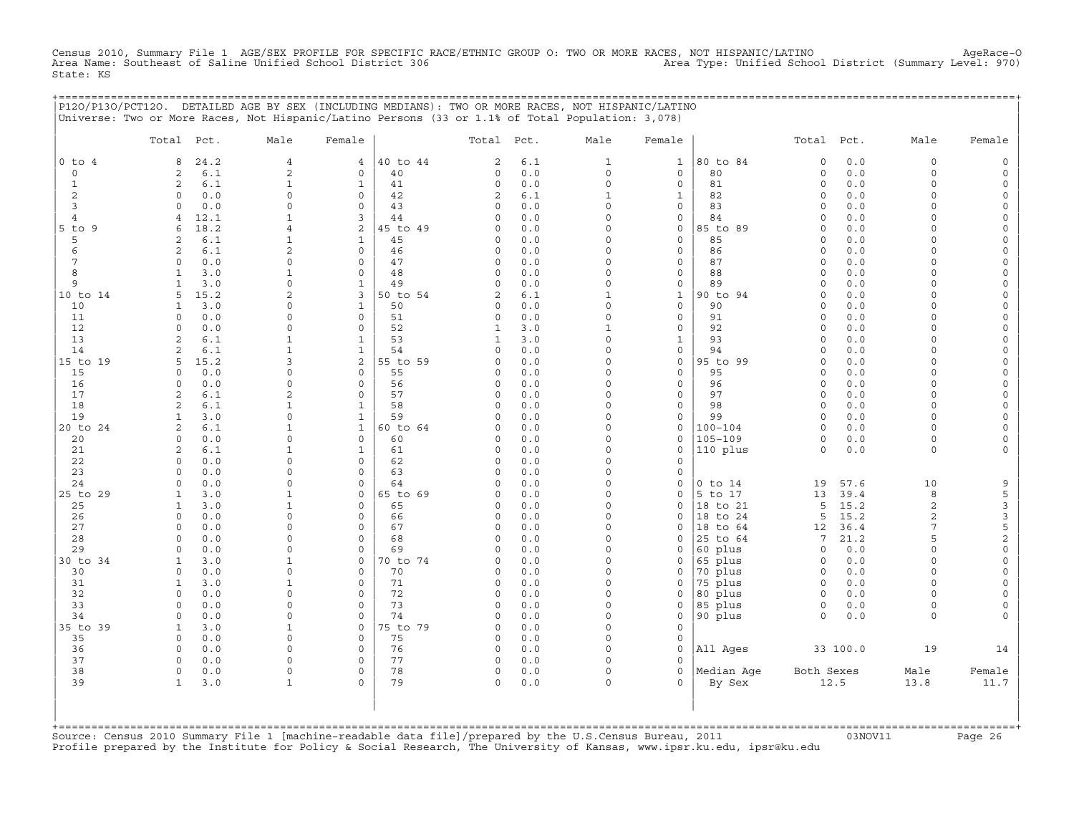Census 2010, Summary File 1 AGE/SEX PROFILE FOR SPECIFIC RACE/ETHNIC GROUP O: TWO OR MORE RACES, NOT HISPANIC/LATINO AgeRace-O<br>Area Name: Southeast of Saline Unified School District 306 State: KS

+===================================================================================================================================================+

|                              | P120/P130/PCT120. DETAILED AGE BY SEX (INCLUDING MEDIANS): TWO OR MORE RACES, NOT HISPANIC/LATINO<br>Universe: Two or More Races, Not Hispanic/Latino Persons (33 or 1.1% of Total Population: 3,078) |                                    |                          |                |                                     |            |                                     |                                    |                            |                            |             |                     |                                |
|------------------------------|-------------------------------------------------------------------------------------------------------------------------------------------------------------------------------------------------------|------------------------------------|--------------------------|----------------|-------------------------------------|------------|-------------------------------------|------------------------------------|----------------------------|----------------------------|-------------|---------------------|--------------------------------|
|                              | Total<br>Pct.                                                                                                                                                                                         | Male                               | Female                   |                | Total Pct.                          |            | Male                                | Female                             |                            | Total                      | Pct.        | Male                | Female                         |
| $0$ to $4$                   | 24.2<br>8                                                                                                                                                                                             | $\overline{4}$                     | 4                        | 40 to 44       | $\sqrt{2}$                          | $6.1$      | $\mathbf{1}$                        | $\mathbf{1}$                       | 80 to 84                   | $\mathbf 0$                | 0.0         | 0                   | $\circ$                        |
| $\circ$                      | 6.1<br>2                                                                                                                                                                                              | 2                                  | 0                        | 40             | $\circ$                             | 0.0        | $\circ$                             | $\mathbf 0$                        | 80                         | $\circ$                    | 0.0         | $\circ$             | $\circ$                        |
| $\mathbf{1}$                 | $\overline{2}$<br>6.1                                                                                                                                                                                 | $\mathbf{1}$                       | $\mathbf{1}$             | 41             | $\circ$                             | 0.0        | $\circ$                             | $\mathsf{O}\xspace$                | 81                         | $\circ$                    | 0.0         | $\circ$             | $\mathsf{O}\xspace$            |
| 2                            | 0.0<br>$\Omega$                                                                                                                                                                                       | $\circ$                            | $\Omega$                 | 42             | 2                                   | 6.1        | $\mathbf{1}$                        | $\mathbf{1}$                       | 82                         | $\mathbf 0$                | 0.0         | $\Omega$            | 0                              |
| 3                            | $\Omega$<br>0.0                                                                                                                                                                                       | $\circ$                            | $\Omega$                 | 43             | $\circ$<br>$\circ$                  | $0.0$      | $\circ$<br>$\circ$                  | $\mathbf 0$                        | 83                         | $\circ$                    | 0.0         | $\circ$             | 0                              |
| $\overline{4}$<br>$5$ to $9$ | 12.1<br>$\overline{4}$<br>18.2<br>6                                                                                                                                                                   | $\mathbf{1}$<br>$\overline{4}$     | 3<br>$\overline{2}$      | 44<br>45 to 49 | $\Omega$                            | 0.0<br>0.0 | $\Omega$                            | $\mathsf{O}\xspace$<br>$\mathbf 0$ | 84<br>85 to 89             | $\mathbf 0$<br>$\mathbf 0$ | 0.0<br>0.0  | $\circ$<br>$\Omega$ | $\circ$<br>$\circ$             |
| 5                            | 2<br>6.1                                                                                                                                                                                              | $\mathbf{1}$                       | $\mathbf{1}$             | 45             | $\circ$                             | 0.0        | $\circ$                             | $\circ$                            | 85                         | $\mathbf 0$                | 0.0         | $\circ$             | $\circ$                        |
| 6                            | $6.1$<br>2                                                                                                                                                                                            | $\overline{c}$                     | $\circ$                  | 46             | $\circ$                             | 0.0        | $\Omega$                            | $\mathsf{O}\xspace$                | 86                         | $\mathsf O$                | 0.0         | $\circ$             | $\circ$                        |
| 7                            | 0.0<br>$\Omega$                                                                                                                                                                                       | $\mathbf 0$                        | $\Omega$                 | 47             | $\Omega$                            | 0.0        | $\Omega$                            | $\mathbf 0$                        | 87                         | $\Omega$                   | 0.0         | $\Omega$            | 0                              |
| 8                            | $\mathbf{1}$<br>3.0                                                                                                                                                                                   | $\mathbf{1}$                       | $\circ$                  | 48             | $\circ$                             | 0.0        | $\circ$                             | $\mathbf 0$                        | 88                         | $\circ$                    | 0.0         | $\circ$             | 0                              |
| 9                            | 3.0<br>1                                                                                                                                                                                              | $\circ$                            | $\mathbf 1$              | 49             | $\circ$                             | 0.0        | $\mathsf{O}\xspace$                 | $\mathsf{O}\xspace$                | 89                         | $\circ$                    | 0.0         | $\circ$             | $\mathsf{O}\xspace$            |
| 10 to 14                     | 15.2<br>5                                                                                                                                                                                             | $\overline{2}$                     | 3                        | 50 to 54       | $\overline{2}$                      | 6.1        | $\mathbf{1}$                        | $\mathbf{1}$                       | 90 to 94                   | $\Omega$                   | 0.0         | $\Omega$            | 0                              |
| 10                           | 3.0<br>1                                                                                                                                                                                              | 0                                  | $\mathbf{1}$             | 50             | $\circ$                             | 0.0        | $\circ$                             | $\mathsf{O}\xspace$                | 90                         | $\mathsf O$                | 0.0         | $\circ$             | 0                              |
| 11<br>12                     | 0.0<br>$\circ$<br>0.0<br>$\Omega$                                                                                                                                                                     | 0<br>$\Omega$                      | $\circ$<br>$\Omega$      | 51<br>52       | $\mathsf{O}\xspace$<br>$\mathbf{1}$ | 0.0<br>3.0 | $\mathsf{O}\xspace$<br>$\mathbf{1}$ | $\mathsf{O}\xspace$<br>$\mathbf 0$ | 91<br>92                   | $\mathsf O$<br>$\Omega$    | 0.0<br>0.0  | $\circ$<br>$\Omega$ | $\mathsf{O}\xspace$            |
| 13                           | $\overline{2}$<br>6.1                                                                                                                                                                                 | $\mathbf{1}$                       | $\mathbf{1}$             | 53             | $\mathbf{1}$                        | 3.0        | $\circ$                             | $\mathbf{1}$                       | 93                         | $\circ$                    | 0.0         | 0                   | 0<br>$\circ$                   |
| 14                           | 2<br>$6.1$                                                                                                                                                                                            | $\mathbf{1}$                       | $\mathbf 1$              | 54             | $\circ$                             | 0.0        | $\mathsf{O}\xspace$                 | $\mathsf{O}\xspace$                | 94                         | $\mathsf O$                | 0.0         | $\circ$             | $\mathsf{O}\xspace$            |
| 15 to 19                     | 15.2<br>5                                                                                                                                                                                             | 3                                  | $\overline{a}$           | 55 to 59       | $\Omega$                            | 0.0        | $\Omega$                            | $\circ$                            | 95 to 99                   | $\circ$                    | 0.0         | $\Omega$            | 0                              |
| 15                           | 0.0<br>$\Omega$                                                                                                                                                                                       | 0                                  | $\circ$                  | 55             | $\circ$                             | 0.0        | $\circ$                             | $\circ$                            | 95                         | $\mathsf O$                | 0.0         | $\circ$             | $\circ$                        |
| 16                           | 0.0<br>$\circ$                                                                                                                                                                                        | $\mathsf{O}\xspace$                | 0                        | 56             | $\mathsf{O}\xspace$                 | 0.0        | $\circ$                             | $\mathsf{O}\xspace$                | 96                         | $\circ$                    | 0.0         | $\circ$             | 0                              |
| 17                           | 6.1<br>2                                                                                                                                                                                              | 2                                  | $\circ$                  | 57             | $\circ$                             | 0.0        | $\circ$                             | $\mathbf 0$                        | 97                         | $\circ$                    | 0.0         | $\circ$             | $\circ$                        |
| 18                           | 2<br>6.1                                                                                                                                                                                              | $\mathbf{1}$                       | $\mathbf 1$              | 58             | $\circ$                             | 0.0        | $\circ$                             | $\mathsf{O}\xspace$                | 98                         | $\circ$                    | 0.0         | $\circ$             | $\circ$                        |
| 19                           | 3.0<br>$\mathbf{1}$                                                                                                                                                                                   | $\circ$                            | $\mathbf 1$              | 59             | $\Omega$                            | 0.0        | $\Omega$                            | $\Omega$                           | 99                         | $\circ$                    | 0.0         | $\Omega$            | $\circ$                        |
| 20 to 24<br>20               | 2<br>6.1<br>$\circ$<br>0.0                                                                                                                                                                            | $\mathbf{1}$<br>$\circ$            | $\mathbf{1}$<br>$\circ$  | 60 to 64<br>60 | $\circ$<br>$\circ$                  | 0.0<br>0.0 | $\circ$<br>$\circ$                  | $\mathbf 0$<br>$\circ$             | $100 - 104$<br>$105 - 109$ | $\circ$<br>$\circ$         | 0.0<br>0.0  | $\circ$<br>$\circ$  | $\circ$<br>$\mathsf{O}\xspace$ |
| 21                           | 2<br>6.1                                                                                                                                                                                              | $\mathbf{1}$                       | $\mathbf{1}$             | 61             | $\circ$                             | 0.0        | $\Omega$                            | $\Omega$                           | 110 plus                   | $\circ$                    | 0.0         | $\circ$             | $\mathbf{0}$                   |
| 22                           | $\circ$<br>0.0                                                                                                                                                                                        | 0                                  | 0                        | 62             | $\circ$                             | 0.0        | $\circ$                             | $\circ$                            |                            |                            |             |                     |                                |
| 23                           | 0.0<br>$\circ$                                                                                                                                                                                        | $\mathsf{O}\xspace$                | $\circ$                  | 63             | $\circ$                             | 0.0        | $\circ$                             | $\mathbf 0$                        |                            |                            |             |                     |                                |
| 24                           | 0.0<br>$\Omega$                                                                                                                                                                                       | $\mathbf 0$                        | $\Omega$                 | 64             | $\Omega$                            | 0.0        | $\circ$                             | $\circ$                            | $0$ to $14$                | 19                         | 57.6        | 10                  | 9                              |
| 25 to 29                     | 3.0<br>1                                                                                                                                                                                              | $\mathbf{1}$                       | 0                        | 65 to 69       | $\circ$                             | 0.0        | $\circ$                             | $\circ$                            | 5 to 17                    | 13                         | 39.4        | 8                   | 5                              |
| 25                           | $\mathbf{1}$<br>3.0                                                                                                                                                                                   | $\mathbf{1}$                       | $\circ$                  | 65             | $\circ$                             | 0.0        | $\circ$                             | $\circ$                            | 18 to 21                   | 5                          | 15.2        | $\overline{a}$      | 3                              |
| 26                           | $\circ$<br>0.0                                                                                                                                                                                        | $\circ$                            | $\Omega$                 | 66             | $\circ$                             | 0.0        | $\circ$                             | $\circ$                            | 18 to 24                   | 5                          | 15.2        | $\overline{2}$      | $\mathbf{3}$                   |
| 27                           | 0.0<br>$\Omega$                                                                                                                                                                                       | 0                                  | 0                        | 67             | $\circ$                             | 0.0        | $\Omega$                            | $\mathbf 0$                        | 18 to 64                   | 12                         | 36.4        | 7                   | 5                              |
| 28<br>29                     | 0.0<br>$\Omega$                                                                                                                                                                                       | $\mathsf{O}\xspace$<br>$\mathbf 0$ | $\circ$<br>$\Omega$      | 68<br>69       | $\circ$<br>$\circ$                  | 0.0<br>0.0 | $\Omega$<br>$\circ$                 | $\Omega$                           | 25 to 64                   | 7                          | 21.2<br>0.0 | 5                   | $\overline{c}$                 |
| 30 to 34                     | $\circ$<br>0.0<br>3.0<br>1                                                                                                                                                                            | 1                                  | 0                        | 70 to 74       | $\circ$                             | 0.0        | $\circ$                             | $\circ$<br>$\mathbf 0$             | 60 plus<br>65 plus         | $\circ$<br>$\circ$         | 0.0         | $\circ$<br>$\circ$  | $\circ$<br>0                   |
| 30                           | 0.0<br>$\circ$                                                                                                                                                                                        | $\mathsf{O}\xspace$                | $\circ$                  | 70             | $\Omega$                            | 0.0        | $\Omega$                            | $\circ$                            | 70 plus                    | $\circ$                    | 0.0         | $\circ$             | $\mathsf{O}\xspace$            |
| 31                           | $\mathbf{1}$<br>3.0                                                                                                                                                                                   | $\mathbf{1}$                       | 0                        | 71             | $\circ$                             | 0.0        | $\circ$                             | $\circ$                            | 75 plus                    | $\circ$                    | 0.0         | $\circ$             | 0                              |
| 32                           | $\circ$<br>0.0                                                                                                                                                                                        | $\mathsf{O}\xspace$                | $\mathbf{0}$             | 72             | $\circ$                             | 0.0        | $\circ$                             | $\circ$                            | 80 plus                    | $\mathbf 0$                | 0.0         | $\Omega$            | $\circ$                        |
| 33                           | 0.0<br>$\Omega$                                                                                                                                                                                       | 0                                  | $\circ$                  | 73             | $\Omega$                            | 0.0        | $\Omega$                            | $\circ$                            | 85 plus                    | $\circ$                    | $0.0$       | $\circ$             | 0                              |
| 34                           | 0.0<br>$\Omega$                                                                                                                                                                                       | $\mathsf{O}\xspace$                | 0                        | 74             | $\circ$                             | 0.0        | $\Omega$                            | $\circ$                            | 90 plus                    | $\Omega$                   | 0.0         | $\circ$             | $\mathbf{0}$                   |
| 35 to 39                     | 3.0<br>$\mathbf{1}$                                                                                                                                                                                   | $\mathbf{1}$                       | $\mathbf{0}$             | 75 to 79       | $\circ$                             | 0.0        | $\circ$                             | $\mathbf 0$                        |                            |                            |             |                     |                                |
| 35                           | 0.0<br>$\circ$                                                                                                                                                                                        | $\circ$                            | $\circ$                  | 75             | $\circ$                             | 0.0        | $\circ$                             | $\circ$                            |                            |                            |             |                     |                                |
| 36<br>37                     | $\circ$<br>0.0<br>$\circ$                                                                                                                                                                             | $\mathbf 0$<br>$\circ$             | $\Omega$<br>$\mathbf{0}$ | 76<br>77       | $\circ$<br>$\mathsf O$              | 0.0<br>0.0 | $\circ$<br>$\circ$                  | $\circ$<br>$\Omega$                | All Ages                   |                            | 33 100.0    | 19                  | 14                             |
| 38                           | 0.0<br>0.0<br>$\circ$                                                                                                                                                                                 | $\circ$                            | $\Omega$                 | 78             | $\circ$                             | 0.0        | $\circ$                             | $\Omega$                           | Median Age                 | Both Sexes                 |             | Male                | Female                         |
| 39                           | 3.0<br>1                                                                                                                                                                                              | $\mathbf{1}$                       | $\Omega$                 | 79             | $\circ$                             | 0.0        | $\circ$                             | $\Omega$                           | By Sex                     |                            | 12.5        | 13.8                | 11.7                           |
|                              |                                                                                                                                                                                                       |                                    |                          |                |                                     |            |                                     |                                    |                            |                            |             |                     |                                |

| | +===================================================================================================================================================+Source: Census 2010 Summary File 1 [machine−readable data file]/prepared by the U.S.Census Bureau, 2011 03NOV11 Page 26 Profile prepared by the Institute for Policy & Social Research, The University of Kansas, www.ipsr.ku.edu, ipsr@ku.edu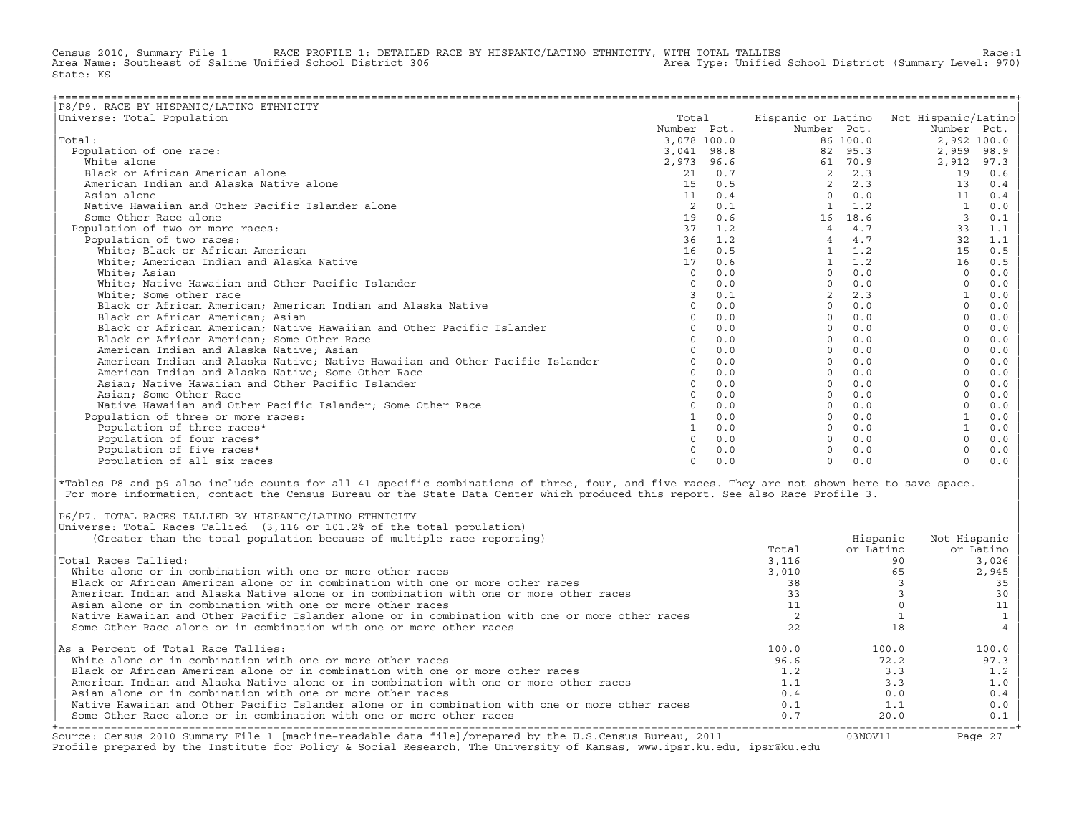Census 2010, Summary File 1 RACE PROFILE 1: DETAILED RACE BY HISPANIC/LATINO ETHNICITY, WITH TOTAL TALLIES Race:1<br>Area Name: Southeast of Saline Unified School District 306 area Type: Unified School District (Summary Level Area Name: Southeast of Saline Unified School District 306 State: KS

| P8/P9. RACE BY HISPANIC/LATINO ETHNICITY                                      |             |     |                    |          |                     |             |
|-------------------------------------------------------------------------------|-------------|-----|--------------------|----------|---------------------|-------------|
| Universe: Total Population                                                    | Total       |     | Hispanic or Latino |          | Not Hispanic/Latino |             |
|                                                                               | Number Pct. |     | Number Pct.        |          | Number Pct.         |             |
| Total:                                                                        | 3,078 100.0 |     |                    | 86 100.0 |                     | 2,992 100.0 |
| Population of one race:                                                       | 3,041 98.8  |     | 82                 | 95.3     | 2,959               | 98.9        |
| White alone                                                                   | 2,973 96.6  |     | 61                 | 70.9     | 2,912               | 97.3        |
| Black or African American alone                                               | 21          | 0.7 | $\overline{2}$     | 2.3      | 19                  | 0.6         |
| American Indian and Alaska Native alone                                       | 15          | 0.5 | $\overline{2}$     | 2.3      | 13                  | 0.4         |
| Asian alone                                                                   | 11          | 0.4 | $\Omega$           | 0.0      | 11                  | 0.4         |
| Native Hawaiian and Other Pacific Islander alone                              | 2           | 0.1 |                    | 1.2      |                     | 0.0         |
| Some Other Race alone                                                         | 19          | 0.6 | 16                 | 18.6     | $\overline{3}$      | 0.1         |
| Population of two or more races:                                              | 37          | 1.2 | $\overline{4}$     | 4.7      | 33                  | 1.1         |
| Population of two races:                                                      | 36          | 1.2 | $\overline{4}$     | 4.7      | 32                  | 1.1         |
| White; Black or African American                                              | 16          | 0.5 |                    | 1.2      | 15                  | 0.5         |
| White; American Indian and Alaska Native                                      | 17          | 0.6 |                    | 1.2      | 16                  | 0.5         |
| White; Asian                                                                  | $\Omega$    | 0.0 | $\Omega$           | 0.0      | $\cap$              | 0.0         |
| White; Native Hawaiian and Other Pacific Islander                             |             | 0.0 | $\cap$             | 0.0      |                     | $0.0$       |
| White; Some other race                                                        |             | 0.1 |                    | 2.3      |                     | 0.0         |
| Black or African American; American Indian and Alaska Native                  |             | 0.0 | $\Omega$           | 0.0      |                     | 0.0         |
| Black or African American: Asian                                              |             | 0.0 | $\Omega$           | 0.0      | $\Omega$            | 0.0         |
| Black or African American; Native Hawaiian and Other Pacific Islander         |             | 0.0 | $\Omega$           | 0.0      |                     | 0.0         |
| Black or African American; Some Other Race                                    |             | 0.0 | $\Omega$           | 0.0      |                     | 0.0         |
| American Indian and Alaska Native; Asian                                      |             | 0.0 | $\Omega$           | 0.0      |                     | 0.0         |
| American Indian and Alaska Native; Native Hawaiian and Other Pacific Islander |             | 0.0 | $\Omega$           | 0.0      |                     | 0.0         |
| American Indian and Alaska Native; Some Other Race                            |             | 0.0 | $\cap$             | 0.0      |                     | 0.0         |
| Asian; Native Hawaiian and Other Pacific Islander                             |             | 0.0 |                    | 0.0      |                     | 0.0         |
| Asian; Some Other Race                                                        |             | 0.0 |                    | 0.0      |                     | 0.0         |
| Native Hawaiian and Other Pacific Islander: Some Other Race                   |             | 0.0 |                    | 0.0      |                     | 0.0         |
| Population of three or more races:                                            |             | 0.0 | $\Omega$           | 0.0      |                     | 0.0         |
| Population of three races*                                                    |             | 0.0 |                    | 0.0      |                     | 0.0         |
| Population of four races*                                                     |             | 0.0 |                    | 0.0      |                     | 0.0         |
| Population of five races*                                                     |             | 0.0 |                    | 0.0      |                     | 0.0         |
| Population of all six races                                                   |             | 0.0 | $\cap$             | 0.0      | $\Omega$            | 0.0         |

|\*Tables P8 and p9 also include counts for all 41 specific combinations of three, four, and five races. They are not shown here to save space. | For more information, contact the Census Bureau or the State Data Center which produced this report. See also Race Profile 3.

| |

|\_\_\_\_\_\_\_\_\_\_\_\_\_\_\_\_\_\_\_\_\_\_\_\_\_\_\_\_\_\_\_\_\_\_\_\_\_\_\_\_\_\_\_\_\_\_\_\_\_\_\_\_\_\_\_\_\_\_\_\_\_\_\_\_\_\_\_\_\_\_\_\_\_\_\_\_\_\_\_\_\_\_\_\_\_\_\_\_\_\_\_\_\_\_\_\_\_\_\_\_\_\_\_\_\_\_\_\_\_\_\_\_\_\_\_\_\_\_\_\_\_\_\_\_\_\_\_\_\_\_\_\_\_\_\_\_\_\_\_\_\_\_\_\_\_\_\_|

| Source: Census 2010 Summary File 1 [machine-readable data file]/prepared by the U.S.Census Bureau, 2011<br>Profile prepared by the Institute for Policy & Social Research, The University of Kansas, www.ipsr.ku.edu, ipsr@ku.edu |       | 03NOV11   | Page 27      |
|-----------------------------------------------------------------------------------------------------------------------------------------------------------------------------------------------------------------------------------|-------|-----------|--------------|
| Some Other Race alone or in combination with one or more other races                                                                                                                                                              | 0.7   | 20.0      | 0.1          |
| Native Hawaiian and Other Pacific Islander alone or in combination with one or more other races                                                                                                                                   | 0.1   | 1.1       | 0.0          |
| Asian alone or in combination with one or more other races                                                                                                                                                                        | 0.4   | 0.0       | 0.4          |
| American Indian and Alaska Native alone or in combination with one or more other races                                                                                                                                            | 1.1   | 3.3       | 1.0          |
| Black or African American alone or in combination with one or more other races                                                                                                                                                    | 1.2   | 3.3       | 1.2          |
| White alone or in combination with one or more other races                                                                                                                                                                        | 96.6  | 72.2      | 97.3         |
| As a Percent of Total Race Tallies:                                                                                                                                                                                               | 100.0 | 100.0     | 100.0        |
| Some Other Race alone or in combination with one or more other races                                                                                                                                                              |       | 18        |              |
| Native Hawaiian and Other Pacific Islander alone or in combination with one or more other races                                                                                                                                   |       |           |              |
| Asian alone or in combination with one or more other races                                                                                                                                                                        |       |           |              |
| American Indian and Alaska Native alone or in combination with one or more other races                                                                                                                                            |       |           | 30           |
| Black or African American alone or in combination with one or more other races                                                                                                                                                    | 38    |           | 35           |
| White alone or in combination with one or more other races                                                                                                                                                                        | 3,010 | 65        | 2,945        |
| Total Races Tallied:                                                                                                                                                                                                              | 3,116 | 90        | 3,026        |
|                                                                                                                                                                                                                                   | Total | or Latino | or Latino    |
| (Greater than the total population because of multiple race reporting)                                                                                                                                                            |       | Hispanic  | Not Hispanic |
| Universe: Total Races Tallied (3,116 or 101.2% of the total population)                                                                                                                                                           |       |           |              |
| P6/P7. TOTAL RACES TALLIED BY HISPANIC/LATINO ETHNICITY                                                                                                                                                                           |       |           |              |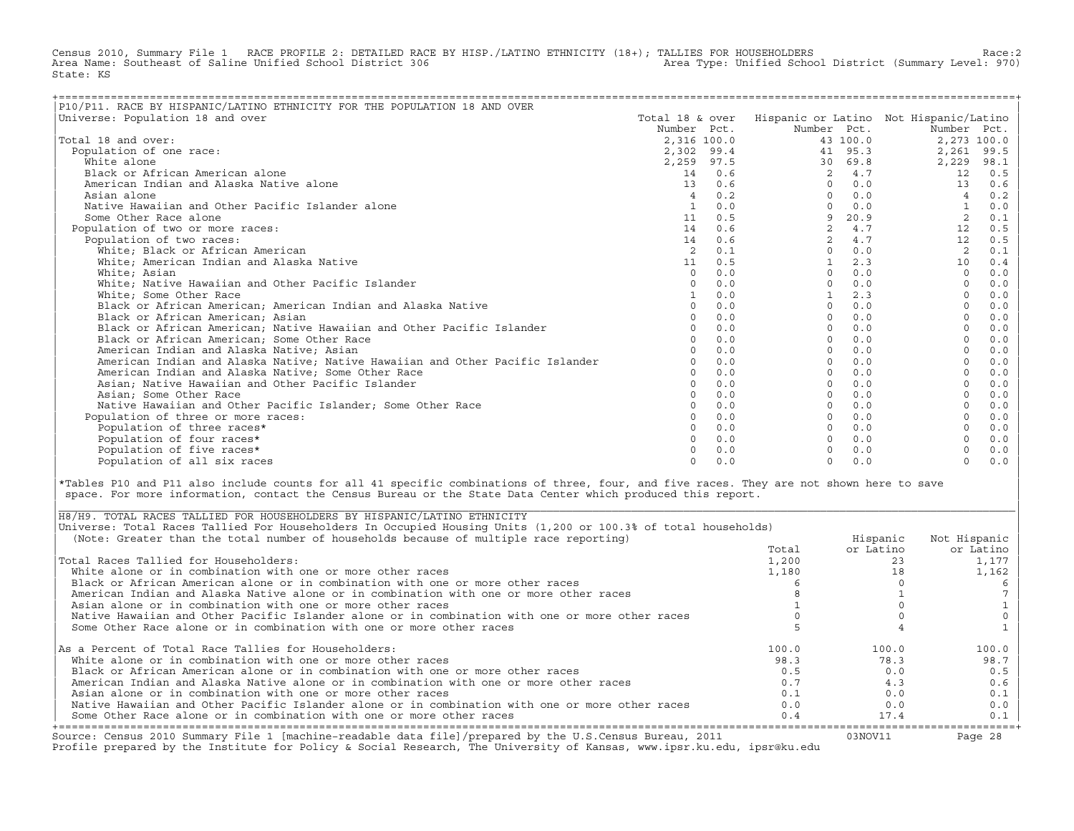Census 2010, Summary File 1 RACE PROFILE 2: DETAILED RACE BY HISP./LATINO ETHNICITY (18+); TALLIES FOR HOUSEHOLDERS Race:2<br>Area Name: Southeast of Saline Unified School District 306 area Area Type: Unified School District Area Type: Unified School District (Summary Level: 970) State: KS

| P10/P11. RACE BY HISPANIC/LATINO ETHNICITY FOR THE POPULATION 18 AND OVER     |                 |     |                |          |                                        |       |
|-------------------------------------------------------------------------------|-----------------|-----|----------------|----------|----------------------------------------|-------|
| Universe: Population 18 and over                                              | Total 18 & over |     |                |          | Hispanic or Latino Not Hispanic/Latino |       |
|                                                                               | Number Pct.     |     | Number Pct.    |          | Number Pct.                            |       |
| Total 18 and over:                                                            | 2,316 100.0     |     |                | 43 100.0 | 2,273 100.0                            |       |
| Population of one race:                                                       | 2,302 99.4      |     |                | 41 95.3  | 2,261                                  | 99.5  |
| White alone                                                                   | 2,259 97.5      |     |                | 30 69.8  | 2,229                                  | 98.1  |
| Black or African American alone                                               | 14              | 0.6 | $\overline{2}$ | 4.7      | 12                                     | 0.5   |
| American Indian and Alaska Native alone                                       | 13              | 0.6 | $\Omega$       | 0.0      | 13                                     | 0.6   |
| Asian alone                                                                   | $\overline{4}$  | 0.2 | $\Omega$       | 0.0      | $\overline{4}$                         | 0.2   |
| Native Hawaiian and Other Pacific Islander alone                              | <sup>1</sup>    | 0.0 | $\Omega$       | 0.0      |                                        | 0.0   |
| Some Other Race alone                                                         | 11              | 0.5 | 9              | 20.9     | 2                                      | 0.1   |
| Population of two or more races:                                              | 14              | 0.6 | $\overline{2}$ | 4.7      | 12                                     | 0.5   |
| Population of two races:                                                      | 14              | 0.6 | $\overline{2}$ | 4.7      | 12                                     | 0.5   |
| White; Black or African American                                              |                 | 0.1 | $\Omega$       | 0.0      | 2                                      | 0.1   |
| White; American Indian and Alaska Native                                      | 11              | 0.5 |                | 2.3      | 10                                     | 0.4   |
| White; Asian                                                                  | $\Omega$        | 0.0 | $\Omega$       | 0.0      | $\Omega$                               | 0.0   |
| White; Native Hawaiian and Other Pacific Islander                             | $\cap$          | 0.0 | $\Omega$       | 0.0      | $\Omega$                               | 0.0   |
| White; Some Other Race                                                        |                 | 0.0 |                | 2.3      |                                        | 0.0   |
| Black or African American; American Indian and Alaska Native                  | $\Omega$        | 0.0 | $\Omega$       | 0.0      |                                        | 0.0   |
| Black or African American; Asian                                              |                 | 0.0 | $\Omega$       | 0.0      |                                        | 0.0   |
| Black or African American; Native Hawaiian and Other Pacific Islander         |                 | 0.0 | $\Omega$       | 0.0      |                                        | 0.0   |
| Black or African American; Some Other Race                                    |                 | 0.0 | $\Omega$       | 0.0      |                                        | 0.0   |
| American Indian and Alaska Native; Asian                                      |                 | 0.0 | $\Omega$       | 0.0      |                                        | 0.0   |
| American Indian and Alaska Native; Native Hawaiian and Other Pacific Islander |                 | 0.0 | $\Omega$       | 0.0      |                                        | 0.0   |
| American Indian and Alaska Native; Some Other Race                            |                 | 0.0 | $\Omega$       | 0.0      |                                        | 0.0   |
| Asian; Native Hawaiian and Other Pacific Islander                             | $\cap$          | 0.0 | $\Omega$       | 0.0      | $\Omega$                               | 0.0   |
| Asian; Some Other Race                                                        |                 | 0.0 | $\Omega$       | 0.0      |                                        | 0.0   |
| Native Hawaiian and Other Pacific Islander: Some Other Race                   |                 | 0.0 | $\Omega$       | 0.0      |                                        | 0.0   |
| Population of three or more races:                                            |                 | 0.0 | $\Omega$       | 0.0      |                                        | 0.0   |
| Population of three races*                                                    |                 | 0.0 | $\Omega$       | 0.0      |                                        | 0.0   |
| Population of four races*                                                     |                 | 0.0 | $\Omega$       | 0.0      |                                        | 0.0   |
| Population of five races*                                                     |                 | 0.0 |                | 0.0      |                                        | $0.0$ |
| Population of all six races                                                   | $\cap$          | 0.0 | $\Omega$       | 0.0      | $\Omega$                               | 0.0   |

|\*Tables P10 and P11 also include counts for all 41 specific combinations of three, four, and five races. They are not shown here to save | space. For more information, contact the Census Bureau or the State Data Center which produced this report.

| Source: Census 2010 Summary File 1 [machine-readable data file]/prepared by the U.S.Census Bureau, 2011<br>Profile prepared by the Institute for Policy & Social Research, The University of Kansas, www.ipsr.ku.edu, ipsr@ku.edu |       | 03NOV11   | Page 28      |
|-----------------------------------------------------------------------------------------------------------------------------------------------------------------------------------------------------------------------------------|-------|-----------|--------------|
| Some Other Race alone or in combination with one or more other races                                                                                                                                                              | 0.4   | 17.4      | $0.1$        |
| Native Hawaiian and Other Pacific Islander alone or in combination with one or more other races                                                                                                                                   | 0.0   | 0.0       | 0.0          |
| Asian alone or in combination with one or more other races                                                                                                                                                                        | 0.1   | 0.0       | 0.1          |
| American Indian and Alaska Native alone or in combination with one or more other races                                                                                                                                            | 0.7   | 4.3       | 0.6          |
| Black or African American alone or in combination with one or more other races                                                                                                                                                    | 0.5   | 0.0       | 0.5          |
| White alone or in combination with one or more other races                                                                                                                                                                        | 98.3  | 78.3      | 98.7         |
| As a Percent of Total Race Tallies for Householders:                                                                                                                                                                              | 100.0 | 100.0     | 100.0        |
| Some Other Race alone or in combination with one or more other races                                                                                                                                                              |       |           |              |
| Native Hawaiian and Other Pacific Islander alone or in combination with one or more other races                                                                                                                                   |       |           |              |
| Asian alone or in combination with one or more other races                                                                                                                                                                        |       |           |              |
| American Indian and Alaska Native alone or in combination with one or more other races                                                                                                                                            |       |           |              |
| Black or African American alone or in combination with one or more other races                                                                                                                                                    |       |           |              |
| White alone or in combination with one or more other races                                                                                                                                                                        | 1,180 |           | 1,162        |
| Total Races Tallied for Householders:                                                                                                                                                                                             | 1,200 | 23        | 1,177        |
|                                                                                                                                                                                                                                   | Total | or Latino | or Latino    |
| (Note: Greater than the total number of households because of multiple race reporting)                                                                                                                                            |       | Hispanic  | Not Hispanic |
| Universe: Total Races Tallied For Householders In Occupied Housing Units (1,200 or 100.3% of total households)                                                                                                                    |       |           |              |
| H8/H9. TOTAL RACES TALLIED FOR HOUSEHOLDERS BY HISPANIC/LATINO ETHNICITY                                                                                                                                                          |       |           |              |

| |

|\_\_\_\_\_\_\_\_\_\_\_\_\_\_\_\_\_\_\_\_\_\_\_\_\_\_\_\_\_\_\_\_\_\_\_\_\_\_\_\_\_\_\_\_\_\_\_\_\_\_\_\_\_\_\_\_\_\_\_\_\_\_\_\_\_\_\_\_\_\_\_\_\_\_\_\_\_\_\_\_\_\_\_\_\_\_\_\_\_\_\_\_\_\_\_\_\_\_\_\_\_\_\_\_\_\_\_\_\_\_\_\_\_\_\_\_\_\_\_\_\_\_\_\_\_\_\_\_\_\_\_\_\_\_\_\_\_\_\_\_\_\_\_\_\_\_\_|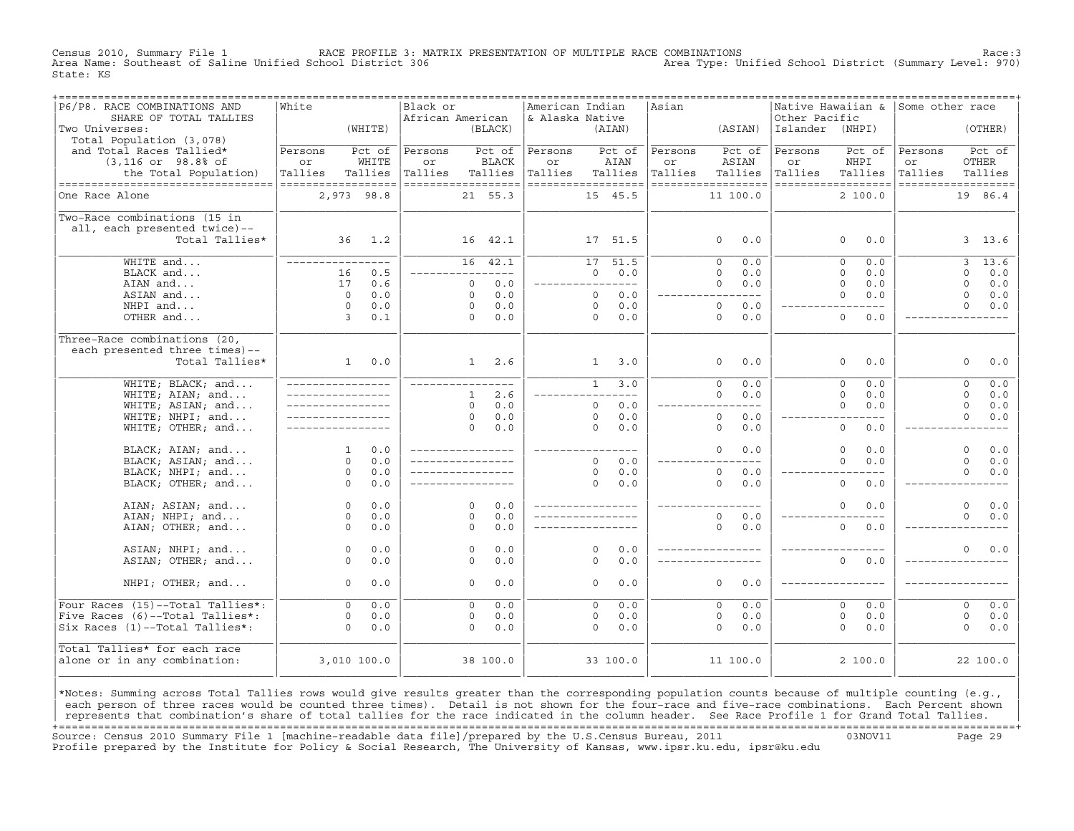Census 2010, Summary File 1 RACE PROFILE 3: MATRIX PRESENTATION OF MULTIPLE RACE COMBINATIONS Race:3 Area Name: Southeast of Saline Unified School District 306 State: KS

| P6/P8. RACE COMBINATIONS AND<br>SHARE OF TOTAL TALLIES<br>Two Universes:                                                                       | White                                          | (WHITE)                    | Black or<br>African American                   | (BLACK)                           |            | American Indian<br>& Alaska Native             |                | (AIAN)                    | Asian                                          | (ASIAN)                 |              | Other Pacific<br>Islander | Native Hawaiian & Some other race<br>(NHPI)     |                                                |                         | (OTHER)           |
|------------------------------------------------------------------------------------------------------------------------------------------------|------------------------------------------------|----------------------------|------------------------------------------------|-----------------------------------|------------|------------------------------------------------|----------------|---------------------------|------------------------------------------------|-------------------------|--------------|---------------------------|-------------------------------------------------|------------------------------------------------|-------------------------|-------------------|
| Total Population (3,078)<br>and Total Races Tallied*<br>$(3,116$ or $98.8$ ° of<br>the Total Population)<br>---------------------------------- | Persons<br>or<br>Tallies<br>------------------ | Pct of<br>WHITE<br>Tallies | Persons<br>or<br>Tallies<br>------------------ | Pct of<br><b>BLACK</b><br>Tallies |            | Persons<br>or<br>Tallies<br>------------------ |                | Pct of<br>AIAN<br>Tallies | Persons<br>or<br>Tallies<br>------------------ | ASIAN<br>Tallies        | Pct of       | Persons<br>or<br>Tallies  | Pct of<br>NHPI<br>Tallies<br>------------------ | Persons<br>or<br>Tallies<br>------------------ | OTHER                   | Pct of<br>Tallies |
| One Race Alone                                                                                                                                 | 2,973 98.8                                     |                            |                                                | 21 55.3                           |            |                                                |                | 15 45.5                   |                                                | 11 100.0                |              |                           | 2, 100.0                                        |                                                | 19                      | 86.4              |
| Two-Race combinations (15 in<br>all, each presented twice)--<br>Total Tallies*                                                                 |                                                | 36 1.2                     |                                                | 16 42.1                           |            |                                                |                | 17 51.5                   |                                                | $\circ$                 | 0.0          |                           | 0.0<br>0                                        |                                                |                         | 3, 13.6           |
| WHITE and                                                                                                                                      | _________________                              |                            |                                                | 16 42.1                           |            |                                                |                | 17 51.5                   |                                                | $\mathbf 0$             | 0.0          |                           | $\Omega$<br>0.0                                 |                                                | 3                       | 13.6              |
| BLACK and                                                                                                                                      | 16                                             | 0.5                        |                                                | ----------                        |            |                                                | $\Omega$       | 0.0                       |                                                | $\Omega$                | 0.0          |                           | $\Omega$<br>0.0                                 |                                                | $\Omega$                | 0.0               |
| AIAN and                                                                                                                                       | 17<br>$\Omega$                                 | 0.6                        |                                                | $\circ$<br>$\Omega$               | 0.0<br>0.0 |                                                | $\Omega$       | $- - - -$<br>0.0          |                                                | $\circ$                 | 0.0<br>$---$ |                           | $\Omega$<br>0.0<br>$\Omega$                     |                                                | $\circ$<br>$\Omega$     | 0.0               |
| ASIAN and<br>NHPI and                                                                                                                          | $\circ$                                        | 0.0<br>0.0                 |                                                | $\circ$                           | 0.0        |                                                | $\circ$        | 0.0                       |                                                | $\circ$                 | 0.0          |                           | 0.0                                             |                                                | $\Omega$                | 0.0<br>$0.0$      |
| OTHER and                                                                                                                                      | $\overline{3}$                                 | 0.1                        |                                                | $\Omega$                          | 0.0        |                                                | $\Omega$       | 0.0                       |                                                | $\Omega$                | 0.0          |                           | $\Omega$<br>0.0                                 |                                                |                         |                   |
|                                                                                                                                                |                                                |                            |                                                |                                   |            |                                                |                |                           |                                                |                         |              |                           |                                                 |                                                |                         |                   |
| Three-Race combinations (20,                                                                                                                   |                                                |                            |                                                |                                   |            |                                                |                |                           |                                                |                         |              |                           |                                                 |                                                |                         |                   |
| each presented three times)--                                                                                                                  |                                                |                            |                                                |                                   |            |                                                |                |                           |                                                |                         |              |                           |                                                 |                                                |                         |                   |
| Total Tallies*                                                                                                                                 | 1                                              | 0.0                        |                                                | 1                                 | 2.6        |                                                | 1              | 3.0                       |                                                | $\Omega$                | 0.0          |                           | $\Omega$<br>0.0                                 |                                                | $\Omega$                | 0.0               |
| WHITE; BLACK; and                                                                                                                              |                                                |                            |                                                |                                   |            |                                                | $\overline{1}$ | 3.0                       |                                                | $\overline{0}$          | 0.0          |                           | $\overline{0}$<br>0.0                           |                                                | $\overline{0}$          | 0.0               |
| WHITE; AIAN; and                                                                                                                               |                                                |                            |                                                | $\mathbf{1}$                      | 2.6        |                                                |                |                           |                                                | $\circ$                 | 0.0          |                           | $\Omega$<br>0.0                                 |                                                | $\Omega$                | 0.0               |
| WHITE; ASIAN; and                                                                                                                              | _________________                              |                            |                                                | $\Omega$                          | 0.0        |                                                | $\Omega$       | 0.0                       |                                                |                         | $---$        |                           | $\Omega$<br>0.0                                 |                                                | $\Omega$                | 0.0               |
| WHITE; NHPI; and                                                                                                                               |                                                |                            |                                                | $\circ$                           | 0.0        |                                                | $\circ$        | 0.0                       |                                                | $\circ$                 | 0.0          |                           | $---$                                           |                                                | $\Omega$                | 0.0               |
| WHITE; OTHER; and                                                                                                                              |                                                |                            |                                                | $\Omega$                          | 0.0        |                                                | $\Omega$       | 0.0                       |                                                | $\Omega$                | 0.0          |                           | $\mathsf{O}$<br>0.0                             |                                                |                         |                   |
| BLACK; AIAN; and                                                                                                                               | $\mathbf{1}$                                   | 0.0                        |                                                |                                   |            | ________________                               |                |                           |                                                | $\Omega$                | 0.0          |                           | $\Omega$<br>0.0                                 |                                                | $\Omega$                | 0.0               |
| BLACK; ASIAN; and                                                                                                                              | $\Omega$                                       | 0.0                        |                                                |                                   |            |                                                | $\Omega$       | 0.0                       |                                                |                         | $- - -$      |                           | $\Omega$<br>0.0                                 |                                                | $\Omega$                | 0.0               |
| BLACK; NHPI; and                                                                                                                               | $\circ$                                        | 0.0                        |                                                |                                   |            |                                                | $\Omega$       | 0.0                       |                                                | $\Omega$                | 0.0          |                           |                                                 |                                                | $\Omega$                | 0.0               |
| BLACK; OTHER; and                                                                                                                              | $\Omega$                                       | 0.0                        |                                                |                                   |            |                                                | $\Omega$       | 0.0                       |                                                | $\Omega$                | 0.0          |                           | $\circ$<br>0.0                                  |                                                |                         |                   |
|                                                                                                                                                |                                                |                            |                                                |                                   |            |                                                |                |                           |                                                |                         |              |                           |                                                 |                                                |                         |                   |
| AIAN; ASIAN; and                                                                                                                               | $\circ$                                        | 0.0                        |                                                | $\Omega$<br>$\Omega$              | 0.0<br>0.0 | _________________                              |                |                           |                                                |                         |              |                           | 0<br>0.0                                        |                                                | $\mathbf 0$<br>$\Omega$ | 0.0               |
| AIAN; NHPI; and<br>AIAN; OTHER; and                                                                                                            | $\circ$<br>$\Omega$                            | 0.0<br>0.0                 |                                                | $\Omega$                          | 0.0        |                                                |                |                           |                                                | $\mathbf 0$<br>$\Omega$ | 0.0<br>0.0   |                           | $\mathsf{O}$<br>0.0                             |                                                |                         | 0.0               |
|                                                                                                                                                |                                                |                            |                                                |                                   |            |                                                |                |                           |                                                |                         |              |                           |                                                 |                                                |                         |                   |
| ASIAN; NHPI; and                                                                                                                               | $\circ$                                        | $0.0$                      |                                                | $\circ$                           | 0.0        |                                                | $\Omega$       | 0.0                       |                                                |                         |              |                           |                                                 |                                                | $\Omega$                | 0.0               |
| ASIAN; OTHER; and                                                                                                                              | $\Omega$                                       | 0.0                        |                                                | $\Omega$                          | 0.0        |                                                | $\Omega$       | 0.0                       |                                                |                         |              |                           | $\Omega$<br>0.0                                 |                                                |                         |                   |
|                                                                                                                                                |                                                |                            |                                                |                                   |            |                                                |                |                           |                                                |                         |              |                           |                                                 |                                                |                         |                   |
| NHPI; OTHER; and                                                                                                                               | $\Omega$                                       | 0.0                        |                                                | $\Omega$                          | 0.0        |                                                | $\Omega$       | 0.0                       |                                                | $\circ$                 | 0.0          |                           |                                                 |                                                |                         |                   |
| Four Races (15)--Total Tallies*:                                                                                                               | $\overline{0}$                                 | 0.0                        |                                                | $\Omega$                          | 0.0        |                                                | $\Omega$       | 0.0                       |                                                | $\Omega$                | 0.0          |                           | $\overline{0}$<br>0.0                           |                                                | $\overline{0}$          | 0.0               |
| Five Races (6)--Total Tallies*:                                                                                                                | $\circ$                                        | 0.0                        |                                                | $\circ$                           | 0.0        |                                                | 0              | 0.0                       |                                                | $\circ$                 | 0.0          |                           | $\mathbf 0$<br>0.0                              |                                                | $\circ$                 | 0.0               |
| Six Races (1)--Total Tallies*:                                                                                                                 | $\Omega$                                       | 0.0                        |                                                | $\Omega$                          | 0.0        |                                                | $\Omega$       | 0.0                       |                                                | $\Omega$                | 0.0          |                           | $\Omega$<br>0.0                                 |                                                | $\Omega$                | 0.0               |
| Total Tallies* for each race                                                                                                                   |                                                |                            |                                                |                                   |            |                                                |                |                           |                                                |                         |              |                           |                                                 |                                                |                         |                   |
| alone or in any combination:                                                                                                                   | 3,010 100.0                                    |                            |                                                | 38 100.0                          |            |                                                |                | 33 100.0                  |                                                | 11 100.0                |              |                           | 2100.0                                          |                                                |                         | 22 100.0          |
|                                                                                                                                                |                                                |                            |                                                |                                   |            |                                                |                |                           |                                                |                         |              |                           |                                                 |                                                |                         |                   |
|                                                                                                                                                |                                                |                            |                                                |                                   |            |                                                |                |                           |                                                |                         |              |                           |                                                 |                                                |                         |                   |

|\*Notes: Summing across Total Tallies rows would give results greater than the corresponding population counts because of multiple counting (e.g., | each person of three races would be counted three times). Detail is not shown for the four-race and five-race combinations. Each Percent shown represents that combination's share of total tallies for the race indicated in the column header. See Race Profile 1 for Grand Total Tallies. +===================================================================================================================================================+ Source: Census 2010 Summary File 1 [machine−readable data file]/prepared by the U.S.Census Bureau, 2011 03NOV11 Page 29 Profile prepared by the Institute for Policy & Social Research, The University of Kansas, www.ipsr.ku.edu, ipsr@ku.edu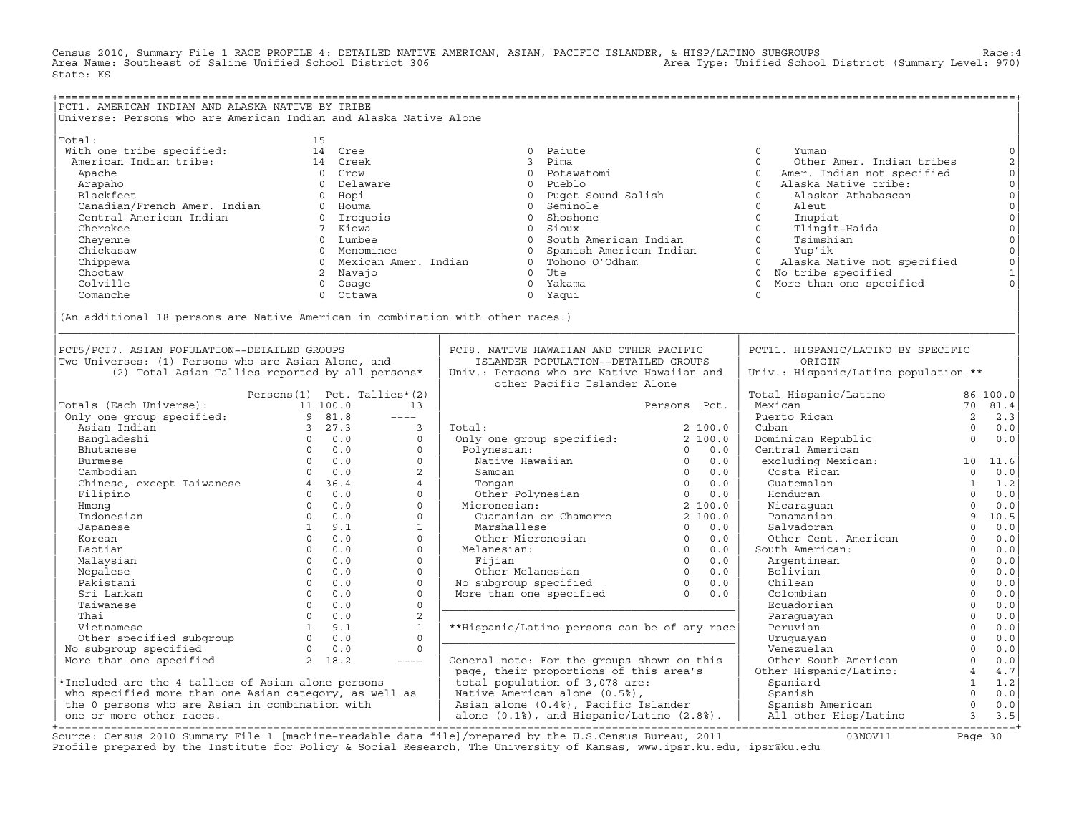Census 2010, Summary File 1 RACE PROFILE 4: DETAILED NATIVE AMERICAN, ASIAN, PACIFIC ISLANDER, & HISP/LATINO SUBGROUPS Race:4 Area Name: Southeast of Saline Unified School District 306 State: KS

+===================================================================================================================================================+ |PCT1. AMERICAN INDIAN AND ALASKA NATIVE BY TRIBE | Universe: Persons who are American Indian and Alaska Native Alone | | |Total: 15 | | With one tribe specified: 14 Cree 0 Paiute 0 Yuman 0| | American Indian tribe: 14 Creek 3 Pima 0 Other Amer. Indian tribes 2| | Apache 0 Crow 0 Potawatomi 0 Amer. Indian not specified 0| | Arapaho 0 Delaware 0 Pueblo 0 Alaska Native tribe: 0| | Blackfeet 0 Hopi 0 Puget Sound Salish 0 Alaskan Athabascan 0| | Canadian/French Amer. Indian 0 Houma 0 Seminole 0 Aleut 0| | Central American Indian 0 Iroquois 0 Shoshone 0 Inupiat 0| | Cherokee 7 Kiowa 0 Sioux 0 Tlingit−Haida 0| | Cheyenne 0 Lumbee 0 South American Indian 0 Tsimshian 0| | Chickasaw 0 Menominee 0 Spanish American Indian 0 Yup'ik 0| | Chippewa 0 Mexican Amer. Indian 0 Tohono O'Odham 0 Alaska Native not specified 0| | Choctaw 2 Navajo 0 Ute 0 No tribe specified 1| | Colville 0 Osage 0 Yakama 0 More than one specified 0| | Comanche 0 Ottawa 0 Yaqui 0 | | | |(An additional 18 persons are Native American in combination with other races.) | |\_\_\_\_\_\_\_\_\_\_\_\_\_\_\_\_\_\_\_\_\_\_\_\_\_\_\_\_\_\_\_\_\_\_\_\_\_\_\_\_\_\_\_\_\_\_\_\_\_\_\_\_\_\_\_\_\_\_\_\_\_\_\_\_\_\_\_\_\_\_\_\_\_\_\_\_\_\_\_\_\_\_\_\_\_\_\_\_\_\_\_\_\_\_\_\_\_\_\_\_\_\_\_\_\_\_\_\_\_\_\_\_\_\_\_\_\_\_\_\_\_\_\_\_\_\_\_\_\_\_\_\_\_\_\_\_\_\_\_\_\_\_\_\_\_\_\_| | | | | PCT5/PCT7. ASIAN POPULATION--DETAILED GROUPS | PCT8. NATIVE HAWAIIAN AND OTHER PACIFIC | PCT11. HISPANIC/LATINO BY SPECIFIC<br>Two Universes: (1) Persons who are Asian Alone and itstanner population--petalled groups | origin |Two Universes: (1) Persons who are Asian Alone, and | ISLANDER POPULATION−−DETAILED GROUPS | ORIGIN |  $(2)$  Total Asian Tallies reported by all persons\* | | other Pacific Islander Alone | | | Persons(1) Pct. Tallies\*(2) | | Total Hispanic/Latino 86 100.0| |Totals (Each Universe): 11 100.0 13 | Persons Pct. | Mexican 70 81.4| | Only one group specified: 9 81.8 −−−− | | Puerto Rican 2 2.3| | Asian Indian 3 27.3 3 | Total: 2 100.0 | Cuban 0 0.0| | Bangladeshi 0 0.0 0 | Only one group specified: 2 100.0 | Dominican Republic 0 0.0| | Bhutanese 0 0.0 0 | Polynesian: 0 0.0 | Central American | | Burmese 0 0.0 0 | Native Hawaiian 0 0.0 | excluding Mexican: 10 11.6| | Cambodian 0 0.0 2 | Samoan 0 0.0 | Costa Rican 0 0.0| | Chinese, except Taiwanese  $\begin{array}{cccccccccccc} 4 & 36.4 & & 4 & | & &\hline \end{array}$  Tongan  $\begin{array}{cccccccc} 0 & 0.0 & | & &\hline \end{array}$  Guatemalan  $\begin{array}{cccccccc} 1 & 1.2 & | &\hline \end{array}$ | Filipino 0 0.0 0 | Other Polynesian 0 0.0 | Honduran 0 0.0| | Hmong 0 0.0 0 | Micronesian: 2 100.0 | Nicaraguan 0 0.0| | Indonesian 0 0.0 0 | Guamanian or Chamorro 2 100.0 | Panamanian 9 10.5| | Japanese 1 9.1 1 | Marshallese 0 0.0 | Salvadoran 0 0.0| | Korean 0 0.0 0 | Other Micronesian 0 0.0 | Other Cent. American 0 0.0| | Laotian 0 0.0 0 | Melanesian: 0 0.0 | South American: 0 0.0| | Malaysian 0 0.0 0 | Fijian 0 0.0 | Argentinean 0 0.0| | Nepalese 0 0.0 0 | Other Melanesian 0 0.0 | Bolivian 0 0.0| | Pakistani 0 0.0 0 | No subgroup specified 0 0.0 | Chilean 0 0.0| | Sri Lankan 0 0.0 0 | More than one specified 0 0.0 | Colombian 0 0.0| | Taiwanese 0 0.0 0 |\_\_\_\_\_\_\_\_\_\_\_\_\_\_\_\_\_\_\_\_\_\_\_\_\_\_\_\_\_\_\_\_\_\_\_\_\_\_\_\_\_\_\_\_\_| Ecuadorian 0 0.0| | Thai 0 0.0 2 | | Paraguayan 0 0.0| | Vietnamese 1 9.1 1 | \*\*Hispanic/Latino persons can be of any race| Peruvian 0 0.0| | Other specified subgroup 0 0.0 0 |\_\_\_\_\_\_\_\_\_\_\_\_\_\_\_\_\_\_\_\_\_\_\_\_\_\_\_\_\_\_\_\_\_\_\_\_\_\_\_\_\_\_\_\_\_| Uruguayan 0 0.0| | No subgroup specified 0 0.0 0 | | Venezuelan 0 0.0| | More than one specified 2 18.2 −−−− | General note: For the groups shown on this | Other South American 0 0.0| | | page, their proportions of this area's | Other Hispanic/Latino: 4 4.7| |\*Included are the 4 tallies of Asian alone persons | total population of 3,078 are: | Spaniard 1 1.2|  $|$  who specified more than one Asian category, as well as  $|$  Native American alone (0.5%),  $|$  Spanish  $|$  Spanish  $|$  0  $|$ | the 0 persons who are Asian in combination with | Asian alone (0.4%), Pacific Islander | Spanish American 0 0.0| | one or more other races. | alone (0.1%), and Hispanic/Latino (2.8%). | All other Hisp/Latino 3 3.5| +===================================================================================================================================================+

Source: Census 2010 Summary File 1 [machine−readable data file]/prepared by the U.S.Census Bureau, 2011 03NOV11 Page 30 Profile prepared by the Institute for Policy & Social Research, The University of Kansas, www.ipsr.ku.edu, ipsr@ku.edu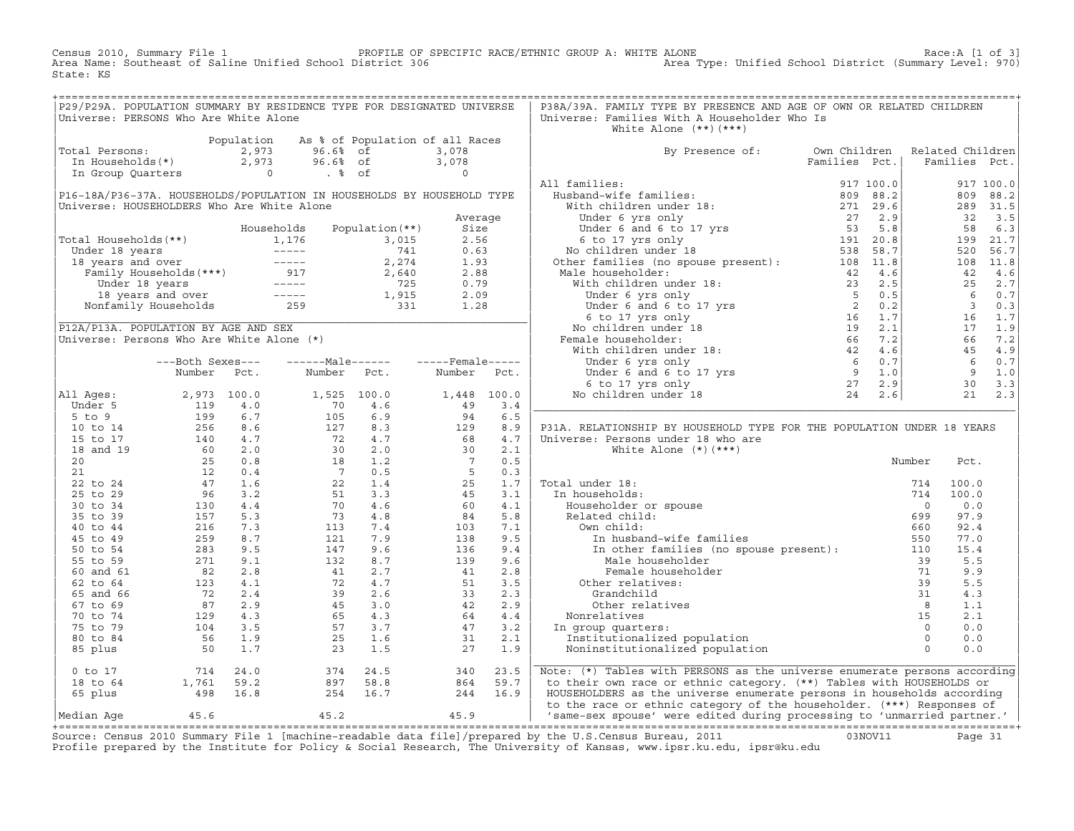Census 2010, Summary File 1 PROFILE OF SPECIFIC RACE/ETHNIC GROUP A: WHITE ALONE Race:A [1 of 3] Area Name: Southeast of Saline Unified School District 306 Area Type: Unified School District (Summary Level: 970) State: KS

| Universe: Families With A Householder Who Is<br>Universe: PERSONS Who Are White Alone<br>White Alone $(**)$ $(***)$<br>Population As % of Population of all Races<br>Total Persons: 2,973 96.6% of 3,078<br>In Households(*) 2,973 96.6% of 3,078<br>In Group Quarters 0 . % of 0<br>By Presence of: Own Children Related Children<br>Families Pct.   Families Pct.<br>P31A. RELATIONSHIP BY HOUSEHOLD TYPE FOR THE POPULATION UNDER 18 YEARS<br>Note: (*) Tables with PERSONS as the universe enumerate persons according<br>to their own race or ethnic category. (**) Tables with HOUSEHOLDS or<br>HOUSEHOLDERS as the universe enumerate persons in households according | P29/P29A. POPULATION SUMMARY BY RESIDENCE TYPE FOR DESIGNATED UNIVERSE |  |  |  | P38A/39A. FAMILY TYPE BY PRESENCE AND AGE OF OWN OR RELATED CHILDREN |  |  |
|------------------------------------------------------------------------------------------------------------------------------------------------------------------------------------------------------------------------------------------------------------------------------------------------------------------------------------------------------------------------------------------------------------------------------------------------------------------------------------------------------------------------------------------------------------------------------------------------------------------------------------------------------------------------------|------------------------------------------------------------------------|--|--|--|----------------------------------------------------------------------|--|--|
|                                                                                                                                                                                                                                                                                                                                                                                                                                                                                                                                                                                                                                                                              |                                                                        |  |  |  |                                                                      |  |  |
|                                                                                                                                                                                                                                                                                                                                                                                                                                                                                                                                                                                                                                                                              |                                                                        |  |  |  |                                                                      |  |  |
|                                                                                                                                                                                                                                                                                                                                                                                                                                                                                                                                                                                                                                                                              |                                                                        |  |  |  |                                                                      |  |  |
|                                                                                                                                                                                                                                                                                                                                                                                                                                                                                                                                                                                                                                                                              |                                                                        |  |  |  |                                                                      |  |  |
|                                                                                                                                                                                                                                                                                                                                                                                                                                                                                                                                                                                                                                                                              |                                                                        |  |  |  |                                                                      |  |  |
|                                                                                                                                                                                                                                                                                                                                                                                                                                                                                                                                                                                                                                                                              |                                                                        |  |  |  |                                                                      |  |  |
|                                                                                                                                                                                                                                                                                                                                                                                                                                                                                                                                                                                                                                                                              |                                                                        |  |  |  |                                                                      |  |  |
|                                                                                                                                                                                                                                                                                                                                                                                                                                                                                                                                                                                                                                                                              |                                                                        |  |  |  |                                                                      |  |  |
|                                                                                                                                                                                                                                                                                                                                                                                                                                                                                                                                                                                                                                                                              |                                                                        |  |  |  |                                                                      |  |  |
|                                                                                                                                                                                                                                                                                                                                                                                                                                                                                                                                                                                                                                                                              |                                                                        |  |  |  |                                                                      |  |  |
|                                                                                                                                                                                                                                                                                                                                                                                                                                                                                                                                                                                                                                                                              |                                                                        |  |  |  |                                                                      |  |  |
|                                                                                                                                                                                                                                                                                                                                                                                                                                                                                                                                                                                                                                                                              |                                                                        |  |  |  |                                                                      |  |  |
|                                                                                                                                                                                                                                                                                                                                                                                                                                                                                                                                                                                                                                                                              |                                                                        |  |  |  |                                                                      |  |  |
|                                                                                                                                                                                                                                                                                                                                                                                                                                                                                                                                                                                                                                                                              |                                                                        |  |  |  |                                                                      |  |  |
|                                                                                                                                                                                                                                                                                                                                                                                                                                                                                                                                                                                                                                                                              |                                                                        |  |  |  |                                                                      |  |  |
|                                                                                                                                                                                                                                                                                                                                                                                                                                                                                                                                                                                                                                                                              |                                                                        |  |  |  |                                                                      |  |  |
|                                                                                                                                                                                                                                                                                                                                                                                                                                                                                                                                                                                                                                                                              |                                                                        |  |  |  |                                                                      |  |  |
|                                                                                                                                                                                                                                                                                                                                                                                                                                                                                                                                                                                                                                                                              |                                                                        |  |  |  |                                                                      |  |  |
|                                                                                                                                                                                                                                                                                                                                                                                                                                                                                                                                                                                                                                                                              |                                                                        |  |  |  |                                                                      |  |  |
|                                                                                                                                                                                                                                                                                                                                                                                                                                                                                                                                                                                                                                                                              |                                                                        |  |  |  |                                                                      |  |  |
|                                                                                                                                                                                                                                                                                                                                                                                                                                                                                                                                                                                                                                                                              |                                                                        |  |  |  |                                                                      |  |  |
|                                                                                                                                                                                                                                                                                                                                                                                                                                                                                                                                                                                                                                                                              |                                                                        |  |  |  |                                                                      |  |  |
|                                                                                                                                                                                                                                                                                                                                                                                                                                                                                                                                                                                                                                                                              |                                                                        |  |  |  |                                                                      |  |  |
|                                                                                                                                                                                                                                                                                                                                                                                                                                                                                                                                                                                                                                                                              |                                                                        |  |  |  |                                                                      |  |  |
|                                                                                                                                                                                                                                                                                                                                                                                                                                                                                                                                                                                                                                                                              |                                                                        |  |  |  |                                                                      |  |  |
|                                                                                                                                                                                                                                                                                                                                                                                                                                                                                                                                                                                                                                                                              |                                                                        |  |  |  |                                                                      |  |  |
|                                                                                                                                                                                                                                                                                                                                                                                                                                                                                                                                                                                                                                                                              |                                                                        |  |  |  |                                                                      |  |  |
|                                                                                                                                                                                                                                                                                                                                                                                                                                                                                                                                                                                                                                                                              |                                                                        |  |  |  |                                                                      |  |  |
|                                                                                                                                                                                                                                                                                                                                                                                                                                                                                                                                                                                                                                                                              |                                                                        |  |  |  |                                                                      |  |  |
|                                                                                                                                                                                                                                                                                                                                                                                                                                                                                                                                                                                                                                                                              |                                                                        |  |  |  |                                                                      |  |  |
|                                                                                                                                                                                                                                                                                                                                                                                                                                                                                                                                                                                                                                                                              |                                                                        |  |  |  |                                                                      |  |  |
|                                                                                                                                                                                                                                                                                                                                                                                                                                                                                                                                                                                                                                                                              |                                                                        |  |  |  |                                                                      |  |  |
|                                                                                                                                                                                                                                                                                                                                                                                                                                                                                                                                                                                                                                                                              |                                                                        |  |  |  |                                                                      |  |  |
|                                                                                                                                                                                                                                                                                                                                                                                                                                                                                                                                                                                                                                                                              |                                                                        |  |  |  |                                                                      |  |  |
|                                                                                                                                                                                                                                                                                                                                                                                                                                                                                                                                                                                                                                                                              |                                                                        |  |  |  |                                                                      |  |  |
|                                                                                                                                                                                                                                                                                                                                                                                                                                                                                                                                                                                                                                                                              |                                                                        |  |  |  |                                                                      |  |  |
|                                                                                                                                                                                                                                                                                                                                                                                                                                                                                                                                                                                                                                                                              |                                                                        |  |  |  |                                                                      |  |  |
|                                                                                                                                                                                                                                                                                                                                                                                                                                                                                                                                                                                                                                                                              |                                                                        |  |  |  |                                                                      |  |  |
|                                                                                                                                                                                                                                                                                                                                                                                                                                                                                                                                                                                                                                                                              |                                                                        |  |  |  |                                                                      |  |  |
|                                                                                                                                                                                                                                                                                                                                                                                                                                                                                                                                                                                                                                                                              |                                                                        |  |  |  |                                                                      |  |  |
|                                                                                                                                                                                                                                                                                                                                                                                                                                                                                                                                                                                                                                                                              |                                                                        |  |  |  |                                                                      |  |  |
|                                                                                                                                                                                                                                                                                                                                                                                                                                                                                                                                                                                                                                                                              |                                                                        |  |  |  |                                                                      |  |  |
|                                                                                                                                                                                                                                                                                                                                                                                                                                                                                                                                                                                                                                                                              |                                                                        |  |  |  |                                                                      |  |  |
|                                                                                                                                                                                                                                                                                                                                                                                                                                                                                                                                                                                                                                                                              |                                                                        |  |  |  |                                                                      |  |  |
|                                                                                                                                                                                                                                                                                                                                                                                                                                                                                                                                                                                                                                                                              |                                                                        |  |  |  |                                                                      |  |  |
|                                                                                                                                                                                                                                                                                                                                                                                                                                                                                                                                                                                                                                                                              |                                                                        |  |  |  |                                                                      |  |  |
|                                                                                                                                                                                                                                                                                                                                                                                                                                                                                                                                                                                                                                                                              |                                                                        |  |  |  |                                                                      |  |  |
|                                                                                                                                                                                                                                                                                                                                                                                                                                                                                                                                                                                                                                                                              |                                                                        |  |  |  |                                                                      |  |  |
|                                                                                                                                                                                                                                                                                                                                                                                                                                                                                                                                                                                                                                                                              |                                                                        |  |  |  |                                                                      |  |  |
| to the race or ethnic category of the householder. (***) Responses of                                                                                                                                                                                                                                                                                                                                                                                                                                                                                                                                                                                                        |                                                                        |  |  |  |                                                                      |  |  |
| 45.9 Same-sex spouse' were edited during processing to 'unmarried partner.'<br>Median Age $45.6$ $45.2$                                                                                                                                                                                                                                                                                                                                                                                                                                                                                                                                                                      |                                                                        |  |  |  |                                                                      |  |  |

+===================================================================================================================================================+Source: Census 2010 Summary File 1 [machine−readable data file]/prepared by the U.S.Census Bureau, 2011 03NOV11 Page 31 Profile prepared by the Institute for Policy & Social Research, The University of Kansas, www.ipsr.ku.edu, ipsr@ku.edu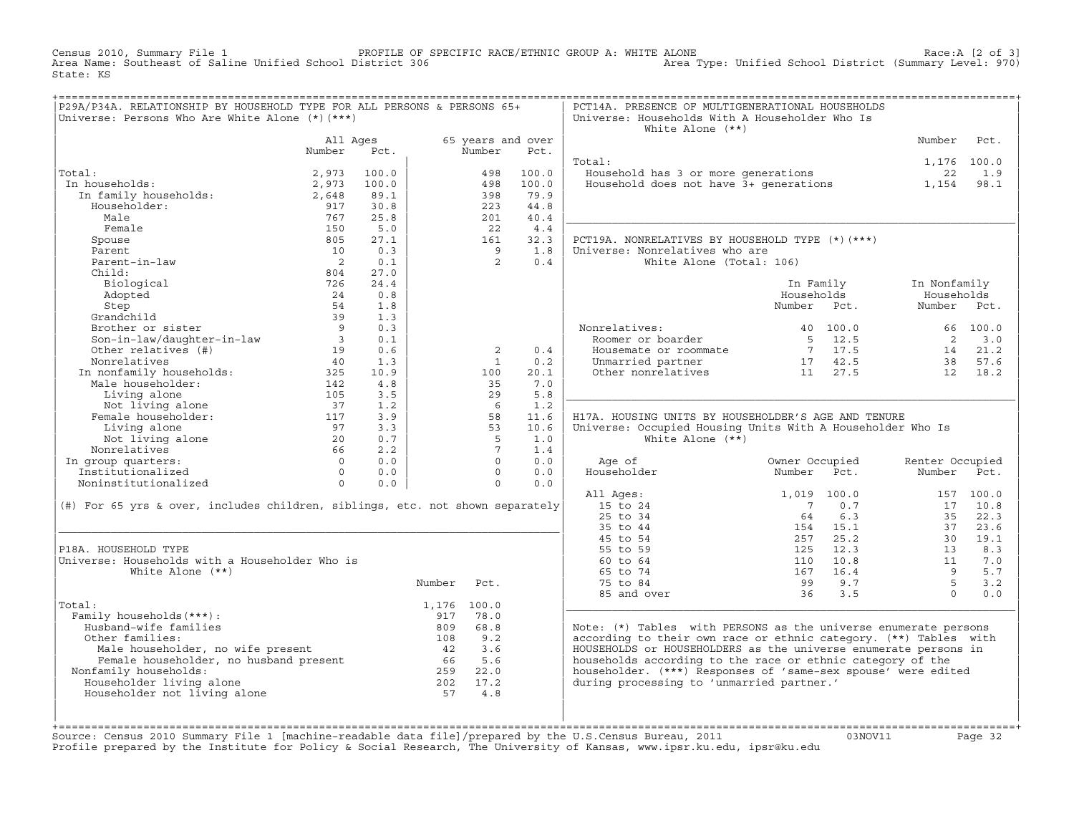Census 2010, Summary File 1 PROFILE OF SPECIFIC RACE/ETHNIC GROUP A: WHITE ALONE Race:A [2 of 3] Area Name: Southeast of Saline Unified School District 306 Area Type: Unified School District (Summary Level: 970) State: KS

| P29A/P34A. RELATIONSHIP BY HOUSEHOLD TYPE FOR ALL PERSONS & PERSONS 65+<br>Universe: Persons Who Are White Alone (*) (***)                                                                                                                                                                                                                                                                          |                                  |       |                    |                 |                           | PCT14A. PRESENCE OF MULTIGENERATIONAL HOUSEHOLDS<br>Universe: Households With A Householder Who Is<br>White Alone $(**)$                                            |                         |                      |            |
|-----------------------------------------------------------------------------------------------------------------------------------------------------------------------------------------------------------------------------------------------------------------------------------------------------------------------------------------------------------------------------------------------------|----------------------------------|-------|--------------------|-----------------|---------------------------|---------------------------------------------------------------------------------------------------------------------------------------------------------------------|-------------------------|----------------------|------------|
|                                                                                                                                                                                                                                                                                                                                                                                                     | All Ages<br>Number               | Pct.  |                    | Number          | 65 years and over<br>Pct. |                                                                                                                                                                     |                         | Number               | Pct.       |
|                                                                                                                                                                                                                                                                                                                                                                                                     |                                  |       |                    |                 |                           | Total:                                                                                                                                                              |                         | 1,176 100.0          |            |
| Total:                                                                                                                                                                                                                                                                                                                                                                                              | 2,973                            | 100.0 |                    | 498             | 100.0                     | Household has 3 or more generations                                                                                                                                 |                         | 22                   | 1.9        |
| In households:<br>ai.<br>1 households:<br>In family households:                                                                                                                                                                                                                                                                                                                                     | 2,973                            | 100.0 |                    | 498             | 100.0                     | Household does not have $3+$ generations 1,154                                                                                                                      |                         |                      | 98.1       |
|                                                                                                                                                                                                                                                                                                                                                                                                     | 2,648                            | 89.1  |                    | 398             | 79.9                      |                                                                                                                                                                     |                         |                      |            |
| Householder:                                                                                                                                                                                                                                                                                                                                                                                        | 917                              | 30.8  |                    | 223             | 44.8                      |                                                                                                                                                                     |                         |                      |            |
| Male                                                                                                                                                                                                                                                                                                                                                                                                | 767                              | 25.8  |                    | 201             | 40.4                      |                                                                                                                                                                     |                         |                      |            |
| Female                                                                                                                                                                                                                                                                                                                                                                                              | 150                              | 5.0   |                    | 2.2             | 4.4                       |                                                                                                                                                                     |                         |                      |            |
| Spouse                                                                                                                                                                                                                                                                                                                                                                                              | 805                              | 27.1  |                    | 161             | 32.3                      | PCT19A. NONRELATIVES BY HOUSEHOLD TYPE (*)(***)                                                                                                                     |                         |                      |            |
| Parent                                                                                                                                                                                                                                                                                                                                                                                              | 10                               | 0.3   |                    | $\overline{9}$  | 1.8                       | Universe: Nonrelatives who are                                                                                                                                      |                         |                      |            |
| Parent-in-law                                                                                                                                                                                                                                                                                                                                                                                       | $\overline{\phantom{0}}$ 2       | 0.1   |                    | $\overline{2}$  | 0.4                       | White Alone (Total: 106)                                                                                                                                            |                         |                      |            |
| Child:                                                                                                                                                                                                                                                                                                                                                                                              | 804                              | 27.0  |                    |                 |                           |                                                                                                                                                                     |                         |                      |            |
| Biological                                                                                                                                                                                                                                                                                                                                                                                          | 726                              | 24.4  |                    |                 |                           |                                                                                                                                                                     | In Family               | In Nonfamily         |            |
| Adopted                                                                                                                                                                                                                                                                                                                                                                                             | 24                               | 0.8   |                    |                 |                           |                                                                                                                                                                     | Households              | Households           |            |
|                                                                                                                                                                                                                                                                                                                                                                                                     |                                  | 1.8   |                    |                 |                           |                                                                                                                                                                     | Number Pct.             | Number Pct.          |            |
|                                                                                                                                                                                                                                                                                                                                                                                                     |                                  | 1.3   |                    |                 |                           |                                                                                                                                                                     |                         |                      |            |
|                                                                                                                                                                                                                                                                                                                                                                                                     |                                  | 0.3   |                    |                 |                           | Nonrelatives:<br>onrelatives:<br>Roomer or boarder                                                                                                                  | 40 100.0                |                      | 66 100.0   |
| Step<br>Strandchild<br>Brother or sister<br>Son-in-law/daughter-in-law<br>a<br>Champed and the control of the control of the control of the control of the control of the control of the control of the control of the control of the co                                                                                                                                                            |                                  | 0.1   |                    |                 |                           |                                                                                                                                                                     | 5 12.5                  | $\overline{2}$       | 3.0        |
|                                                                                                                                                                                                                                                                                                                                                                                                     |                                  | 0.6   |                    | 2               | 0.4                       | Nouse of Dosater<br>Housemate or roommate<br>Unmarried partner<br>$\begin{array}{ccc}\n & 5 & 17.5 \\ 7 & 17.5 \\ \end{array}$<br>Other nonrelatives<br>$11 & 27.5$ |                         | 14 21.2              |            |
|                                                                                                                                                                                                                                                                                                                                                                                                     |                                  | 1.3   |                    | $\overline{1}$  | 0.2                       |                                                                                                                                                                     |                         |                      | 38 57.6    |
| $\begin{tabular}{llllll} \texttt{In nonfamily households:} & \texttt{325} \\ \texttt{Male householder:} & \texttt{142} \\ \end{tabular}$                                                                                                                                                                                                                                                            |                                  | 10.9  |                    | 100             | 20.1                      |                                                                                                                                                                     |                         | 12 18.2              |            |
|                                                                                                                                                                                                                                                                                                                                                                                                     |                                  | 4.8   |                    | 35              | 7.0                       |                                                                                                                                                                     |                         |                      |            |
| Living alone                                                                                                                                                                                                                                                                                                                                                                                        | 105                              | 3.5   |                    | 29              | 5.8                       |                                                                                                                                                                     |                         |                      |            |
|                                                                                                                                                                                                                                                                                                                                                                                                     |                                  | 1.2   |                    | - 6             | 1.2                       |                                                                                                                                                                     |                         |                      |            |
| Living alone (1993)<br>Not living alone (37)<br>Female householder: (1996)<br>117                                                                                                                                                                                                                                                                                                                   |                                  | 3.9   |                    | 58              | 11.6                      | H17A, HOUSING UNITS BY HOUSEHOLDER'S AGE AND TENURE                                                                                                                 |                         |                      |            |
| Living alone                                                                                                                                                                                                                                                                                                                                                                                        | $\frac{97}{20}$                  | 3.3   |                    | 53              | 10.6                      | Universe: Occupied Housing Units With A Householder Who Is                                                                                                          |                         |                      |            |
| Not living alone                                                                                                                                                                                                                                                                                                                                                                                    |                                  | 0.7   |                    | 5               | 1.0                       | White Alone $(**)$                                                                                                                                                  |                         |                      |            |
| Nonrelatives                                                                                                                                                                                                                                                                                                                                                                                        |                                  | 2.2   |                    | $7\overline{ }$ | 1.4                       |                                                                                                                                                                     |                         |                      |            |
| In group quarters:                                                                                                                                                                                                                                                                                                                                                                                  | $\begin{matrix}0\\0\end{matrix}$ | 0.0   |                    | $\Omega$        | 0.0                       | Age of                                                                                                                                                              | Owner Occupied          | Renter Occupied      |            |
| Institutionalized                                                                                                                                                                                                                                                                                                                                                                                   |                                  | 0.0   |                    | $\Omega$        | 0.0                       | Householder                                                                                                                                                         | Number<br>Pct.          | Number Pct.          |            |
| Noninstitutionalized                                                                                                                                                                                                                                                                                                                                                                                | $\overline{0}$                   | 0.0   |                    | $\Omega$        | 0.0                       |                                                                                                                                                                     |                         |                      |            |
|                                                                                                                                                                                                                                                                                                                                                                                                     |                                  |       |                    |                 |                           | All Ages:                                                                                                                                                           | 1,019 100.0             |                      | 157 100.0  |
| (#) For 65 yrs & over, includes children, siblings, etc. not shown separately                                                                                                                                                                                                                                                                                                                       |                                  |       |                    |                 |                           | 15 to 24                                                                                                                                                            | $\overline{7}$<br>0.7   | 17                   | 10.8       |
|                                                                                                                                                                                                                                                                                                                                                                                                     |                                  |       |                    |                 |                           | 25 to 34                                                                                                                                                            | 6.3<br>64               | 35                   | 22.3       |
|                                                                                                                                                                                                                                                                                                                                                                                                     |                                  |       |                    |                 |                           | 35 to 44                                                                                                                                                            | 154 15.1                | 37                   | 23.6       |
|                                                                                                                                                                                                                                                                                                                                                                                                     |                                  |       |                    |                 |                           | 45 to 54                                                                                                                                                            | 257<br>25.2             | 30                   | 19.1       |
| P18A. HOUSEHOLD TYPE                                                                                                                                                                                                                                                                                                                                                                                |                                  |       |                    |                 |                           | 55 to 59                                                                                                                                                            | 125<br>12.3             | 13                   | 8.3        |
| Universe: Households with a Householder Who is<br>White Alone $(**)$                                                                                                                                                                                                                                                                                                                                |                                  |       |                    |                 |                           | 60 to 64<br>65 to 74                                                                                                                                                | 10.8<br>110<br>167 16.4 | 11<br>$\overline{9}$ | 7.0<br>5.7 |
|                                                                                                                                                                                                                                                                                                                                                                                                     |                                  |       |                    |                 |                           |                                                                                                                                                                     |                         | $5^{\circ}$          | 3.2        |
|                                                                                                                                                                                                                                                                                                                                                                                                     |                                  |       | Number Pct.        |                 |                           | 75 to 84<br>85 and over                                                                                                                                             | 99 9.7<br>36            | $\cap$               | 0.0        |
| Total:                                                                                                                                                                                                                                                                                                                                                                                              |                                  |       |                    |                 |                           |                                                                                                                                                                     | 3.5                     |                      |            |
| Family households (***) :                                                                                                                                                                                                                                                                                                                                                                           |                                  |       | 1,176 100.0<br>917 | 78.0            |                           |                                                                                                                                                                     |                         |                      |            |
| Husband-wife families                                                                                                                                                                                                                                                                                                                                                                               |                                  |       |                    | 809 68.8        |                           | Note: $(*)$ Tables with PERSONS as the universe enumerate persons                                                                                                   |                         |                      |            |
| Other families:                                                                                                                                                                                                                                                                                                                                                                                     |                                  |       | 108 9.2            |                 |                           | according to their own race or ethnic category. (**) Tables with                                                                                                    |                         |                      |            |
|                                                                                                                                                                                                                                                                                                                                                                                                     |                                  |       |                    |                 |                           | HOUSEHOLDS or HOUSEHOLDERS as the universe enumerate persons in                                                                                                     |                         |                      |            |
|                                                                                                                                                                                                                                                                                                                                                                                                     |                                  |       |                    |                 |                           | households according to the race or ethnic category of the                                                                                                          |                         |                      |            |
| Nonfamily households:                                                                                                                                                                                                                                                                                                                                                                               |                                  |       |                    |                 |                           | householder. (***) Responses of 'same-sex spouse' were edited                                                                                                       |                         |                      |            |
| $\begin{tabular}{lllllllllll} \hline \texttt{Male householder, no wife present} & & & & 108 & 9.2 \\ \texttt{Female householder, no husband present} & & & 42 & 3.6 \\ \texttt{Family householders, no husband present} & & 66 & 5.6 \\ \texttt{Juseholder living alone} & & 202 & 17.2 \\ \texttt{vuseholder not living alone} & & & 57 & 4.9 \\ \hline \end{tabular}$<br>Householder living alone |                                  |       |                    |                 |                           | during processing to 'unmarried partner.'                                                                                                                           |                         |                      |            |
| Householder not living alone                                                                                                                                                                                                                                                                                                                                                                        |                                  |       |                    |                 |                           |                                                                                                                                                                     |                         |                      |            |
|                                                                                                                                                                                                                                                                                                                                                                                                     |                                  |       |                    |                 |                           |                                                                                                                                                                     |                         |                      |            |
|                                                                                                                                                                                                                                                                                                                                                                                                     |                                  |       |                    |                 |                           |                                                                                                                                                                     |                         |                      |            |
|                                                                                                                                                                                                                                                                                                                                                                                                     |                                  |       |                    |                 |                           |                                                                                                                                                                     |                         |                      |            |

+===================================================================================================================================================+Source: Census 2010 Summary File 1 [machine−readable data file]/prepared by the U.S.Census Bureau, 2011 03NOV11 Page 32 Profile prepared by the Institute for Policy & Social Research, The University of Kansas, www.ipsr.ku.edu, ipsr@ku.edu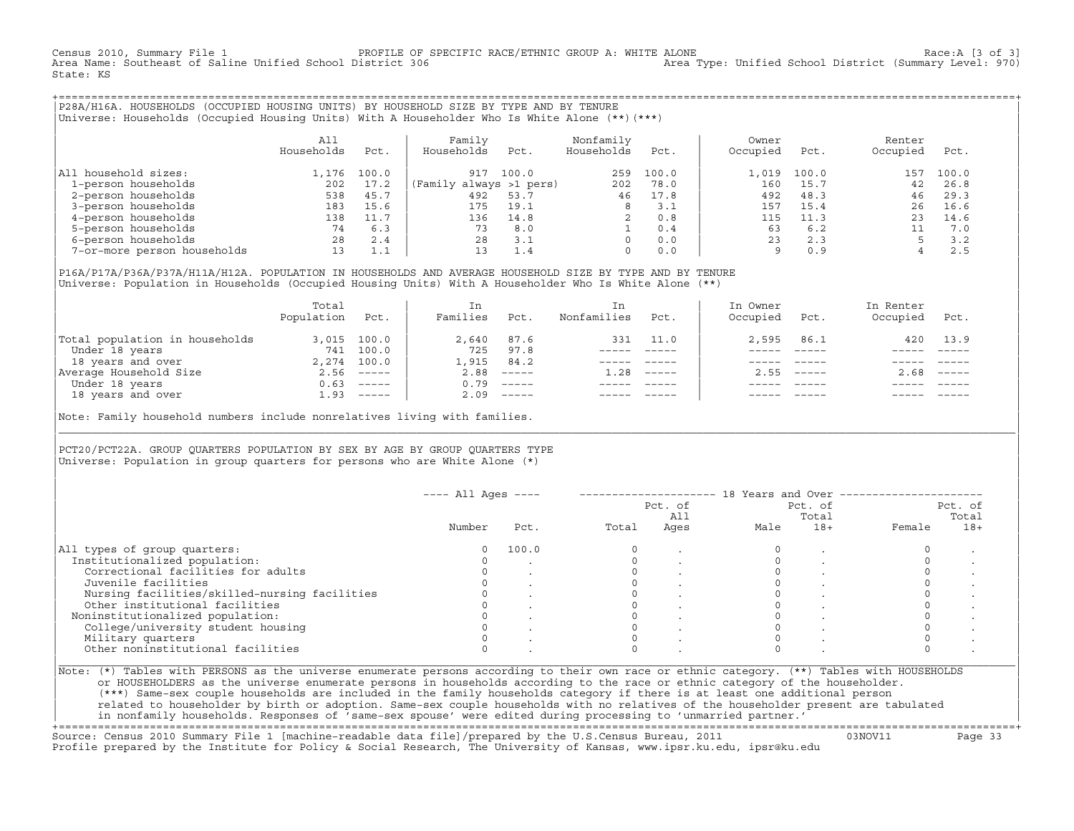Census 2010, Summary File 1 <sup>PROFILE OF SPECIFIC RACE/ETHNIC GROUP A: WHITE ALONE</sup> Race:A [3 of 3]<br>Area Name: Southeast of Saline Unified School District 306 area Type: Unified School District (Summary Level: 970) Area Type: Unified School District (Summary Level: 970) State: KS

+===================================================================================================================================================+|P28A/H16A. HOUSEHOLDS (OCCUPIED HOUSING UNITS) BY HOUSEHOLD SIZE BY TYPE AND BY TENURE | |Universe: Households (Occupied Housing Units) With A Householder Who Is White Alone (\*\*)(\*\*\*) |

|                             | All<br>Households | Pct.  | Family<br>Households    | Pct.  | Nonfamily<br>Households | Pct.  | Owner<br>Occupied | Pct.  | Renter<br>Occupied | Pct.  |  |
|-----------------------------|-------------------|-------|-------------------------|-------|-------------------------|-------|-------------------|-------|--------------------|-------|--|
| household sizes:<br>All     | .176              | 100.0 | 917                     | 100.0 | 259                     | 100.0 | 1,019             | 100.0 | 157                | 100.0 |  |
| 1-person households         | 202               | 17.2  | (Family always >1 pers) |       | 202                     | 78.0  | 160               | 15.7  | 42                 | 26.8  |  |
| 2-person households         | 538               | 45.7  | 492                     | 53.7  | 46                      | 17.8  | 492               | 48.3  | 46                 | 29.3  |  |
| 3-person households         | 183               | 15.6  | 175                     | 19.1  | 8                       | 3.1   | 157               | 15.4  | 26                 | 16.6  |  |
| 4-person households         | 138               |       | 136                     | 14.8  |                         | 0.8   | 115               | 11.3  | 23                 | 14.6  |  |
| 5-person households         | 74                | 6.3   | 73                      | 8.0   |                         | 0.4   | 63                | 6.2   |                    | 7.0   |  |
| 6-person households         | 28                | 2.4   | 28                      | 3.1   | $\Omega$                | 0.0   | 23                | 2.3   |                    | 3.2   |  |
| 7-or-more person households | 13                | 1.1   | 13                      | 1.4   | $\Omega$                | 0.0   | Q                 | 0.9   |                    | 2.5   |  |

|P16A/P17A/P36A/P37A/H11A/H12A. POPULATION IN HOUSEHOLDS AND AVERAGE HOUSEHOLD SIZE BY TYPE AND BY TENURE | Universe: Population in Households (Occupied Housing Units) With A Householder Who Is White Alone (\*\*)

|                                | Total<br>Population | Pct.                      | In<br>Families | Pct.                      | In<br>Nonfamilies | Pct.     | In Owner<br>Occupied | Pct.          | In Renter<br>Occupied | Pct.        |  |
|--------------------------------|---------------------|---------------------------|----------------|---------------------------|-------------------|----------|----------------------|---------------|-----------------------|-------------|--|
| Total population in households |                     | 3,015 100.0               | 2,640          | 87.6                      | 331               | 11.0     | 2,595                | 86.1          | 420                   | 13.9        |  |
| Under 18 years                 | 741                 | 100.0                     | 725            | 97.8                      |                   |          |                      |               |                       |             |  |
| 18 years and over              |                     | 2,274 100.0               | 1,915          | 84.2                      |                   |          |                      |               |                       |             |  |
| Average Household Size         |                     | $2.56$ -----              | 2.88           | $------$                  | 1.28              | $------$ | 2.55                 | $- - - - - -$ | 2.68                  | $------$    |  |
| Under 18 years                 | 0.63                | $\qquad \qquad - - - - -$ | 0.79           | $------$                  |                   |          |                      |               |                       |             |  |
| 18 years and over              |                     | $1.93$ -----              | 2.09           | $\qquad \qquad - - - - -$ |                   |          |                      |               |                       | $- - - - -$ |  |
|                                |                     |                           |                |                           |                   |          |                      |               |                       |             |  |

Note: Family household numbers include nonrelatives living with families.

| | PCT20/PCT22A. GROUP OUARTERS POPULATION BY SEX BY AGE BY GROUP OUARTERS TYPE Universe: Population in group quarters for persons who are White Alone  $(*)$ 

|                                               |        |       |       | Pct. of<br>All |      | Pct. of<br>Total |        | Pct. of<br>Total |
|-----------------------------------------------|--------|-------|-------|----------------|------|------------------|--------|------------------|
|                                               | Number | Pct.  | Total | Ages           | Male | $18+$            | Female | $18+$            |
| All types of group quarters:                  | 0      | 100.0 |       |                |      |                  |        |                  |
| Institutionalized population:                 |        |       |       |                |      |                  |        |                  |
| Correctional facilities for adults            |        |       |       |                |      |                  |        |                  |
| Juvenile facilities                           |        |       |       |                |      |                  |        |                  |
| Nursing facilities/skilled-nursing facilities |        |       |       |                |      |                  |        |                  |
| Other institutional facilities                |        |       |       |                |      |                  |        |                  |
| Noninstitutionalized population:              |        |       |       |                |      |                  |        |                  |
| College/university student housing            |        |       |       |                |      |                  |        |                  |
| Military quarters                             |        |       |       |                |      |                  |        |                  |
| Other noninstitutional facilities             |        |       |       |                |      |                  |        |                  |

|\_\_\_\_\_\_\_\_\_\_\_\_\_\_\_\_\_\_\_\_\_\_\_\_\_\_\_\_\_\_\_\_\_\_\_\_\_\_\_\_\_\_\_\_\_\_\_\_\_\_\_\_\_\_\_\_\_\_\_\_\_\_\_\_\_\_\_\_\_\_\_\_\_\_\_\_\_\_\_\_\_\_\_\_\_\_\_\_\_\_\_\_\_\_\_\_\_\_\_\_\_\_\_\_\_\_\_\_\_\_\_\_\_\_\_\_\_\_\_\_\_\_\_\_\_\_\_\_\_\_\_\_\_\_\_\_\_\_\_\_\_\_\_\_\_\_\_|

| |

or HOUSEHOLDERS as the universe enumerate persons in households according to the race or ethnic category of the householder. | (\*\*\*) Same−sex couple households are included in the family households category if there is at least one additional person | | related to householder by birth or adoption. Same−sex couple households with no relatives of the householder present are tabulated | | in nonfamily households. Responses of 'same−sex spouse' were edited during processing to 'unmarried partner.' |

+===================================================================================================================================================+ Source: Census 2010 Summary File 1 [machine−readable data file]/prepared by the U.S.Census Bureau, 2011 03NOV11 Page 33 Profile prepared by the Institute for Policy & Social Research, The University of Kansas, www.ipsr.ku.edu, ipsr@ku.edu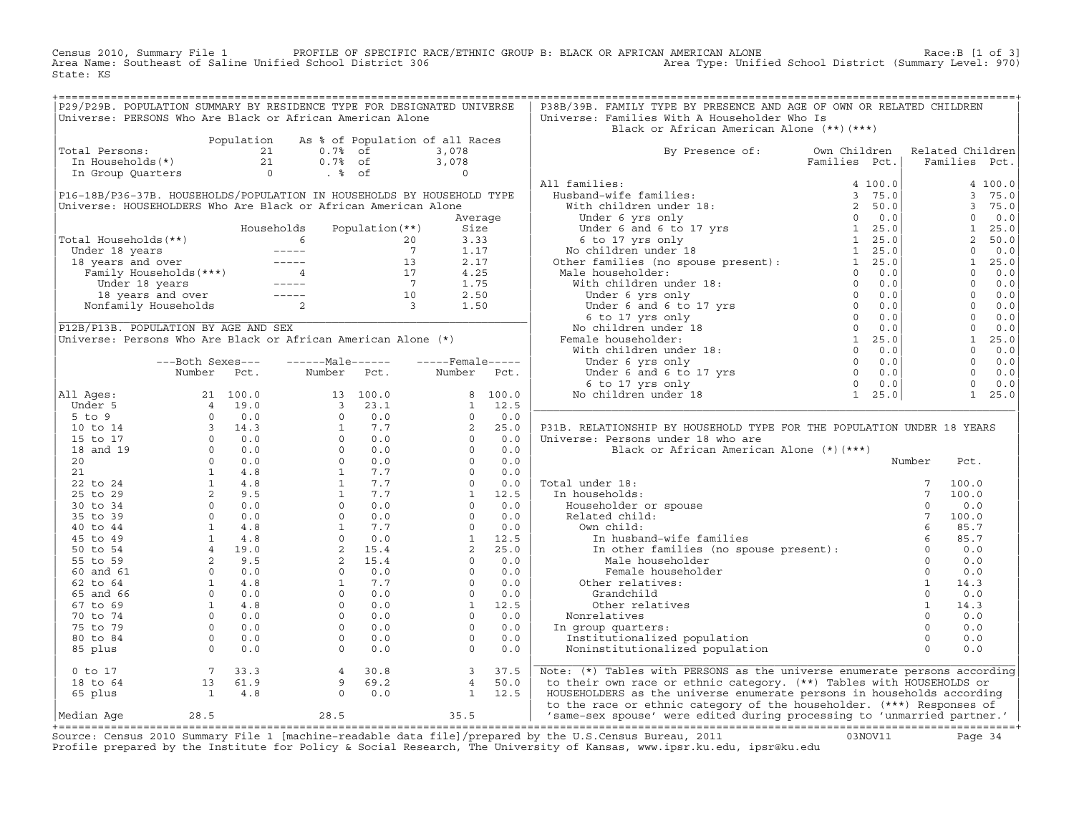ROFILE OF SPECIFIC RACE/ETHNIC GROUP B: BLACK OR AFRICAN AMERICAN ALONE (1 OF 3)<br>(970) Area Type: Unified School District (Summary Level: 970 Census 2010, Summary File 1 FROFILE OF SPECIFIC RATE: Nea Name: Southeast of Saline Unified School District 306 State: KS

|                                                                                                                                              |  | P29/P29B. POPULATION SUMMARY BY RESIDENCE TYPE FOR DESIGNATED UNIVERSE |  | P38B/39B. FAMILY TYPE BY PRESENCE AND AGE OF OWN OR RELATED CHILDREN           |  |  |
|----------------------------------------------------------------------------------------------------------------------------------------------|--|------------------------------------------------------------------------|--|--------------------------------------------------------------------------------|--|--|
|                                                                                                                                              |  | Universe: PERSONS Who Are Black or African American Alone              |  | Universe: Families With A Householder Who Is                                   |  |  |
|                                                                                                                                              |  |                                                                        |  | Black or African American Alone (**)(***)                                      |  |  |
| Population As % of Population of all Races<br>Total Persons:<br>21 0.7% of 3,078<br>In Households(*)<br>In Group Quarters<br>0 . % of 0<br>8 |  |                                                                        |  |                                                                                |  |  |
|                                                                                                                                              |  |                                                                        |  | By Presence of: Own Children Related Children<br>Families Pct.   Families Pct. |  |  |
|                                                                                                                                              |  |                                                                        |  |                                                                                |  |  |
|                                                                                                                                              |  |                                                                        |  |                                                                                |  |  |
|                                                                                                                                              |  |                                                                        |  |                                                                                |  |  |
|                                                                                                                                              |  |                                                                        |  |                                                                                |  |  |
|                                                                                                                                              |  |                                                                        |  |                                                                                |  |  |
|                                                                                                                                              |  |                                                                        |  |                                                                                |  |  |
|                                                                                                                                              |  |                                                                        |  |                                                                                |  |  |
|                                                                                                                                              |  |                                                                        |  |                                                                                |  |  |
|                                                                                                                                              |  |                                                                        |  |                                                                                |  |  |
|                                                                                                                                              |  |                                                                        |  |                                                                                |  |  |
|                                                                                                                                              |  |                                                                        |  |                                                                                |  |  |
|                                                                                                                                              |  |                                                                        |  |                                                                                |  |  |
|                                                                                                                                              |  |                                                                        |  |                                                                                |  |  |
|                                                                                                                                              |  |                                                                        |  |                                                                                |  |  |
|                                                                                                                                              |  |                                                                        |  |                                                                                |  |  |
|                                                                                                                                              |  |                                                                        |  |                                                                                |  |  |
|                                                                                                                                              |  |                                                                        |  |                                                                                |  |  |
|                                                                                                                                              |  |                                                                        |  |                                                                                |  |  |
|                                                                                                                                              |  |                                                                        |  |                                                                                |  |  |
|                                                                                                                                              |  |                                                                        |  |                                                                                |  |  |
|                                                                                                                                              |  |                                                                        |  |                                                                                |  |  |
|                                                                                                                                              |  |                                                                        |  |                                                                                |  |  |
|                                                                                                                                              |  |                                                                        |  |                                                                                |  |  |
|                                                                                                                                              |  |                                                                        |  |                                                                                |  |  |
|                                                                                                                                              |  |                                                                        |  |                                                                                |  |  |
|                                                                                                                                              |  |                                                                        |  |                                                                                |  |  |
|                                                                                                                                              |  |                                                                        |  |                                                                                |  |  |
|                                                                                                                                              |  |                                                                        |  |                                                                                |  |  |
|                                                                                                                                              |  |                                                                        |  |                                                                                |  |  |
|                                                                                                                                              |  |                                                                        |  |                                                                                |  |  |
|                                                                                                                                              |  |                                                                        |  |                                                                                |  |  |
|                                                                                                                                              |  |                                                                        |  |                                                                                |  |  |
|                                                                                                                                              |  |                                                                        |  |                                                                                |  |  |
|                                                                                                                                              |  |                                                                        |  |                                                                                |  |  |
|                                                                                                                                              |  |                                                                        |  |                                                                                |  |  |
|                                                                                                                                              |  |                                                                        |  |                                                                                |  |  |
|                                                                                                                                              |  |                                                                        |  |                                                                                |  |  |
|                                                                                                                                              |  |                                                                        |  |                                                                                |  |  |
|                                                                                                                                              |  |                                                                        |  |                                                                                |  |  |
|                                                                                                                                              |  |                                                                        |  |                                                                                |  |  |
|                                                                                                                                              |  |                                                                        |  |                                                                                |  |  |
|                                                                                                                                              |  |                                                                        |  |                                                                                |  |  |
|                                                                                                                                              |  |                                                                        |  |                                                                                |  |  |
|                                                                                                                                              |  |                                                                        |  |                                                                                |  |  |
|                                                                                                                                              |  |                                                                        |  |                                                                                |  |  |
|                                                                                                                                              |  |                                                                        |  |                                                                                |  |  |
|                                                                                                                                              |  |                                                                        |  |                                                                                |  |  |
|                                                                                                                                              |  |                                                                        |  |                                                                                |  |  |
|                                                                                                                                              |  |                                                                        |  |                                                                                |  |  |
|                                                                                                                                              |  |                                                                        |  |                                                                                |  |  |

+===================================================================================================================================================+Source: Census 2010 Summary File 1 [machine−readable data file]/prepared by the U.S.Census Bureau, 2011 03NOV11 Page 34 Profile prepared by the Institute for Policy & Social Research, The University of Kansas, www.ipsr.ku.edu, ipsr@ku.edu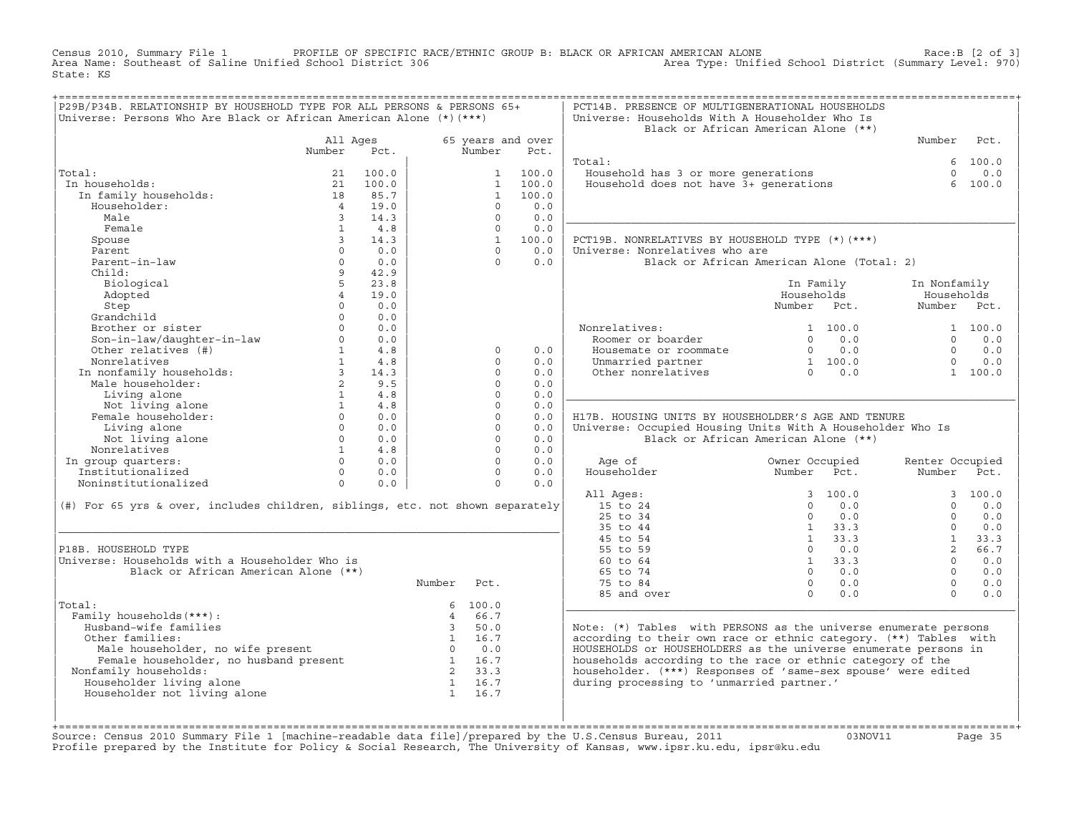PROFILE OF SPECIFIC RACE/ETHNIC GROUP B: BLACK OR AFRICAN AMERICAN ALONE (2 OF 3)<br>(970) Area Type: Unified School District (Summary Level: 970 Census 2010, Summary File 1 FROFILE OF SPECIFIC RATE: Nea Name: Southeast of Saline Unified School District 306 State: KS

| P29B/P34B. RELATIONSHIP BY HOUSEHOLD TYPE FOR ALL PERSONS & PERSONS 65+<br>Universe: Persons Who Are Black or African American Alone (*) (***) |                                              |                |                |                      |                   | PCT14B. PRESENCE OF MULTIGENERATIONAL HOUSEHOLDS<br>Universe: Households With A Householder Who Is |                                                                |                           |                     |
|------------------------------------------------------------------------------------------------------------------------------------------------|----------------------------------------------|----------------|----------------|----------------------|-------------------|----------------------------------------------------------------------------------------------------|----------------------------------------------------------------|---------------------------|---------------------|
|                                                                                                                                                |                                              |                |                |                      |                   |                                                                                                    | Black or African American Alone (**)                           |                           |                     |
|                                                                                                                                                | All Ages                                     |                |                |                      | 65 years and over |                                                                                                    |                                                                | Number                    | Pct.                |
|                                                                                                                                                | Number                                       | Pct.           |                | Number               | Pct.              |                                                                                                    |                                                                |                           |                     |
|                                                                                                                                                |                                              |                |                |                      |                   | Total:                                                                                             |                                                                |                           | 6, 100.0            |
| Total:                                                                                                                                         | 21                                           | 100.0          |                | $\mathbf{1}$         | 100.0             | Household has 3 or more generations<br>Household does not have 3+ generations                      |                                                                | $\Omega$                  | $0.0$               |
| In households:                                                                                                                                 | 21                                           | 100.0          |                | $\mathbf{1}$         | 100.0             |                                                                                                    |                                                                | 6                         | 100.0               |
| In family households:                                                                                                                          | 18                                           | 85.7           |                | $\mathbf{1}$         | 100.0             |                                                                                                    |                                                                |                           |                     |
| Householder:                                                                                                                                   | $\sim$ 4                                     | 19.0           |                | $\Omega$             | 0.0               |                                                                                                    |                                                                |                           |                     |
| Male                                                                                                                                           | $\overline{3}$                               | 14.3           |                | $\Omega$             | 0.0               |                                                                                                    |                                                                |                           |                     |
| Female                                                                                                                                         | $\mathbf{1}$                                 | 4.8            |                | $\Omega$             | 0.0               |                                                                                                    |                                                                |                           |                     |
| Spouse                                                                                                                                         | $\overline{3}$                               | 14.3           |                |                      | 1 100.0           | PCT19B. NONRELATIVES BY HOUSEHOLD TYPE (*) (***)                                                   |                                                                |                           |                     |
| Parent                                                                                                                                         | $\Omega$                                     | 0.0            |                | $\Omega$             | 0.0               | Universe: Nonrelatives who are                                                                     |                                                                |                           |                     |
| Parent-in-law                                                                                                                                  | $\Omega$                                     | 0.0            |                | $\Omega$             | 0.0               |                                                                                                    | Black or African American Alone (Total: 2)                     |                           |                     |
| Child:                                                                                                                                         | 9                                            | 42.9           |                |                      |                   |                                                                                                    |                                                                |                           |                     |
| Biological                                                                                                                                     | 5 <sup>1</sup>                               | 23.8           |                |                      |                   |                                                                                                    | In Family                                                      | In Nonfamily              |                     |
| Adopted                                                                                                                                        | $4\overline{ }$                              | 19.0           |                |                      |                   |                                                                                                    | Households                                                     | Households                |                     |
| Step                                                                                                                                           | $\Omega$                                     | 0.0            |                |                      |                   |                                                                                                    | Number Pct.                                                    | Number Pct.               |                     |
| Grandchild                                                                                                                                     | $\Omega$                                     | 0.0            |                |                      |                   |                                                                                                    |                                                                |                           |                     |
| Brother or sister                                                                                                                              | $\Omega$                                     | 0.0            |                |                      |                   | Nonrelatives:                                                                                      | 1, 100, 0                                                      |                           | 1, 100, 0           |
|                                                                                                                                                | $\Omega$                                     | 0.0            |                |                      |                   | Roomer or boarder                                                                                  | $0 \qquad 0.0$                                                 | $\Omega$                  | 0.0                 |
| Son-in-law/daughter-in-law<br>Other relatives (#)<br>Normalatives (#)                                                                          | $1$ $\sim$                                   | 4.8            |                | $\circ$              | 0.0               | Housemate or roommate                                                                              | $\begin{array}{ccc} 0 & 0.0 \ 1 & 100.0 \ 0 & 0.0 \end{array}$ | $\Omega$                  | 0.0                 |
| Nonrelatives<br>Nonrelatives<br>In nonfamily households:<br>Male householder:<br>2<br>1                                                        |                                              | $1 \qquad 4.8$ |                | $\Omega$             | 0.0               | Unmarried partner                                                                                  |                                                                | $\Omega$                  | 0.0                 |
|                                                                                                                                                |                                              | 14.3           |                | $\Omega$             | 0.0               | Other nonrelatives                                                                                 |                                                                |                           | 1 100.0             |
|                                                                                                                                                |                                              | 9.5            |                | $\Omega$             | 0.0               |                                                                                                    |                                                                |                           |                     |
| Living alone                                                                                                                                   |                                              | 4.8            |                | $\Omega$             | 0.0               |                                                                                                    |                                                                |                           |                     |
| Not living alone<br>Female householder:                                                                                                        | $\begin{array}{c}\n1 \\ 1 \\ 0\n\end{array}$ | 4.8            |                | $\circ$              | 0.0               |                                                                                                    |                                                                |                           |                     |
|                                                                                                                                                |                                              | 0.0            |                | $\Omega$             | 0.0               | H17B. HOUSING UNITS BY HOUSEHOLDER'S AGE AND TENURE                                                |                                                                |                           |                     |
| Living alone                                                                                                                                   | $0 \qquad \qquad$                            | 0.0            |                | $\Omega$             | 0.0               | Universe: Occupied Housing Units With A Householder Who Is                                         |                                                                |                           |                     |
| Not living alone                                                                                                                               |                                              | $0 \qquad 0.0$ |                | $\Omega$             | 0.0               |                                                                                                    | Black or African American Alone (**)                           |                           |                     |
| Nonrelatives                                                                                                                                   | $\mathbf{1}$                                 | 4.8            |                | $\Omega$<br>$\Omega$ | 0.0               |                                                                                                    |                                                                |                           |                     |
| In group quarters:<br>Institutionalized                                                                                                        | $\Omega$<br>$\Omega$                         | 0.0<br>0.0     |                | $\Omega$             | 0.0<br>0.0        | Age of<br>Householder                                                                              | Owner Occupied<br>Number Pct.                                  | Renter Occupied<br>Number | Pct.                |
| Noninstitutionalized                                                                                                                           | $\Omega$                                     | 0.0            |                | $\Omega$             | 0.0               |                                                                                                    |                                                                |                           |                     |
|                                                                                                                                                |                                              |                |                |                      |                   | All Ages:                                                                                          | 3, 100.0                                                       |                           | 3, 100.0            |
| (#) For 65 yrs & over, includes children, siblings, etc. not shown separately                                                                  |                                              |                |                |                      |                   | 15 to 24                                                                                           | $\Omega$<br>0.0                                                | $\cap$                    | 0.0                 |
|                                                                                                                                                |                                              |                |                |                      |                   | 25 to 34                                                                                           | 0.0<br>$\Omega$                                                | $\Omega$                  | 0.0                 |
|                                                                                                                                                |                                              |                |                |                      |                   | 35 to 44                                                                                           | $1 \t33.3$                                                     | $\Omega$                  | 0.0                 |
|                                                                                                                                                |                                              |                |                |                      |                   | 45 to 54                                                                                           | $1 \t33.3$                                                     |                           | 1<br>33.3           |
| P18B. HOUSEHOLD TYPE                                                                                                                           |                                              |                |                |                      |                   | 55 to 59                                                                                           | $\Omega$<br>0.0                                                |                           | $2^{\circ}$<br>66.7 |
| Universe: Households with a Householder Who is                                                                                                 |                                              |                |                |                      |                   | 60 to 64                                                                                           | $1 \t33.3$                                                     | $\Omega$                  | 0.0                 |
| Black or African American Alone (**)                                                                                                           |                                              |                |                |                      |                   | 65 to 74                                                                                           | $0 \t 0.0$                                                     | $\Omega$                  | 0.0                 |
|                                                                                                                                                |                                              |                | Number         | Pct.                 |                   | 75 to 84                                                                                           | $\Omega$<br>0.0                                                | $\Omega$                  | 0.0                 |
|                                                                                                                                                |                                              |                |                |                      |                   | 85 and over                                                                                        | $\Omega$<br>0.0                                                | $\Omega$                  | 0.0                 |
| Total:                                                                                                                                         |                                              |                |                | 6 100.0              |                   |                                                                                                    |                                                                |                           |                     |
| Family households (***) :                                                                                                                      |                                              |                |                | 4 66.7               |                   |                                                                                                    |                                                                |                           |                     |
| Husband-wife families                                                                                                                          |                                              |                | $\overline{3}$ | 50.0                 |                   | Note: (*) Tables with PERSONS as the universe enumerate persons                                    |                                                                |                           |                     |
| Other families:                                                                                                                                |                                              |                |                | 1 16.7               |                   | according to their own race or ethnic category. (**) Tables with                                   |                                                                |                           |                     |
|                                                                                                                                                |                                              |                |                |                      |                   | HOUSEHOLDS or HOUSEHOLDERS as the universe enumerate persons in                                    |                                                                |                           |                     |
| Wale householder, no wife present<br>Female householder, no husband present<br>$\begin{array}{ccc}\n1 & 16.7 \\ 1 & 16.7\n\end{array}$         |                                              |                |                |                      |                   | households according to the race or ethnic category of the                                         |                                                                |                           |                     |
| Nonfamily households:                                                                                                                          |                                              |                |                | 2 33.3               |                   | householder. (***) Responses of 'same-sex spouse' were edited                                      |                                                                |                           |                     |
| Householder living alone                                                                                                                       |                                              |                |                | 1 16.7               |                   | during processing to 'unmarried partner.'                                                          |                                                                |                           |                     |
| Householder not living alone                                                                                                                   |                                              |                |                | 1 16.7               |                   |                                                                                                    |                                                                |                           |                     |
|                                                                                                                                                |                                              |                |                |                      |                   |                                                                                                    |                                                                |                           |                     |
|                                                                                                                                                |                                              |                |                |                      |                   |                                                                                                    |                                                                |                           |                     |
|                                                                                                                                                |                                              |                |                |                      |                   |                                                                                                    |                                                                |                           |                     |

+===================================================================================================================================================+Source: Census 2010 Summary File 1 [machine−readable data file]/prepared by the U.S.Census Bureau, 2011 03NOV11 Page 35 Profile prepared by the Institute for Policy & Social Research, The University of Kansas, www.ipsr.ku.edu, ipsr@ku.edu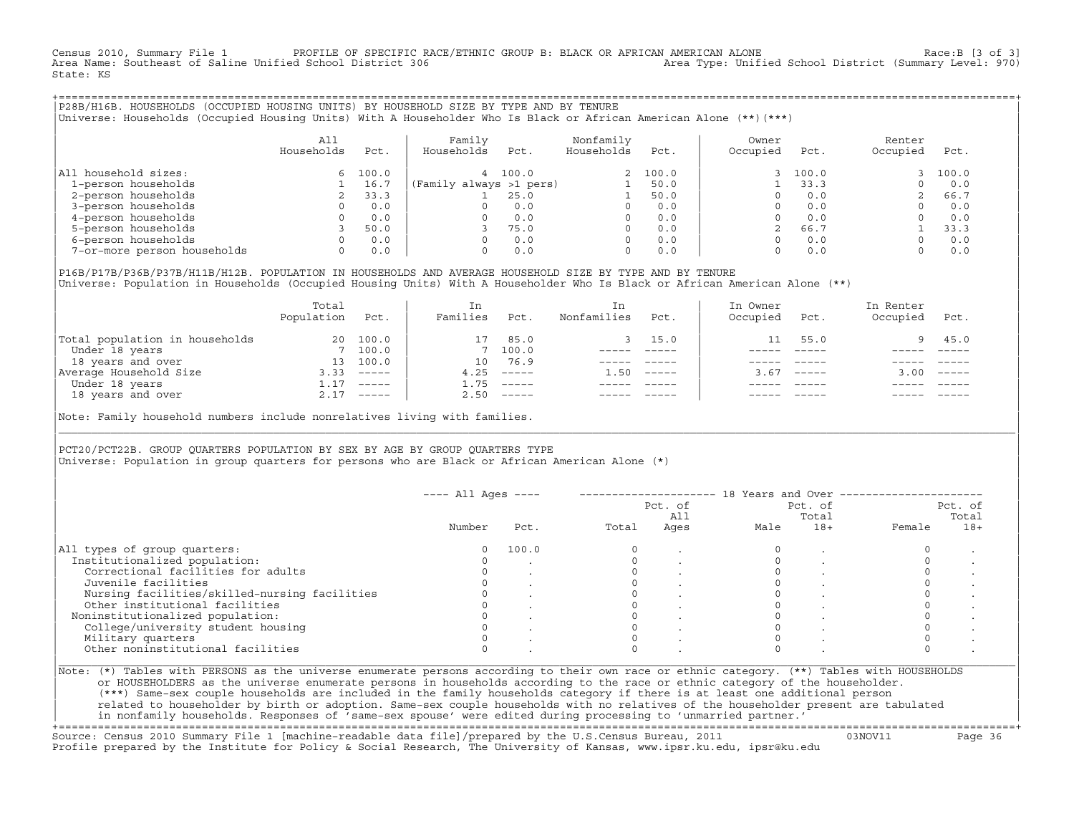Census 2010, Summary File 1 PROFILE OF SPECIFIC RACE/ETHNIC GROUP B: BLACK OR AFRICAN AMERICAN ALONE Race:B [3 of 3]<br>Area Name: Southeast of Saline Unified School District 306 area Type: Unified School District (Summary Le Area Type: Unified School District (Summary Level: 970) State: KS

+===================================================================================================================================================+|P28B/H16B. HOUSEHOLDS (OCCUPIED HOUSING UNITS) BY HOUSEHOLD SIZE BY TYPE AND BY TENURE | |Universe: Households (Occupied Housing Units) With A Householder Who Is Black or African American Alone (\*\*)(\*\*\*) |

|                             | A11<br>Households | Pct.  | Family<br>Households    | Pct.  | Nonfamily<br>Households | Pct.  | Owner<br>Occupied | Pct.  | Renter<br>Occupied | Pct.  |
|-----------------------------|-------------------|-------|-------------------------|-------|-------------------------|-------|-------------------|-------|--------------------|-------|
| All household sizes:        | 6.                | 100.0 | 4                       | 100.0 |                         | 100.0 |                   | 100.0 |                    | 100.0 |
| 1-person households         |                   | 16.7  | (Family always >1 pers) |       |                         | 50.0  |                   | 33.3  |                    | 0.0   |
| 2-person households         |                   | 33.3  |                         | 25.0  |                         | 50.0  |                   | 0.0   |                    | 66.7  |
| 3-person households         |                   | 0.0   |                         | 0.0   |                         | 0.0   |                   | 0.0   |                    | 0.0   |
| 4-person households         |                   | 0.0   |                         | 0.0   | $\Omega$                | 0.0   |                   | 0.0   |                    | 0.0   |
| 5-person households         |                   | 50.0  |                         | 75.0  | $\Omega$                | 0.0   |                   | 66.7  |                    | 33.3  |
| 6-person households         |                   | 0.0   |                         | 0.0   | $\Omega$                | 0.0   |                   | 0.0   |                    | 0.0   |
| 7-or-more person households | 0                 | 0.0   |                         | 0.0   | $\Omega$                | 0.0   |                   | 0.0   |                    | 0.0   |

|P16B/P17B/P36B/P37B/H11B/H12B. POPULATION IN HOUSEHOLDS AND AVERAGE HOUSEHOLD SIZE BY TYPE AND BY TENURE | Universe: Population in Households (Occupied Housing Units) With A Householder Who Is Black or African American Alone (\*\*)

|                                | Total<br>Population | Pct.                      | In<br>Families | Pct.     | In.<br>Nonfamilies | Pct.     | In Owner<br>Occupied | Pct.          | In Renter<br>Occupied | Pct.                      |  |
|--------------------------------|---------------------|---------------------------|----------------|----------|--------------------|----------|----------------------|---------------|-----------------------|---------------------------|--|
| Total population in households | 20                  | 100.0                     |                | 85.0     |                    | 3, 15.0  | 11                   | 55.0          |                       | $9 \t 45.0$               |  |
| Under 18 years                 |                     | 7 100.0                   |                | 7 100.0  |                    |          |                      |               |                       |                           |  |
| 18 years and over              | 13                  | 100.0                     | $10^{-}$       | 76.9     |                    |          |                      |               |                       |                           |  |
| Average Household Size         | 3.33                | $\qquad \qquad - - - - -$ | 4.25           | $------$ | 1.50               | $------$ | 3.67                 | $- - - - - -$ | 3.00                  | $\qquad \qquad - - - - -$ |  |
| Under 18 years                 | 1.17                | $------$                  | 1.75           | $------$ |                    |          |                      |               |                       |                           |  |
| 18 years and over              |                     | $2.17$ -----              | 2.50           |          |                    |          |                      | $- - - - -$   |                       | $- - - - -$               |  |
|                                |                     |                           |                |          |                    |          |                      |               |                       |                           |  |

Note: Family household numbers include nonrelatives living with families.

| | PCT20/PCT22B. GROUP OUARTERS POPULATION BY SEX BY AGE BY GROUP OUARTERS TYPE Universe: Population in group quarters for persons who are Black or African American Alone (\*)

|                                               |        |       |       | Pct. of<br>All |      | Pct. of<br>Total |        | Pct. of<br>Total |
|-----------------------------------------------|--------|-------|-------|----------------|------|------------------|--------|------------------|
|                                               | Number | Pct.  | Total | Ages           | Male | $18+$            | Female | $18+$            |
| All types of group quarters:                  |        | 100.0 |       |                |      |                  |        |                  |
| Institutionalized population:                 |        |       |       |                |      |                  |        |                  |
| Correctional facilities for adults            |        |       |       |                |      |                  |        |                  |
| Juvenile facilities                           |        |       |       |                |      |                  |        |                  |
| Nursing facilities/skilled-nursing facilities |        |       |       |                |      |                  |        |                  |
| Other institutional facilities                |        |       |       |                |      |                  |        |                  |
| Noninstitutionalized population:              |        |       |       |                |      |                  |        |                  |
| College/university student housing            |        |       |       |                |      |                  |        |                  |
| Military quarters                             |        |       |       |                |      |                  |        |                  |
| Other noninstitutional facilities             |        |       |       |                |      |                  |        |                  |

|\_\_\_\_\_\_\_\_\_\_\_\_\_\_\_\_\_\_\_\_\_\_\_\_\_\_\_\_\_\_\_\_\_\_\_\_\_\_\_\_\_\_\_\_\_\_\_\_\_\_\_\_\_\_\_\_\_\_\_\_\_\_\_\_\_\_\_\_\_\_\_\_\_\_\_\_\_\_\_\_\_\_\_\_\_\_\_\_\_\_\_\_\_\_\_\_\_\_\_\_\_\_\_\_\_\_\_\_\_\_\_\_\_\_\_\_\_\_\_\_\_\_\_\_\_\_\_\_\_\_\_\_\_\_\_\_\_\_\_\_\_\_\_\_\_\_\_|

| |

or HOUSEHOLDERS as the universe enumerate persons in households according to the race or ethnic category of the householder. | (\*\*\*) Same−sex couple households are included in the family households category if there is at least one additional person | | related to householder by birth or adoption. Same−sex couple households with no relatives of the householder present are tabulated | | in nonfamily households. Responses of 'same−sex spouse' were edited during processing to 'unmarried partner.' |

+===================================================================================================================================================+ Source: Census 2010 Summary File 1 [machine−readable data file]/prepared by the U.S.Census Bureau, 2011 03NOV11 Page 36 Profile prepared by the Institute for Policy & Social Research, The University of Kansas, www.ipsr.ku.edu, ipsr@ku.edu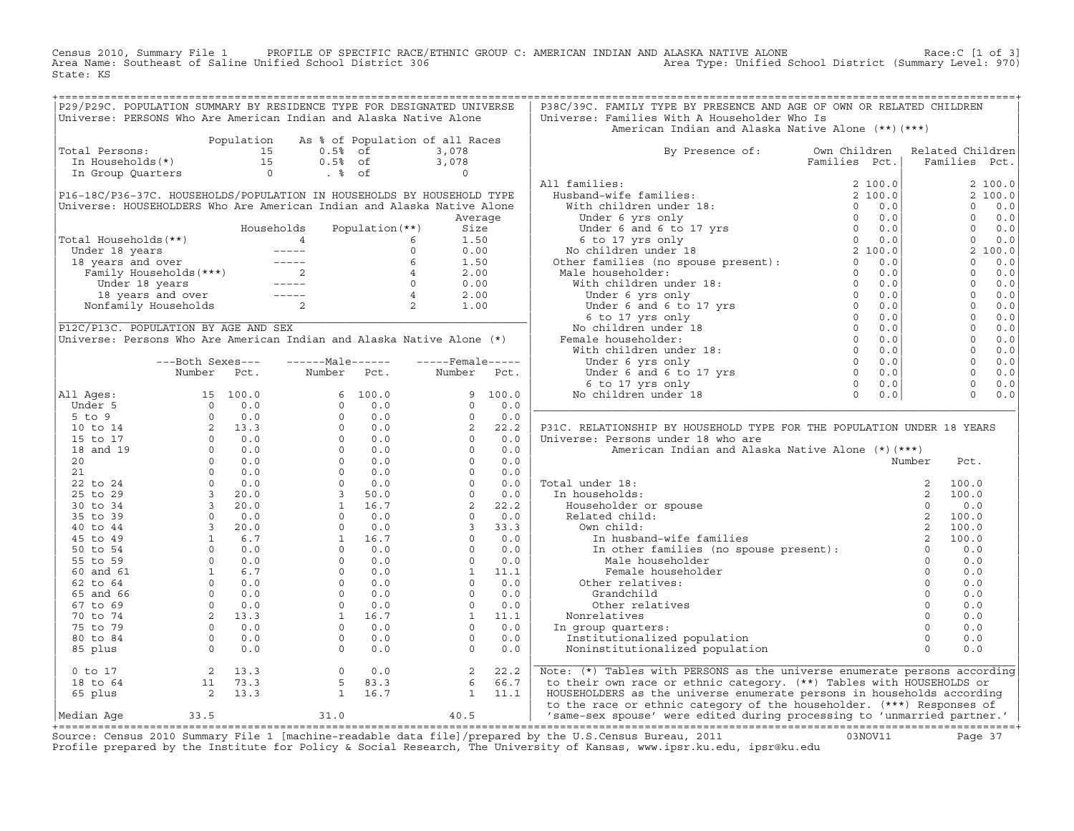Census 2010, Summary File 1 PROFILE OF SPECIFIC RACE/ETHNIC GROUP C: AMERICAN INDIAN AND ALASKA NATIVE ALONE<br>Area Name: Southeast of Saline Unified School District 306 Area Type: Unified Sch State: KS

| P29/P29C. POPULATION SUMMARY BY RESIDENCE TYPE FOR DESIGNATED UNIVERSE           |                                                       |            |                                                                                                                                                                                                                                                      |                   |      |                 |                    | P38C/39C. FAMILY TYPE BY PRESENCE AND AGE OF OWN OR RELATED CHILDREN                                                                                                                                                                          |               |                     |              |               |
|----------------------------------------------------------------------------------|-------------------------------------------------------|------------|------------------------------------------------------------------------------------------------------------------------------------------------------------------------------------------------------------------------------------------------------|-------------------|------|-----------------|--------------------|-----------------------------------------------------------------------------------------------------------------------------------------------------------------------------------------------------------------------------------------------|---------------|---------------------|--------------|---------------|
| Universe: PERSONS Who Are American Indian and Alaska Native Alone                |                                                       |            |                                                                                                                                                                                                                                                      |                   |      |                 |                    | Universe: Families With A Householder Who Is<br>American Indian and Alaska Native Alone (**) (***)                                                                                                                                            |               |                     |              |               |
|                                                                                  |                                                       | Population | As % of Population of all Races                                                                                                                                                                                                                      |                   |      |                 |                    |                                                                                                                                                                                                                                               |               |                     |              |               |
| otal Persons: 15<br>In Households(*) 15<br>In Group Quarters 0<br>Total Persons: |                                                       |            | $0.5%$ of                                                                                                                                                                                                                                            |                   |      | 3,078           |                    | By Presence of:                                                                                                                                                                                                                               | Own Children  | Related Children    |              |               |
|                                                                                  |                                                       |            | 0.5% of<br>8 of .                                                                                                                                                                                                                                    |                   |      | 3,078           |                    |                                                                                                                                                                                                                                               | Families Pct. |                     |              | Families Pct. |
|                                                                                  |                                                       |            |                                                                                                                                                                                                                                                      |                   |      | $\overline{0}$  |                    |                                                                                                                                                                                                                                               |               |                     |              |               |
|                                                                                  |                                                       |            |                                                                                                                                                                                                                                                      |                   |      |                 |                    | All families:                                                                                                                                                                                                                                 |               |                     |              | 2 100.0       |
| P16-18C/P36-37C. HOUSEHOLDS/POPULATION IN HOUSEHOLDS BY HOUSEHOLD TYPE           |                                                       |            |                                                                                                                                                                                                                                                      |                   |      |                 |                    |                                                                                                                                                                                                                                               |               |                     |              | 2 100.0       |
| Universe: HOUSEHOLDERS Who Are American Indian and Alaska Native Alone           |                                                       |            |                                                                                                                                                                                                                                                      |                   |      |                 |                    |                                                                                                                                                                                                                                               |               |                     | $\Omega$     | 0.0           |
|                                                                                  |                                                       |            |                                                                                                                                                                                                                                                      |                   |      | Average         |                    |                                                                                                                                                                                                                                               |               |                     | $\mathbf{0}$ | 0.0           |
|                                                                                  |                                                       |            | Households                                                                                                                                                                                                                                           | Population $(**)$ |      | Size            |                    |                                                                                                                                                                                                                                               |               |                     | $\Omega$     | 0.0           |
| Total Households(**)                                                             |                                                       |            |                                                                                                                                                                                                                                                      |                   |      | 1.50            |                    |                                                                                                                                                                                                                                               |               |                     | $\circ$      | 0.0           |
| Under 18 years                                                                   |                                                       |            |                                                                                                                                                                                                                                                      |                   |      | 0.00            |                    |                                                                                                                                                                                                                                               |               |                     |              | 2 100.0       |
| 18 years and over                                                                |                                                       |            |                                                                                                                                                                                                                                                      |                   |      | 1.50            |                    |                                                                                                                                                                                                                                               |               |                     | $\circ$      | 0.0           |
|                                                                                  |                                                       |            |                                                                                                                                                                                                                                                      |                   |      | 2.00            |                    |                                                                                                                                                                                                                                               |               |                     | $\circ$      | 0.0           |
|                                                                                  |                                                       |            |                                                                                                                                                                                                                                                      |                   |      | 0.00            |                    |                                                                                                                                                                                                                                               |               |                     | $\circ$      | 0.0           |
|                                                                                  |                                                       |            |                                                                                                                                                                                                                                                      |                   |      | 2.00            |                    |                                                                                                                                                                                                                                               |               |                     | $\mathbf{0}$ | 0.0           |
|                                                                                  |                                                       |            | al Households (**)<br>mder 18 years<br>8 years and over<br>Family Households (***)<br>18 years and over<br>18 years and over<br>18 years and over<br>18 years and over<br>18 years and over<br>18 years and over<br>19 years and over<br>19 years an |                   |      | 1.00            |                    |                                                                                                                                                                                                                                               |               |                     | $\Omega$     | 0.0           |
|                                                                                  |                                                       |            |                                                                                                                                                                                                                                                      |                   |      |                 |                    | Xaminies : 2 100.0<br>Hubband-wife families : 2 100.0<br>With children under 18: 2 100.0<br>Under 6 yrs only 0 0.0<br>Under 6 and 6 to 17 yrs<br>6 to 17 yrs 6 b 17 yrs 0<br>We children under 18 0 0.0<br>No children under 18 2 100.0<br>No |               |                     | $\Omega$     | 0.0           |
| P12C/P13C. POPULATION BY AGE AND SEX                                             |                                                       |            |                                                                                                                                                                                                                                                      |                   |      |                 |                    |                                                                                                                                                                                                                                               |               |                     | $\Omega$     | 0.0           |
| Universe: Persons Who Are American Indian and Alaska Native Alone (*)            |                                                       |            |                                                                                                                                                                                                                                                      |                   |      |                 |                    |                                                                                                                                                                                                                                               |               |                     | $\circ$      | 0.0           |
|                                                                                  |                                                       |            |                                                                                                                                                                                                                                                      |                   |      |                 |                    |                                                                                                                                                                                                                                               |               |                     | $\circ$      | 0.0           |
|                                                                                  | ---Both Sexes---                                      |            | $---Male----$                                                                                                                                                                                                                                        |                   |      |                 | $---$ Female ----- |                                                                                                                                                                                                                                               |               |                     | $\Omega$     | 0.0           |
|                                                                                  | Number                                                | Pct.       | Number                                                                                                                                                                                                                                               | Pct.              |      | Number          | Pct.               |                                                                                                                                                                                                                                               |               |                     | $\Omega$     | 0.0           |
|                                                                                  |                                                       |            |                                                                                                                                                                                                                                                      |                   |      |                 |                    |                                                                                                                                                                                                                                               |               |                     | $\circ$      | 0.0           |
| All Ages:                                                                        |                                                       |            |                                                                                                                                                                                                                                                      | 6 100.0           |      |                 | 9 100.0            |                                                                                                                                                                                                                                               |               |                     | $\Omega$     | 0.0           |
| Under 5                                                                          |                                                       |            | $\Omega$                                                                                                                                                                                                                                             | 0.0               |      | $\Omega$        | 0.0                |                                                                                                                                                                                                                                               |               |                     |              |               |
| $5$ to $9$                                                                       |                                                       |            |                                                                                                                                                                                                                                                      | 0.0               |      | $\circ$         | 0.0                |                                                                                                                                                                                                                                               |               |                     |              |               |
| 10 to 14                                                                         |                                                       |            |                                                                                                                                                                                                                                                      | 0.0               |      | 2               | 22.2               | P31C. RELATIONSHIP BY HOUSEHOLD TYPE FOR THE POPULATION UNDER 18 YEARS                                                                                                                                                                        |               |                     |              |               |
| 15 to 17                                                                         |                                                       |            |                                                                                                                                                                                                                                                      | 0.0               |      | $\circ$         | 0.0                | Universe: Persons under 18 who are                                                                                                                                                                                                            |               |                     |              |               |
| 18 and 19                                                                        |                                                       |            |                                                                                                                                                                                                                                                      | 0.0               |      | $\circ$         | 0.0                | American Indian and Alaska Native Alone (*) (***)                                                                                                                                                                                             |               |                     |              |               |
| 20                                                                               |                                                       |            |                                                                                                                                                                                                                                                      | 0.0               |      |                 | 0.0                |                                                                                                                                                                                                                                               |               | Number              | Pct.         |               |
| 21                                                                               |                                                       |            |                                                                                                                                                                                                                                                      | 0.0               |      |                 | 0.0                |                                                                                                                                                                                                                                               |               |                     |              |               |
| 22 to 24                                                                         |                                                       |            |                                                                                                                                                                                                                                                      | 0.0               |      |                 | 0.0                | Total under 18:                                                                                                                                                                                                                               |               | 2                   | 100.0        |               |
| 25 to 29                                                                         |                                                       |            |                                                                                                                                                                                                                                                      | 50.0              |      |                 | 0.0                | In households:                                                                                                                                                                                                                                |               | 2                   | 100.0        |               |
| 30 to 34                                                                         |                                                       |            |                                                                                                                                                                                                                                                      | 16.7              |      |                 | 22.2               | Householder or spouse                                                                                                                                                                                                                         |               | $\Omega$            | 0.0          |               |
| 35 to 39                                                                         |                                                       |            |                                                                                                                                                                                                                                                      | 0.0               |      |                 | 0.0                | Related child:                                                                                                                                                                                                                                |               |                     | 100.0        |               |
| 40 to 44                                                                         |                                                       |            |                                                                                                                                                                                                                                                      | 0.0               |      |                 | 33.3               | Own child:                                                                                                                                                                                                                                    |               | 2                   | 100.0        |               |
| 45 to 49                                                                         |                                                       |            |                                                                                                                                                                                                                                                      | $1 \t16.7$        |      |                 | 0.0                | ated child:<br>wn child:<br>In husband-wife families<br>In other families (no spouse present):<br>Male_householder                                                                                                                            |               | $\overline{2}$      | 100.0        |               |
| 50 to 54                                                                         |                                                       |            |                                                                                                                                                                                                                                                      | 0.0<br>0.0        |      |                 | 0.0                |                                                                                                                                                                                                                                               |               | $\circ$<br>$\Omega$ | 0.0<br>0.0   |               |
| 55 to 59                                                                         |                                                       |            |                                                                                                                                                                                                                                                      | 0.0               |      | 1               | 0.0<br>11.1        |                                                                                                                                                                                                                                               |               | $\Omega$            | 0.0          |               |
| 60 and 61<br>62 to 64                                                            |                                                       |            |                                                                                                                                                                                                                                                      | 0.0               |      |                 | 0.0                | Female householder                                                                                                                                                                                                                            |               | $\Omega$            | 0.0          |               |
| 65 and 66                                                                        |                                                       |            |                                                                                                                                                                                                                                                      | 0.0               |      |                 | 0.0                | Other relatives:                                                                                                                                                                                                                              |               | $\Omega$            | 0.0          |               |
|                                                                                  |                                                       |            |                                                                                                                                                                                                                                                      |                   |      | $\circ$         |                    | Grandchild                                                                                                                                                                                                                                    |               | $\circ$             |              |               |
| 67 to 69<br>70 to 74                                                             |                                                       |            |                                                                                                                                                                                                                                                      | 0.0<br>1<br>16.7  |      | 1               | 0.0<br>11.1        | Other relatives                                                                                                                                                                                                                               |               | $\Omega$            | 0.0<br>0.0   |               |
| 75 to 79                                                                         |                                                       |            |                                                                                                                                                                                                                                                      | 0.0               |      | $\circ$         | 0.0                | Nonrelatives                                                                                                                                                                                                                                  |               | $\Omega$            | 0.0          |               |
| 80 to 84                                                                         |                                                       |            | $\Omega$                                                                                                                                                                                                                                             | 0.0               |      | $\Omega$        | 0.0                | In group quarters:<br>Institutionalized population                                                                                                                                                                                            |               | $\Omega$            | 0.0          |               |
|                                                                                  |                                                       |            | $\Omega$                                                                                                                                                                                                                                             |                   |      | $\Omega$        | 0.0                |                                                                                                                                                                                                                                               |               | $\Omega$            | 0.0          |               |
| 85 plus                                                                          |                                                       |            |                                                                                                                                                                                                                                                      | 0.0               |      |                 |                    | Noninstitutionalized population                                                                                                                                                                                                               |               |                     |              |               |
| $0$ to $17$                                                                      | 2 13.3                                                |            | $\overline{0}$                                                                                                                                                                                                                                       | 0.0               |      | 2               | 22.2               | Note: (*) Tables with PERSONS as the universe enumerate persons according                                                                                                                                                                     |               |                     |              |               |
| 18 to 64                                                                         |                                                       |            | 5                                                                                                                                                                                                                                                    | 83.3              |      | $6\overline{6}$ | 66.7               | to their own race or ethnic category. (**) Tables with HOUSEHOLDS or                                                                                                                                                                          |               |                     |              |               |
| 65 plus                                                                          | $\begin{bmatrix} 11 & 73.3 \\ 2 & 13.3 \end{bmatrix}$ |            |                                                                                                                                                                                                                                                      | $1 \t16.7$        |      | 1               | 11.1               | HOUSEHOLDERS as the universe enumerate persons in households according                                                                                                                                                                        |               |                     |              |               |
| Median Aqe                                                                       | 33.5                                                  |            | 31.0                                                                                                                                                                                                                                                 |                   | 40.5 |                 |                    | to the race or ethnic category of the householder. (***) Responses of<br>  'same-sex spouse' were edited during processing to 'unmarried partner.'                                                                                            |               |                     |              |               |
|                                                                                  |                                                       |            |                                                                                                                                                                                                                                                      |                   |      |                 |                    |                                                                                                                                                                                                                                               |               |                     |              |               |
|                                                                                  |                                                       |            |                                                                                                                                                                                                                                                      |                   |      |                 |                    | $\alpha$<br>$\Omega$                                                                                                                                                                                                                          |               |                     |              |               |

Source: Census 2010 Summary File 1 [machine-readable data file]/prepared by the U.S.Census Bureau, 2011 Page 37<br>Profile prepared by the Institute for Policy & Social Research, The University of Kansas, www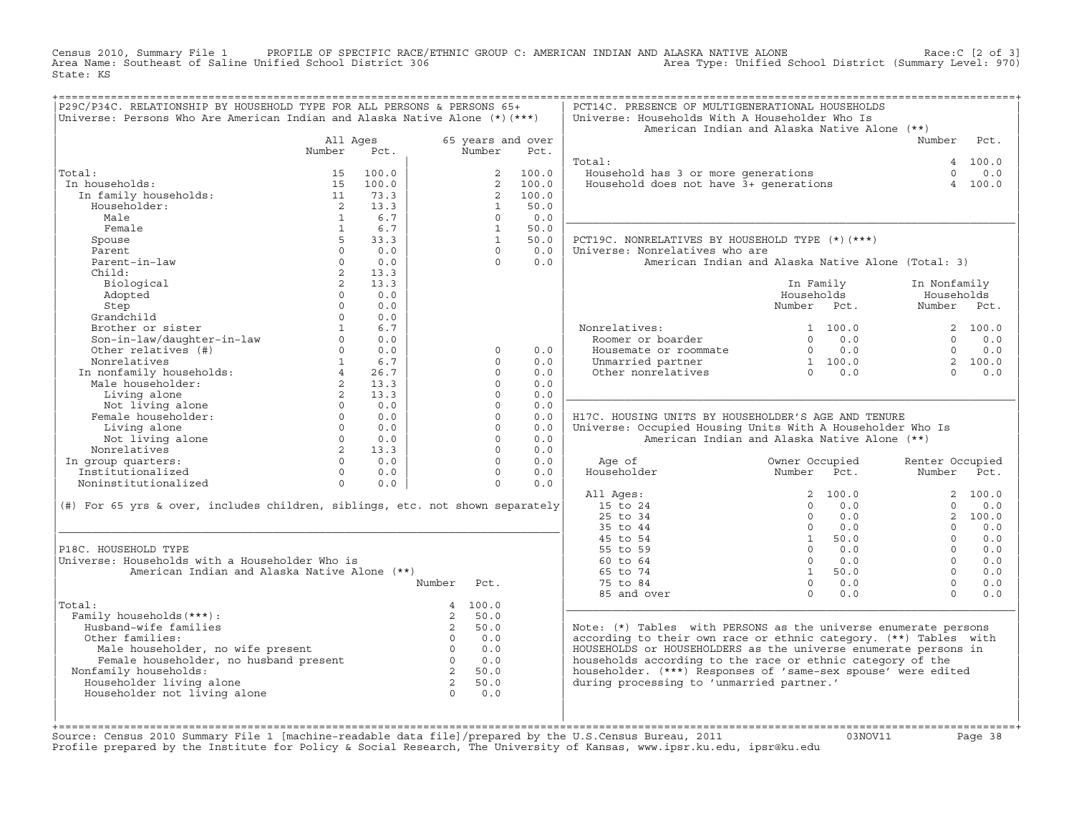Census 2010, Summary File 1 PROFILE OF SPECIFIC RACE/ETHNIC GROUP C: AMERICAN INDIAN AND ALASKA NATIVE ALONE<br>Area Name: Southeast of Saline Unified School District 306 Area Type: Unified Sch State: KS

| P29C/P34C. RELATIONSHIP BY HOUSEHOLD TYPE FOR ALL PERSONS & PERSONS 65+<br>Universe: Persons Who Are American Indian and Alaska Native Alone (*) (***) |                   |                          |                         |                      |                   | PCT14C. PRESENCE OF MULTIGENERATIONAL HOUSEHOLDS<br>Universe: Households With A Householder Who Is |                               |                                                                |                           |          |
|--------------------------------------------------------------------------------------------------------------------------------------------------------|-------------------|--------------------------|-------------------------|----------------------|-------------------|----------------------------------------------------------------------------------------------------|-------------------------------|----------------------------------------------------------------|---------------------------|----------|
|                                                                                                                                                        |                   |                          |                         |                      |                   | American Indian and Alaska Native Alone (**)                                                       |                               |                                                                |                           |          |
|                                                                                                                                                        | All Ages          |                          |                         |                      | 65 years and over |                                                                                                    |                               |                                                                | Number                    | Pct.     |
|                                                                                                                                                        | Number            | Pct.                     |                         | Number               | Pct.              |                                                                                                    |                               |                                                                |                           |          |
|                                                                                                                                                        |                   |                          |                         |                      |                   | Total:                                                                                             |                               |                                                                |                           | 4 100.0  |
| Total:                                                                                                                                                 | 15                | 100.0                    |                         |                      | 2 100.0           |                                                                                                    |                               |                                                                | $\Omega$                  | 0.0      |
| In households:                                                                                                                                         | 15                | 100.0                    |                         | $2^{\circ}$          | 100.0             | Fousehold has 3 or more generations<br>Household does not have 3+ generations                      |                               |                                                                | $\overline{4}$            | 100.0    |
| In family households:                                                                                                                                  | 11                | 73.3                     |                         | $\overline{2}$       | 100.0             |                                                                                                    |                               |                                                                |                           |          |
| Householder:                                                                                                                                           | $\overline{2}$    | 13.3                     |                         | $\mathbf{1}$         | 50.0              |                                                                                                    |                               |                                                                |                           |          |
| Male                                                                                                                                                   | $\overline{1}$    | 6.7                      |                         | $\Omega$             | 0.0               |                                                                                                    |                               |                                                                |                           |          |
| Female                                                                                                                                                 | $\overline{1}$    | 6.7                      |                         | $\overline{1}$       | 50.0              |                                                                                                    |                               |                                                                |                           |          |
| Spouse                                                                                                                                                 | $5 -$             | 33.3                     |                         | $\overline{1}$       | 50.0              | PCT19C. NONRELATIVES BY HOUSEHOLD TYPE (*) (***)                                                   |                               |                                                                |                           |          |
| Parent                                                                                                                                                 | $\Omega$          | 0.0                      |                         | $\Omega$             | 0.0               | Universe: Nonrelatives who are                                                                     |                               |                                                                |                           |          |
| Parent-in-law                                                                                                                                          | $\Omega$          | 0.0                      |                         | $\Omega$             | 0.0               | American Indian and Alaska Native Alone (Total: 3)                                                 |                               |                                                                |                           |          |
| Child:                                                                                                                                                 | $\overline{2}$    | 13.3                     |                         |                      |                   |                                                                                                    |                               |                                                                |                           |          |
| Biological                                                                                                                                             | $\overline{2}$    | 13.3                     |                         |                      |                   |                                                                                                    |                               | In Family                                                      | In Nonfamily              |          |
| Adopted                                                                                                                                                | $\Omega$          | 0.0                      |                         |                      |                   |                                                                                                    | Households                    |                                                                | Households                |          |
| Step                                                                                                                                                   | $\Omega$          | 0.0                      |                         |                      |                   |                                                                                                    | Number Pct.                   |                                                                | Number Pct.               |          |
| Grandchild                                                                                                                                             | $\Omega$          | 0.0                      |                         |                      |                   |                                                                                                    |                               |                                                                |                           |          |
| Brother or sister                                                                                                                                      | 1                 | 6.7                      |                         |                      |                   | Nonrelatives:                                                                                      |                               | 1 100.0                                                        |                           | 2 100.0  |
|                                                                                                                                                        | $\Omega$          | 0.0                      |                         |                      |                   | Roomer or boarder                                                                                  |                               | $0 \t 0.0$                                                     | $\Omega$                  | 0.0      |
| Son-in-law/daughter-in-law<br>Other relatives (#)                                                                                                      |                   | $\Omega$<br>0.0          |                         | $\circ$              | 0.0               | Housemate or roommate                                                                              |                               | $\begin{array}{ccc} 0 & 0.0 \ 1 & 100.0 \ 0 & 0.0 \end{array}$ | $\Omega$                  | 0.0      |
| Nonrelatives                                                                                                                                           |                   | 1 6.7                    |                         | $\cap$               | 0.0               | Unmarried partner                                                                                  |                               |                                                                |                           | 2 100.0  |
| In nonfamily households:<br>Male householder:                                                                                                          | $\overline{4}$    | 26.7                     |                         | $\Omega$             | 0.0               | Other nonrelatives                                                                                 |                               |                                                                | $\cap$                    | 0.0      |
|                                                                                                                                                        | $2^{\circ}$       | 13.3                     |                         | $\Omega$             | 0.0               |                                                                                                    |                               |                                                                |                           |          |
| Living alone                                                                                                                                           | $\overline{2}$    | 13.3                     |                         | $\Omega$             | 0.0               |                                                                                                    |                               |                                                                |                           |          |
| Not living alone<br>male householder:<br>living alone                                                                                                  |                   | $0 \t 0.0$               |                         | $\Omega$             | 0.0               |                                                                                                    |                               |                                                                |                           |          |
| Female householder:                                                                                                                                    | $\Omega$          | 0.0                      |                         | $\Omega$             | 0.0               | H17C. HOUSING UNITS BY HOUSEHOLDER'S AGE AND TENURE                                                |                               |                                                                |                           |          |
| Living alone                                                                                                                                           |                   | $0 \t 0.0$               |                         | $\Omega$             | 0.0               | Universe: Occupied Housing Units With A Householder Who Is                                         |                               |                                                                |                           |          |
| Not living alone                                                                                                                                       |                   | $0 \t 0.0$               |                         | $\Omega$             | 0.0               | American Indian and Alaska Native Alone (**)                                                       |                               |                                                                |                           |          |
| Nonrelatives                                                                                                                                           |                   | 2 13.3                   |                         | $\Omega$             | 0.0               |                                                                                                    |                               |                                                                |                           |          |
| In group quarters:<br>Institutionalized                                                                                                                |                   | $0 \t 0.0$<br>$0 \t 0.0$ |                         | $\Omega$<br>$\Omega$ | 0.0<br>0.0        | Age of<br>Householder                                                                              | Owner Occupied<br>Number Pct. |                                                                | Renter Occupied<br>Number | Pct.     |
| Noninstitutionalized                                                                                                                                   | $0 \qquad \qquad$ | 0.0                      |                         | $\Omega$             | 0.0               |                                                                                                    |                               |                                                                |                           |          |
|                                                                                                                                                        |                   |                          |                         |                      |                   | All Ages:                                                                                          |                               | 2 100.0                                                        |                           | 2, 100.0 |
| (#) For 65 yrs & over, includes children, siblings, etc. not shown separately                                                                          |                   |                          |                         |                      |                   | 15 to 24                                                                                           | $\Omega$                      | 0.0                                                            | $\Omega$                  | 0.0      |
|                                                                                                                                                        |                   |                          |                         |                      |                   | 25 to 34                                                                                           | $\overline{0}$                | 0.0                                                            |                           | 2 100.0  |
|                                                                                                                                                        |                   |                          |                         |                      |                   | 35 to 44                                                                                           | $\Omega$                      | 0.0                                                            | $\Omega$                  | 0.0      |
|                                                                                                                                                        |                   |                          |                         |                      |                   | 45 to 54                                                                                           |                               | 1 50.0                                                         | $\Omega$                  | 0.0      |
| P18C. HOUSEHOLD TYPE                                                                                                                                   |                   |                          |                         |                      |                   | 55 to 59                                                                                           |                               | $0 \t 0.0$                                                     | $\Omega$                  | 0.0      |
| Universe: Households with a Householder Who is                                                                                                         |                   |                          |                         |                      |                   | 60 to 64                                                                                           | $\Omega$                      | 0.0                                                            | $\Omega$                  | 0.0      |
| American Indian and Alaska Native Alone (**)                                                                                                           |                   |                          |                         |                      |                   | 65 to 74                                                                                           |                               | 1 50.0                                                         | $\Omega$                  | 0.0      |
|                                                                                                                                                        |                   |                          | Number Pct.             |                      |                   | 75 to 84                                                                                           |                               | $0 \qquad 0.0$                                                 | $\Omega$                  | 0.0      |
|                                                                                                                                                        |                   |                          |                         |                      |                   | 85 and over                                                                                        | $\Omega$                      | 0.0                                                            | $\Omega$                  | 0.0      |
| Total:                                                                                                                                                 |                   |                          |                         | 4, 100, 0            |                   |                                                                                                    |                               |                                                                |                           |          |
| Family households (***) :                                                                                                                              |                   |                          | $2^{\circ}$             | 50.0                 |                   |                                                                                                    |                               |                                                                |                           |          |
| Husband-wife families                                                                                                                                  |                   |                          | $\overline{2}$          | 50.0                 |                   | Note: (*) Tables with PERSONS as the universe enumerate persons                                    |                               |                                                                |                           |          |
| Other families:                                                                                                                                        |                   |                          | $\overline{0}$          | 0.0                  |                   | according to their own race or ethnic category. (**) Tables with                                   |                               |                                                                |                           |          |
| The Lamilles:<br>Male householder, no wife present $\begin{array}{ccc} 0 & 0.0 \\ 0 & 0.0 \\ 0 & 0.0 \\ 2 & 50.0 \\ \end{array}$                       |                   |                          |                         |                      |                   | HOUSEHOLDS or HOUSEHOLDERS as the universe enumerate persons in                                    |                               |                                                                |                           |          |
|                                                                                                                                                        |                   |                          |                         |                      |                   | households according to the race or ethnic category of the                                         |                               |                                                                |                           |          |
| Nonfamily households:                                                                                                                                  |                   |                          | $\overline{2}$          | 50.0                 |                   | householder. (***) Responses of 'same-sex spouse' were edited                                      |                               |                                                                |                           |          |
| Householder living alone                                                                                                                               |                   |                          | $\overline{\mathbf{c}}$ | 50.0                 |                   | during processing to 'unmarried partner.'                                                          |                               |                                                                |                           |          |
| Householder not living alone                                                                                                                           |                   |                          | $\bigcap$               | 0.0                  |                   |                                                                                                    |                               |                                                                |                           |          |
|                                                                                                                                                        |                   |                          |                         |                      |                   |                                                                                                    |                               |                                                                |                           |          |
|                                                                                                                                                        |                   |                          |                         |                      |                   |                                                                                                    |                               |                                                                |                           |          |
|                                                                                                                                                        |                   |                          |                         |                      |                   |                                                                                                    |                               |                                                                |                           |          |

+===================================================================================================================================================+Source: Census 2010 Summary File 1 [machine−readable data file]/prepared by the U.S.Census Bureau, 2011 03NOV11 Page 38 Profile prepared by the Institute for Policy & Social Research, The University of Kansas, www.ipsr.ku.edu, ipsr@ku.edu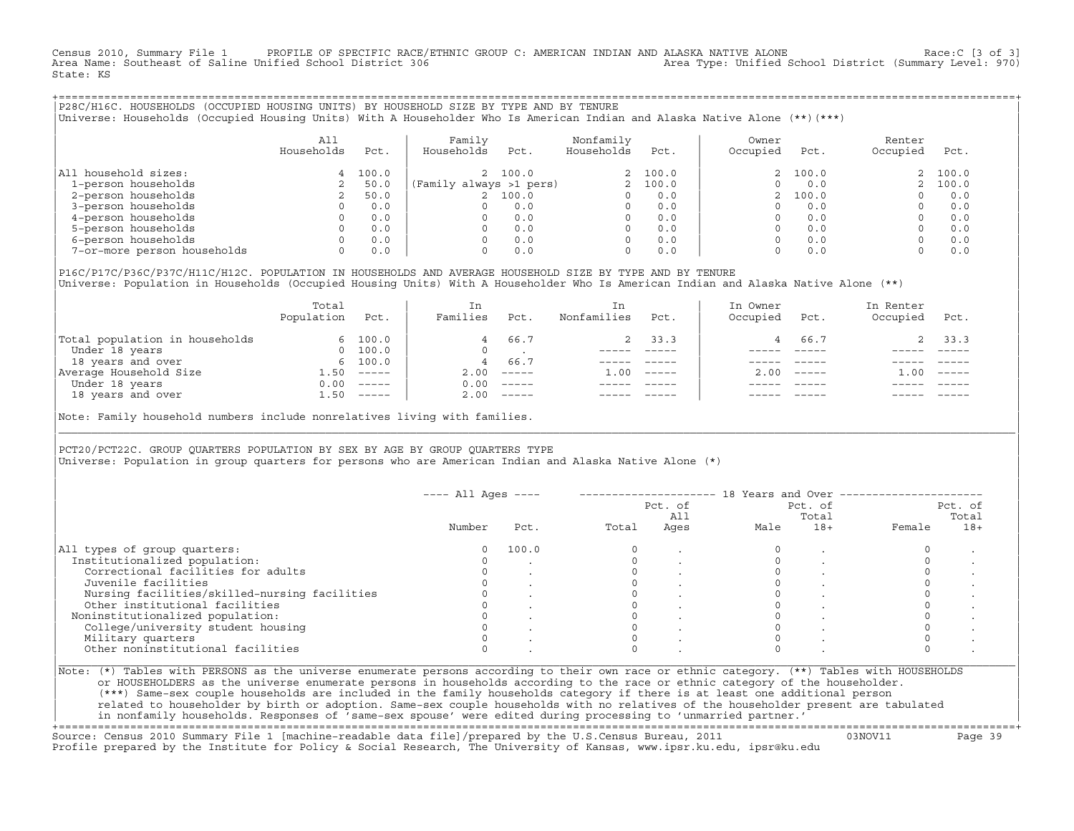Census 2010, Summary File 1 PROFILE OF SPECIFIC RACE/ETHNIC GROUP C: AMERICAN INDIAN AND ALASKA NATIVE ALONE Race:C [3 of 3]<br>Area Name: Southeast of Saline Unified School District 306 area Type: Unified School District (Su Area Type: Unified School District (Summary Level: 970) State: KS

+===================================================================================================================================================+|P28C/H16C. HOUSEHOLDS (OCCUPIED HOUSING UNITS) BY HOUSEHOLD SIZE BY TYPE AND BY TENURE | |Universe: Households (Occupied Housing Units) With A Householder Who Is American Indian and Alaska Native Alone (\*\*)(\*\*\*) |

|                             | All<br>Households | Pct.  | Family<br>Households    | Pct.    | Nonfamily<br>Households | Pct.    | Owner<br>Occupied | Pct.     | Renter<br>Occupied | Pct.    |
|-----------------------------|-------------------|-------|-------------------------|---------|-------------------------|---------|-------------------|----------|--------------------|---------|
| All household sizes:        | 4                 | 100.0 |                         | 2 100.0 |                         | 2 100.0 |                   | 2, 100.0 |                    | 2 100.0 |
| 1-person households         |                   | 50.0  | (Family always >1 pers) |         |                         | 100.0   |                   | 0.0      |                    | 2 100.0 |
| 2-person households         |                   | 50.0  |                         | 100.0   |                         | 0.0     |                   | 100.0    |                    | 0.0     |
| 3-person households         |                   | 0.0   | 0                       | 0.0     | 0                       | 0.0     |                   | 0.0      |                    | 0.0     |
| 4-person households         |                   | 0.0   | 0                       | 0.0     | 0                       | 0.0     |                   | 0.0      |                    | 0.0     |
| 5-person households         |                   | 0.0   | $\Omega$                | 0.0     |                         | 0.0     |                   | 0.0      |                    | 0.0     |
| 6-person households         |                   | 0.0   | O.                      | 0.0     |                         | 0.0     |                   | 0.0      |                    | 0.0     |
| 7-or-more person households |                   | 0.0   | 0                       | 0.0     | 0                       | 0.0     |                   | 0.0      |                    | 0.0     |

|P16C/P17C/P36C/P37C/H11C/H12C. POPULATION IN HOUSEHOLDS AND AVERAGE HOUSEHOLD SIZE BY TYPE AND BY TENURE | Universe: Population in Households (Occupied Housing Units) With A Householder Who Is American Indian and Alaska Native Alone (\*\*)

|                                | Total<br>Population | Pct.         | In<br>Families | Pct.     | In.<br>Nonfamilies | Pct.     | In Owner<br>Occupied | Pct.          | In Renter<br>Occupied | Pct.     |  |
|--------------------------------|---------------------|--------------|----------------|----------|--------------------|----------|----------------------|---------------|-----------------------|----------|--|
| Total population in households |                     | 6 100.0      | 4              | 66.7     |                    | 2 33.3   |                      | 66.7          |                       | 2, 33.3  |  |
| Under 18 years                 | $\Omega$            | 100.0        |                |          |                    |          |                      |               |                       |          |  |
| 18 years and over              |                     | 6 100.0      | 4              | 66.7     |                    |          |                      |               |                       |          |  |
| Average Household Size         | 1.50                | $------$     | 2.00           | $------$ | 1.00               | $------$ | 200                  | $- - - - - -$ | .00                   | $------$ |  |
| Under 18 years                 | 0.00                | $------$     | 0.00           | $------$ |                    |          |                      |               |                       |          |  |
| 18 years and over              |                     | $1.50$ ----- | 2.00           |          |                    |          |                      | $- - - - -$   |                       | $------$ |  |
|                                |                     |              |                |          |                    |          |                      |               |                       |          |  |

Note: Family household numbers include nonrelatives living with families.

| | PCT20/PCT22C. GROUP OUARTERS POPULATION BY SEX BY AGE BY GROUP OUARTERS TYPE Universe: Population in group quarters for persons who are American Indian and Alaska Native Alone (\*)

|                                               |        |       |       | Pct. of<br>All |      | Pct. of<br>Total |        | Pct. of<br>Total |
|-----------------------------------------------|--------|-------|-------|----------------|------|------------------|--------|------------------|
|                                               | Number | Pct.  | Total | Ages           | Male | $18+$            | Female | $18+$            |
| All types of group quarters:                  |        | 100.0 |       |                |      |                  |        |                  |
| Institutionalized population:                 |        |       |       |                |      |                  |        |                  |
| Correctional facilities for adults            |        |       |       |                |      |                  |        |                  |
| Juvenile facilities                           |        |       |       |                |      |                  |        |                  |
| Nursing facilities/skilled-nursing facilities |        |       |       |                |      |                  |        |                  |
| Other institutional facilities                |        |       |       |                |      |                  |        |                  |
| Noninstitutionalized population:              |        |       |       |                |      |                  |        |                  |
| College/university student housing            |        |       |       |                |      |                  |        |                  |
| Military quarters                             |        |       |       |                |      |                  |        |                  |
| Other noninstitutional facilities             |        |       |       |                |      |                  |        |                  |

|\_\_\_\_\_\_\_\_\_\_\_\_\_\_\_\_\_\_\_\_\_\_\_\_\_\_\_\_\_\_\_\_\_\_\_\_\_\_\_\_\_\_\_\_\_\_\_\_\_\_\_\_\_\_\_\_\_\_\_\_\_\_\_\_\_\_\_\_\_\_\_\_\_\_\_\_\_\_\_\_\_\_\_\_\_\_\_\_\_\_\_\_\_\_\_\_\_\_\_\_\_\_\_\_\_\_\_\_\_\_\_\_\_\_\_\_\_\_\_\_\_\_\_\_\_\_\_\_\_\_\_\_\_\_\_\_\_\_\_\_\_\_\_\_\_\_\_|

| |

or HOUSEHOLDERS as the universe enumerate persons in households according to the race or ethnic category of the householder. | (\*\*\*) Same−sex couple households are included in the family households category if there is at least one additional person | | related to householder by birth or adoption. Same−sex couple households with no relatives of the householder present are tabulated | | in nonfamily households. Responses of 'same−sex spouse' were edited during processing to 'unmarried partner.' |

+===================================================================================================================================================+ Source: Census 2010 Summary File 1 [machine−readable data file]/prepared by the U.S.Census Bureau, 2011 03NOV11 Page 39 Profile prepared by the Institute for Policy & Social Research, The University of Kansas, www.ipsr.ku.edu, ipsr@ku.edu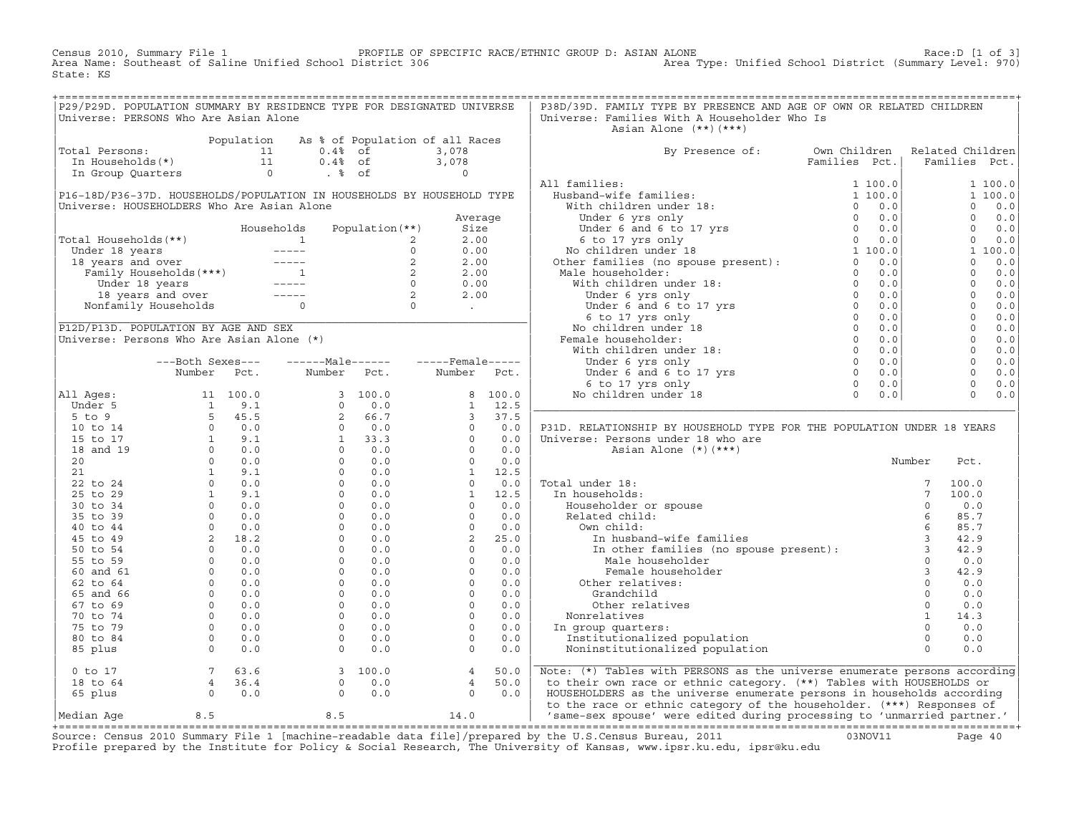Census 2010, Summary File 1 PROFILE OF SPECIFIC RACE/ETHNIC GROUP D: ASIAN ALONE Race:D [1 of 3] Area Name: Southeast of Saline Unified School District 306 Area Type: Unified School District (Summary Level: 970) State: KS

| P29/P29D. POPULATION SUMMARY BY RESIDENCE TYPE FOR DESIGNATED UNIVERSE<br>Universe: PERSONS Who Are Asian Alone                                                                                                                                            |                                                                 |                                                                 | P38D/39D. FAMILY TYPE BY PRESENCE AND AGE OF OWN OR RELATED CHILDREN<br>Universe: Families With A Householder Who Is                                                                                                                                                                                                                                                                                                                                                                                                    |                               |  |
|------------------------------------------------------------------------------------------------------------------------------------------------------------------------------------------------------------------------------------------------------------|-----------------------------------------------------------------|-----------------------------------------------------------------|-------------------------------------------------------------------------------------------------------------------------------------------------------------------------------------------------------------------------------------------------------------------------------------------------------------------------------------------------------------------------------------------------------------------------------------------------------------------------------------------------------------------------|-------------------------------|--|
|                                                                                                                                                                                                                                                            |                                                                 |                                                                 | Asian Alone (**)(***)                                                                                                                                                                                                                                                                                                                                                                                                                                                                                                   |                               |  |
| Population As % of Population of all Races<br>11 0.4% of 3,078<br>11 0.4% of 3,078<br>11 0.4% of 3,078<br>11 0.4% of 3,078<br>10 .4% of 3,078<br>Total Persons:                                                                                            |                                                                 |                                                                 |                                                                                                                                                                                                                                                                                                                                                                                                                                                                                                                         | Related Children              |  |
|                                                                                                                                                                                                                                                            |                                                                 |                                                                 | By Presence of: Own Children<br>$\begin{tabular}{l c c c} \multicolumn{1}{c}{\textbf{B}} & \multicolumn{1}{c}{\textbf{B}} & \multicolumn{1}{c}{\textbf{B}} & \multicolumn{1}{c}{\textbf{B}} & \multicolumn{1}{c}{\textbf{B}} & \multicolumn{1}{c}{\textbf{B}} & \multicolumn{1}{c}{\textbf{B}} & \multicolumn{1}{c}{\textbf{B}} & \multicolumn{1}{c}{\textbf{B}} & \multicolumn{1}{c}{\textbf{B}} & \multicolumn{1}{c}{\textbf{B}} & \multicolumn{1}{c}{\textbf{B}} & \multicolumn{1}{c}{\textbf{B$                     | Families Pct.   Families Pct. |  |
|                                                                                                                                                                                                                                                            |                                                                 |                                                                 |                                                                                                                                                                                                                                                                                                                                                                                                                                                                                                                         |                               |  |
|                                                                                                                                                                                                                                                            |                                                                 |                                                                 |                                                                                                                                                                                                                                                                                                                                                                                                                                                                                                                         |                               |  |
| P16-18D/P36-37D. HOUSEHOLDS/POPULATION IN HOUSEHOLDS BY HOUSEHOLD TYPE                                                                                                                                                                                     |                                                                 |                                                                 |                                                                                                                                                                                                                                                                                                                                                                                                                                                                                                                         |                               |  |
| Universe: HOUSEHOLDERS Who Are Asian Alone                                                                                                                                                                                                                 |                                                                 |                                                                 |                                                                                                                                                                                                                                                                                                                                                                                                                                                                                                                         |                               |  |
|                                                                                                                                                                                                                                                            |                                                                 | Average                                                         |                                                                                                                                                                                                                                                                                                                                                                                                                                                                                                                         |                               |  |
|                                                                                                                                                                                                                                                            |                                                                 |                                                                 |                                                                                                                                                                                                                                                                                                                                                                                                                                                                                                                         |                               |  |
|                                                                                                                                                                                                                                                            |                                                                 |                                                                 |                                                                                                                                                                                                                                                                                                                                                                                                                                                                                                                         |                               |  |
|                                                                                                                                                                                                                                                            |                                                                 |                                                                 |                                                                                                                                                                                                                                                                                                                                                                                                                                                                                                                         |                               |  |
| Nouseholds Population (**)<br>Total Households (**)<br>Under 18 years<br>18 years and over<br>Tamily Households (***)<br>Under 18 years<br>18 years and over<br>18 years<br>18 years<br>18 years<br>18 years<br>18 years<br>18 years<br>18 years<br>18 yea |                                                                 |                                                                 |                                                                                                                                                                                                                                                                                                                                                                                                                                                                                                                         |                               |  |
|                                                                                                                                                                                                                                                            |                                                                 |                                                                 |                                                                                                                                                                                                                                                                                                                                                                                                                                                                                                                         |                               |  |
|                                                                                                                                                                                                                                                            |                                                                 |                                                                 |                                                                                                                                                                                                                                                                                                                                                                                                                                                                                                                         |                               |  |
|                                                                                                                                                                                                                                                            |                                                                 |                                                                 |                                                                                                                                                                                                                                                                                                                                                                                                                                                                                                                         |                               |  |
|                                                                                                                                                                                                                                                            |                                                                 |                                                                 |                                                                                                                                                                                                                                                                                                                                                                                                                                                                                                                         |                               |  |
|                                                                                                                                                                                                                                                            |                                                                 |                                                                 |                                                                                                                                                                                                                                                                                                                                                                                                                                                                                                                         |                               |  |
| P12D/P13D. POPULATION BY AGE AND SEX                                                                                                                                                                                                                       |                                                                 |                                                                 |                                                                                                                                                                                                                                                                                                                                                                                                                                                                                                                         |                               |  |
| Universe: Persons Who Are Asian Alone (*)                                                                                                                                                                                                                  |                                                                 |                                                                 |                                                                                                                                                                                                                                                                                                                                                                                                                                                                                                                         |                               |  |
|                                                                                                                                                                                                                                                            |                                                                 |                                                                 |                                                                                                                                                                                                                                                                                                                                                                                                                                                                                                                         |                               |  |
|                                                                                                                                                                                                                                                            | ---Both Sexes---    ------Male------    -----Female-----        |                                                                 |                                                                                                                                                                                                                                                                                                                                                                                                                                                                                                                         |                               |  |
|                                                                                                                                                                                                                                                            | Number Pct. Number Pct. Number Pct.                             |                                                                 |                                                                                                                                                                                                                                                                                                                                                                                                                                                                                                                         |                               |  |
|                                                                                                                                                                                                                                                            |                                                                 |                                                                 |                                                                                                                                                                                                                                                                                                                                                                                                                                                                                                                         |                               |  |
|                                                                                                                                                                                                                                                            |                                                                 |                                                                 |                                                                                                                                                                                                                                                                                                                                                                                                                                                                                                                         |                               |  |
|                                                                                                                                                                                                                                                            |                                                                 |                                                                 |                                                                                                                                                                                                                                                                                                                                                                                                                                                                                                                         |                               |  |
|                                                                                                                                                                                                                                                            |                                                                 |                                                                 |                                                                                                                                                                                                                                                                                                                                                                                                                                                                                                                         |                               |  |
|                                                                                                                                                                                                                                                            |                                                                 |                                                                 | P31D. RELATIONSHIP BY HOUSEHOLD TYPE FOR THE POPULATION UNDER 18 YEARS                                                                                                                                                                                                                                                                                                                                                                                                                                                  |                               |  |
|                                                                                                                                                                                                                                                            |                                                                 |                                                                 | Universe: Persons under 18 who are                                                                                                                                                                                                                                                                                                                                                                                                                                                                                      |                               |  |
|                                                                                                                                                                                                                                                            |                                                                 |                                                                 | Asian Alone (*)(***)                                                                                                                                                                                                                                                                                                                                                                                                                                                                                                    |                               |  |
|                                                                                                                                                                                                                                                            |                                                                 |                                                                 |                                                                                                                                                                                                                                                                                                                                                                                                                                                                                                                         | Number<br>Pct.                |  |
|                                                                                                                                                                                                                                                            |                                                                 |                                                                 |                                                                                                                                                                                                                                                                                                                                                                                                                                                                                                                         |                               |  |
|                                                                                                                                                                                                                                                            |                                                                 |                                                                 |                                                                                                                                                                                                                                                                                                                                                                                                                                                                                                                         |                               |  |
|                                                                                                                                                                                                                                                            |                                                                 |                                                                 |                                                                                                                                                                                                                                                                                                                                                                                                                                                                                                                         |                               |  |
|                                                                                                                                                                                                                                                            |                                                                 |                                                                 |                                                                                                                                                                                                                                                                                                                                                                                                                                                                                                                         |                               |  |
|                                                                                                                                                                                                                                                            |                                                                 |                                                                 |                                                                                                                                                                                                                                                                                                                                                                                                                                                                                                                         |                               |  |
|                                                                                                                                                                                                                                                            |                                                                 |                                                                 |                                                                                                                                                                                                                                                                                                                                                                                                                                                                                                                         |                               |  |
|                                                                                                                                                                                                                                                            |                                                                 |                                                                 |                                                                                                                                                                                                                                                                                                                                                                                                                                                                                                                         |                               |  |
|                                                                                                                                                                                                                                                            |                                                                 |                                                                 | Number Pct<br>5 In households:<br>7 100.<br>8 In households:<br>7 100.<br>8 Pouseholder or spouse<br>8 1 100.<br>8 Pouseholder or spouse<br>8 5.7<br>7 100.<br>7 100.<br>7 100.<br>7 100.<br>7 100.<br>8 12.0<br>0 0.0<br>8 5.7<br>8 12.9<br>8 12.9<br>Male househol                                                                                                                                                                                                                                                    |                               |  |
|                                                                                                                                                                                                                                                            |                                                                 |                                                                 |                                                                                                                                                                                                                                                                                                                                                                                                                                                                                                                         |                               |  |
|                                                                                                                                                                                                                                                            |                                                                 |                                                                 |                                                                                                                                                                                                                                                                                                                                                                                                                                                                                                                         |                               |  |
|                                                                                                                                                                                                                                                            |                                                                 |                                                                 |                                                                                                                                                                                                                                                                                                                                                                                                                                                                                                                         |                               |  |
|                                                                                                                                                                                                                                                            |                                                                 |                                                                 |                                                                                                                                                                                                                                                                                                                                                                                                                                                                                                                         |                               |  |
|                                                                                                                                                                                                                                                            |                                                                 |                                                                 |                                                                                                                                                                                                                                                                                                                                                                                                                                                                                                                         |                               |  |
|                                                                                                                                                                                                                                                            |                                                                 |                                                                 | Nonrelatives                                                                                                                                                                                                                                                                                                                                                                                                                                                                                                            |                               |  |
|                                                                                                                                                                                                                                                            |                                                                 |                                                                 | In group quarters:                                                                                                                                                                                                                                                                                                                                                                                                                                                                                                      |                               |  |
|                                                                                                                                                                                                                                                            |                                                                 |                                                                 |                                                                                                                                                                                                                                                                                                                                                                                                                                                                                                                         |                               |  |
|                                                                                                                                                                                                                                                            |                                                                 |                                                                 | $\begin{tabular}{llllll} \hline \multicolumn{4}{c}{\textbf{Other relatives:}} & & & & & & 0 & & \textbf{0.0} \\ \multicolumn{4}{c}{\textbf{Grandchild} } & & & & 0 & & \textbf{0.0} \\ \multicolumn{4}{c}{\textbf{Nonrelatives}} & & & & 0 & & \textbf{0.0} \\ \multicolumn{4}{c}{\textbf{Nonrelatives}} & & & 1 & 14.3 \\ \textbf{n group quarters:} & & & 0 & 0.0 \\ \multicolumn{4}{c}{\textbf{Institutionalized population}} & & & 0 & 0.0 \\ \multicolumn{4}{c}{\textbf{Noninstitutionalized population}} & & & 0$ |                               |  |
| 0 to 17<br>18 to 64<br>65 plus<br>0 0.0                                                                                                                                                                                                                    | $\begin{bmatrix} 3 & 100.0 \\ 0 & 0.0 \\ 0 & 0.0 \end{bmatrix}$ | $\begin{array}{cc} 4 & 50.0 \\ 4 & 50.0 \\ 0 & 0.0 \end{array}$ | Note: (*) Tables with PERSONS as the universe enumerate persons according                                                                                                                                                                                                                                                                                                                                                                                                                                               |                               |  |
|                                                                                                                                                                                                                                                            |                                                                 |                                                                 | to their own race or ethnic category. (**) Tables with HOUSEHOLDS or                                                                                                                                                                                                                                                                                                                                                                                                                                                    |                               |  |
|                                                                                                                                                                                                                                                            |                                                                 |                                                                 | HOUSEHOLDERS as the universe enumerate persons in households according<br>to the race or ethnic category of the householder. (***) Responses of                                                                                                                                                                                                                                                                                                                                                                         |                               |  |
|                                                                                                                                                                                                                                                            |                                                                 |                                                                 | 'same-sex spouse' were edited during processing to 'unmarried partner.'                                                                                                                                                                                                                                                                                                                                                                                                                                                 |                               |  |

+===================================================================================================================================================+Source: Census 2010 Summary File 1 [machine−readable data file]/prepared by the U.S.Census Bureau, 2011 03NOV11 Page 40 Profile prepared by the Institute for Policy & Social Research, The University of Kansas, www.ipsr.ku.edu, ipsr@ku.edu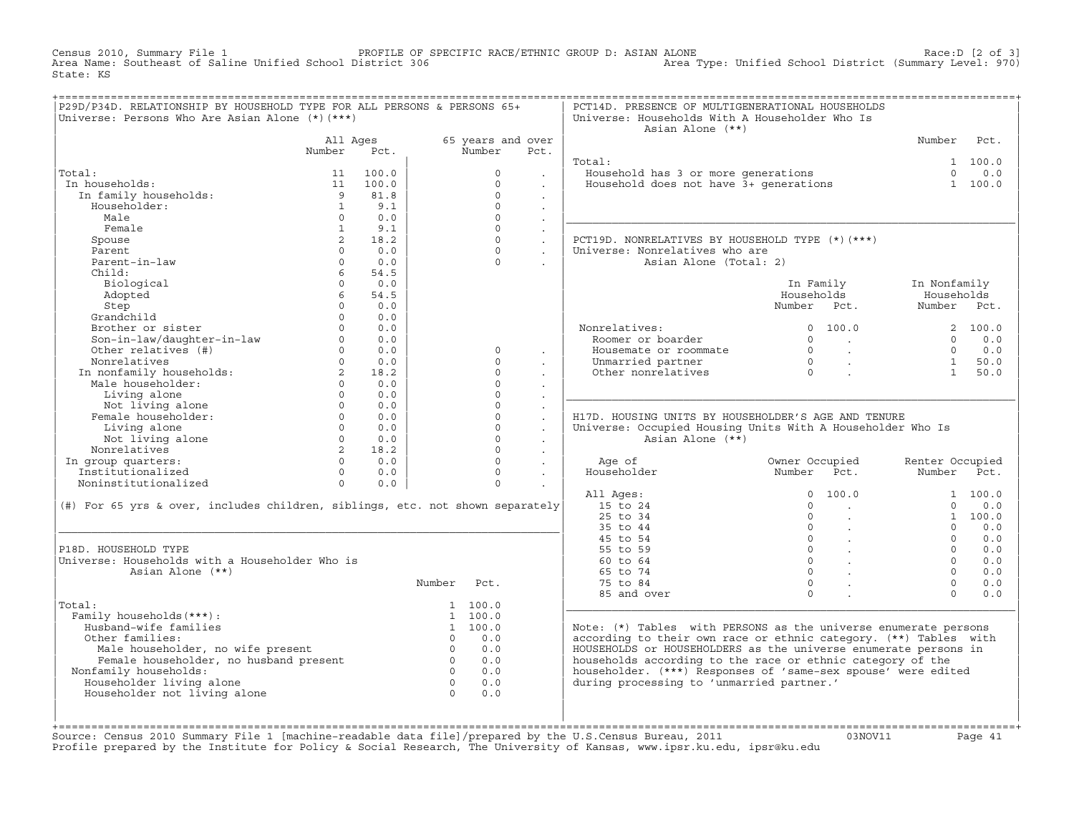Census 2010, Summary File 1 PROFILE OF SPECIFIC RACE/ETHNIC GROUP D: ASIAN ALONE Race:D [2 of 3] Area Name: Southeast of Saline Unified School District 306 Area Type: Unified School District (Summary Level: 970) State: KS

| P29D/P34D. RELATIONSHIP BY HOUSEHOLD TYPE FOR ALL PERSONS & PERSONS 65+<br>Universe: Persons Who Are Asian Alone (*) (***) |                   |            |                |                   |                      | PCT14D. PRESENCE OF MULTIGENERATIONAL HOUSEHOLDS<br>Universe: Households With A Householder Who Is<br>Asian Alone (**) |                                                                        |                 |         |
|----------------------------------------------------------------------------------------------------------------------------|-------------------|------------|----------------|-------------------|----------------------|------------------------------------------------------------------------------------------------------------------------|------------------------------------------------------------------------|-----------------|---------|
|                                                                                                                            | All Ages          |            |                | 65 years and over |                      |                                                                                                                        |                                                                        | Number          | Pct.    |
|                                                                                                                            | Number            | Pct.       |                | Number            | Pct.                 |                                                                                                                        |                                                                        |                 |         |
|                                                                                                                            |                   |            |                |                   |                      | Total:                                                                                                                 |                                                                        |                 | 1 100.0 |
| Total:                                                                                                                     | 11                | 100.0      |                | $\Omega$          |                      | Household has 3 or more generations                                                                                    |                                                                        | $\Omega$        | 0.0     |
| In households:                                                                                                             |                   | 11 100.0   |                | $\Omega$          |                      | Household does not have 3+ generations                                                                                 |                                                                        |                 | 1 100.0 |
| In family households:                                                                                                      | 9                 | 81.8       |                | $\Omega$          | $\ddot{\phantom{0}}$ |                                                                                                                        |                                                                        |                 |         |
| Householder:                                                                                                               | $\mathbf{1}$      | 9.1        |                | $\Omega$          | $\Box$               |                                                                                                                        |                                                                        |                 |         |
| Male                                                                                                                       | $\Omega$          | 0.0        |                | $\Omega$          |                      |                                                                                                                        |                                                                        |                 |         |
| Female                                                                                                                     | $\mathbf{1}$      | 9.1        |                | $\Omega$          | $\ddot{\phantom{0}}$ |                                                                                                                        |                                                                        |                 |         |
| Spouse                                                                                                                     | $\overline{2}$    | 18.2       |                | $\Omega$          | $\mathcal{L}^{\pm}$  | PCT19D. NONRELATIVES BY HOUSEHOLD TYPE (*)(***)                                                                        |                                                                        |                 |         |
| Parent                                                                                                                     | $\Omega$          | 0.0        |                | $\cap$            | $\mathbf{r}$         | Universe: Nonrelatives who are                                                                                         |                                                                        |                 |         |
| Parent-in-law                                                                                                              | $\Omega$          | 0.0        |                | $\Omega$          |                      | Asian Alone (Total: 2)                                                                                                 |                                                                        |                 |         |
| Child:                                                                                                                     | $6^{\circ}$       | 54.5       |                |                   |                      |                                                                                                                        |                                                                        |                 |         |
| Biological                                                                                                                 | $\Omega$          | 0.0        |                |                   |                      |                                                                                                                        | In Family                                                              | In Nonfamily    |         |
| Adopted                                                                                                                    | 6                 | 54.5       |                |                   |                      |                                                                                                                        | Households                                                             | Households      |         |
| Step                                                                                                                       | $\Omega$          | 0.0        |                |                   |                      |                                                                                                                        | Number Pct.                                                            | Number Pct.     |         |
| Grandchild                                                                                                                 | $\Omega$          | 0.0        |                |                   |                      |                                                                                                                        |                                                                        |                 |         |
| Brother or sister                                                                                                          | $\Omega$          | 0.0        |                |                   |                      | Nonrelatives:                                                                                                          | 0 100.0                                                                |                 | 2 100.0 |
| Son-in-law/daughter-in-law                                                                                                 | $\circ$           | 0.0        |                |                   |                      | Roomer or boarder                                                                                                      | $\Omega$<br>$\sim$ $\sim$                                              | $\Omega$        | 0.0     |
| Other relatives (#)                                                                                                        | $0 \qquad \qquad$ | 0.0        |                | $\circ$           | $\mathbf{r}$         | Housemate or roommate                                                                                                  | $\begin{matrix} 0 \\ 0 \\ 0 \end{matrix}$<br>$\sim 10^{11}$ km $^{-1}$ | $\Omega$        | $0.0$   |
| Nonrelatives<br>In nonfamily households:<br>Electronical derivatives                                                       | $\Omega$          | 0.0        |                | $\Omega$          |                      | Unmarried partner                                                                                                      | $\sim 10^{11}$ km $^{-1}$                                              | 1               | 50.0    |
|                                                                                                                            | $2^{\circ}$       | 18.2       |                | $\Omega$          | $\cdot$              | Other nonrelatives                                                                                                     | $\mathbf{r}$                                                           | 1               | 50.0    |
|                                                                                                                            | $\Omega$          | 0.0        |                | $\Omega$          |                      |                                                                                                                        |                                                                        |                 |         |
| Living alone                                                                                                               | $\Omega$          | 0.0        |                | $\cap$            |                      |                                                                                                                        |                                                                        |                 |         |
| Not living alone                                                                                                           | $\Omega$          | 0.0        |                | $\Omega$          | $\mathbf{r}$         |                                                                                                                        |                                                                        |                 |         |
| Female householder:                                                                                                        | $\Omega$          | 0.0        |                | $\Omega$          | $\ddot{\phantom{a}}$ | H17D. HOUSING UNITS BY HOUSEHOLDER'S AGE AND TENURE                                                                    |                                                                        |                 |         |
| Living alone                                                                                                               |                   | $0 \t 0.0$ |                | $\Omega$          | $\ddot{\phantom{a}}$ | Universe: Occupied Housing Units With A Householder Who Is                                                             |                                                                        |                 |         |
| Not living alone                                                                                                           | $\Omega$          | 0.0        |                | $\Omega$          |                      | Asian Alone (**)                                                                                                       |                                                                        |                 |         |
| Nonrelatives                                                                                                               | $2^{\circ}$       | 18.2       |                | $\Omega$          | $\ddot{\phantom{0}}$ |                                                                                                                        |                                                                        |                 |         |
| In group quarters:                                                                                                         |                   | $0 \t 0.0$ |                | $\Omega$          | $\mathbf{r}$         | Age of                                                                                                                 | Owner Occupied                                                         | Renter Occupied |         |
| Institutionalized                                                                                                          | $\Omega$          | 0.0        |                | $\Omega$          | $\ddot{\phantom{a}}$ | Householder                                                                                                            | Number<br>Pct.                                                         | Number          | Pct.    |
| Noninstitutionalized                                                                                                       | $\Omega$          | 0.0        |                | $\Omega$          |                      |                                                                                                                        |                                                                        |                 |         |
|                                                                                                                            |                   |            |                |                   |                      | All Ages:                                                                                                              | 100.0<br>$\Omega$                                                      |                 | 1 100.0 |
| (#) For 65 yrs & over, includes children, siblings, etc. not shown separately                                              |                   |            |                |                   |                      | 15 to 24                                                                                                               | $\Omega$                                                               | $\Omega$        | 0.0     |
|                                                                                                                            |                   |            |                |                   |                      | 25 to 34                                                                                                               | $\overline{0}$                                                         |                 | 1 100.0 |
|                                                                                                                            |                   |            |                |                   |                      | 35 to 44                                                                                                               | $0 \qquad \qquad$<br>$\sim$                                            | $\Omega$        | 0.0     |
|                                                                                                                            |                   |            |                |                   |                      | 45 to 54                                                                                                               | $\overline{0}$<br>$\sim 10^{11}$                                       | $\Omega$        | 0.0     |
| P18D. HOUSEHOLD TYPE                                                                                                       |                   |            |                |                   |                      | 55 to 59                                                                                                               | $\overline{0}$ .                                                       | $\Omega$        | 0.0     |
| Universe: Households with a Householder Who is                                                                             |                   |            |                |                   |                      | 60 to 64                                                                                                               | $0 \qquad \qquad$                                                      | $\Omega$        | 0.0     |
| Asian Alone (**)                                                                                                           |                   |            |                |                   |                      | 65 to 74                                                                                                               | $\Omega$                                                               | $\cap$          | 0.0     |
|                                                                                                                            |                   |            | Number         | Pct.              |                      | 75 to 84                                                                                                               | $\Omega$                                                               | $\Omega$        | 0.0     |
|                                                                                                                            |                   |            |                |                   |                      | 85 and over                                                                                                            | $\Omega$                                                               | $\Omega$        | 0.0     |
| Total:                                                                                                                     |                   |            |                | 1 100.0           |                      |                                                                                                                        |                                                                        |                 |         |
| Family households (***) :                                                                                                  |                   |            |                | 1 100.0           |                      |                                                                                                                        |                                                                        |                 |         |
| Husband-wife families                                                                                                      |                   |            |                | 1 100.0           |                      | Note: (*) Tables with PERSONS as the universe enumerate persons                                                        |                                                                        |                 |         |
| Other families:                                                                                                            |                   |            | $\overline{0}$ | 0.0               |                      | according to their own race or ethnic category. (**) Tables with                                                       |                                                                        |                 |         |
| Male householder, no wife present<br>Female householder, no husband present                                                |                   |            | $\overline{0}$ | 0.0               |                      | HOUSEHOLDS or HOUSEHOLDERS as the universe enumerate persons in                                                        |                                                                        |                 |         |
|                                                                                                                            |                   |            | $\overline{0}$ | 0.0               |                      | households according to the race or ethnic category of the                                                             |                                                                        |                 |         |
| Nonfamily households:                                                                                                      |                   |            | $\overline{0}$ | 0.0               |                      | householder. (***) Responses of 'same-sex spouse' were edited                                                          |                                                                        |                 |         |
| Householder living alone                                                                                                   |                   |            | $\overline{0}$ | 0.0               |                      | during processing to 'unmarried partner.'                                                                              |                                                                        |                 |         |
| Householder not living alone                                                                                               |                   |            | $\bigcap$      | 0.0               |                      |                                                                                                                        |                                                                        |                 |         |
|                                                                                                                            |                   |            |                |                   |                      |                                                                                                                        |                                                                        |                 |         |
|                                                                                                                            |                   |            |                |                   |                      |                                                                                                                        |                                                                        |                 |         |
|                                                                                                                            |                   |            |                |                   |                      |                                                                                                                        |                                                                        |                 |         |

+===================================================================================================================================================+Source: Census 2010 Summary File 1 [machine−readable data file]/prepared by the U.S.Census Bureau, 2011 03NOV11 Page 41 Profile prepared by the Institute for Policy & Social Research, The University of Kansas, www.ipsr.ku.edu, ipsr@ku.edu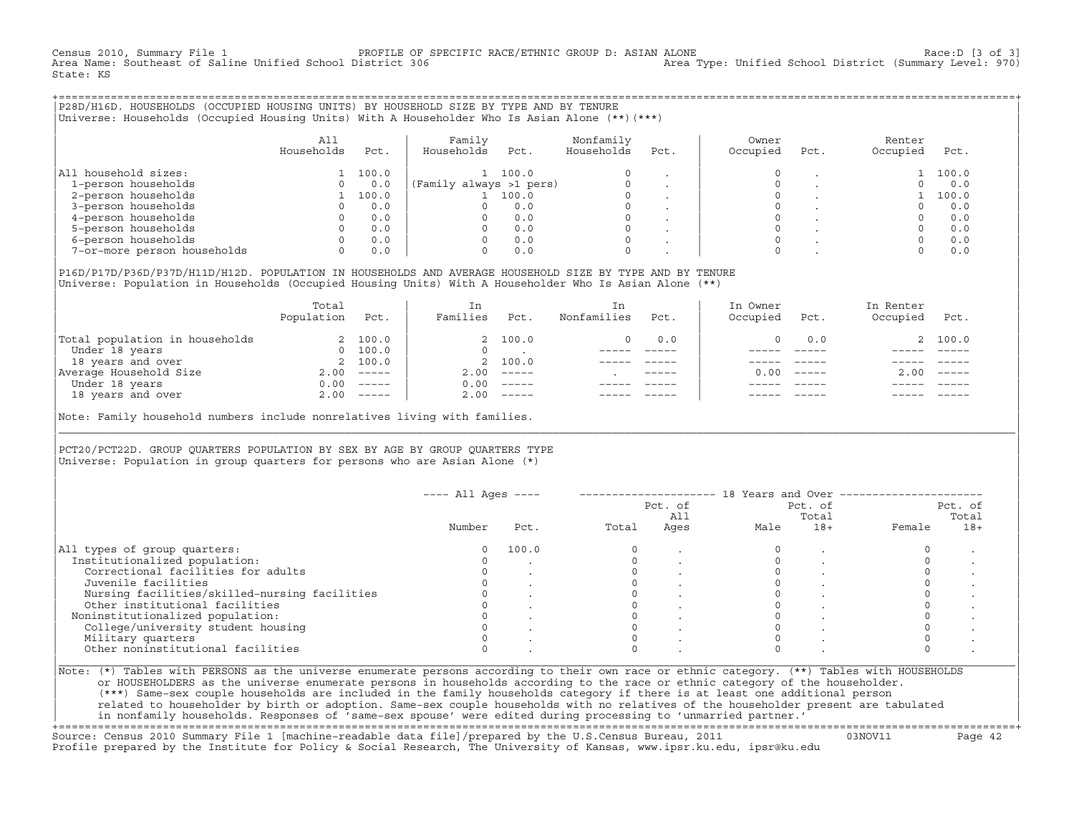Census 2010, Summary File 1 <sup>PROFILE OF SPECIFIC RACE/ETHNIC GROUP D: ASIAN ALONE</sup> Race:D [3 of 3]<br>Area Name: Southeast of Saline Unified School District 306 area Type: Unified School District (Summary Level: 970) Area Name: Southeast of Saline Unified School District 306 State: KS

+===================================================================================================================================================+|P28D/H16D. HOUSEHOLDS (OCCUPIED HOUSING UNITS) BY HOUSEHOLD SIZE BY TYPE AND BY TENURE | Universe: Households (Occupied Housing Units) With A Householder Who Is Asian Alone (\*\*)(\*\*\*)

| | | All | Family Nonfamily | Owner Renter Renter | Renter | Renter | Renter | Renter | Renter | Renter | Renter | R | Households Pct. | Households Pct. Households Pct. | Occupied Pct. Occupied Pct. | | | | | |All household sizes:  $\begin{array}{ccccccc} 1 & 100.0 & 1 & 100.0 & 0 & . & 0 & . & 1 & 100.0 \\ 1-\text{person households} & 0 & 0.0 & (\text{Family always >1 pers}) & 0 & . & 0 & . & 0 & 0.0 \\ \end{array}$ | 1−person households 0 0.0 |(Family always >1 pers) 0 . | 0 . 0 0.0 | | 2−person households 1 100.0 | 1 100.0 0 . | 0 . 1 100.0 | | 3−person households 0 0.0 | 0 0.0 0 . | 0 . 0 0.0 | | 4−person households 0 0.0 | 0 0.0 0 . | 0 . 0 0.0 | | 5−person households 0 0.0 | 0 0.0 0 . | 0 . 0 0.0 | | 6−person households 0 0.0 | 0 0.0 0 . | 0 . 0 0.0 | 7-or-more person households

| | |P16D/P17D/P36D/P37D/H11D/H12D. POPULATION IN HOUSEHOLDS AND AVERAGE HOUSEHOLD SIZE BY TYPE AND BY TENURE | Universe: Population in Households (Occupied Housing Units) With A Householder Who Is Asian Alone (\*\*)

|                                | Total<br>Population | Pct.                      | In<br>Families | Pct.                      | In<br>Nonfamilies | Pct.        | In Owner<br>Occupied | Pct.                      | In Renter<br>Occupied | Pct.     |
|--------------------------------|---------------------|---------------------------|----------------|---------------------------|-------------------|-------------|----------------------|---------------------------|-----------------------|----------|
| Total population in households |                     | 2 100.0                   |                | 2 100.0                   | $\Omega$          | 0.0         |                      | 0.0                       |                       | 2 100.0  |
| Under 18 years                 | $\Omega$            | 100.0                     | $\Omega$       |                           |                   |             |                      |                           |                       |          |
| 18 years and over              |                     | 2 100.0                   |                | 2 100.0                   |                   |             |                      |                           |                       |          |
| Average Household Size         | 2.00                | $------$                  | 2.00           | $------$                  |                   | $- - - - -$ | 0.00                 | $\qquad \qquad - - - - -$ | 2.00                  | $------$ |
| Under 18 years                 | 0.00                | $\qquad \qquad - - - - -$ | 0.00           | $------$                  |                   |             |                      |                           |                       |          |
| 18 years and over              |                     | $2.00$ -----              | 2.00           | $\qquad \qquad - - - - -$ |                   |             |                      |                           |                       | $------$ |
|                                |                     |                           |                |                           |                   |             |                      |                           |                       |          |

Note: Family household numbers include nonrelatives living with families.

| | PCT20/PCT22D. GROUP OUARTERS POPULATION BY SEX BY AGE BY GROUP OUARTERS TYPE Universe: Population in group quarters for persons who are Asian Alone  $(*)$ 

|                                               |        |       |       | Pct. of<br>All |      | Pct. of<br>Total |        | Pct. of<br>Total |
|-----------------------------------------------|--------|-------|-------|----------------|------|------------------|--------|------------------|
|                                               | Number | Pct.  | Total | Ages           | Male | $18+$            | Female | $18+$            |
| All types of group quarters:                  |        | 100.0 |       |                |      |                  |        |                  |
| Institutionalized population:                 |        |       |       |                |      |                  |        |                  |
| Correctional facilities for adults            |        |       |       |                |      |                  |        |                  |
| Juvenile facilities                           |        |       |       |                |      |                  |        |                  |
| Nursing facilities/skilled-nursing facilities |        |       |       |                |      |                  |        |                  |
| Other institutional facilities                |        |       |       |                |      |                  |        |                  |
| Noninstitutionalized population:              |        |       |       |                |      |                  |        |                  |
| College/university student housing            |        |       |       |                |      |                  |        |                  |
| Military quarters                             |        |       |       |                |      |                  |        |                  |
| Other noninstitutional facilities             |        |       |       |                |      |                  |        |                  |

|\_\_\_\_\_\_\_\_\_\_\_\_\_\_\_\_\_\_\_\_\_\_\_\_\_\_\_\_\_\_\_\_\_\_\_\_\_\_\_\_\_\_\_\_\_\_\_\_\_\_\_\_\_\_\_\_\_\_\_\_\_\_\_\_\_\_\_\_\_\_\_\_\_\_\_\_\_\_\_\_\_\_\_\_\_\_\_\_\_\_\_\_\_\_\_\_\_\_\_\_\_\_\_\_\_\_\_\_\_\_\_\_\_\_\_\_\_\_\_\_\_\_\_\_\_\_\_\_\_\_\_\_\_\_\_\_\_\_\_\_\_\_\_\_\_\_\_|

| |

or HOUSEHOLDERS as the universe enumerate persons in households according to the race or ethnic category of the householder. | (\*\*\*) Same−sex couple households are included in the family households category if there is at least one additional person | | related to householder by birth or adoption. Same−sex couple households with no relatives of the householder present are tabulated | | in nonfamily households. Responses of 'same−sex spouse' were edited during processing to 'unmarried partner.' | +===================================================================================================================================================+

Source: Census 2010 Summary File 1 [machine−readable data file]/prepared by the U.S.Census Bureau, 2011 03NOV11 Page 42 Profile prepared by the Institute for Policy & Social Research, The University of Kansas, www.ipsr.ku.edu, ipsr@ku.edu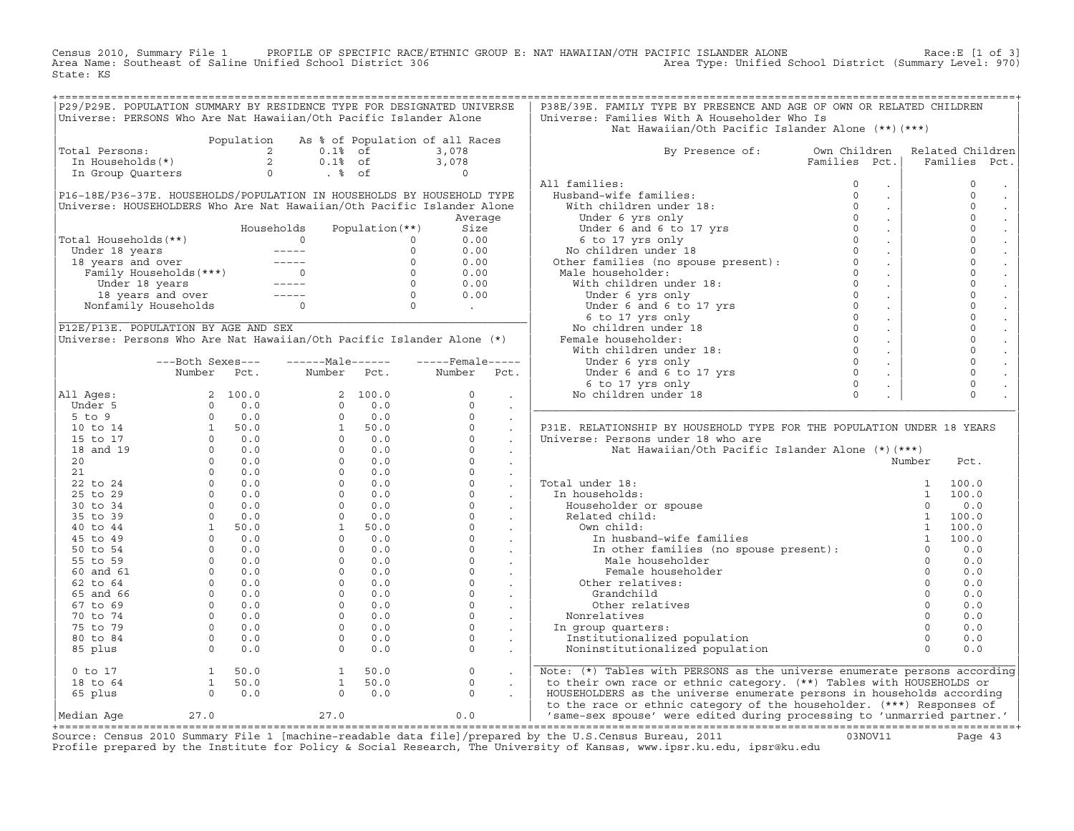Census 2010, Summary File 1 PROFILE OF SPECIFIC RACE/ETHNIC GROUP E: NAT HAWAIIAN/OTH PACIFIC ISLANDER ALONE<br>Area Name: Southeast of Saline Unified School District 306 Area Type: Unified S State: KS

| Universe: PERSONS Who Are Nat Hawaiian/Oth Pacific Islander Alone<br>Total Persons:<br>0.1% of 3,078<br>10 Min Households (*) 2 0.1% of 3,078<br>10 Min Group Quarters 0 8 Of 0 0<br>P16-18E/P36-37E. HOUSEHOLDS/POPULATION IN HOUSEHOLDS BY HOUSEHOLD TYPE<br>Universe: HOUSEHOLDERS Who Are Nat Hawaiian/Oth Pacific Islander Alone |                  | Population |                                                                 |                                            |                          | Universe: Families With A Householder Who Is                                                                                                                                                                                                                                                                                                                                                                                                       |               |                                                  |          |               |
|---------------------------------------------------------------------------------------------------------------------------------------------------------------------------------------------------------------------------------------------------------------------------------------------------------------------------------------|------------------|------------|-----------------------------------------------------------------|--------------------------------------------|--------------------------|----------------------------------------------------------------------------------------------------------------------------------------------------------------------------------------------------------------------------------------------------------------------------------------------------------------------------------------------------------------------------------------------------------------------------------------------------|---------------|--------------------------------------------------|----------|---------------|
|                                                                                                                                                                                                                                                                                                                                       |                  |            |                                                                 |                                            |                          |                                                                                                                                                                                                                                                                                                                                                                                                                                                    |               |                                                  |          |               |
|                                                                                                                                                                                                                                                                                                                                       |                  |            |                                                                 |                                            |                          | Nat Hawaiian/Oth Pacific Islander Alone (**)(***)                                                                                                                                                                                                                                                                                                                                                                                                  |               |                                                  |          |               |
|                                                                                                                                                                                                                                                                                                                                       |                  |            |                                                                 | As % of Population of all Races            |                          |                                                                                                                                                                                                                                                                                                                                                                                                                                                    |               |                                                  |          |               |
|                                                                                                                                                                                                                                                                                                                                       |                  |            |                                                                 |                                            |                          | By Presence of: Own Children Related Children                                                                                                                                                                                                                                                                                                                                                                                                      |               |                                                  |          |               |
|                                                                                                                                                                                                                                                                                                                                       |                  |            |                                                                 |                                            |                          |                                                                                                                                                                                                                                                                                                                                                                                                                                                    | Families Pct. |                                                  |          | Families Pct. |
|                                                                                                                                                                                                                                                                                                                                       |                  |            |                                                                 |                                            |                          |                                                                                                                                                                                                                                                                                                                                                                                                                                                    |               |                                                  |          |               |
|                                                                                                                                                                                                                                                                                                                                       |                  |            |                                                                 |                                            |                          | All families:                                                                                                                                                                                                                                                                                                                                                                                                                                      |               |                                                  |          | $\mathbf 0$   |
|                                                                                                                                                                                                                                                                                                                                       |                  |            |                                                                 |                                            |                          |                                                                                                                                                                                                                                                                                                                                                                                                                                                    |               | $\sim$                                           |          | $\Omega$      |
|                                                                                                                                                                                                                                                                                                                                       |                  |            |                                                                 |                                            |                          |                                                                                                                                                                                                                                                                                                                                                                                                                                                    |               | $\sim$                                           |          | $\mathbf 0$   |
|                                                                                                                                                                                                                                                                                                                                       |                  |            |                                                                 | Average                                    |                          |                                                                                                                                                                                                                                                                                                                                                                                                                                                    |               | $\sim$                                           |          | $\mathbf 0$   |
|                                                                                                                                                                                                                                                                                                                                       |                  |            |                                                                 |                                            |                          |                                                                                                                                                                                                                                                                                                                                                                                                                                                    |               | $\sim$                                           |          | $\mathbf 0$   |
| Total Households(**)                                                                                                                                                                                                                                                                                                                  |                  |            |                                                                 |                                            |                          |                                                                                                                                                                                                                                                                                                                                                                                                                                                    |               | $\sim 10$                                        |          | $\mathbf 0$   |
|                                                                                                                                                                                                                                                                                                                                       |                  |            |                                                                 |                                            |                          |                                                                                                                                                                                                                                                                                                                                                                                                                                                    |               | $\sim 10^{-1}$                                   |          | $\Omega$      |
|                                                                                                                                                                                                                                                                                                                                       |                  |            |                                                                 |                                            |                          |                                                                                                                                                                                                                                                                                                                                                                                                                                                    |               | $\sim 100$                                       |          | $\mathbf 0$   |
|                                                                                                                                                                                                                                                                                                                                       |                  |            |                                                                 |                                            |                          |                                                                                                                                                                                                                                                                                                                                                                                                                                                    |               | $\sim 10^{-1}$                                   |          | $\mathbf 0$   |
|                                                                                                                                                                                                                                                                                                                                       |                  |            |                                                                 |                                            |                          |                                                                                                                                                                                                                                                                                                                                                                                                                                                    |               | $\sim 100$                                       |          | $\mathbf 0$   |
|                                                                                                                                                                                                                                                                                                                                       |                  |            |                                                                 |                                            |                          |                                                                                                                                                                                                                                                                                                                                                                                                                                                    |               |                                                  |          |               |
| 0 Moder 18 years<br>18 years and over the maily Households (**)<br>18 years and over the contract of the contract of the contract of the contract of the contract of the contract of the contract of the contract of the contract                                                                                                     |                  |            |                                                                 |                                            |                          | All families:<br>Husband-wife families:<br>With children under 18:<br>Under 6 yrs only<br>Under 6 and 6 to 17 yrs<br>6 to 17 yrs<br>6 to 17 yrs only<br>No children under 18<br>Other families (no spouse present):<br>0<br>Other families (no spo                                                                                                                                                                                                 |               | $\sim 10$                                        |          | $\circ$       |
|                                                                                                                                                                                                                                                                                                                                       |                  |            |                                                                 |                                            |                          |                                                                                                                                                                                                                                                                                                                                                                                                                                                    |               | $\sim 10^{-1}$                                   |          | $\mathbf 0$   |
|                                                                                                                                                                                                                                                                                                                                       |                  |            |                                                                 |                                            |                          |                                                                                                                                                                                                                                                                                                                                                                                                                                                    |               | $\sim 100$                                       |          | $\mathbf 0$   |
| P12E/P13E. POPULATION BY AGE AND SEX                                                                                                                                                                                                                                                                                                  |                  |            |                                                                 |                                            |                          |                                                                                                                                                                                                                                                                                                                                                                                                                                                    |               | $\sim 10^{-1}$                                   |          | $\mathbf 0$   |
| Universe: Persons Who Are Nat Hawaiian/Oth Pacific Islander Alone (*)                                                                                                                                                                                                                                                                 |                  |            |                                                                 |                                            |                          |                                                                                                                                                                                                                                                                                                                                                                                                                                                    |               | $\sim$                                           |          | $\mathbf 0$   |
|                                                                                                                                                                                                                                                                                                                                       |                  |            |                                                                 |                                            |                          |                                                                                                                                                                                                                                                                                                                                                                                                                                                    |               | $\sim 100$                                       |          | $\mathbf 0$   |
|                                                                                                                                                                                                                                                                                                                                       | ---Both Sexes--- |            | ------Male------                                                | $---$ Female -----                         |                          |                                                                                                                                                                                                                                                                                                                                                                                                                                                    |               | $\sim$                                           |          | $\mathbf 0$   |
|                                                                                                                                                                                                                                                                                                                                       | Number Pct.      |            | Number Pct.                                                     | Number Pct.                                |                          |                                                                                                                                                                                                                                                                                                                                                                                                                                                    |               | $\sim$                                           |          | $\mathbf 0$   |
|                                                                                                                                                                                                                                                                                                                                       |                  |            |                                                                 |                                            |                          |                                                                                                                                                                                                                                                                                                                                                                                                                                                    |               | $\sim$                                           |          | $\mathbf 0$   |
| All Ages:                                                                                                                                                                                                                                                                                                                             |                  |            |                                                                 |                                            |                          |                                                                                                                                                                                                                                                                                                                                                                                                                                                    |               | $\sim$                                           |          | $\Omega$      |
|                                                                                                                                                                                                                                                                                                                                       |                  |            |                                                                 |                                            |                          |                                                                                                                                                                                                                                                                                                                                                                                                                                                    |               |                                                  |          |               |
|                                                                                                                                                                                                                                                                                                                                       |                  |            |                                                                 |                                            |                          |                                                                                                                                                                                                                                                                                                                                                                                                                                                    |               |                                                  |          |               |
|                                                                                                                                                                                                                                                                                                                                       |                  |            |                                                                 |                                            |                          | P31E. RELATIONSHIP BY HOUSEHOLD TYPE FOR THE POPULATION UNDER 18 YEARS                                                                                                                                                                                                                                                                                                                                                                             |               |                                                  |          |               |
|                                                                                                                                                                                                                                                                                                                                       |                  |            |                                                                 |                                            |                          | Universe: Persons under 18 who are                                                                                                                                                                                                                                                                                                                                                                                                                 |               |                                                  |          |               |
|                                                                                                                                                                                                                                                                                                                                       |                  |            |                                                                 |                                            |                          | Nat Hawaiian/Oth Pacific Islander Alone (*) (***)                                                                                                                                                                                                                                                                                                                                                                                                  |               |                                                  |          |               |
|                                                                                                                                                                                                                                                                                                                                       |                  |            |                                                                 |                                            |                          |                                                                                                                                                                                                                                                                                                                                                                                                                                                    |               |                                                  | Number   | Pct.          |
|                                                                                                                                                                                                                                                                                                                                       |                  |            |                                                                 |                                            |                          |                                                                                                                                                                                                                                                                                                                                                                                                                                                    |               |                                                  |          |               |
|                                                                                                                                                                                                                                                                                                                                       |                  |            |                                                                 |                                            |                          | Total under 18:                                                                                                                                                                                                                                                                                                                                                                                                                                    |               |                                                  |          |               |
|                                                                                                                                                                                                                                                                                                                                       |                  |            |                                                                 |                                            |                          |                                                                                                                                                                                                                                                                                                                                                                                                                                                    |               |                                                  |          |               |
|                                                                                                                                                                                                                                                                                                                                       |                  |            |                                                                 |                                            |                          | In households:                                                                                                                                                                                                                                                                                                                                                                                                                                     |               |                                                  |          |               |
|                                                                                                                                                                                                                                                                                                                                       |                  |            |                                                                 |                                            |                          |                                                                                                                                                                                                                                                                                                                                                                                                                                                    |               |                                                  |          |               |
|                                                                                                                                                                                                                                                                                                                                       |                  |            |                                                                 |                                            |                          |                                                                                                                                                                                                                                                                                                                                                                                                                                                    |               |                                                  |          |               |
|                                                                                                                                                                                                                                                                                                                                       |                  |            |                                                                 |                                            |                          |                                                                                                                                                                                                                                                                                                                                                                                                                                                    |               |                                                  |          |               |
|                                                                                                                                                                                                                                                                                                                                       |                  |            |                                                                 |                                            |                          |                                                                                                                                                                                                                                                                                                                                                                                                                                                    |               |                                                  |          |               |
|                                                                                                                                                                                                                                                                                                                                       |                  |            |                                                                 |                                            |                          |                                                                                                                                                                                                                                                                                                                                                                                                                                                    |               |                                                  |          |               |
|                                                                                                                                                                                                                                                                                                                                       |                  |            |                                                                 |                                            |                          | $\begin{tabular}{lllllllllll} \texttt{all under 18:} & & & & & 1 & 100.0 \\ \texttt{m} \texttt{householder} & \texttt{or} \texttt{spouse} & & & 1 & 100.0 \\ \texttt{Related child:} & & & 1 & 100.0 \\ \texttt{New child:} & & 1 & 100.0 \\ \texttt{0w} \texttt{m} \texttt{child:} & & 1 & 100.0 \\ \texttt{m} \texttt{husband-wife families} & & 1 & 100.0 \\ \texttt{Male householder} & & 0 & 0.0 \\ \texttt{Male householder} & & 0 & 0.0 \\$ |               | $\begin{array}{c}\n 0 \\  0 \\  0\n \end{array}$ |          |               |
|                                                                                                                                                                                                                                                                                                                                       |                  |            |                                                                 |                                            |                          | Female householder                                                                                                                                                                                                                                                                                                                                                                                                                                 |               |                                                  |          | 0.0           |
|                                                                                                                                                                                                                                                                                                                                       |                  |            |                                                                 |                                            |                          | Other relatives:                                                                                                                                                                                                                                                                                                                                                                                                                                   |               |                                                  |          | 0.0           |
|                                                                                                                                                                                                                                                                                                                                       |                  |            |                                                                 |                                            |                          | Grandchild                                                                                                                                                                                                                                                                                                                                                                                                                                         |               |                                                  | $\Omega$ | 0.0           |
|                                                                                                                                                                                                                                                                                                                                       |                  |            |                                                                 |                                            |                          | Other relatives                                                                                                                                                                                                                                                                                                                                                                                                                                    |               |                                                  |          | 0.0           |
|                                                                                                                                                                                                                                                                                                                                       |                  |            |                                                                 |                                            |                          | Nonrelatives                                                                                                                                                                                                                                                                                                                                                                                                                                       |               |                                                  |          | 0.0           |
|                                                                                                                                                                                                                                                                                                                                       |                  |            |                                                                 |                                            |                          | In group quarters:                                                                                                                                                                                                                                                                                                                                                                                                                                 |               |                                                  |          | 0.0           |
|                                                                                                                                                                                                                                                                                                                                       |                  |            |                                                                 |                                            |                          | Institutionalized population                                                                                                                                                                                                                                                                                                                                                                                                                       |               |                                                  |          | 0.0           |
| Number Fct.<br>11 Ages: 2 100.0<br>5 to 9<br>5 to 9<br>10 to 14<br>15 to 17<br>20<br>20<br>21<br>22 to 24<br>25 0 0.0<br>20<br>22 to 24<br>25 0 0.0<br>25 to 29<br>30 to 34<br>46 to 44<br>45 to 49<br>45 to 49<br>50 0.0<br>50 0.0<br>50 0.0<br>30 0.0<br>25 to 29<br>30 0 0.                                                        |                  |            |                                                                 |                                            |                          | Noninstitutionalized population                                                                                                                                                                                                                                                                                                                                                                                                                    |               |                                                  |          | 0.0           |
|                                                                                                                                                                                                                                                                                                                                       |                  |            |                                                                 |                                            | <b>Contract Contract</b> | Note: (*) Tables with PERSONS as the universe enumerate persons according                                                                                                                                                                                                                                                                                                                                                                          |               |                                                  |          |               |
|                                                                                                                                                                                                                                                                                                                                       |                  |            |                                                                 |                                            |                          | to their own race or ethnic category. (**) Tables with HOUSEHOLDS or                                                                                                                                                                                                                                                                                                                                                                               |               |                                                  |          |               |
| $\begin{array}{cccc} 0&{\rm to} &17\\ 18&{\rm to} &64\\ 65&{\rm plus} &\qquad& 0\\ 0&0&0&0\\ \end{array}$                                                                                                                                                                                                                             |                  |            | $\begin{bmatrix} 1 & 50.0 \\ 1 & 50.0 \\ 0 & 0.0 \end{bmatrix}$ | $\begin{array}{c} 0 \\ 0 \\ 0 \end{array}$ | $\sim$                   | HOUSEHOLDERS as the universe enumerate persons in households according                                                                                                                                                                                                                                                                                                                                                                             |               |                                                  |          |               |
| 27.0<br>Median Aqe                                                                                                                                                                                                                                                                                                                    |                  |            | $27.0$ 0.0                                                      |                                            |                          | to the race or ethnic category of the householder. (***) Responses of<br>so the rate is commissed. The direction of the contract partner.'                                                                                                                                                                                                                                                                                                         |               |                                                  |          |               |

+===================================================================================================================================================+Source: Census 2010 Summary File 1 [machine−readable data file]/prepared by the U.S.Census Bureau, 2011 03NOV11 Page 43 Profile prepared by the Institute for Policy & Social Research, The University of Kansas, www.ipsr.ku.edu, ipsr@ku.edu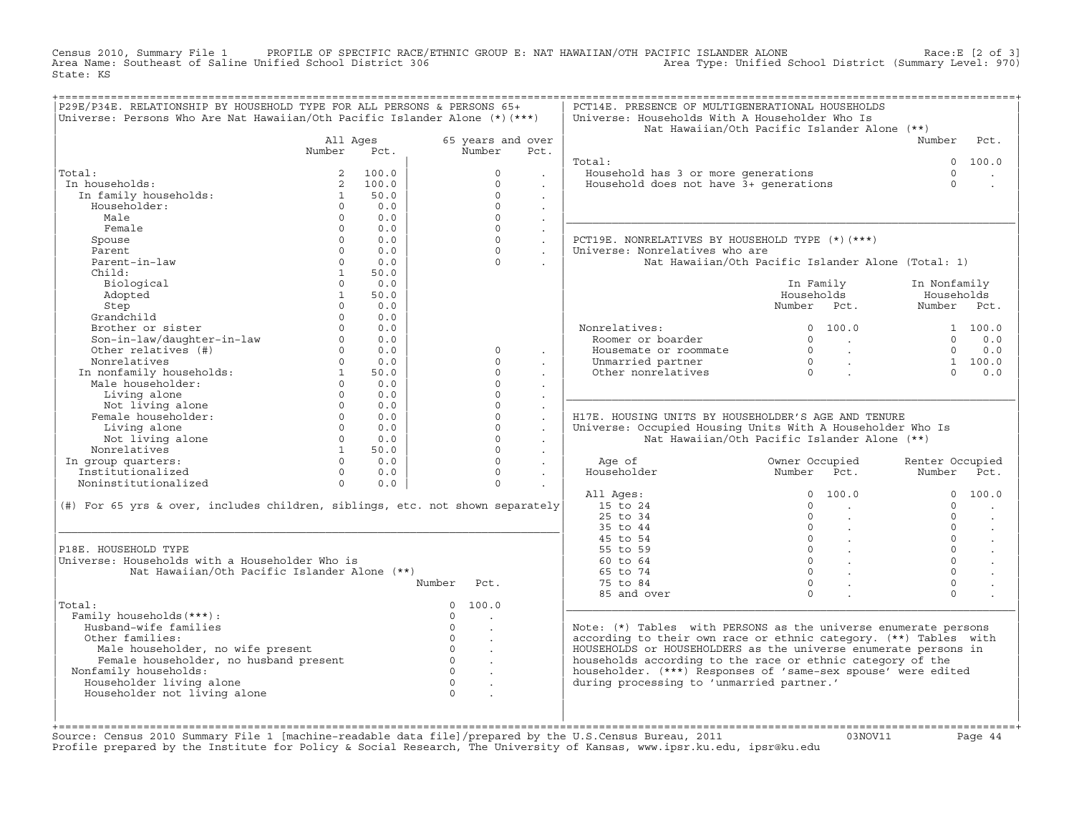Census 2010, Summary File 1 PROFILE OF SPECIFIC RACE/ETHNIC GROUP E: NAT HAWAIIAN/OTH PACIFIC ISLANDER ALONE<br>Area Name: Southeast of Saline Unified School District 306 Area Type: Unified Sch State: KS

| P29E/P34E. RELATIONSHIP BY HOUSEHOLD TYPE FOR ALL PERSONS & PERSONS 65+<br>Universe: Persons Who Are Nat Hawaiian/Oth Pacific Islander Alone (*) (***) |                          |             |                   |                      |                      | PCT14E. PRESENCE OF MULTIGENERATIONAL HOUSEHOLDS<br>Universe: Households With A Householder Who Is |                                                    |                           |                |
|--------------------------------------------------------------------------------------------------------------------------------------------------------|--------------------------|-------------|-------------------|----------------------|----------------------|----------------------------------------------------------------------------------------------------|----------------------------------------------------|---------------------------|----------------|
|                                                                                                                                                        |                          |             |                   |                      |                      |                                                                                                    | Nat Hawaiian/Oth Pacific Islander Alone (**)       |                           |                |
|                                                                                                                                                        | All Aqes                 |             |                   | 65 years and over    |                      |                                                                                                    |                                                    | Number                    | Pct.           |
|                                                                                                                                                        | Number                   | Pct.        |                   | Number               | Pct.                 |                                                                                                    |                                                    |                           |                |
|                                                                                                                                                        |                          |             |                   |                      |                      | Total:                                                                                             |                                                    | $\Omega$                  | 100.0          |
| Total:                                                                                                                                                 | $\overline{2}$           | 100.0       |                   | $\Omega$             |                      | Household has 3 or more generations                                                                |                                                    | $\Omega$                  |                |
| In households:                                                                                                                                         |                          | 2, 100.0    |                   | $\Omega$             | $\sim$               | Household does not have 3+ qenerations                                                             |                                                    | $\Omega$                  |                |
| In family households:                                                                                                                                  | $\mathbf{1}$             | 50.0        |                   | $\Omega$             |                      |                                                                                                    |                                                    |                           |                |
| Householder:                                                                                                                                           | $\Omega$                 | 0.0         |                   | $\Omega$             |                      |                                                                                                    |                                                    |                           |                |
| Male                                                                                                                                                   | $\Omega$                 | 0.0         |                   | $\Omega$             |                      |                                                                                                    |                                                    |                           |                |
| Female                                                                                                                                                 | $\Omega$                 | 0.0         |                   | $\circ$              | $\ddot{\phantom{a}}$ |                                                                                                    |                                                    |                           |                |
| Spouse                                                                                                                                                 | $\Omega$                 | 0.0         |                   | $\circ$              | $\ddot{\phantom{0}}$ | PCT19E. NONRELATIVES BY HOUSEHOLD TYPE (*) (***)                                                   |                                                    |                           |                |
| Parent<br>Parent-in-law                                                                                                                                | $\Omega$<br>$\Omega$     | 0.0<br>0.0  |                   | $\Omega$<br>$\Omega$ |                      | Universe: Nonrelatives who are                                                                     |                                                    |                           |                |
|                                                                                                                                                        |                          |             |                   |                      |                      |                                                                                                    | Nat Hawaiian/Oth Pacific Islander Alone (Total: 1) |                           |                |
| Child:                                                                                                                                                 | $\mathbf{1}$<br>$\Omega$ | 50.0        |                   |                      |                      |                                                                                                    |                                                    |                           |                |
| Biological                                                                                                                                             |                          | 0.0         |                   |                      |                      |                                                                                                    | In Family                                          | In Nonfamily              |                |
| Adopted                                                                                                                                                | $\mathbf{1}$<br>$\Omega$ | 50.0<br>0.0 |                   |                      |                      |                                                                                                    | Households<br>Number Pct.                          | Households<br>Number Pct. |                |
| Step<br>Grandchild                                                                                                                                     | $\Omega$                 | 0.0         |                   |                      |                      |                                                                                                    |                                                    |                           |                |
| Brother or sister                                                                                                                                      | $\Omega$                 | 0.0         |                   |                      |                      |                                                                                                    | 0 100.0                                            |                           |                |
| Son-in-law/daughter-in-law                                                                                                                             | $\circ$                  | 0.0         |                   |                      |                      | Nonrelatives:<br>Roomer or boarder                                                                 | $\Omega$                                           | $\Omega$                  | 1 100.0<br>0.0 |
| Other relatives (#)                                                                                                                                    | $\circ$                  | 0.0         |                   | $\circ$              |                      | Housemate or roommate                                                                              | <b>Contract Contract</b>                           | $\Omega$                  | 0.0            |
| Nonrelatives                                                                                                                                           | $\Omega$                 | 0.0         |                   | $\Omega$             | $\mathbf{r}$         | Unmarried partner                                                                                  |                                                    |                           | 1, 100, 0      |
| In nonfamily households:                                                                                                                               | $1 \quad$                | 50.0        |                   | $\Omega$             |                      | Other nonrelatives                                                                                 |                                                    | $\cap$                    | 0.0            |
| Male householder:                                                                                                                                      | $\Omega$                 | 0.0         |                   | $\Omega$             |                      |                                                                                                    |                                                    |                           |                |
| Living alone                                                                                                                                           | $\Omega$                 | 0.0         |                   | $\Omega$             |                      |                                                                                                    |                                                    |                           |                |
| Not living alone                                                                                                                                       | $\Omega$                 | 0.0         |                   | $\Omega$             | $\sim$               |                                                                                                    |                                                    |                           |                |
| Female householder:                                                                                                                                    | $\Omega$                 | 0.0         |                   | $\Omega$             |                      | H17E. HOUSING UNITS BY HOUSEHOLDER'S AGE AND TENURE                                                |                                                    |                           |                |
| Living alone                                                                                                                                           | $\Omega$                 | 0.0         |                   | $\Omega$             |                      | Universe: Occupied Housing Units With A Householder Who Is                                         |                                                    |                           |                |
| Not living alone                                                                                                                                       | $\Omega$                 | 0.0         |                   | $\Omega$             |                      |                                                                                                    | Nat Hawaiian/Oth Pacific Islander Alone (**)       |                           |                |
| Nonrelatives                                                                                                                                           | 1                        | 50.0        |                   | $\Omega$             | $\mathbf{r}$         |                                                                                                    |                                                    |                           |                |
| In group quarters:                                                                                                                                     | $\Omega$                 | 0.0         |                   | $\Omega$             | $\sim$               | Age of                                                                                             | Owner Occupied                                     | Renter Occupied           |                |
| Institutionalized                                                                                                                                      | $\Omega$                 | 0.0         |                   | $\Omega$             | $\sim$               | Householder                                                                                        | Number Pct.                                        | Number                    | Pct.           |
| Noninstitutionalized                                                                                                                                   | $\Omega$                 | 0.0         |                   | $\Omega$             |                      |                                                                                                    |                                                    |                           |                |
|                                                                                                                                                        |                          |             |                   |                      |                      | All Ages:                                                                                          | 0 100.0                                            | $\Omega$                  | 100.0          |
| (#) For 65 yrs & over, includes children, siblings, etc. not shown separately                                                                          |                          |             |                   |                      |                      | 15 to 24                                                                                           | $\Omega$                                           | $\cap$                    |                |
|                                                                                                                                                        |                          |             |                   |                      |                      | 25 to 34                                                                                           | $\circ$                                            | $\Omega$                  |                |
|                                                                                                                                                        |                          |             |                   |                      |                      | 35 to 44                                                                                           | $\begin{array}{ccc} 0 & & \end{array}$             | $\Omega$                  | $\sim$         |
|                                                                                                                                                        |                          |             |                   |                      |                      | 45 to 54                                                                                           | $\begin{matrix} 0 & \cdots & \cdots \end{matrix}$  | $\Omega$                  | $\sim$         |
| P18E. HOUSEHOLD TYPE                                                                                                                                   |                          |             |                   |                      |                      | 55 to 59                                                                                           | $\begin{matrix} 0 & \cdots & \cdots \end{matrix}$  | $\Omega$                  |                |
| Universe: Households with a Householder Who is                                                                                                         |                          |             |                   |                      |                      | 60 to 64                                                                                           | $0 \qquad \qquad$                                  | $\Omega$                  |                |
| Nat Hawaiian/Oth Pacific Islander Alone (**)                                                                                                           |                          |             |                   |                      |                      | 65 to 74                                                                                           | $\circ$                                            | $\Omega$                  |                |
|                                                                                                                                                        |                          |             | Number            | Pct.                 |                      | 75 to 84                                                                                           | $\Omega$                                           | $\mathbf 0$               |                |
|                                                                                                                                                        |                          |             |                   |                      |                      | 85 and over                                                                                        | $\Omega$                                           | $\Omega$                  |                |
| Total:                                                                                                                                                 |                          |             | $\mathbf{0}$      | 100.0                |                      |                                                                                                    |                                                    |                           |                |
| Family households (***) :                                                                                                                              |                          |             | $\Omega$          |                      |                      |                                                                                                    |                                                    |                           |                |
| Husband-wife families                                                                                                                                  |                          |             | $\circ$           |                      |                      | Note: (*) Tables with PERSONS as the universe enumerate persons                                    |                                                    |                           |                |
| Other families:                                                                                                                                        |                          |             | $\overline{0}$    | $\mathbf{r}$         |                      | according to their own race or ethnic category. (**) Tables with                                   |                                                    |                           |                |
| Male householder, no wife present                                                                                                                      |                          |             | $\Omega$          | $\sim$               |                      | HOUSEHOLDS or HOUSEHOLDERS as the universe enumerate persons in                                    |                                                    |                           |                |
| Female householder, no husband present                                                                                                                 |                          |             | $\overline{0}$    | $\ddot{\phantom{a}}$ |                      | households according to the race or ethnic category of the                                         |                                                    |                           |                |
| Nonfamily households:                                                                                                                                  |                          |             | $0 \qquad \qquad$ | $\ddot{\phantom{a}}$ |                      | householder. (***) Responses of 'same-sex spouse' were edited                                      |                                                    |                           |                |
| Householder living alone                                                                                                                               |                          |             | $\Omega$          | $\ddot{\phantom{a}}$ |                      | during processing to 'unmarried partner.'                                                          |                                                    |                           |                |
| Householder not living alone                                                                                                                           |                          |             | $\Omega$          |                      |                      |                                                                                                    |                                                    |                           |                |
|                                                                                                                                                        |                          |             |                   |                      |                      |                                                                                                    |                                                    |                           |                |
|                                                                                                                                                        |                          |             |                   |                      |                      |                                                                                                    |                                                    |                           |                |
|                                                                                                                                                        |                          |             |                   |                      |                      |                                                                                                    |                                                    |                           |                |

+===================================================================================================================================================+Source: Census 2010 Summary File 1 [machine−readable data file]/prepared by the U.S.Census Bureau, 2011 03NOV11 Page 44 Profile prepared by the Institute for Policy & Social Research, The University of Kansas, www.ipsr.ku.edu, ipsr@ku.edu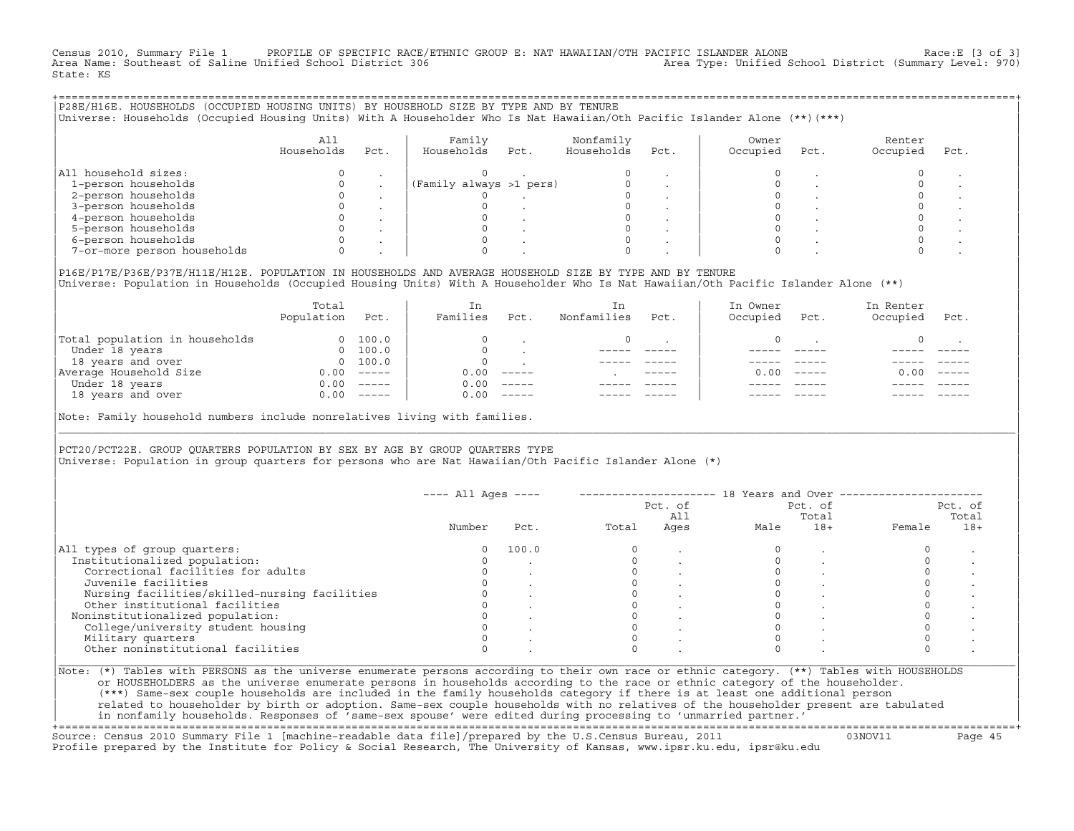Census 2010, Summary File 1 PROFILE OF SPECIFIC RACE/ETHNIC GROUP E: NAT HAWAIIAN/OTH PACIFIC ISLANDER ALONE Race:E [3 of 3]<br>Area Name: Southeast of Saline Unified School District 306 Area Type: Unified School District (Summary Level: 970) State: KS

| P28E/H16E. HOUSEHOLDS (OCCUPIED HOUSING UNITS) BY HOUSEHOLD SIZE BY TYPE AND BY TENURE<br>Universe: Households (Occupied Housing Units) With A Householder Who Is Nat Hawaiian/Oth Pacific Islander Alone (**) (***) |                   |         |                         |      |                         |         |                   |      |                    |      |
|----------------------------------------------------------------------------------------------------------------------------------------------------------------------------------------------------------------------|-------------------|---------|-------------------------|------|-------------------------|---------|-------------------|------|--------------------|------|
|                                                                                                                                                                                                                      | All<br>Households | Pct.    | Family<br>Households    | Pct. | Nonfamily<br>Households | Pct.    | Owner<br>Occupied | Pct. | Renter<br>Occupied | Pct. |
| All household sizes:                                                                                                                                                                                                 |                   |         |                         |      |                         |         |                   |      |                    |      |
| 1-person households                                                                                                                                                                                                  |                   |         | (Family always >1 pers) |      |                         |         |                   |      |                    |      |
| 2-person households                                                                                                                                                                                                  |                   |         |                         |      |                         |         |                   |      |                    |      |
| 3-person households                                                                                                                                                                                                  |                   |         |                         |      |                         |         |                   |      |                    |      |
| 4-person households                                                                                                                                                                                                  |                   |         |                         |      |                         |         |                   |      |                    |      |
| 5-person households                                                                                                                                                                                                  |                   |         |                         |      |                         |         |                   |      |                    |      |
| 6-person households                                                                                                                                                                                                  |                   | $\cdot$ |                         |      |                         | $\cdot$ |                   |      |                    |      |
| 7-or-more person households                                                                                                                                                                                          |                   |         |                         |      |                         |         |                   |      |                    |      |
|                                                                                                                                                                                                                      |                   |         |                         |      |                         |         |                   |      |                    |      |

|P16E/P17E/P36E/P37E/H11E/H12E. POPULATION IN HOUSEHOLDS AND AVERAGE HOUSEHOLD SIZE BY TYPE AND BY TENURE | |Universe: Population in Households (Occupied Housing Units) With A Householder Who Is Nat Hawaiian/Oth Pacific Islander Alone (\*\*) |

|                                | Total<br>Population | Pct.                                                                                                                                                                                                                                                                                                                                                                                                                                                                                 | In<br>Families | Pct.     | In.<br>Nonfamilies | Pct.          | In Owner<br>Occupied | Pct.          | In Renter<br>Occupied | Pct.     |  |
|--------------------------------|---------------------|--------------------------------------------------------------------------------------------------------------------------------------------------------------------------------------------------------------------------------------------------------------------------------------------------------------------------------------------------------------------------------------------------------------------------------------------------------------------------------------|----------------|----------|--------------------|---------------|----------------------|---------------|-----------------------|----------|--|
| Total population in households | $\Omega$            | 100.0                                                                                                                                                                                                                                                                                                                                                                                                                                                                                |                |          |                    |               |                      |               |                       |          |  |
| Under 18 years                 | $\Omega$            | 100.0                                                                                                                                                                                                                                                                                                                                                                                                                                                                                |                |          |                    |               |                      |               |                       |          |  |
| 18 years and over              |                     | 0 100.0                                                                                                                                                                                                                                                                                                                                                                                                                                                                              |                |          |                    |               |                      |               |                       |          |  |
| Average Household Size         | 0.00                | $------$                                                                                                                                                                                                                                                                                                                                                                                                                                                                             | 0.00           | $------$ |                    | $- - - - - -$ | 0. OO -              | $\frac{1}{2}$ | 0.00                  | $------$ |  |
| Under 18 years                 | 0.00                | $------$                                                                                                                                                                                                                                                                                                                                                                                                                                                                             | 0.00           | $------$ |                    |               |                      |               |                       |          |  |
| 18 years and over              | 0.00                | $\begin{tabular}{cccccc} \multicolumn{2}{c}{} & \multicolumn{2}{c}{} & \multicolumn{2}{c}{} & \multicolumn{2}{c}{} & \multicolumn{2}{c}{} & \multicolumn{2}{c}{} & \multicolumn{2}{c}{} & \multicolumn{2}{c}{} & \multicolumn{2}{c}{} & \multicolumn{2}{c}{} & \multicolumn{2}{c}{} & \multicolumn{2}{c}{} & \multicolumn{2}{c}{} & \multicolumn{2}{c}{} & \multicolumn{2}{c}{} & \multicolumn{2}{c}{} & \multicolumn{2}{c}{} & \multicolumn{2}{c}{} & \multicolumn{2}{c}{} & \mult$ | 0.00           | $------$ |                    |               |                      |               |                       | ------   |  |
|                                |                     |                                                                                                                                                                                                                                                                                                                                                                                                                                                                                      |                |          |                    |               |                      |               |                       |          |  |

|Note: Family household numbers include nonrelatives living with families. |

| | PCT20/PCT22E. GROUP OUARTERS POPULATION BY SEX BY AGE BY GROUP OUARTERS TYPE |Universe: Population in group quarters for persons who are Nat Hawaiian/Oth Pacific Islander Alone (\*) |

|                                               |        |       |       | Pct. of<br>All |      | Pct. of<br>Total |        | Pct. of<br>Total |
|-----------------------------------------------|--------|-------|-------|----------------|------|------------------|--------|------------------|
|                                               | Number | Pct.  | Total | Ages           | Male | $18+$            | Female | $18+$            |
| All types of group quarters:                  |        | 100.0 |       |                |      |                  |        |                  |
| Institutionalized population:                 |        |       |       |                |      |                  |        |                  |
| Correctional facilities for adults            |        |       |       |                |      |                  |        |                  |
| Juvenile facilities                           |        |       |       |                |      |                  |        |                  |
| Nursing facilities/skilled-nursing facilities |        |       |       |                |      |                  |        |                  |
| Other institutional facilities                |        |       |       |                |      |                  |        |                  |
| Noninstitutionalized population:              |        |       |       |                |      |                  |        |                  |
| College/university student housing            |        |       |       |                |      |                  |        |                  |
| Military quarters                             |        |       |       |                |      |                  |        |                  |
| Other noninstitutional facilities             |        |       |       |                |      |                  |        |                  |

|\_\_\_\_\_\_\_\_\_\_\_\_\_\_\_\_\_\_\_\_\_\_\_\_\_\_\_\_\_\_\_\_\_\_\_\_\_\_\_\_\_\_\_\_\_\_\_\_\_\_\_\_\_\_\_\_\_\_\_\_\_\_\_\_\_\_\_\_\_\_\_\_\_\_\_\_\_\_\_\_\_\_\_\_\_\_\_\_\_\_\_\_\_\_\_\_\_\_\_\_\_\_\_\_\_\_\_\_\_\_\_\_\_\_\_\_\_\_\_\_\_\_\_\_\_\_\_\_\_\_\_\_\_\_\_\_\_\_\_\_\_\_\_\_\_\_\_|

| |

| (\*\*\*) Same−sex couple households are included in the family households category if there is at least one additional person | | related to householder by birth or adoption. Same−sex couple households with no relatives of the householder present are tabulated | | in nonfamily households. Responses of 'same−sex spouse' were edited during processing to 'unmarried partner.' |

+===================================================================================================================================================+ Source: Census 2010 Summary File 1 [machine−readable data file]/prepared by the U.S.Census Bureau, 2011 03NOV11 Page 45 Profile prepared by the Institute for Policy & Social Research, The University of Kansas, www.ipsr.ku.edu, ipsr@ku.edu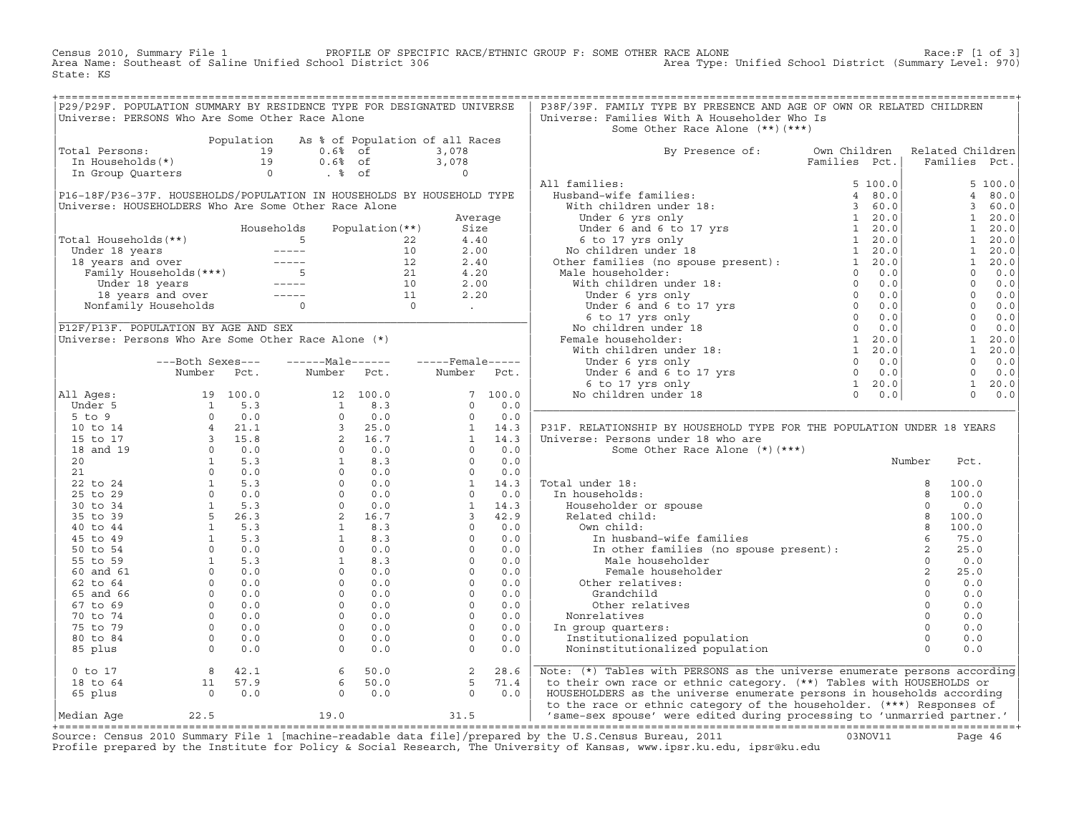Census 2010, Summary File 1 PROFILE OF SPECIFIC RACE/ETHNIC GROUP F: SOME OTHER RACE ALONE Race:F [1 of 3] Area Name: Southeast of Saline Unified School District 306 Area Type: Unified School District (Summary Level: 970) State: KS

| P29/P29F. POPULATION SUMMARY BY RESIDENCE TYPE FOR DESIGNATED UNIVERSE<br>Universe: PERSONS Who Are Some Other Race Alone                                                                                                                                                                                                                     |  |  |  | P38F/39F. FAMILY TYPE BY PRESENCE AND AGE OF OWN OR RELATED CHILDREN<br>Universe: Families With A Householder Who Is                                                                                                                                                                                                                                                                              |  |  |
|-----------------------------------------------------------------------------------------------------------------------------------------------------------------------------------------------------------------------------------------------------------------------------------------------------------------------------------------------|--|--|--|---------------------------------------------------------------------------------------------------------------------------------------------------------------------------------------------------------------------------------------------------------------------------------------------------------------------------------------------------------------------------------------------------|--|--|
|                                                                                                                                                                                                                                                                                                                                               |  |  |  | Some Other Race Alone (**)(***)                                                                                                                                                                                                                                                                                                                                                                   |  |  |
| Total Persons:<br>Total Persons:<br>$\begin{array}{ccccccccc}\n & & & & & \text{Population} & \text{As} & * & \text{of Population of all Races} \\ \text{Total Persons} & & & & & 19 & & 0.6 & * & 0.6 \\ \text{In Households} & & & & & 19 & & 0.6 & * & 0 \\ \text{In Group Quarters} & & & & & 0 & . & * & \text{of} & & 0 \\ \end{array}$ |  |  |  |                                                                                                                                                                                                                                                                                                                                                                                                   |  |  |
|                                                                                                                                                                                                                                                                                                                                               |  |  |  | By Presence of: Own Children Related Children<br>Families Pct.   Families Pct.                                                                                                                                                                                                                                                                                                                    |  |  |
|                                                                                                                                                                                                                                                                                                                                               |  |  |  |                                                                                                                                                                                                                                                                                                                                                                                                   |  |  |
|                                                                                                                                                                                                                                                                                                                                               |  |  |  |                                                                                                                                                                                                                                                                                                                                                                                                   |  |  |
|                                                                                                                                                                                                                                                                                                                                               |  |  |  |                                                                                                                                                                                                                                                                                                                                                                                                   |  |  |
|                                                                                                                                                                                                                                                                                                                                               |  |  |  |                                                                                                                                                                                                                                                                                                                                                                                                   |  |  |
|                                                                                                                                                                                                                                                                                                                                               |  |  |  |                                                                                                                                                                                                                                                                                                                                                                                                   |  |  |
|                                                                                                                                                                                                                                                                                                                                               |  |  |  |                                                                                                                                                                                                                                                                                                                                                                                                   |  |  |
|                                                                                                                                                                                                                                                                                                                                               |  |  |  |                                                                                                                                                                                                                                                                                                                                                                                                   |  |  |
|                                                                                                                                                                                                                                                                                                                                               |  |  |  |                                                                                                                                                                                                                                                                                                                                                                                                   |  |  |
|                                                                                                                                                                                                                                                                                                                                               |  |  |  |                                                                                                                                                                                                                                                                                                                                                                                                   |  |  |
|                                                                                                                                                                                                                                                                                                                                               |  |  |  |                                                                                                                                                                                                                                                                                                                                                                                                   |  |  |
|                                                                                                                                                                                                                                                                                                                                               |  |  |  |                                                                                                                                                                                                                                                                                                                                                                                                   |  |  |
|                                                                                                                                                                                                                                                                                                                                               |  |  |  |                                                                                                                                                                                                                                                                                                                                                                                                   |  |  |
|                                                                                                                                                                                                                                                                                                                                               |  |  |  |                                                                                                                                                                                                                                                                                                                                                                                                   |  |  |
|                                                                                                                                                                                                                                                                                                                                               |  |  |  |                                                                                                                                                                                                                                                                                                                                                                                                   |  |  |
|                                                                                                                                                                                                                                                                                                                                               |  |  |  |                                                                                                                                                                                                                                                                                                                                                                                                   |  |  |
|                                                                                                                                                                                                                                                                                                                                               |  |  |  |                                                                                                                                                                                                                                                                                                                                                                                                   |  |  |
|                                                                                                                                                                                                                                                                                                                                               |  |  |  |                                                                                                                                                                                                                                                                                                                                                                                                   |  |  |
|                                                                                                                                                                                                                                                                                                                                               |  |  |  |                                                                                                                                                                                                                                                                                                                                                                                                   |  |  |
|                                                                                                                                                                                                                                                                                                                                               |  |  |  |                                                                                                                                                                                                                                                                                                                                                                                                   |  |  |
|                                                                                                                                                                                                                                                                                                                                               |  |  |  |                                                                                                                                                                                                                                                                                                                                                                                                   |  |  |
|                                                                                                                                                                                                                                                                                                                                               |  |  |  |                                                                                                                                                                                                                                                                                                                                                                                                   |  |  |
|                                                                                                                                                                                                                                                                                                                                               |  |  |  |                                                                                                                                                                                                                                                                                                                                                                                                   |  |  |
|                                                                                                                                                                                                                                                                                                                                               |  |  |  |                                                                                                                                                                                                                                                                                                                                                                                                   |  |  |
|                                                                                                                                                                                                                                                                                                                                               |  |  |  |                                                                                                                                                                                                                                                                                                                                                                                                   |  |  |
|                                                                                                                                                                                                                                                                                                                                               |  |  |  |                                                                                                                                                                                                                                                                                                                                                                                                   |  |  |
|                                                                                                                                                                                                                                                                                                                                               |  |  |  |                                                                                                                                                                                                                                                                                                                                                                                                   |  |  |
|                                                                                                                                                                                                                                                                                                                                               |  |  |  |                                                                                                                                                                                                                                                                                                                                                                                                   |  |  |
|                                                                                                                                                                                                                                                                                                                                               |  |  |  |                                                                                                                                                                                                                                                                                                                                                                                                   |  |  |
|                                                                                                                                                                                                                                                                                                                                               |  |  |  |                                                                                                                                                                                                                                                                                                                                                                                                   |  |  |
|                                                                                                                                                                                                                                                                                                                                               |  |  |  |                                                                                                                                                                                                                                                                                                                                                                                                   |  |  |
|                                                                                                                                                                                                                                                                                                                                               |  |  |  |                                                                                                                                                                                                                                                                                                                                                                                                   |  |  |
|                                                                                                                                                                                                                                                                                                                                               |  |  |  |                                                                                                                                                                                                                                                                                                                                                                                                   |  |  |
|                                                                                                                                                                                                                                                                                                                                               |  |  |  |                                                                                                                                                                                                                                                                                                                                                                                                   |  |  |
|                                                                                                                                                                                                                                                                                                                                               |  |  |  |                                                                                                                                                                                                                                                                                                                                                                                                   |  |  |
|                                                                                                                                                                                                                                                                                                                                               |  |  |  |                                                                                                                                                                                                                                                                                                                                                                                                   |  |  |
|                                                                                                                                                                                                                                                                                                                                               |  |  |  |                                                                                                                                                                                                                                                                                                                                                                                                   |  |  |
|                                                                                                                                                                                                                                                                                                                                               |  |  |  |                                                                                                                                                                                                                                                                                                                                                                                                   |  |  |
|                                                                                                                                                                                                                                                                                                                                               |  |  |  |                                                                                                                                                                                                                                                                                                                                                                                                   |  |  |
|                                                                                                                                                                                                                                                                                                                                               |  |  |  |                                                                                                                                                                                                                                                                                                                                                                                                   |  |  |
|                                                                                                                                                                                                                                                                                                                                               |  |  |  |                                                                                                                                                                                                                                                                                                                                                                                                   |  |  |
|                                                                                                                                                                                                                                                                                                                                               |  |  |  |                                                                                                                                                                                                                                                                                                                                                                                                   |  |  |
|                                                                                                                                                                                                                                                                                                                                               |  |  |  |                                                                                                                                                                                                                                                                                                                                                                                                   |  |  |
|                                                                                                                                                                                                                                                                                                                                               |  |  |  |                                                                                                                                                                                                                                                                                                                                                                                                   |  |  |
|                                                                                                                                                                                                                                                                                                                                               |  |  |  |                                                                                                                                                                                                                                                                                                                                                                                                   |  |  |
|                                                                                                                                                                                                                                                                                                                                               |  |  |  | $\begin{bmatrix} \text{C1} & \text{C1} & \text{C2} & \text{C3} & \text{C4} & \text{C5} & \text{C6} & \text{C1} & \text{C2} & \text{C3} & \text{C4} & \text{C5} & \text{C6} & \text{C7} & \text{C8} & \text{C9} & \text{C1} & \text{C1} & \text{C2} & \text{C3} & \text{C4} & \text{C5} & \text{C6} & \text{C7} & \text{C8} & \text{C9} & \text{C1} & \text{C1} & \text{C2} & \text{C3} & \text{C$ |  |  |
|                                                                                                                                                                                                                                                                                                                                               |  |  |  |                                                                                                                                                                                                                                                                                                                                                                                                   |  |  |
|                                                                                                                                                                                                                                                                                                                                               |  |  |  |                                                                                                                                                                                                                                                                                                                                                                                                   |  |  |
|                                                                                                                                                                                                                                                                                                                                               |  |  |  |                                                                                                                                                                                                                                                                                                                                                                                                   |  |  |
|                                                                                                                                                                                                                                                                                                                                               |  |  |  | 0 to 17 a and 11 57.9 6 50.0 2 28.6 Note: (*) Tables with PERSONS as the universe enumerate persons according<br>18 to 64 11 57.9 6 50.0 5 71.4 to their own race or ethnic category. (**) Tables with HOUSEHOLDS or<br>65 plus 0 0.                                                                                                                                                              |  |  |
|                                                                                                                                                                                                                                                                                                                                               |  |  |  |                                                                                                                                                                                                                                                                                                                                                                                                   |  |  |

+===================================================================================================================================================+Source: Census 2010 Summary File 1 [machine−readable data file]/prepared by the U.S.Census Bureau, 2011 03NOV11 Page 46 Profile prepared by the Institute for Policy & Social Research, The University of Kansas, www.ipsr.ku.edu, ipsr@ku.edu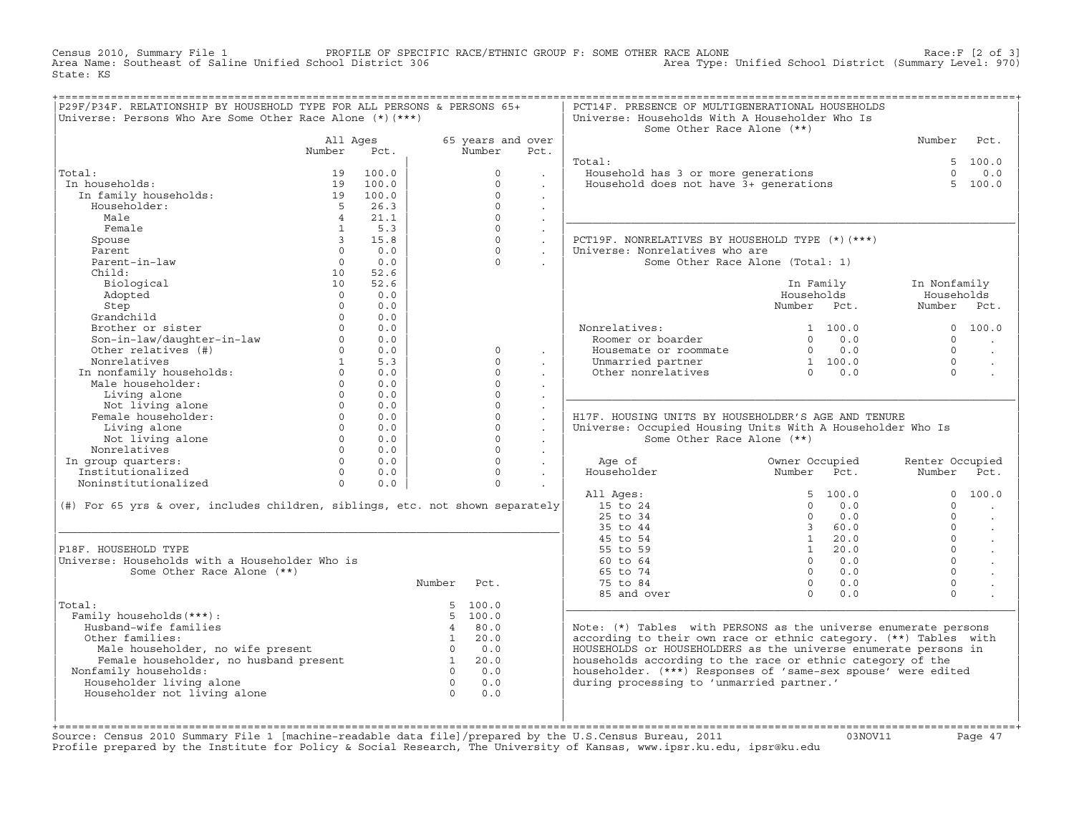PROFILE OF SPECIFIC RACE/ETHNIC GROUP F: SOME OTHER RACE ALONE (2 OF 3)<br>Area Type: Unified School District (Summary Level: 970) Census 2010, Summary File 1 PROFILE OF SPECIF<br>Area Name: Southeast of Saline Unified School District 306 State: KS

| P29F/P34F. RELATIONSHIP BY HOUSEHOLD TYPE FOR ALL PERSONS & PERSONS 65+<br>Universe: Persons Who Are Some Other Race Alone $(*)$ (***) |                   |       |                |                   |                      | PCT14F. PRESENCE OF MULTIGENERATIONAL HOUSEHOLDS<br>Universe: Households With A Householder Who Is<br>Some Other Race Alone (**) |                                                      |                 |                      |
|----------------------------------------------------------------------------------------------------------------------------------------|-------------------|-------|----------------|-------------------|----------------------|----------------------------------------------------------------------------------------------------------------------------------|------------------------------------------------------|-----------------|----------------------|
|                                                                                                                                        | All Ages          |       |                | 65 years and over |                      |                                                                                                                                  |                                                      | Number          | Pct.                 |
|                                                                                                                                        | Number            | Pct.  |                | Number            | Pct.                 |                                                                                                                                  |                                                      |                 |                      |
|                                                                                                                                        |                   |       |                |                   |                      | Total:                                                                                                                           |                                                      |                 | 5, 100.0             |
| Total:                                                                                                                                 | 19                | 100.0 |                | $\Omega$          |                      | Fousehold has 3 or more generations<br>Household does not have 3+ generations                                                    |                                                      | $\Omega$        | 0.0                  |
| In households:                                                                                                                         | 19                | 100.0 |                | $\Omega$          |                      |                                                                                                                                  |                                                      |                 | 5, 100.0             |
| In family households:                                                                                                                  | 19                | 100.0 |                | $\Omega$          | $\ddot{\phantom{0}}$ |                                                                                                                                  |                                                      |                 |                      |
| Householder:                                                                                                                           | $5^{\circ}$       | 26.3  |                | $\Omega$          | $\sim$               |                                                                                                                                  |                                                      |                 |                      |
| Male                                                                                                                                   | $\sim$ 4          | 21.1  |                | $\Omega$          | $\ddot{\phantom{a}}$ |                                                                                                                                  |                                                      |                 |                      |
| Female                                                                                                                                 | $\mathbf{1}$      | 5.3   |                | $\Omega$          | $\sim$               |                                                                                                                                  |                                                      |                 |                      |
| Spouse                                                                                                                                 | $\overline{3}$    | 15.8  |                | $\Omega$          | $\ddot{\phantom{0}}$ | PCT19F. NONRELATIVES BY HOUSEHOLD TYPE (*)(***)                                                                                  |                                                      |                 |                      |
| Parent                                                                                                                                 | $\Omega$          | 0.0   |                | $\Omega$          |                      | Universe: Nonrelatives who are                                                                                                   |                                                      |                 |                      |
| Parent-in-law                                                                                                                          | $\circ$           | 0.0   |                | $\Omega$          |                      |                                                                                                                                  | Some Other Race Alone (Total: 1)                     |                 |                      |
| Child:                                                                                                                                 | 10                | 52.6  |                |                   |                      |                                                                                                                                  |                                                      |                 |                      |
| Biological                                                                                                                             | 10                | 52.6  |                |                   |                      |                                                                                                                                  | In Family                                            | In Nonfamily    |                      |
| Adopted                                                                                                                                | $\Omega$          | 0.0   |                |                   |                      |                                                                                                                                  | Households                                           | Households      |                      |
| Step                                                                                                                                   | $\Omega$          | 0.0   |                |                   |                      |                                                                                                                                  | Number Pct.                                          | Number Pct.     |                      |
| Grandchild                                                                                                                             | $\Omega$          | 0.0   |                |                   |                      |                                                                                                                                  |                                                      |                 |                      |
| Brother or sister                                                                                                                      | $\Omega$          | 0.0   |                |                   |                      | Nonrelatives:                                                                                                                    | 1, 100, 0                                            |                 | 0, 100, 0            |
| Son-in-law/daughter-in-law                                                                                                             | $\Omega$          | 0.0   |                |                   |                      | Roomer or boarder                                                                                                                | 0.0<br>$\Omega$                                      | $\Omega$        |                      |
| Other relatives (#)                                                                                                                    | $0 \qquad \qquad$ | 0.0   |                | $\Omega$          | $\mathbf{r}$         | Housemate or roommate                                                                                                            | $0 \t 0.0$                                           | $\cap$          | $\sim$               |
| Nonrelatives                                                                                                                           | $\mathbf{1}$      | 5.3   |                | $\Omega$          |                      | Unmarried partner                                                                                                                | $\begin{array}{cc} 1 & 100.0 \\ 0 & 0.0 \end{array}$ | $\cap$          | $\ddot{\phantom{a}}$ |
| In nonfamily households:                                                                                                               | $\Omega$          | 0.0   |                | $\Omega$          |                      | Other nonrelatives                                                                                                               |                                                      | $\Omega$        |                      |
| Male householder:                                                                                                                      | $\Omega$          | 0.0   |                | $\Omega$          |                      |                                                                                                                                  |                                                      |                 |                      |
| Living alone                                                                                                                           | $\Omega$          | 0.0   |                | $\Omega$          |                      |                                                                                                                                  |                                                      |                 |                      |
| Not living alone                                                                                                                       | $\circ$           | 0.0   |                | $\circ$           | $\cdot$              |                                                                                                                                  |                                                      |                 |                      |
| Female householder:                                                                                                                    | $0 \qquad \qquad$ | 0.0   |                | $\mathbf 0$       | $\ddot{\phantom{a}}$ | H17F. HOUSING UNITS BY HOUSEHOLDER'S AGE AND TENURE                                                                              |                                                      |                 |                      |
| Living alone                                                                                                                           | $\Omega$          | 0.0   |                | $\mathbf 0$       | $\ddot{\phantom{0}}$ | Universe: Occupied Housing Units With A Householder Who Is                                                                       |                                                      |                 |                      |
| Not living alone                                                                                                                       | $\Omega$          | 0.0   |                | $\Omega$          |                      | Some Other Race Alone (**)                                                                                                       |                                                      |                 |                      |
| Nonrelatives                                                                                                                           | $\Omega$          | 0.0   |                | $\Omega$          | $\sim$               |                                                                                                                                  |                                                      |                 |                      |
| In group quarters:                                                                                                                     | $\Omega$          | 0.0   |                | $\Omega$          | $\ddot{\phantom{a}}$ | Age of                                                                                                                           | Owner Occupied                                       | Renter Occupied |                      |
| Institutionalized                                                                                                                      | $\Omega$          | 0.0   |                | $\Omega$          | $\sim$               | Householder                                                                                                                      | Number Pct.                                          | Number          | Pct.                 |
| Noninstitutionalized                                                                                                                   | $\Omega$          | 0.0   |                | $\Omega$          |                      |                                                                                                                                  |                                                      |                 |                      |
|                                                                                                                                        |                   |       |                |                   |                      | All Ages:                                                                                                                        | 5, 100.0                                             | $\Omega$        | 100.0                |
| (#) For 65 yrs & over, includes children, siblings, etc. not shown separately                                                          |                   |       |                |                   |                      | 15 to 24                                                                                                                         | $\Omega$<br>0.0                                      | $\Omega$        |                      |
|                                                                                                                                        |                   |       |                |                   |                      | 25 to 34                                                                                                                         | 0.0<br>$\Omega$                                      | $\Omega$        | $\ddot{\phantom{a}}$ |
|                                                                                                                                        |                   |       |                |                   |                      | 35 to 44                                                                                                                         | 3 60.0                                               | $\Omega$        | $\ddot{\phantom{a}}$ |
|                                                                                                                                        |                   |       |                |                   |                      | 45 to 54                                                                                                                         | 1 20.0                                               | $\Omega$        | $\ddot{\phantom{a}}$ |
| P18F. HOUSEHOLD TYPE                                                                                                                   |                   |       |                |                   |                      | 55 to 59                                                                                                                         | $1 \t 20.0$                                          | $\Omega$        |                      |
| Universe: Households with a Householder Who is                                                                                         |                   |       |                |                   |                      | 60 to 64                                                                                                                         | $\Omega$<br>0.0                                      | $\Omega$        |                      |
| Some Other Race Alone (**)                                                                                                             |                   |       |                |                   |                      | 65 to 74                                                                                                                         | $0 \qquad 0.0$                                       | $\Omega$        |                      |
|                                                                                                                                        |                   |       | Number         | Pct.              |                      | 75 to 84                                                                                                                         | $0 \t 0.0$                                           | $\mathbf 0$     |                      |
|                                                                                                                                        |                   |       |                |                   |                      | 85 and over                                                                                                                      | $\Omega$<br>0.0                                      | $\Omega$        |                      |
| Total:                                                                                                                                 |                   |       |                | 5, 100.0          |                      |                                                                                                                                  |                                                      |                 |                      |
| Family households (***) :                                                                                                              |                   |       |                | 5, 100.0          |                      |                                                                                                                                  |                                                      |                 |                      |
| Husband-wife families                                                                                                                  |                   |       |                | 480.0             |                      | Note: (*) Tables with PERSONS as the universe enumerate persons                                                                  |                                                      |                 |                      |
| Other families:                                                                                                                        |                   |       | $\sim$ 1       | 20.0              |                      | according to their own race or ethnic category. (**) Tables with                                                                 |                                                      |                 |                      |
| Male householder, no wife present 0 0.0<br>Female householder, no husband present 1 20.0                                               |                   |       |                |                   |                      | HOUSEHOLDS or HOUSEHOLDERS as the universe enumerate persons in                                                                  |                                                      |                 |                      |
|                                                                                                                                        |                   |       |                |                   |                      | households according to the race or ethnic category of the                                                                       |                                                      |                 |                      |
| Nonfamily households:                                                                                                                  |                   |       |                | $0 \qquad 0.0$    |                      | householder. (***) Responses of 'same-sex spouse' were edited                                                                    |                                                      |                 |                      |
| Householder living alone                                                                                                               |                   |       | $\overline{0}$ | 0.0               |                      | during processing to 'unmarried partner.'                                                                                        |                                                      |                 |                      |
| Householder not living alone                                                                                                           |                   |       | $\overline{0}$ | 0.0               |                      |                                                                                                                                  |                                                      |                 |                      |
|                                                                                                                                        |                   |       |                |                   |                      |                                                                                                                                  |                                                      |                 |                      |
|                                                                                                                                        |                   |       |                |                   |                      |                                                                                                                                  |                                                      |                 |                      |

+===================================================================================================================================================+Source: Census 2010 Summary File 1 [machine−readable data file]/prepared by the U.S.Census Bureau, 2011 03NOV11 Page 47 Profile prepared by the Institute for Policy & Social Research, The University of Kansas, www.ipsr.ku.edu, ipsr@ku.edu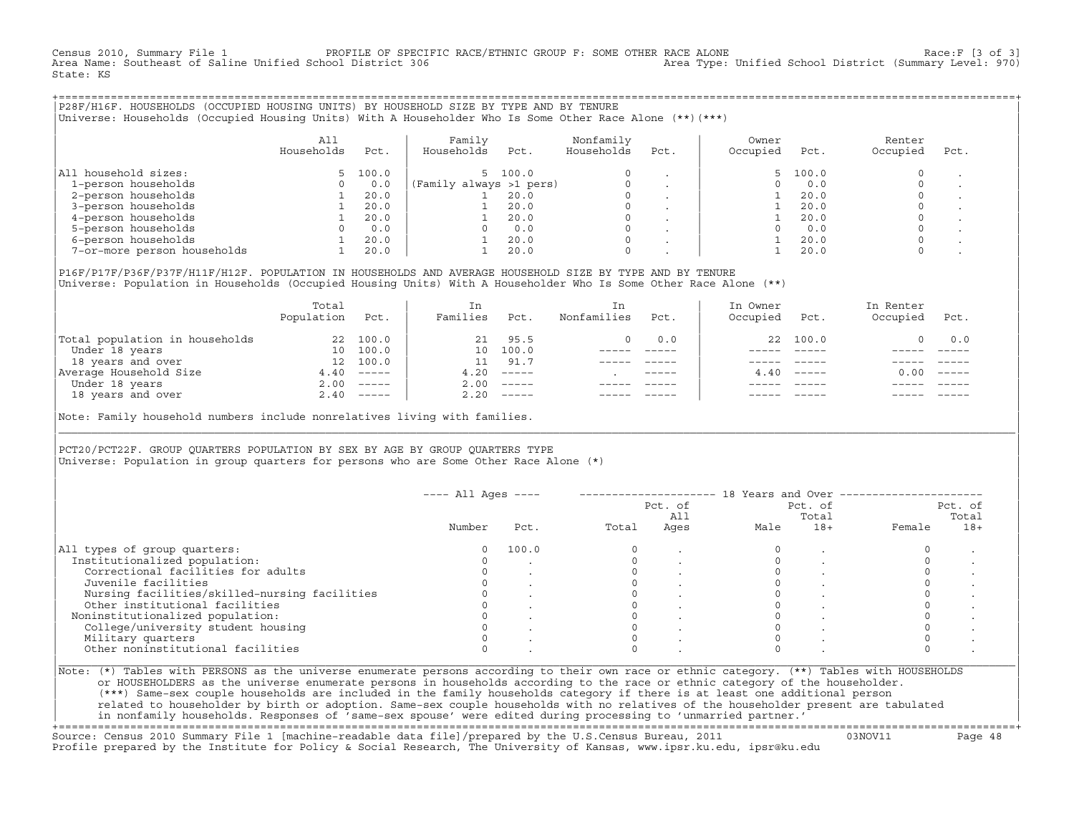Census 2010, Summary File 1 PROFILE OF SPECIFIC RACE/ETHNIC GROUP F: SOME OTHER RACE ALONE Race:F [3 of 3]<br>Area Name: Southeast of Saline Unified School District 306 area Type: Unified School District (Summary Level: 970) Area Type: Unified School District (Summary Level: 970) State: KS

+===================================================================================================================================================+|P28F/H16F. HOUSEHOLDS (OCCUPIED HOUSING UNITS) BY HOUSEHOLD SIZE BY TYPE AND BY TENURE | |Universe: Households (Occupied Housing Units) With A Householder Who Is Some Other Race Alone (\*\*)(\*\*\*) |

|                             | All<br>Households | Pct.  | Family<br>Households    | Pct. | Nonfamily<br>Households | Pct.    | Owner<br>Occupied | Pct.  | Renter<br>Occupied | Pct. |
|-----------------------------|-------------------|-------|-------------------------|------|-------------------------|---------|-------------------|-------|--------------------|------|
| household sizes:<br>All     |                   | 100.0 | 5 100.0                 |      | $\Omega$                |         |                   | 100.0 |                    |      |
| 1-person households         |                   | 0.0   | (Family always >1 pers) |      |                         |         |                   | 0.0   |                    |      |
| 2-person households         |                   | 20.0  |                         | 20.0 | $\Omega$                |         |                   | 20.0  |                    |      |
| 3-person households         |                   | 20.0  |                         | 20.0 | $\mathbf 0$             | $\cdot$ |                   | 20.0  |                    |      |
| 4-person households         |                   | 20.0  |                         | 20.0 | $\Omega$                | $\cdot$ |                   | 20.0  |                    |      |
| 5-person households         |                   | 0.0   |                         | 0.0  | $\Omega$                |         |                   | 0.0   |                    |      |
| 6-person households         |                   | 20.0  |                         | 20.0 | $\Omega$                |         |                   | 20.0  |                    |      |
| 7-or-more person households |                   | 20.0  |                         | 20.0 | $\mathbf 0$             |         |                   | 20.0  |                    |      |

|P16F/P17F/P36F/P37F/H11F/H12F. POPULATION IN HOUSEHOLDS AND AVERAGE HOUSEHOLD SIZE BY TYPE AND BY TENURE | Universe: Population in Households (Occupied Housing Units) With A Householder Who Is Some Other Race Alone (\*\*)

|                                | Total<br>Population | Pct.         | In<br>Families  | Pct.     | In.<br>Nonfamilies | Pct.        | In Owner<br>Occupied | Pct.          | In Renter<br>Occupied | Pct.                      |
|--------------------------------|---------------------|--------------|-----------------|----------|--------------------|-------------|----------------------|---------------|-----------------------|---------------------------|
| Total population in households | 22                  | 100.0        | 21              | 95.5     | 0                  | 0.0         |                      | 22 100.0      |                       | 0.0                       |
| Under 18 years                 | 10                  | 100.0        | 10 <sup>1</sup> | 100.0    |                    |             |                      |               |                       |                           |
| 18 years and over              | 12                  | 100.0        |                 | 91.7     |                    |             |                      |               |                       |                           |
| Average Household Size         | 4.40                | $------$     | 4.20            | $------$ |                    | $- - - - -$ | 4.40                 | $- - - - - -$ | 0.00                  | $\qquad \qquad - - - - -$ |
| Under 18 years                 | 2.00                | $------$     | 2.00            | $------$ |                    |             |                      |               |                       |                           |
| 18 years and over              |                     | $2.40$ ----- | 2.20            | $------$ |                    |             |                      | $- - - - -$   |                       | $- - - - -$               |
|                                |                     |              |                 |          |                    |             |                      |               |                       |                           |

Note: Family household numbers include nonrelatives living with families.

| | PCT20/PCT22F. GROUP OUARTERS POPULATION BY SEX BY AGE BY GROUP OUARTERS TYPE Universe: Population in group quarters for persons who are Some Other Race Alone (\*)

|                                               | $---$ All Ages $---$ |       |       | Pct. of<br>All |      | Pct. of<br>Total |        | Pct. of<br>Total |
|-----------------------------------------------|----------------------|-------|-------|----------------|------|------------------|--------|------------------|
|                                               | Number               | Pct.  | Total | Ages           | Male | $18+$            | Female | $18+$            |
| All types of group quarters:                  |                      | 100.0 |       |                |      |                  |        |                  |
| Institutionalized population:                 |                      |       |       |                |      |                  |        |                  |
| Correctional facilities for adults            |                      |       |       |                |      |                  |        |                  |
| Juvenile facilities                           |                      |       |       |                |      |                  |        |                  |
| Nursing facilities/skilled-nursing facilities |                      |       |       |                |      |                  |        |                  |
| Other institutional facilities                |                      |       |       |                |      |                  |        |                  |
| Noninstitutionalized population:              |                      |       |       |                |      |                  |        |                  |
| College/university student housing            |                      |       |       |                |      |                  |        |                  |
| Military quarters                             |                      |       |       |                |      |                  |        |                  |
| Other noninstitutional facilities             |                      |       |       |                |      |                  |        |                  |

|\_\_\_\_\_\_\_\_\_\_\_\_\_\_\_\_\_\_\_\_\_\_\_\_\_\_\_\_\_\_\_\_\_\_\_\_\_\_\_\_\_\_\_\_\_\_\_\_\_\_\_\_\_\_\_\_\_\_\_\_\_\_\_\_\_\_\_\_\_\_\_\_\_\_\_\_\_\_\_\_\_\_\_\_\_\_\_\_\_\_\_\_\_\_\_\_\_\_\_\_\_\_\_\_\_\_\_\_\_\_\_\_\_\_\_\_\_\_\_\_\_\_\_\_\_\_\_\_\_\_\_\_\_\_\_\_\_\_\_\_\_\_\_\_\_\_\_|

| |

or HOUSEHOLDERS as the universe enumerate persons in households according to the race or ethnic category of the householder. | (\*\*\*) Same−sex couple households are included in the family households category if there is at least one additional person | | related to householder by birth or adoption. Same−sex couple households with no relatives of the householder present are tabulated | | in nonfamily households. Responses of 'same−sex spouse' were edited during processing to 'unmarried partner.' |

+===================================================================================================================================================+ Source: Census 2010 Summary File 1 [machine−readable data file]/prepared by the U.S.Census Bureau, 2011 03NOV11 Page 48 Profile prepared by the Institute for Policy & Social Research, The University of Kansas, www.ipsr.ku.edu, ipsr@ku.edu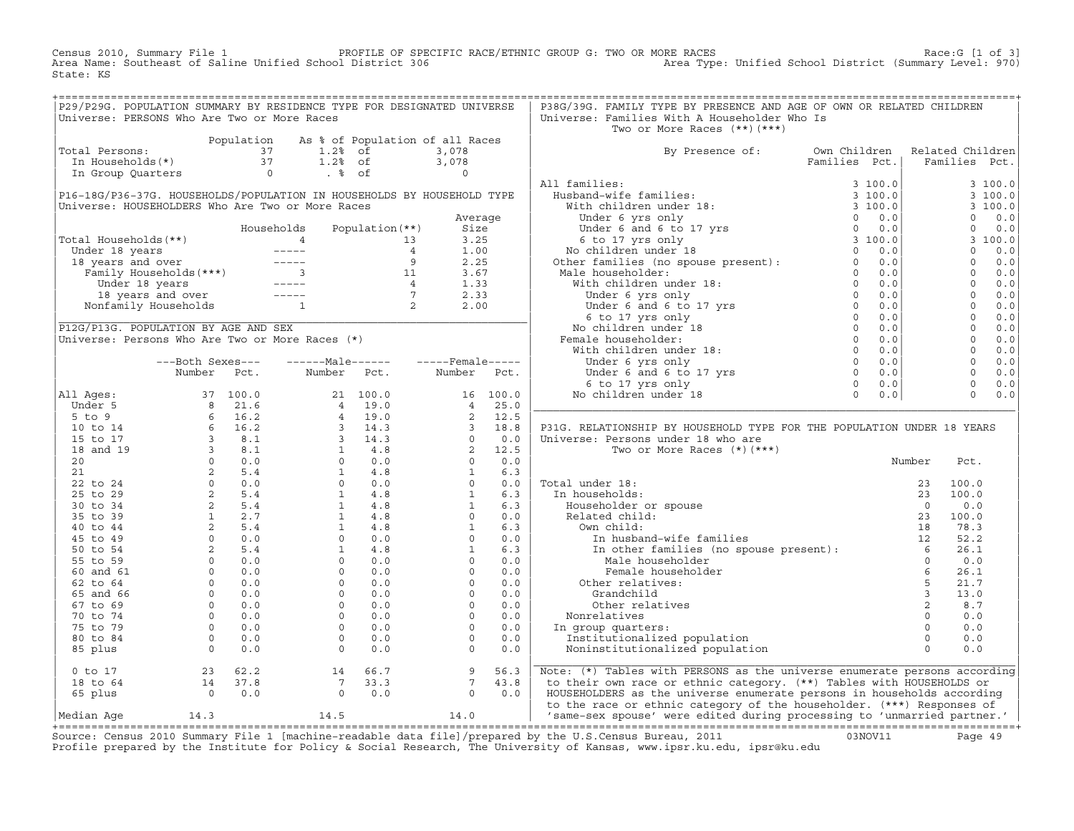Census 2010, Summary File 1 PROFILE OF SPECIFIC RACE/ETHNIC GROUP G: TWO OR MORE RACES Race:G [1 of 3] Area Name: Southeast of Saline Unified School District 306 Area Type: Unified School District (Summary Level: 970) State: KS

+===================================================================================================================================================+

| P29/P29G. POPULATION SUMMARY BY RESIDENCE TYPE FOR DESIGNATED UNIVERSE                                                                                                                                                                                   |                                                                      |                                                                                                                   |                                                                     | P38G/39G. FAMILY TYPE BY PRESENCE AND AGE OF OWN OR RELATED CHILDREN                                                                                                                                                          |                                                                       |                                                                                                                                                                                                                                                                                             |         |
|----------------------------------------------------------------------------------------------------------------------------------------------------------------------------------------------------------------------------------------------------------|----------------------------------------------------------------------|-------------------------------------------------------------------------------------------------------------------|---------------------------------------------------------------------|-------------------------------------------------------------------------------------------------------------------------------------------------------------------------------------------------------------------------------|-----------------------------------------------------------------------|---------------------------------------------------------------------------------------------------------------------------------------------------------------------------------------------------------------------------------------------------------------------------------------------|---------|
| Universe: PERSONS Who Are Two or More Races                                                                                                                                                                                                              |                                                                      |                                                                                                                   |                                                                     | Universe: Families With A Householder Who Is                                                                                                                                                                                  |                                                                       |                                                                                                                                                                                                                                                                                             |         |
|                                                                                                                                                                                                                                                          |                                                                      |                                                                                                                   |                                                                     | Two or More Races $(**)$ $(***)$                                                                                                                                                                                              |                                                                       |                                                                                                                                                                                                                                                                                             |         |
|                                                                                                                                                                                                                                                          |                                                                      | Population As % of Population of all Races                                                                        |                                                                     |                                                                                                                                                                                                                               |                                                                       |                                                                                                                                                                                                                                                                                             |         |
| Total Persons:                                                                                                                                                                                                                                           |                                                                      | 01 Dersons:<br>1.2% of 3,078<br>1.2% of 3,078<br>1.2% of 3,078<br>1.2% of 3,078<br>1.2% of 3,078<br>1.2% of 3,078 |                                                                     | By Presence of:                                                                                                                                                                                                               |                                                                       |                                                                                                                                                                                                                                                                                             |         |
|                                                                                                                                                                                                                                                          |                                                                      |                                                                                                                   |                                                                     |                                                                                                                                                                                                                               | Own Children – Related Children<br>Families – Pot.  – Families – Pot. |                                                                                                                                                                                                                                                                                             |         |
|                                                                                                                                                                                                                                                          |                                                                      |                                                                                                                   |                                                                     |                                                                                                                                                                                                                               |                                                                       |                                                                                                                                                                                                                                                                                             |         |
|                                                                                                                                                                                                                                                          |                                                                      |                                                                                                                   |                                                                     | All families:                                                                                                                                                                                                                 |                                                                       |                                                                                                                                                                                                                                                                                             | 3100.0  |
| P16-18G/P36-37G. HOUSEHOLDS/POPULATION IN HOUSEHOLDS BY HOUSEHOLD TYPE                                                                                                                                                                                   |                                                                      |                                                                                                                   |                                                                     |                                                                                                                                                                                                                               |                                                                       |                                                                                                                                                                                                                                                                                             | 3 100.0 |
| Universe: HOUSEHOLDERS Who Are Two or More Races                                                                                                                                                                                                         |                                                                      |                                                                                                                   |                                                                     |                                                                                                                                                                                                                               |                                                                       |                                                                                                                                                                                                                                                                                             | 3 100.0 |
|                                                                                                                                                                                                                                                          |                                                                      |                                                                                                                   | Average                                                             |                                                                                                                                                                                                                               |                                                                       |                                                                                                                                                                                                                                                                                             |         |
|                                                                                                                                                                                                                                                          |                                                                      |                                                                                                                   |                                                                     |                                                                                                                                                                                                                               |                                                                       |                                                                                                                                                                                                                                                                                             |         |
|                                                                                                                                                                                                                                                          |                                                                      |                                                                                                                   |                                                                     |                                                                                                                                                                                                                               |                                                                       |                                                                                                                                                                                                                                                                                             |         |
|                                                                                                                                                                                                                                                          |                                                                      |                                                                                                                   |                                                                     |                                                                                                                                                                                                                               |                                                                       |                                                                                                                                                                                                                                                                                             |         |
|                                                                                                                                                                                                                                                          |                                                                      |                                                                                                                   |                                                                     |                                                                                                                                                                                                                               |                                                                       |                                                                                                                                                                                                                                                                                             |         |
| Total Households (**)<br>Total Households (**)<br>Under 18 years<br>18 years and over<br>Tamily Households (***)<br>18 years and over<br>18 years and over<br>18 years<br>18 years and over<br>18 years<br>18 years<br>18 years<br>18 years<br>19 and ov |                                                                      |                                                                                                                   |                                                                     |                                                                                                                                                                                                                               |                                                                       |                                                                                                                                                                                                                                                                                             |         |
|                                                                                                                                                                                                                                                          |                                                                      |                                                                                                                   |                                                                     |                                                                                                                                                                                                                               |                                                                       |                                                                                                                                                                                                                                                                                             |         |
|                                                                                                                                                                                                                                                          |                                                                      |                                                                                                                   |                                                                     |                                                                                                                                                                                                                               |                                                                       |                                                                                                                                                                                                                                                                                             |         |
|                                                                                                                                                                                                                                                          |                                                                      |                                                                                                                   |                                                                     |                                                                                                                                                                                                                               |                                                                       |                                                                                                                                                                                                                                                                                             |         |
|                                                                                                                                                                                                                                                          |                                                                      |                                                                                                                   |                                                                     |                                                                                                                                                                                                                               |                                                                       |                                                                                                                                                                                                                                                                                             |         |
|                                                                                                                                                                                                                                                          |                                                                      |                                                                                                                   |                                                                     |                                                                                                                                                                                                                               |                                                                       | $\begin{bmatrix} 3 & 100.0 \ 0 & 0.0 \ 3 & 100.0 \ 3 & 100.0 \ 0 & 0.0 \ 0 & 0.0 \ 0 & 0.0 \ 0 & 0.0 \ 0 & 0.0 \ 0 & 0.0 \ 0 & 0.0 \ 0 & 0.0 \ 0 & 0.0 \ 0 & 0.0 \ 0 & 0.0 \ 0 & 0.0 \ 0 & 0.0 \ 0 & 0.0 \ 0 & 0.0 \ 0 & 0.0 \ 0 & 0.0 \ 0 & 0.0 \ 0 & 0.0 \ 0 & 0.0 \ 0 & 0.0 \ 0 & 0.0 \$ |         |
| P12G/P13G. POPULATION BY AGE AND SEX                                                                                                                                                                                                                     |                                                                      |                                                                                                                   |                                                                     |                                                                                                                                                                                                                               |                                                                       |                                                                                                                                                                                                                                                                                             |         |
| Universe: Persons Who Are Two or More Races (*)                                                                                                                                                                                                          |                                                                      |                                                                                                                   |                                                                     |                                                                                                                                                                                                                               |                                                                       |                                                                                                                                                                                                                                                                                             |         |
|                                                                                                                                                                                                                                                          |                                                                      |                                                                                                                   |                                                                     |                                                                                                                                                                                                                               |                                                                       |                                                                                                                                                                                                                                                                                             |         |
|                                                                                                                                                                                                                                                          | ---Both Sexes---                                                     |                                                                                                                   |                                                                     |                                                                                                                                                                                                                               |                                                                       |                                                                                                                                                                                                                                                                                             |         |
|                                                                                                                                                                                                                                                          | Number Pct.                                                          | Number Pct.                                                                                                       | Number Pct.                                                         |                                                                                                                                                                                                                               |                                                                       |                                                                                                                                                                                                                                                                                             |         |
|                                                                                                                                                                                                                                                          |                                                                      |                                                                                                                   |                                                                     |                                                                                                                                                                                                                               |                                                                       |                                                                                                                                                                                                                                                                                             |         |
|                                                                                                                                                                                                                                                          |                                                                      |                                                                                                                   |                                                                     |                                                                                                                                                                                                                               |                                                                       | $0 \t 0.0$                                                                                                                                                                                                                                                                                  |         |
|                                                                                                                                                                                                                                                          |                                                                      |                                                                                                                   |                                                                     |                                                                                                                                                                                                                               |                                                                       |                                                                                                                                                                                                                                                                                             |         |
|                                                                                                                                                                                                                                                          |                                                                      |                                                                                                                   |                                                                     |                                                                                                                                                                                                                               |                                                                       |                                                                                                                                                                                                                                                                                             |         |
|                                                                                                                                                                                                                                                          |                                                                      |                                                                                                                   |                                                                     | P31G. RELATIONSHIP BY HOUSEHOLD TYPE FOR THE POPULATION UNDER 18 YEARS                                                                                                                                                        |                                                                       |                                                                                                                                                                                                                                                                                             |         |
|                                                                                                                                                                                                                                                          |                                                                      |                                                                                                                   |                                                                     | Universe: Persons under 18 who are                                                                                                                                                                                            |                                                                       |                                                                                                                                                                                                                                                                                             |         |
|                                                                                                                                                                                                                                                          |                                                                      |                                                                                                                   |                                                                     | Two or More Races $(*)$ $(***)$                                                                                                                                                                                               |                                                                       |                                                                                                                                                                                                                                                                                             |         |
|                                                                                                                                                                                                                                                          |                                                                      |                                                                                                                   |                                                                     |                                                                                                                                                                                                                               | Number                                                                | Pct.                                                                                                                                                                                                                                                                                        |         |
|                                                                                                                                                                                                                                                          |                                                                      |                                                                                                                   |                                                                     |                                                                                                                                                                                                                               |                                                                       |                                                                                                                                                                                                                                                                                             |         |
|                                                                                                                                                                                                                                                          |                                                                      |                                                                                                                   |                                                                     | Total under 18:                                                                                                                                                                                                               |                                                                       |                                                                                                                                                                                                                                                                                             |         |
|                                                                                                                                                                                                                                                          |                                                                      |                                                                                                                   |                                                                     | In households:                                                                                                                                                                                                                |                                                                       |                                                                                                                                                                                                                                                                                             |         |
|                                                                                                                                                                                                                                                          |                                                                      |                                                                                                                   |                                                                     |                                                                                                                                                                                                                               |                                                                       |                                                                                                                                                                                                                                                                                             |         |
|                                                                                                                                                                                                                                                          |                                                                      |                                                                                                                   |                                                                     |                                                                                                                                                                                                                               |                                                                       |                                                                                                                                                                                                                                                                                             |         |
|                                                                                                                                                                                                                                                          |                                                                      |                                                                                                                   |                                                                     |                                                                                                                                                                                                                               |                                                                       |                                                                                                                                                                                                                                                                                             |         |
|                                                                                                                                                                                                                                                          |                                                                      |                                                                                                                   |                                                                     |                                                                                                                                                                                                                               |                                                                       |                                                                                                                                                                                                                                                                                             |         |
|                                                                                                                                                                                                                                                          |                                                                      |                                                                                                                   |                                                                     | WHI CHITE:<br>In husband-wife<br>In other famili<br>Male househol<br>Female househol<br>Other relatives:                                                                                                                      |                                                                       |                                                                                                                                                                                                                                                                                             |         |
|                                                                                                                                                                                                                                                          |                                                                      |                                                                                                                   |                                                                     |                                                                                                                                                                                                                               |                                                                       |                                                                                                                                                                                                                                                                                             |         |
|                                                                                                                                                                                                                                                          |                                                                      |                                                                                                                   |                                                                     |                                                                                                                                                                                                                               |                                                                       |                                                                                                                                                                                                                                                                                             |         |
|                                                                                                                                                                                                                                                          |                                                                      |                                                                                                                   |                                                                     |                                                                                                                                                                                                                               |                                                                       |                                                                                                                                                                                                                                                                                             |         |
|                                                                                                                                                                                                                                                          |                                                                      |                                                                                                                   |                                                                     |                                                                                                                                                                                                                               |                                                                       |                                                                                                                                                                                                                                                                                             |         |
|                                                                                                                                                                                                                                                          |                                                                      |                                                                                                                   |                                                                     |                                                                                                                                                                                                                               |                                                                       |                                                                                                                                                                                                                                                                                             |         |
|                                                                                                                                                                                                                                                          |                                                                      |                                                                                                                   |                                                                     |                                                                                                                                                                                                                               |                                                                       |                                                                                                                                                                                                                                                                                             |         |
|                                                                                                                                                                                                                                                          |                                                                      |                                                                                                                   |                                                                     |                                                                                                                                                                                                                               |                                                                       |                                                                                                                                                                                                                                                                                             |         |
|                                                                                                                                                                                                                                                          |                                                                      |                                                                                                                   |                                                                     |                                                                                                                                                                                                                               |                                                                       |                                                                                                                                                                                                                                                                                             |         |
|                                                                                                                                                                                                                                                          |                                                                      |                                                                                                                   |                                                                     | or and the method of the method of the set of the set of the set of the set of the set of the set of the set of the set of the set of the set of the set of the set of the set of the set of the set of the set of the set of |                                                                       |                                                                                                                                                                                                                                                                                             |         |
| $0$ to 17                                                                                                                                                                                                                                                |                                                                      |                                                                                                                   | $\begin{bmatrix} 7 & 9 & 56.3 \\ 7 & 43.8 \\ 0 & 0.0 \end{bmatrix}$ | Note: (*) Tables with PERSONS as the universe enumerate persons according                                                                                                                                                     |                                                                       |                                                                                                                                                                                                                                                                                             |         |
| 18 to 64                                                                                                                                                                                                                                                 | $\begin{array}{@{}ll} 23 & 62.2 \\ 14 & 37.8 \\ 0 & 0.0 \end{array}$ | $\begin{array}{cc} 14 & 66.7 \\ 7 & 33.3 \\ 0 & 0.0 \end{array}$                                                  |                                                                     |                                                                                                                                                                                                                               |                                                                       |                                                                                                                                                                                                                                                                                             |         |
|                                                                                                                                                                                                                                                          |                                                                      |                                                                                                                   |                                                                     | to their own race or ethnic category. (**) Tables with HOUSEHOLDS or                                                                                                                                                          |                                                                       |                                                                                                                                                                                                                                                                                             |         |
| 65 plus                                                                                                                                                                                                                                                  |                                                                      |                                                                                                                   |                                                                     | HOUSEHOLDERS as the universe enumerate persons in households according                                                                                                                                                        |                                                                       |                                                                                                                                                                                                                                                                                             |         |
| Median Aqe                                                                                                                                                                                                                                               |                                                                      |                                                                                                                   |                                                                     | to the race or ethnic category of the householder. (***) Responses of<br>14.3 14.5 14.0   'same-sex spouse' were edited during processing to 'unmarried partner.'                                                             |                                                                       |                                                                                                                                                                                                                                                                                             |         |
|                                                                                                                                                                                                                                                          |                                                                      |                                                                                                                   |                                                                     |                                                                                                                                                                                                                               |                                                                       |                                                                                                                                                                                                                                                                                             |         |

+===================================================================================================================================================+Source: Census 2010 Summary File 1 [machine−readable data file]/prepared by the U.S.Census Bureau, 2011 03NOV11 Page 49 Profile prepared by the Institute for Policy & Social Research, The University of Kansas, www.ipsr.ku.edu, ipsr@ku.edu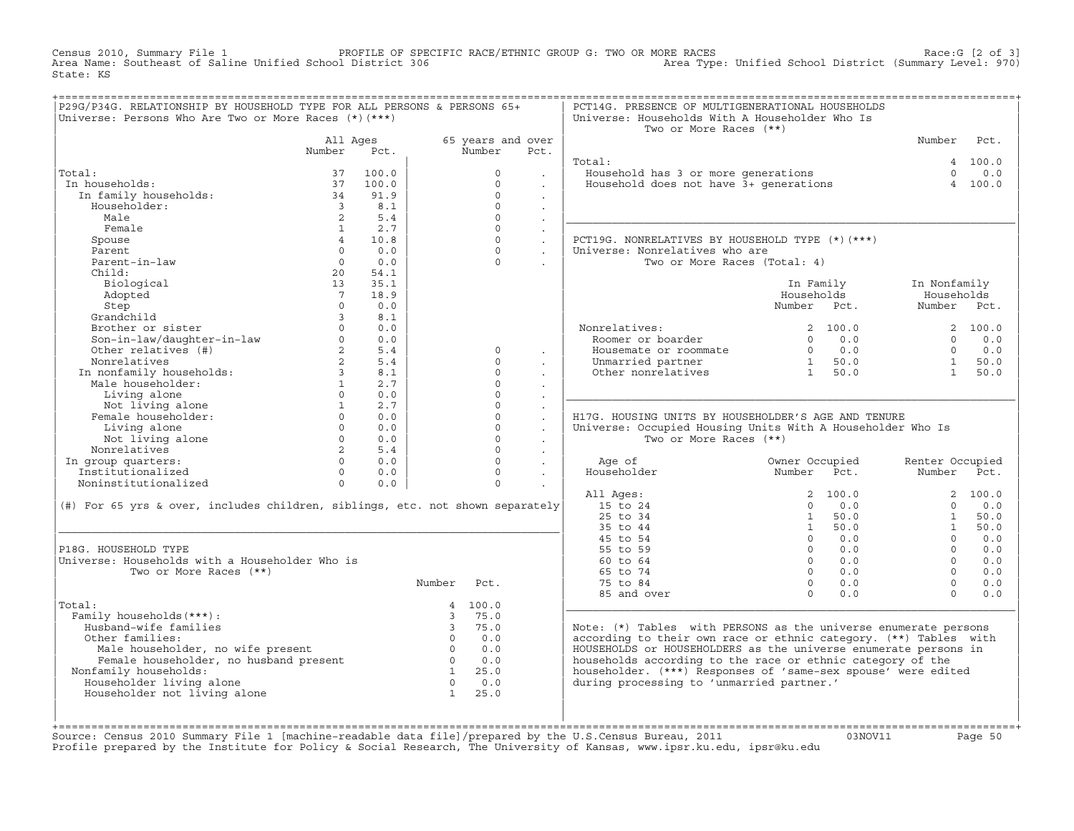Census 2010, Summary File 1 PROFILE OF SPECIFIC RACE/ETHNIC GROUP G: TWO OR MORE RACES Race:G [2 of 3] Area Name: Southeast of Saline Unified School District 306 Area Type: Unified School District (Summary Level: 970) State: KS

| P29G/P34G. RELATIONSHIP BY HOUSEHOLD TYPE FOR ALL PERSONS & PERSONS 65+                                                                                                                                                                                                                                                                                                                                                                                                                                                     |                 |                |                             |                     |                      | PCT14G. PRESENCE OF MULTIGENERATIONAL HOUSEHOLDS                                                                                                                                                 |                |                                         |                                                                                |                 |
|-----------------------------------------------------------------------------------------------------------------------------------------------------------------------------------------------------------------------------------------------------------------------------------------------------------------------------------------------------------------------------------------------------------------------------------------------------------------------------------------------------------------------------|-----------------|----------------|-----------------------------|---------------------|----------------------|--------------------------------------------------------------------------------------------------------------------------------------------------------------------------------------------------|----------------|-----------------------------------------|--------------------------------------------------------------------------------|-----------------|
| Universe: Persons Who Are Two or More Races $(*)$ $(***)$                                                                                                                                                                                                                                                                                                                                                                                                                                                                   |                 |                |                             |                     |                      | Universe: Households With A Householder Who Is<br>Two or More Races (**)                                                                                                                         |                |                                         |                                                                                |                 |
|                                                                                                                                                                                                                                                                                                                                                                                                                                                                                                                             | All Ages        |                |                             | 65 years and over   |                      |                                                                                                                                                                                                  |                |                                         | Number Pct.                                                                    |                 |
|                                                                                                                                                                                                                                                                                                                                                                                                                                                                                                                             | Number Pct.     |                |                             | Number              | Pct.                 |                                                                                                                                                                                                  |                |                                         |                                                                                |                 |
|                                                                                                                                                                                                                                                                                                                                                                                                                                                                                                                             |                 |                |                             |                     |                      | Total:                                                                                                                                                                                           |                |                                         |                                                                                | 4 100.0         |
| Total:                                                                                                                                                                                                                                                                                                                                                                                                                                                                                                                      | 37              | 100.0          |                             | $\circ$             | $\sim$               | <br>Household has 3 or more generations<br>Household does not have 3+ generations                                                                                                                |                |                                         |                                                                                | $\Omega$<br>0.0 |
| In households:                                                                                                                                                                                                                                                                                                                                                                                                                                                                                                              |                 | 37 100.0       |                             | $\Omega$            | $\ddot{\phantom{a}}$ |                                                                                                                                                                                                  |                |                                         |                                                                                | 4 100.0         |
| n households:<br>In family households: 34<br>34                                                                                                                                                                                                                                                                                                                                                                                                                                                                             |                 | 91.9           |                             | $\Omega$            | $\sim$               |                                                                                                                                                                                                  |                |                                         |                                                                                |                 |
| Householder:<br>Male                                                                                                                                                                                                                                                                                                                                                                                                                                                                                                        |                 | 3 8.1          |                             | $\circ$<br>$\Omega$ | $\ddot{\phantom{a}}$ |                                                                                                                                                                                                  |                |                                         |                                                                                |                 |
| Female                                                                                                                                                                                                                                                                                                                                                                                                                                                                                                                      |                 | 2 5.4<br>1 2.7 |                             | $\Omega$            | $\sim$               |                                                                                                                                                                                                  |                |                                         |                                                                                |                 |
| Spouse                                                                                                                                                                                                                                                                                                                                                                                                                                                                                                                      |                 | 4 10.8         |                             | $\Omega$            | $\sim$<br>$\sim$     | PCT19G. NONRELATIVES BY HOUSEHOLD TYPE (*) (***)                                                                                                                                                 |                |                                         |                                                                                |                 |
| Parent                                                                                                                                                                                                                                                                                                                                                                                                                                                                                                                      |                 | $0 \t 0.0$     |                             | $\Omega$            | $\sim$               | Universe: Nonrelatives who are                                                                                                                                                                   |                |                                         |                                                                                |                 |
| Parent-in-law                                                                                                                                                                                                                                                                                                                                                                                                                                                                                                               |                 | $0 \qquad 0.0$ |                             | $\Omega$            |                      | Two or More Races (Total: 4)                                                                                                                                                                     |                |                                         |                                                                                |                 |
| Child:                                                                                                                                                                                                                                                                                                                                                                                                                                                                                                                      |                 | 20 54.1        |                             |                     | $\sim$               |                                                                                                                                                                                                  |                |                                         |                                                                                |                 |
| Biological                                                                                                                                                                                                                                                                                                                                                                                                                                                                                                                  | 13              | 35.1           |                             |                     |                      |                                                                                                                                                                                                  |                | In Family                               | In Nonfamily                                                                   |                 |
| Adopted                                                                                                                                                                                                                                                                                                                                                                                                                                                                                                                     | $7\overline{ }$ | 18.9           |                             |                     |                      |                                                                                                                                                                                                  |                | Households                              | Households                                                                     |                 |
|                                                                                                                                                                                                                                                                                                                                                                                                                                                                                                                             | $\Omega$        | 0.0            |                             |                     |                      |                                                                                                                                                                                                  | Number Pct.    |                                         | Number Pct.                                                                    |                 |
| Adopteu<br>Step<br>Grandchild<br>Brother or sister<br>Son-in-law/daughter-in-law<br>Char relatives (#)                                                                                                                                                                                                                                                                                                                                                                                                                      |                 | 3 8.1          |                             |                     |                      |                                                                                                                                                                                                  |                |                                         |                                                                                |                 |
|                                                                                                                                                                                                                                                                                                                                                                                                                                                                                                                             |                 | $0 \qquad 0.0$ |                             |                     |                      |                                                                                                                                                                                                  |                | 2 100.0                                 |                                                                                | 2, 100.0        |
|                                                                                                                                                                                                                                                                                                                                                                                                                                                                                                                             |                 | $0 \t 0.0$     |                             |                     |                      | Nonrelatives:<br>Roomer or boarder<br>Roomer or boarder<br>Housemate or roommate $\begin{array}{cccc} 2 & 100.0 \\ 0 & 0.0 \\ 0 & 0.0 \\ 0 & 0.0 \\ 0 & 1 & 50.0 \\ 0 & 1 & 50.0 \\ \end{array}$ |                |                                         |                                                                                |                 |
|                                                                                                                                                                                                                                                                                                                                                                                                                                                                                                                             |                 | 2 5.4          |                             | $\Omega$            | $\sim$               |                                                                                                                                                                                                  |                |                                         | $\begin{array}{cc} 0 & 0.0 \\ 0 & 0.0 \\ 1 & 50.0 \\ 1 & \text{E} \end{array}$ |                 |
|                                                                                                                                                                                                                                                                                                                                                                                                                                                                                                                             |                 |                |                             | $\Omega$            | $\sim$               |                                                                                                                                                                                                  |                |                                         |                                                                                |                 |
|                                                                                                                                                                                                                                                                                                                                                                                                                                                                                                                             |                 |                |                             | $\Omega$            | $\ddot{\phantom{0}}$ |                                                                                                                                                                                                  |                |                                         |                                                                                |                 |
|                                                                                                                                                                                                                                                                                                                                                                                                                                                                                                                             |                 |                |                             | $\Omega$            | $\ddot{\phantom{a}}$ |                                                                                                                                                                                                  |                |                                         |                                                                                |                 |
| $\begin{tabular}{l c c} Nonrelatives & $\overset{\text{}}{2}$ & $\overset{\text{2}}{2}$ & $\overset{\text{5}}{5}$\,.4$ \\ In nonfamily households: & $\overset{\text{2}}{3}$ & $\overset{\text{5}}{3}$ & $\overset{\text{8}}{4}$\,.1 \\ \text{Male householder:} & $\overset{\text{1}}{1}$ & $\overset{\text{2.7}}{2}$ & $\overset{\text{5.4}}{1}$ \\ \text{Diving alone} & $\overset{\text{1}}{0}$ & $\overset{\text{0}}{0}$.0 \\ \text{Not living alone} & $\overset{\text{1}}{1}$ & $\overset{\text{2.7}}{2}$ & $\overs$ |                 |                |                             | $\Omega$            | $\sim$               |                                                                                                                                                                                                  |                |                                         |                                                                                |                 |
|                                                                                                                                                                                                                                                                                                                                                                                                                                                                                                                             |                 |                |                             | $\Omega$            | $\sim$               |                                                                                                                                                                                                  |                |                                         |                                                                                |                 |
|                                                                                                                                                                                                                                                                                                                                                                                                                                                                                                                             |                 |                |                             | $\Omega$            | $\sim$               | H17G. HOUSING UNITS BY HOUSEHOLDER'S AGE AND TENURE                                                                                                                                              |                |                                         |                                                                                |                 |
|                                                                                                                                                                                                                                                                                                                                                                                                                                                                                                                             |                 |                |                             | $\Omega$            | $\sim$               | Universe: Occupied Housing Units With A Householder Who Is                                                                                                                                       |                |                                         |                                                                                |                 |
|                                                                                                                                                                                                                                                                                                                                                                                                                                                                                                                             |                 |                |                             | $\circ$             | $\sim$               | Two or More Races (**)                                                                                                                                                                           |                |                                         |                                                                                |                 |
|                                                                                                                                                                                                                                                                                                                                                                                                                                                                                                                             |                 |                |                             | $\overline{0}$      | $\sim$               |                                                                                                                                                                                                  |                |                                         |                                                                                |                 |
|                                                                                                                                                                                                                                                                                                                                                                                                                                                                                                                             |                 |                |                             | $\Omega$            | $\sim$               | Age of                                                                                                                                                                                           | Owner Occupied |                                         | Renter Occupied                                                                |                 |
|                                                                                                                                                                                                                                                                                                                                                                                                                                                                                                                             |                 |                |                             | $\Omega$            | $\sim$               |                                                                                                                                                                                                  |                |                                         | Number Pct.                                                                    |                 |
|                                                                                                                                                                                                                                                                                                                                                                                                                                                                                                                             |                 |                |                             | $\Omega$            | $\sim$               |                                                                                                                                                                                                  |                |                                         |                                                                                |                 |
|                                                                                                                                                                                                                                                                                                                                                                                                                                                                                                                             |                 |                |                             |                     |                      | All Ages:                                                                                                                                                                                        |                | 2, 100.0                                |                                                                                | 2 100.0         |
| (#) For 65 yrs & over, includes children, siblings, etc. not shown separately                                                                                                                                                                                                                                                                                                                                                                                                                                               |                 |                |                             |                     |                      | 15 to 24                                                                                                                                                                                         | $\Omega$       | 0.0                                     | $\Omega$                                                                       | 0.0             |
|                                                                                                                                                                                                                                                                                                                                                                                                                                                                                                                             |                 |                |                             |                     |                      | $25$ to $34$                                                                                                                                                                                     |                | 1 50.0                                  | 1                                                                              | 50.0            |
|                                                                                                                                                                                                                                                                                                                                                                                                                                                                                                                             |                 |                |                             |                     |                      | 35 to 44                                                                                                                                                                                         | 1 50.0         |                                         | $\sim$                                                                         | 50.0            |
|                                                                                                                                                                                                                                                                                                                                                                                                                                                                                                                             |                 |                |                             |                     |                      | 45 to 54                                                                                                                                                                                         |                | $0 \qquad 0.0$                          | $\Omega$                                                                       | 0.0             |
| P18G. HOUSEHOLD TYPE                                                                                                                                                                                                                                                                                                                                                                                                                                                                                                        |                 |                |                             |                     |                      | 55 to 59                                                                                                                                                                                         |                | $0 \qquad 0.0$                          | $\Omega$                                                                       | 0.0             |
| Universe: Households with a Householder Who is                                                                                                                                                                                                                                                                                                                                                                                                                                                                              |                 |                |                             |                     |                      | 60 to 64                                                                                                                                                                                         |                | $0 \t 0.0$                              | $\Omega$<br>$\cap$                                                             | 0.0             |
| Two or More Races (**)                                                                                                                                                                                                                                                                                                                                                                                                                                                                                                      |                 |                |                             |                     |                      | 65 to 74                                                                                                                                                                                         |                | $0 \t 0.0$                              |                                                                                | 0.0             |
|                                                                                                                                                                                                                                                                                                                                                                                                                                                                                                                             |                 |                | Number Pct.                 |                     |                      | 75 to 84                                                                                                                                                                                         | $\overline{0}$ | $\begin{matrix} 0 & 0 & 0 \end{matrix}$ | $\Omega$                                                                       | 0.0             |
|                                                                                                                                                                                                                                                                                                                                                                                                                                                                                                                             |                 |                |                             |                     |                      | 85 and over                                                                                                                                                                                      |                | 0.0                                     | $\Omega$                                                                       | 0.0             |
| Total:<br>Family households (***) :                                                                                                                                                                                                                                                                                                                                                                                                                                                                                         |                 |                |                             | 4 100.0<br>3 75.0   |                      |                                                                                                                                                                                                  |                |                                         |                                                                                |                 |
| Husband-wife families                                                                                                                                                                                                                                                                                                                                                                                                                                                                                                       |                 |                |                             |                     |                      | Note: $(*)$ Tables with PERSONS as the universe enumerate persons                                                                                                                                |                |                                         |                                                                                |                 |
| Other families:                                                                                                                                                                                                                                                                                                                                                                                                                                                                                                             |                 |                | $\frac{3}{3}$ 75.0<br>0 0.0 |                     |                      | according to their own race or ethnic category. (**) Tables with                                                                                                                                 |                |                                         |                                                                                |                 |
| Cher families: 0 0.0<br>Male householder, no wife present 0 0 0.0<br>Female householder, no husband present 0 0 0.0                                                                                                                                                                                                                                                                                                                                                                                                         |                 |                |                             |                     |                      | HOUSEHOLDS or HOUSEHOLDERS as the universe enumerate persons in                                                                                                                                  |                |                                         |                                                                                |                 |
|                                                                                                                                                                                                                                                                                                                                                                                                                                                                                                                             |                 |                |                             |                     |                      | households according to the race or ethnic category of the                                                                                                                                       |                |                                         |                                                                                |                 |
| Nonfamily households:                                                                                                                                                                                                                                                                                                                                                                                                                                                                                                       |                 |                |                             | $1 \t 25.0$         |                      | householder. (***) Responses of 'same-sex spouse' were edited                                                                                                                                    |                |                                         |                                                                                |                 |
| Householder living alone                                                                                                                                                                                                                                                                                                                                                                                                                                                                                                    |                 |                |                             | $0 \qquad 0.0$      |                      | during processing to 'unmarried partner.'                                                                                                                                                        |                |                                         |                                                                                |                 |
| Householder not living alone                                                                                                                                                                                                                                                                                                                                                                                                                                                                                                |                 |                | $\sim$ 1                    | 25.0                |                      |                                                                                                                                                                                                  |                |                                         |                                                                                |                 |
|                                                                                                                                                                                                                                                                                                                                                                                                                                                                                                                             |                 |                |                             |                     |                      |                                                                                                                                                                                                  |                |                                         |                                                                                |                 |
|                                                                                                                                                                                                                                                                                                                                                                                                                                                                                                                             |                 |                |                             |                     |                      |                                                                                                                                                                                                  |                |                                         |                                                                                |                 |
|                                                                                                                                                                                                                                                                                                                                                                                                                                                                                                                             |                 |                |                             |                     |                      |                                                                                                                                                                                                  |                |                                         |                                                                                |                 |

+===================================================================================================================================================+Source: Census 2010 Summary File 1 [machine−readable data file]/prepared by the U.S.Census Bureau, 2011 03NOV11 Page 50 Profile prepared by the Institute for Policy & Social Research, The University of Kansas, www.ipsr.ku.edu, ipsr@ku.edu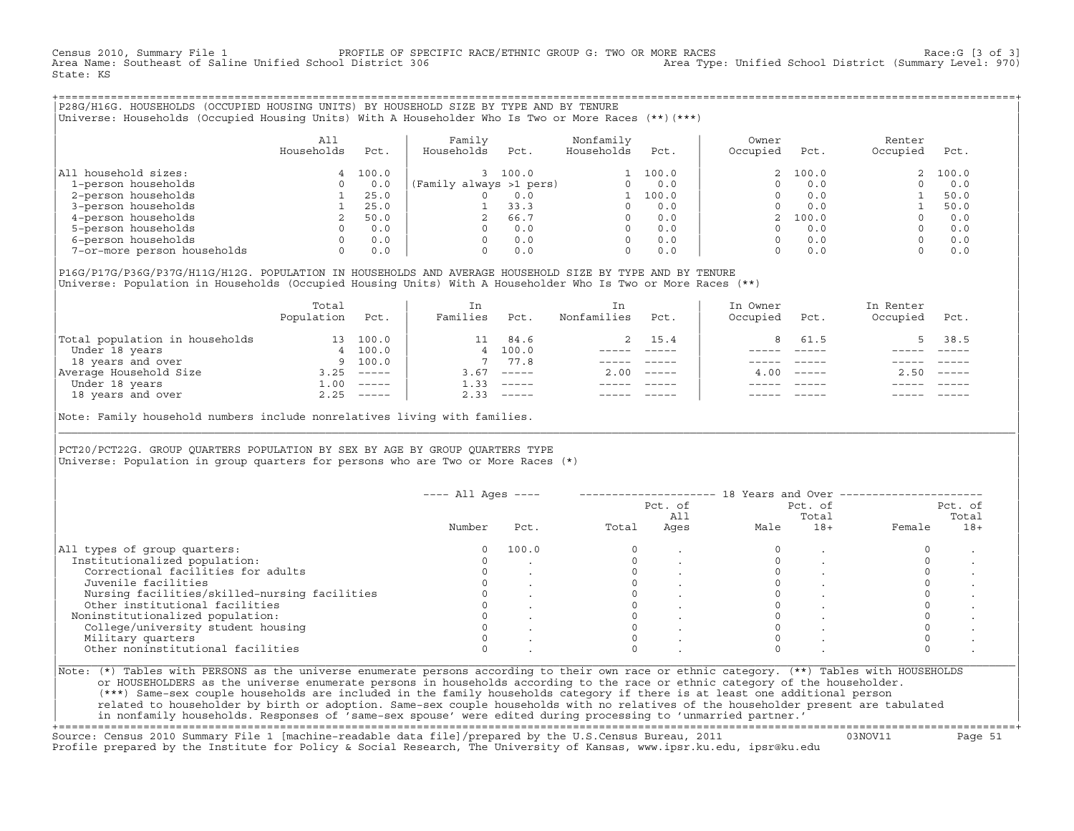Census 2010, Summary File 1 PROFILE OF SPECIFIC RACE/ETHNIC GROUP G: TWO OR MORE RACES Race:G [3 of 3] Area Type: Unified School District (Summary Level: 970) State: KS

+===================================================================================================================================================+|P28G/H16G. HOUSEHOLDS (OCCUPIED HOUSING UNITS) BY HOUSEHOLD SIZE BY TYPE AND BY TENURE | |Universe: Households (Occupied Housing Units) With A Householder Who Is Two or More Races (\*\*)(\*\*\*) |

|                             | All<br>Households | Pct.  | Family<br>Households    | Pct.  | Nonfamily<br>Households | Pct.  | Owner<br>Occupied | Pct.    | Renter<br>Occupied | Pct.  |  |
|-----------------------------|-------------------|-------|-------------------------|-------|-------------------------|-------|-------------------|---------|--------------------|-------|--|
| household sizes:<br>All     | 4                 | 100.0 |                         | 100.0 |                         | 100.0 |                   | 2 100.0 |                    | 100.0 |  |
| 1-person households         |                   | 0.0   | (Family always >1 pers) |       |                         | 0.0   |                   | 0.0     |                    | 0.0   |  |
| 2-person households         |                   | 25.0  |                         | 0.0   |                         | 100.0 |                   | 0.0     |                    | 50.0  |  |
| 3-person households         |                   | 25.0  |                         | 33.3  | $\Omega$                | 0.0   |                   | 0.0     |                    | 50.0  |  |
| 4-person households         |                   | 50.0  |                         | 66.7  | $\Omega$                | 0.0   |                   | 100.0   |                    | 0.0   |  |
| 5-person households         |                   | 0.0   |                         | 0.0   | $\Omega$                | 0.0   |                   | 0.0     |                    | 0.0   |  |
| 6-person households         |                   | 0.0   |                         | 0.0   | $\Omega$                | 0.0   |                   | 0.0     |                    | 0.0   |  |
| 7-or-more person households | $\Omega$          | 0.0   |                         | 0.0   | 0                       | 0.0   |                   | 0.0     |                    | 0.0   |  |

|P16G/P17G/P36G/P37G/H11G/H12G. POPULATION IN HOUSEHOLDS AND AVERAGE HOUSEHOLD SIZE BY TYPE AND BY TENURE | Universe: Population in Households (Occupied Housing Units) With A Householder Who Is Two or More Races (\*\*)

|                                | Total<br>Population | Pct.         | In<br>Families | Pct.     | In.<br>Nonfamilies | Pct.     | In Owner<br>Occupied | Pct.             | In Renter<br>Occupied | Pct.        |
|--------------------------------|---------------------|--------------|----------------|----------|--------------------|----------|----------------------|------------------|-----------------------|-------------|
| Total population in households | 13                  | 100.0        |                | 84.6     |                    | 2 15.4   |                      | 61.5             |                       | 38.5        |
| Under 18 years                 |                     | 4 100.0      |                | 4 100.0  |                    |          |                      |                  |                       |             |
| 18 years and over              |                     | 9 100.0      |                | 77.8     |                    |          |                      |                  |                       |             |
| Average Household Size         | 3.25                | $------$     | 3.67           | $------$ | 2.00               | $------$ |                      | $4.00 - - - - -$ | 2.50                  | $------$    |
| Under 18 years                 | 1.00                | $------$     | 1.33           | $------$ |                    |          |                      |                  |                       |             |
| 18 years and over              |                     | $2.25$ ----- | 2.33           |          |                    |          |                      | $- - - - -$      |                       | $- - - - -$ |
|                                |                     |              |                |          |                    |          |                      |                  |                       |             |

Note: Family household numbers include nonrelatives living with families.

| | PCT20/PCT22G. GROUP OUARTERS POPULATION BY SEX BY AGE BY GROUP OUARTERS TYPE Universe: Population in group quarters for persons who are Two or More Races (\*)

|                                               |        |       |       | Pct. of<br>All |      | Pct. of<br>Total |        | Pct. of<br>Total |
|-----------------------------------------------|--------|-------|-------|----------------|------|------------------|--------|------------------|
|                                               | Number | Pct.  | Total | Ages           | Male | $18+$            | Female | $18+$            |
| All types of group quarters:                  | 0      | 100.0 |       |                |      |                  |        |                  |
| Institutionalized population:                 |        |       |       |                |      |                  |        |                  |
| Correctional facilities for adults            |        |       |       |                |      |                  |        |                  |
| Juvenile facilities                           |        |       |       |                |      |                  |        |                  |
| Nursing facilities/skilled-nursing facilities |        |       |       |                |      |                  |        |                  |
| Other institutional facilities                |        |       |       |                |      |                  |        |                  |
| Noninstitutionalized population:              |        |       |       |                |      |                  |        |                  |
| College/university student housing            |        |       |       |                |      |                  |        |                  |
| Military quarters                             |        |       |       |                |      |                  |        |                  |
| Other noninstitutional facilities             |        |       |       |                |      |                  |        |                  |

|\_\_\_\_\_\_\_\_\_\_\_\_\_\_\_\_\_\_\_\_\_\_\_\_\_\_\_\_\_\_\_\_\_\_\_\_\_\_\_\_\_\_\_\_\_\_\_\_\_\_\_\_\_\_\_\_\_\_\_\_\_\_\_\_\_\_\_\_\_\_\_\_\_\_\_\_\_\_\_\_\_\_\_\_\_\_\_\_\_\_\_\_\_\_\_\_\_\_\_\_\_\_\_\_\_\_\_\_\_\_\_\_\_\_\_\_\_\_\_\_\_\_\_\_\_\_\_\_\_\_\_\_\_\_\_\_\_\_\_\_\_\_\_\_\_\_\_|

| |

or HOUSEHOLDERS as the universe enumerate persons in households according to the race or ethnic category of the householder. | (\*\*\*) Same−sex couple households are included in the family households category if there is at least one additional person | | related to householder by birth or adoption. Same−sex couple households with no relatives of the householder present are tabulated | | in nonfamily households. Responses of 'same−sex spouse' were edited during processing to 'unmarried partner.' |

+===================================================================================================================================================+ Source: Census 2010 Summary File 1 [machine−readable data file]/prepared by the U.S.Census Bureau, 2011 03NOV11 Page 51 Profile prepared by the Institute for Policy & Social Research, The University of Kansas, www.ipsr.ku.edu, ipsr@ku.edu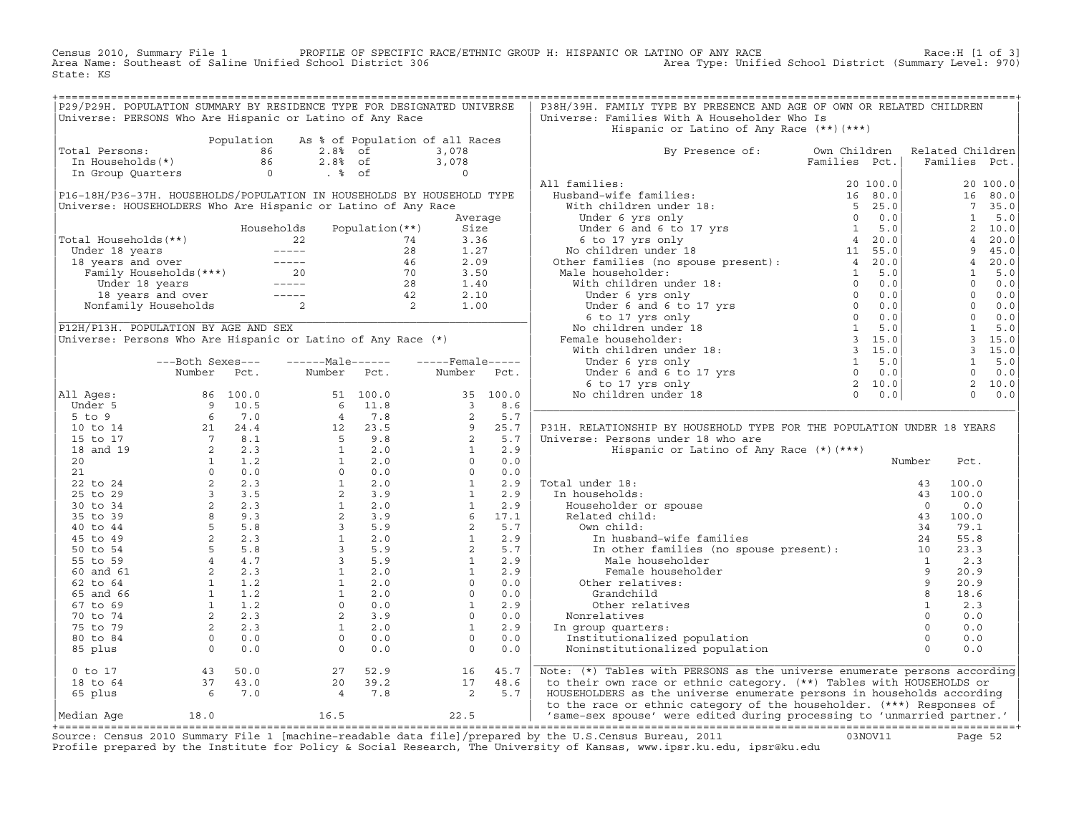Census 2010, Summary File 1 PROFILE OF SPECIFIC RACE/ETHNIC GROUP H: HISPANIC OR LATINO OF ANY RACE<br>Area Name: Southeast of Saline Unified School District 306 Area Type: Unified Sch State: KS

| P29/P29H. POPULATION SUMMARY BY RESIDENCE TYPE FOR DESIGNATED UNIVERSE |                                                 |                                                                                                                                                                                                                                                                                                                                                           |         |             | P38H/39H. FAMILY TYPE BY PRESENCE AND AGE OF OWN OR RELATED CHILDREN                                                                                                                                                                                                                                                                                                                                                                                                                                            |        |                        |  |
|------------------------------------------------------------------------|-------------------------------------------------|-----------------------------------------------------------------------------------------------------------------------------------------------------------------------------------------------------------------------------------------------------------------------------------------------------------------------------------------------------------|---------|-------------|-----------------------------------------------------------------------------------------------------------------------------------------------------------------------------------------------------------------------------------------------------------------------------------------------------------------------------------------------------------------------------------------------------------------------------------------------------------------------------------------------------------------|--------|------------------------|--|
| Universe: PERSONS Who Are Hispanic or Latino of Any Race               |                                                 |                                                                                                                                                                                                                                                                                                                                                           |         |             | Universe: Families With A Householder Who Is                                                                                                                                                                                                                                                                                                                                                                                                                                                                    |        |                        |  |
|                                                                        |                                                 |                                                                                                                                                                                                                                                                                                                                                           |         |             | Hispanic or Latino of Any Race (**) (***)                                                                                                                                                                                                                                                                                                                                                                                                                                                                       |        |                        |  |
|                                                                        |                                                 | Population As % of Population of all Races                                                                                                                                                                                                                                                                                                                |         |             |                                                                                                                                                                                                                                                                                                                                                                                                                                                                                                                 |        |                        |  |
| Total Persons:                                                         |                                                 | 01 Dersons:<br>1997 - The Mouseholds (*)<br>1997 - The Contract of Contract of Contract of Contract of Contract of Contract of Contract of Contract of Contract of Contract of Contract of Contract of Contract of Contract of Con                                                                                                                        |         |             | By Presence of: Own Children                                                                                                                                                                                                                                                                                                                                                                                                                                                                                    |        | Related Children       |  |
|                                                                        |                                                 |                                                                                                                                                                                                                                                                                                                                                           |         |             |                                                                                                                                                                                                                                                                                                                                                                                                                                                                                                                 |        |                        |  |
|                                                                        |                                                 |                                                                                                                                                                                                                                                                                                                                                           |         |             | $\begin{tabular}{l c c c} \multicolumn{1}{c}{\textbf{B}} & \multicolumn{1}{c}{\textbf{B}} & \multicolumn{1}{c}{\textbf{B}} & \multicolumn{1}{c}{\textbf{B}} & \multicolumn{1}{c}{\textbf{B}} & \multicolumn{1}{c}{\textbf{B}} & \multicolumn{1}{c}{\textbf{B}} & \multicolumn{1}{c}{\textbf{B}} & \multicolumn{1}{c}{\textbf{B}} & \multicolumn{1}{c}{\textbf{B}} & \multicolumn{1}{c}{\textbf{B}} & \multicolumn{1}{c}{\textbf{B}} & \multicolumn{1}{c}{\textbf{B$                                             |        |                        |  |
|                                                                        |                                                 |                                                                                                                                                                                                                                                                                                                                                           |         |             |                                                                                                                                                                                                                                                                                                                                                                                                                                                                                                                 |        |                        |  |
| P16-18H/P36-37H. HOUSEHOLDS/POPULATION IN HOUSEHOLDS BY HOUSEHOLD TYPE |                                                 |                                                                                                                                                                                                                                                                                                                                                           |         |             |                                                                                                                                                                                                                                                                                                                                                                                                                                                                                                                 |        |                        |  |
| Universe: HOUSEHOLDERS Who Are Hispanic or Latino of Any Race          |                                                 |                                                                                                                                                                                                                                                                                                                                                           |         |             |                                                                                                                                                                                                                                                                                                                                                                                                                                                                                                                 |        |                        |  |
|                                                                        |                                                 |                                                                                                                                                                                                                                                                                                                                                           | Average |             |                                                                                                                                                                                                                                                                                                                                                                                                                                                                                                                 |        |                        |  |
|                                                                        |                                                 | Households Population (**)                                                                                                                                                                                                                                                                                                                                | Size    |             |                                                                                                                                                                                                                                                                                                                                                                                                                                                                                                                 |        |                        |  |
| Total Households(**)                                                   |                                                 |                                                                                                                                                                                                                                                                                                                                                           |         |             |                                                                                                                                                                                                                                                                                                                                                                                                                                                                                                                 |        |                        |  |
|                                                                        |                                                 |                                                                                                                                                                                                                                                                                                                                                           |         |             |                                                                                                                                                                                                                                                                                                                                                                                                                                                                                                                 |        |                        |  |
|                                                                        |                                                 |                                                                                                                                                                                                                                                                                                                                                           |         |             |                                                                                                                                                                                                                                                                                                                                                                                                                                                                                                                 |        |                        |  |
|                                                                        |                                                 | Valid Households (**)<br>Under 18 years<br>18 years and over<br>18 years and over<br>18 years and over<br>18 years and over<br>18 years and over<br>18 years and over<br>18 years and over<br>18 years and over<br>18 years and over<br>18 years and                                                                                                      |         |             |                                                                                                                                                                                                                                                                                                                                                                                                                                                                                                                 |        |                        |  |
|                                                                        |                                                 |                                                                                                                                                                                                                                                                                                                                                           |         |             |                                                                                                                                                                                                                                                                                                                                                                                                                                                                                                                 |        |                        |  |
|                                                                        |                                                 |                                                                                                                                                                                                                                                                                                                                                           |         |             |                                                                                                                                                                                                                                                                                                                                                                                                                                                                                                                 |        |                        |  |
|                                                                        |                                                 |                                                                                                                                                                                                                                                                                                                                                           |         |             |                                                                                                                                                                                                                                                                                                                                                                                                                                                                                                                 |        |                        |  |
| P12H/P13H. POPULATION BY AGE AND SEX                                   |                                                 |                                                                                                                                                                                                                                                                                                                                                           |         |             |                                                                                                                                                                                                                                                                                                                                                                                                                                                                                                                 |        |                        |  |
| Universe: Persons Who Are Hispanic or Latino of Any Race (*)           |                                                 |                                                                                                                                                                                                                                                                                                                                                           |         |             |                                                                                                                                                                                                                                                                                                                                                                                                                                                                                                                 |        |                        |  |
|                                                                        |                                                 |                                                                                                                                                                                                                                                                                                                                                           |         |             |                                                                                                                                                                                                                                                                                                                                                                                                                                                                                                                 |        |                        |  |
|                                                                        | ---Both Sexes---                                |                                                                                                                                                                                                                                                                                                                                                           |         |             |                                                                                                                                                                                                                                                                                                                                                                                                                                                                                                                 |        |                        |  |
|                                                                        | Number Pct.                                     | Number Pct.                                                                                                                                                                                                                                                                                                                                               |         | Number Pct. |                                                                                                                                                                                                                                                                                                                                                                                                                                                                                                                 |        |                        |  |
|                                                                        |                                                 |                                                                                                                                                                                                                                                                                                                                                           |         |             |                                                                                                                                                                                                                                                                                                                                                                                                                                                                                                                 |        |                        |  |
| All Ages:                                                              |                                                 |                                                                                                                                                                                                                                                                                                                                                           |         |             |                                                                                                                                                                                                                                                                                                                                                                                                                                                                                                                 |        |                        |  |
|                                                                        |                                                 |                                                                                                                                                                                                                                                                                                                                                           |         |             |                                                                                                                                                                                                                                                                                                                                                                                                                                                                                                                 |        |                        |  |
|                                                                        |                                                 |                                                                                                                                                                                                                                                                                                                                                           |         |             |                                                                                                                                                                                                                                                                                                                                                                                                                                                                                                                 |        |                        |  |
|                                                                        |                                                 |                                                                                                                                                                                                                                                                                                                                                           |         |             | P31H. RELATIONSHIP BY HOUSEHOLD TYPE FOR THE POPULATION UNDER 18 YEARS                                                                                                                                                                                                                                                                                                                                                                                                                                          |        |                        |  |
|                                                                        |                                                 |                                                                                                                                                                                                                                                                                                                                                           |         |             | Universe: Persons under 18 who are                                                                                                                                                                                                                                                                                                                                                                                                                                                                              |        |                        |  |
|                                                                        |                                                 |                                                                                                                                                                                                                                                                                                                                                           |         |             | Hispanic or Latino of Any Race (*) (***)                                                                                                                                                                                                                                                                                                                                                                                                                                                                        |        |                        |  |
|                                                                        |                                                 |                                                                                                                                                                                                                                                                                                                                                           |         |             |                                                                                                                                                                                                                                                                                                                                                                                                                                                                                                                 | Number | Pct.                   |  |
|                                                                        |                                                 |                                                                                                                                                                                                                                                                                                                                                           |         |             |                                                                                                                                                                                                                                                                                                                                                                                                                                                                                                                 |        |                        |  |
|                                                                        |                                                 |                                                                                                                                                                                                                                                                                                                                                           |         |             | Total under 18:                                                                                                                                                                                                                                                                                                                                                                                                                                                                                                 |        | 100.0                  |  |
|                                                                        |                                                 |                                                                                                                                                                                                                                                                                                                                                           |         |             | In households:                                                                                                                                                                                                                                                                                                                                                                                                                                                                                                  |        | 100.0                  |  |
|                                                                        |                                                 |                                                                                                                                                                                                                                                                                                                                                           |         |             |                                                                                                                                                                                                                                                                                                                                                                                                                                                                                                                 |        | 0.0                    |  |
|                                                                        |                                                 |                                                                                                                                                                                                                                                                                                                                                           |         |             |                                                                                                                                                                                                                                                                                                                                                                                                                                                                                                                 |        | 100.0                  |  |
|                                                                        |                                                 |                                                                                                                                                                                                                                                                                                                                                           |         |             | Own child:                                                                                                                                                                                                                                                                                                                                                                                                                                                                                                      |        | 79.1                   |  |
|                                                                        |                                                 |                                                                                                                                                                                                                                                                                                                                                           |         |             |                                                                                                                                                                                                                                                                                                                                                                                                                                                                                                                 |        | 55.8                   |  |
|                                                                        |                                                 |                                                                                                                                                                                                                                                                                                                                                           |         |             |                                                                                                                                                                                                                                                                                                                                                                                                                                                                                                                 |        | 23.3<br>$1 \t 2.3$     |  |
|                                                                        |                                                 |                                                                                                                                                                                                                                                                                                                                                           |         |             | UWN CHILLO:<br>In other families (<br>In other families (<br>Male householder<br>Female householde<br>Other relatives:<br>The statives:<br>Female householder                                                                                                                                                                                                                                                                                                                                                   |        | $\overline{9}$<br>20.9 |  |
|                                                                        |                                                 |                                                                                                                                                                                                                                                                                                                                                           |         |             |                                                                                                                                                                                                                                                                                                                                                                                                                                                                                                                 |        | 9<br>20.9              |  |
|                                                                        |                                                 |                                                                                                                                                                                                                                                                                                                                                           |         |             | Grandchild                                                                                                                                                                                                                                                                                                                                                                                                                                                                                                      |        | 18.6                   |  |
|                                                                        |                                                 |                                                                                                                                                                                                                                                                                                                                                           |         |             | Other relatives                                                                                                                                                                                                                                                                                                                                                                                                                                                                                                 |        | 2.3                    |  |
|                                                                        |                                                 |                                                                                                                                                                                                                                                                                                                                                           |         |             | Nonrelatives                                                                                                                                                                                                                                                                                                                                                                                                                                                                                                    |        | 0.0                    |  |
|                                                                        |                                                 |                                                                                                                                                                                                                                                                                                                                                           |         |             | In group quarters:                                                                                                                                                                                                                                                                                                                                                                                                                                                                                              |        | $\overline{0}$<br>0.0  |  |
|                                                                        |                                                 | All Ages:<br>$\begin{array}{cccccccc} \text{Number} & \text{Pct.} & \text{Number} & \text{Pct.} \\ \text{Under 5} & 6 & 100.0 & 51 & 100.0 & 35 & 100.0 \\ \text{Under 5} & 9 & 10.5 & 6 & 11.8 & 3 & 8.6 \\ \text{5 to 9} & 6 & 7.0 & 4 & 7 & 8 & 2 & 5.7 \\ \text{15 to 17} & 2 & 24.4 & 12 & 23.5 & 9 & 25.7 \\ \text{15 to 17} & 7 & 8.1 & 5 & 9.8 &$ |         |             | $\begin{array}{c}\n 1 \\  0 \\  \hline\n 0 \\  0 \\  \hline\n 0 \\  1 \\  \hline\n 0 \\  0 \\  \hline\n 0 \\  0 \\  \hline\n 0 \\  0 \\  \hline\n 0 \\  0 \\  \hline\n 0 \\  0 \\  \hline\n 0 \\  0 \\  \hline\n 0 \\  0 \\  \hline\n 0 \\  0 \\  \hline\n 0 \\  0 \\  \hline\n 0 \\  0 \\  \hline\n 0 \\  0 \\  \hline\n 0 \\  0 \\  \hline\n 0 \\  0 \\  \hline\n 0 \\  0 \\  \hline\n 0 \\  0 \\  \hline\n 0 \\  0 \\  \hline\n 0 \\  0 \\  \hline\n 0 \\  0 \\  \hline\n 0$<br>Institutionalized population |        | 0.0                    |  |
|                                                                        |                                                 |                                                                                                                                                                                                                                                                                                                                                           |         |             | Noninstitutionalized population                                                                                                                                                                                                                                                                                                                                                                                                                                                                                 |        | 0.0                    |  |
|                                                                        |                                                 |                                                                                                                                                                                                                                                                                                                                                           |         |             |                                                                                                                                                                                                                                                                                                                                                                                                                                                                                                                 |        |                        |  |
|                                                                        |                                                 |                                                                                                                                                                                                                                                                                                                                                           |         |             | Note: (*) Tables with PERSONS as the universe enumerate persons according                                                                                                                                                                                                                                                                                                                                                                                                                                       |        |                        |  |
|                                                                        | 0 to 17<br>18 to 64<br>65 plus<br>6<br>6<br>7.0 | $\begin{array}{cccc} 27 & 52.9 & & 16 & 45.7 \\ 20 & 39.2 & & 17 & 48.6 \\ 4 & 7.8 & & 2 & 5.7 \end{array}$                                                                                                                                                                                                                                               |         |             | to their own race or ethnic category. (**) Tables with HOUSEHOLDS or                                                                                                                                                                                                                                                                                                                                                                                                                                            |        |                        |  |
|                                                                        |                                                 |                                                                                                                                                                                                                                                                                                                                                           |         |             | HOUSEHOLDERS as the universe enumerate persons in households according                                                                                                                                                                                                                                                                                                                                                                                                                                          |        |                        |  |
|                                                                        |                                                 |                                                                                                                                                                                                                                                                                                                                                           |         |             | to the race or ethnic category of the householder. (***) Responses of                                                                                                                                                                                                                                                                                                                                                                                                                                           |        |                        |  |
| Median Aqe                                                             |                                                 | 18.0 16.5 22.5                                                                                                                                                                                                                                                                                                                                            |         |             | 'same-sex spouse' were edited during processing to 'unmarried partner.'                                                                                                                                                                                                                                                                                                                                                                                                                                         |        |                        |  |
|                                                                        |                                                 |                                                                                                                                                                                                                                                                                                                                                           |         |             |                                                                                                                                                                                                                                                                                                                                                                                                                                                                                                                 |        |                        |  |

+===================================================================================================================================================+Source: Census 2010 Summary File 1 [machine−readable data file]/prepared by the U.S.Census Bureau, 2011 03NOV11 Page 52 Profile prepared by the Institute for Policy & Social Research, The University of Kansas, www.ipsr.ku.edu, ipsr@ku.edu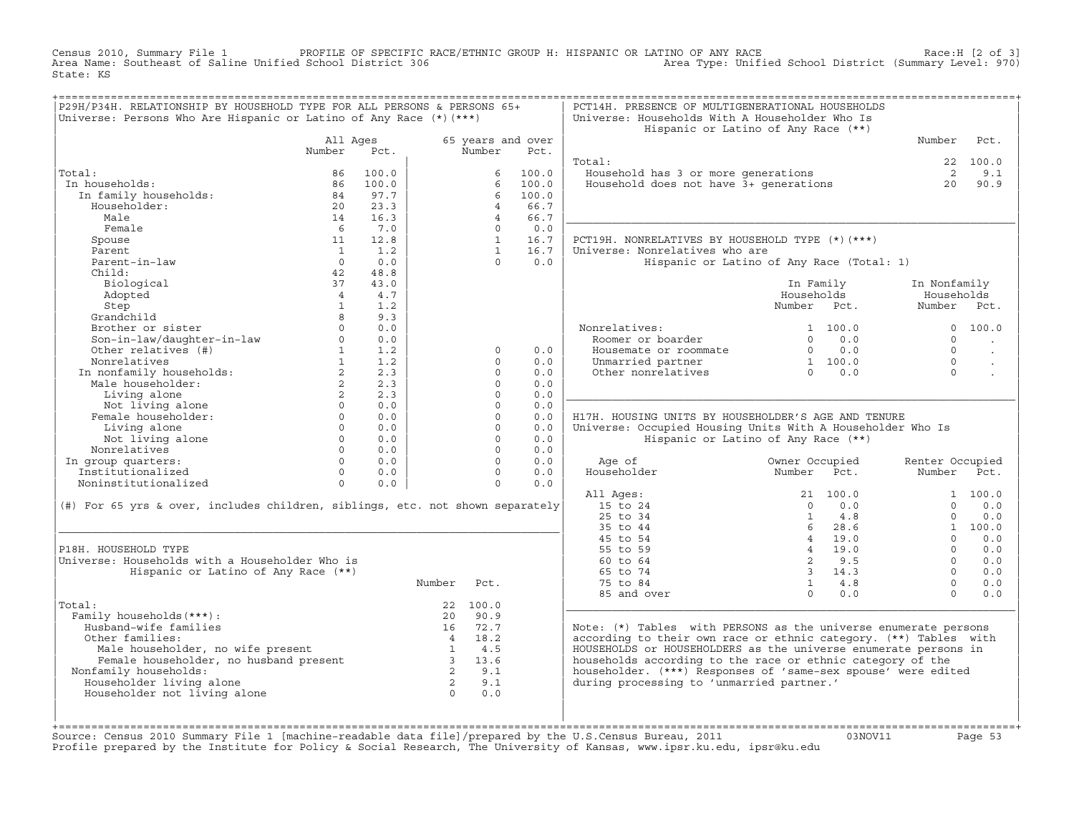Census 2010, Summary File 1 PROFILE OF SPECIFIC RACE/ETHNIC GROUP H: HISPANIC OR LATINO OF ANY RACE<br>Area Name: Southeast of Saline Unified School District 306 Area Type: Unified S State: KS

| P29H/P34H. RELATIONSHIP BY HOUSEHOLD TYPE FOR ALL PERSONS & PERSONS 65+                  |                        |                 |                         |                |                   | PCT14H. PRESENCE OF MULTIGENERATIONAL HOUSEHOLDS                 |                                           |                 |                      |
|------------------------------------------------------------------------------------------|------------------------|-----------------|-------------------------|----------------|-------------------|------------------------------------------------------------------|-------------------------------------------|-----------------|----------------------|
| Universe: Persons Who Are Hispanic or Latino of Any Race $(*)$ $(***)$                   |                        |                 |                         |                |                   | Universe: Households With A Householder Who Is                   |                                           |                 |                      |
|                                                                                          |                        |                 |                         |                |                   |                                                                  | Hispanic or Latino of Any Race (**)       |                 |                      |
|                                                                                          |                        | All Ages        |                         |                | 65 years and over |                                                                  |                                           | Number          | Pct.                 |
|                                                                                          | Number                 | Pct.            |                         | Number         | Pct.              |                                                                  |                                           |                 |                      |
|                                                                                          |                        |                 |                         |                |                   | Total:                                                           |                                           |                 | 22 100.0             |
| Total:                                                                                   | 86                     | 100.0           |                         | 6              | 100.0             | Household has 3 or more generations                              |                                           | $\overline{2}$  | 9.1                  |
| In households:                                                                           | 86                     | 100.0           |                         | 6              | 100.0             | Household does not have 3+ generations                           |                                           | 20              | 90.9                 |
| In family households:                                                                    | 84                     | 97.7            |                         | 6              | 100.0             |                                                                  |                                           |                 |                      |
| Householder:                                                                             | 20                     | 23.3            |                         | $\overline{4}$ | 66.7              |                                                                  |                                           |                 |                      |
| Male                                                                                     | 14                     | 16.3            |                         | $\overline{4}$ | 66.7              |                                                                  |                                           |                 |                      |
| Female                                                                                   | - 6                    | 7.0             |                         | $\Omega$       | 0.0               |                                                                  |                                           |                 |                      |
| Spouse                                                                                   | 11                     | 12.8            |                         | 1              | 16.7              | PCT19H. NONRELATIVES BY HOUSEHOLD TYPE (*) (***)                 |                                           |                 |                      |
| Parent                                                                                   | $\sim$ 1               | 1.2             |                         | $\overline{1}$ | 16.7              | Universe: Nonrelatives who are                                   |                                           |                 |                      |
| Parent-in-law                                                                            | $\Omega$               | 0.0             |                         | $\Omega$       | 0.0               |                                                                  |                                           |                 |                      |
| Child:                                                                                   |                        | 48.8            |                         |                |                   |                                                                  | Hispanic or Latino of Any Race (Total: 1) |                 |                      |
|                                                                                          | 42                     |                 |                         |                |                   |                                                                  |                                           |                 |                      |
| Biological                                                                               | 37                     | 43.0            |                         |                |                   |                                                                  | In Family                                 | In Nonfamily    |                      |
| Adopted                                                                                  | $\overline{4}$         | 4.7             |                         |                |                   |                                                                  | Households                                | Households      |                      |
| Step                                                                                     | 1                      | 1.2             |                         |                |                   |                                                                  | Number Pct.                               | Number Pct.     |                      |
| Grandchild                                                                               | 8                      | 9.3             |                         |                |                   |                                                                  |                                           |                 |                      |
| Brother or sister                                                                        | $\Omega$               | 0.0             |                         |                |                   | Nonrelatives:                                                    | 1 100.0                                   |                 | 0 100.0              |
| Son-in-law/daughter-in-law                                                               | $\Omega$               | 0.0             |                         |                |                   | Roomer or boarder                                                | $\Omega$<br>0.0                           | $\Omega$        |                      |
| Other relatives (#)                                                                      | $1 \quad \blacksquare$ | 1.2             |                         | $\mathbf 0$    | 0.0               | Housemate or roommate                                            | $0 \qquad 0.0$                            | $\Omega$        | $\ddot{\phantom{a}}$ |
| Nonrelatives                                                                             | 1                      | 1.2             |                         | $\Omega$       | 0.0               | Unmarried partner                                                | 1 100.0                                   | $\Omega$        |                      |
| NONIFERRIVE<br>In nonfamily households:                                                  | $\overline{2}$         | 2.3             |                         | $\Omega$       | 0.0               | Other nonrelatives                                               | $0 \t 0.0$                                | $\Omega$        |                      |
| Male householder:                                                                        | $2^{\circ}$            | 2.3             |                         | $\Omega$       | 0.0               |                                                                  |                                           |                 |                      |
| Living alone                                                                             | 2                      | 2.3             |                         | $\Omega$       | 0.0               |                                                                  |                                           |                 |                      |
| Not living alone                                                                         | $\Omega$               | 0.0             |                         | $\Omega$       | 0.0               |                                                                  |                                           |                 |                      |
| Female householder:                                                                      | $\Omega$               | 0.0             |                         | $\Omega$       | 0.0               | H17H. HOUSING UNITS BY HOUSEHOLDER'S AGE AND TENURE              |                                           |                 |                      |
| Living alone                                                                             |                        | $\Omega$<br>0.0 |                         | $\Omega$       | 0.0               | Universe: Occupied Housing Units With A Householder Who Is       |                                           |                 |                      |
|                                                                                          |                        |                 |                         |                |                   |                                                                  |                                           |                 |                      |
| Not living alone                                                                         | $\Omega$               | 0.0             |                         | $\Omega$       | 0.0               |                                                                  | Hispanic or Latino of Any Race (**)       |                 |                      |
| Nonrelatives                                                                             | $\Omega$               | 0.0             |                         | $\Omega$       | 0.0               |                                                                  |                                           |                 |                      |
| In group quarters:                                                                       | $\Omega$               | 0.0             |                         | $\Omega$       | 0.0               | Age of                                                           | Owner Occupied                            | Renter Occupied |                      |
| Institutionalized                                                                        | $\Omega$               | 0.0             |                         | $\Omega$       | 0.0               | Householder                                                      | Number<br>Pct.                            | Number          | Pct.                 |
| Noninstitutionalized                                                                     | $\Omega$               | 0.0             |                         | $\Omega$       | 0.0               |                                                                  |                                           |                 |                      |
|                                                                                          |                        |                 |                         |                |                   | All Ages:                                                        | 21 100.0                                  |                 | 1 100.0              |
| (#) For 65 yrs & over, includes children, siblings, etc. not shown separately            |                        |                 |                         |                |                   | 15 to 24                                                         | 0.0<br>$\Omega$                           | $\Omega$        | 0.0                  |
|                                                                                          |                        |                 |                         |                |                   | 25 to 34                                                         | <sup>1</sup><br>4.8                       | $\Omega$        | 0.0                  |
|                                                                                          |                        |                 |                         |                |                   | 35 to 44                                                         | 28.6<br>6                                 |                 | 1 100.0              |
|                                                                                          |                        |                 |                         |                |                   | 45 to 54                                                         | 4 19.0                                    | $\Omega$        | 0.0                  |
| P18H. HOUSEHOLD TYPE                                                                     |                        |                 |                         |                |                   | 55 to 59                                                         | 4 19.0                                    | $\Omega$        | 0.0                  |
|                                                                                          |                        |                 |                         |                |                   | 60 to 64                                                         | $\overline{2}$<br>9.5                     | $\cap$          | 0.0                  |
| Universe: Households with a Householder Who is                                           |                        |                 |                         |                |                   | 65 to 74                                                         |                                           | $\Omega$        | 0.0                  |
| Hispanic or Latino of Any Race (**)                                                      |                        |                 |                         |                |                   |                                                                  | 3, 14.3                                   | $\Omega$        |                      |
|                                                                                          |                        |                 | Number                  | Pct.           |                   | 75 to 84                                                         | $1 \t 4.8$<br>$\Omega$                    | $\Omega$        | 0.0                  |
|                                                                                          |                        |                 |                         |                |                   | 85 and over                                                      | 0.0                                       |                 | 0.0                  |
| Total:                                                                                   |                        |                 |                         | 22 100.0       |                   |                                                                  |                                           |                 |                      |
| Family households (***) :                                                                |                        |                 |                         | 20 90.9        |                   |                                                                  |                                           |                 |                      |
| Husband-wife families                                                                    |                        |                 |                         | 16 72.7        |                   | Note: (*) Tables with PERSONS as the universe enumerate persons  |                                           |                 |                      |
| Other families:                                                                          |                        |                 |                         | 4 18.2         |                   | according to their own race or ethnic category. (**) Tables with |                                           |                 |                      |
|                                                                                          |                        |                 |                         |                |                   | HOUSEHOLDS or HOUSEHOLDERS as the universe enumerate persons in  |                                           |                 |                      |
| Male householder, no wife present 1 4.5<br>Female householder, no husband present 3 13.6 |                        |                 |                         |                |                   | households according to the race or ethnic category of the       |                                           |                 |                      |
| Nonfamily households:                                                                    |                        |                 |                         | 2 9.1          |                   | householder. (***) Responses of 'same-sex spouse' were edited    |                                           |                 |                      |
| Householder living alone                                                                 |                        |                 | $\overline{\mathbf{c}}$ | 9.1            |                   | during processing to 'unmarried partner.'                        |                                           |                 |                      |
| Householder not living alone                                                             |                        |                 | $\overline{0}$          | 0.0            |                   |                                                                  |                                           |                 |                      |
|                                                                                          |                        |                 |                         |                |                   |                                                                  |                                           |                 |                      |

+===================================================================================================================================================+Source: Census 2010 Summary File 1 [machine−readable data file]/prepared by the U.S.Census Bureau, 2011 03NOV11 Page 53 Profile prepared by the Institute for Policy & Social Research, The University of Kansas, www.ipsr.ku.edu, ipsr@ku.edu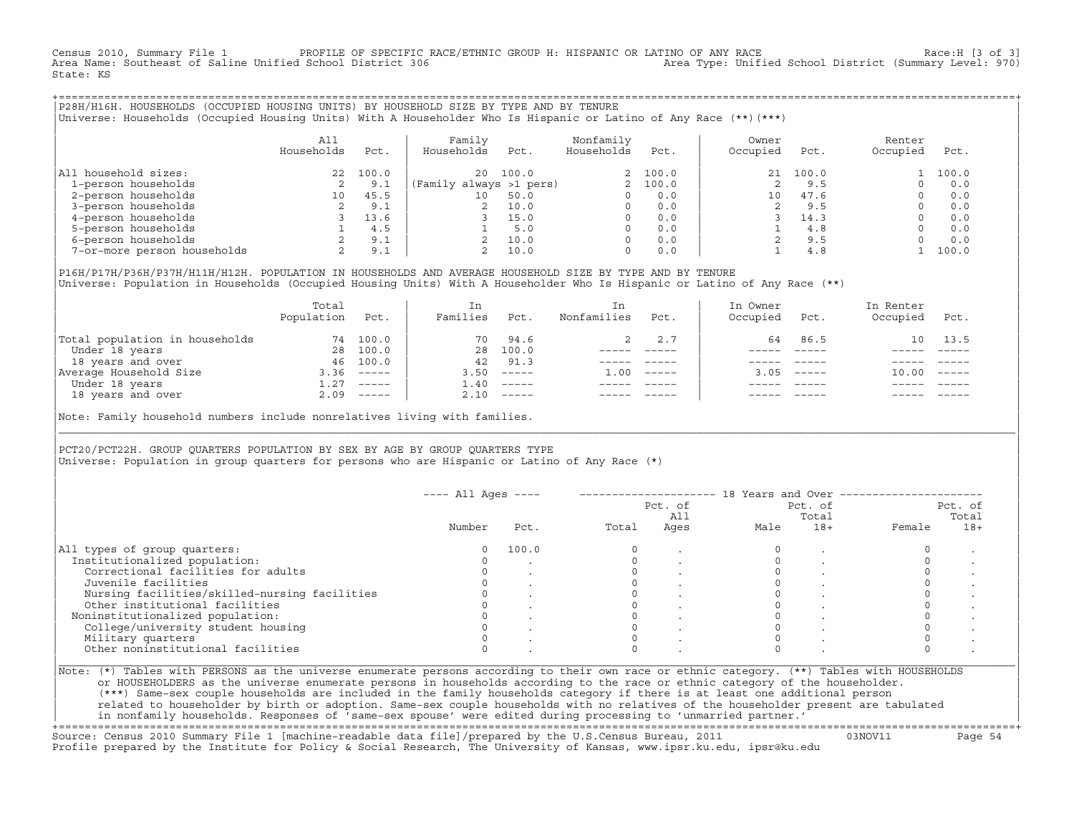Census 2010, Summary File 1 PROFILE OF SPECIFIC RACE/ETHNIC GROUP H: HISPANIC OR LATINO OF ANY RACE Race:H [3 of 3]<br>Area Name: Southeast of Saline Unified School District 306 area Type: Unified School District (Summary Lev Area Type: Unified School District (Summary Level: 970) State: KS

+===================================================================================================================================================+|P28H/H16H. HOUSEHOLDS (OCCUPIED HOUSING UNITS) BY HOUSEHOLD SIZE BY TYPE AND BY TENURE | |Universe: Households (Occupied Housing Units) With A Householder Who Is Hispanic or Latino of Any Race (\*\*)(\*\*\*) |

|                             | All<br>Households        | Pct.  | Family<br>Households    | Pct.  | Nonfamily<br>Households | Pct.     | Owner<br>Occupied | Pct.     | Renter<br>Occupied | Pct.  |
|-----------------------------|--------------------------|-------|-------------------------|-------|-------------------------|----------|-------------------|----------|--------------------|-------|
| All household sizes:        | 22                       | 100.0 | 20                      | 100.0 |                         | 2, 100.0 |                   | 21 100.0 |                    | 100.0 |
| 1-person households         | 2                        | 9.1   | (Family always >1 pers) |       |                         | 2, 100.0 |                   | 9.5      |                    | 0.0   |
| 2-person households         | 10                       | 45.5  | $10^{-}$                | 50.0  |                         | 0.0      | 10                | 47.6     |                    | 0.0   |
| 3-person households         | 2                        | 9.1   |                         | 10.0  | $\Omega$                | 0.0      |                   | 9.5      |                    | 0.0   |
| 4-person households         |                          | 13.6  |                         | 15.0  | $\Omega$                | 0.0      |                   | 14.3     |                    | 0.0   |
| 5-person households         |                          | 4.5   |                         | 5.0   | $\Omega$                | 0.0      |                   | 4.8      |                    | 0.0   |
| 6-person households         | $\overline{\phantom{a}}$ | 9.1   |                         | 10.0  | $\Omega$                | 0.0      |                   | 9.5      |                    | 0.0   |
| 7-or-more person households | ∠                        | 9.1   |                         | 10.0  | 0                       | 0.0      |                   | 4.8      |                    | 100.0 |

|P16H/P17H/P36H/P37H/H11H/H12H. POPULATION IN HOUSEHOLDS AND AVERAGE HOUSEHOLD SIZE BY TYPE AND BY TENURE | Universe: Population in Households (Occupied Housing Units) With A Householder Who Is Hispanic or Latino of Any Race (\*\*)

|                                | Total<br>Population | Pct.         | In<br>Families | Pct.     | In.<br>Nonfamilies | Pct.     | In Owner<br>Occupied | Pct.                      | In Renter<br>Occupied | Pct.                      |  |
|--------------------------------|---------------------|--------------|----------------|----------|--------------------|----------|----------------------|---------------------------|-----------------------|---------------------------|--|
| Total population in households | 74                  | 100.0        | 70             | 94.6     |                    | 2.7      | 64                   | 86.5                      | 1 N                   | 13.5                      |  |
| Under 18 years                 | 28                  | 100.0        | 28             | 100.0    |                    |          |                      |                           |                       |                           |  |
| 18 years and over              | 46                  | 100.0        | 42             | 91.3     |                    |          |                      |                           |                       |                           |  |
| Average Household Size         | 3.36                | $------$     | 3.50           | $------$ | 1.00               | $------$ | 3.05                 | $\qquad \qquad - - - - -$ | 10.00                 | $\qquad \qquad - - - - -$ |  |
| Under 18 years                 | 1.27                | $------$     | .40            | $------$ |                    |          |                      |                           |                       |                           |  |
| 18 years and over              |                     | $2.09$ ----- | 2.10           |          |                    |          |                      | $- - - - -$               |                       | $- - - - -$               |  |
|                                |                     |              |                |          |                    |          |                      |                           |                       |                           |  |

Note: Family household numbers include nonrelatives living with families.

| | PCT20/PCT22H. GROUP OUARTERS POPULATION BY SEX BY AGE BY GROUP OUARTERS TYPE Universe: Population in group quarters for persons who are Hispanic or Latino of Any Race (\*)

|                                               |        |       |       | Pct. of<br>All |      | Pct. of<br>Total |        | Pct. of<br>Total |
|-----------------------------------------------|--------|-------|-------|----------------|------|------------------|--------|------------------|
|                                               | Number | Pct.  | Total | Ages           | Male | $18+$            | Female | $18+$            |
| All types of group quarters:                  |        | 100.0 |       |                |      |                  |        |                  |
| Institutionalized population:                 |        |       |       |                |      |                  |        |                  |
| Correctional facilities for adults            |        |       |       |                |      |                  |        |                  |
| Juvenile facilities                           |        |       |       |                |      |                  |        |                  |
| Nursing facilities/skilled-nursing facilities |        |       |       |                |      |                  |        |                  |
| Other institutional facilities                |        |       |       |                |      |                  |        |                  |
| Noninstitutionalized population:              |        |       |       |                |      |                  |        |                  |
| College/university student housing            |        |       |       |                |      |                  |        |                  |
| Military quarters                             |        |       |       |                |      |                  |        |                  |
| Other noninstitutional facilities             |        |       |       |                |      |                  |        |                  |

|\_\_\_\_\_\_\_\_\_\_\_\_\_\_\_\_\_\_\_\_\_\_\_\_\_\_\_\_\_\_\_\_\_\_\_\_\_\_\_\_\_\_\_\_\_\_\_\_\_\_\_\_\_\_\_\_\_\_\_\_\_\_\_\_\_\_\_\_\_\_\_\_\_\_\_\_\_\_\_\_\_\_\_\_\_\_\_\_\_\_\_\_\_\_\_\_\_\_\_\_\_\_\_\_\_\_\_\_\_\_\_\_\_\_\_\_\_\_\_\_\_\_\_\_\_\_\_\_\_\_\_\_\_\_\_\_\_\_\_\_\_\_\_\_\_\_\_|

| |

or HOUSEHOLDERS as the universe enumerate persons in households according to the race or ethnic category of the householder. | (\*\*\*) Same−sex couple households are included in the family households category if there is at least one additional person | | related to householder by birth or adoption. Same−sex couple households with no relatives of the householder present are tabulated | | in nonfamily households. Responses of 'same−sex spouse' were edited during processing to 'unmarried partner.' |

+===================================================================================================================================================+ Source: Census 2010 Summary File 1 [machine−readable data file]/prepared by the U.S.Census Bureau, 2011 03NOV11 Page 54 Profile prepared by the Institute for Policy & Social Research, The University of Kansas, www.ipsr.ku.edu, ipsr@ku.edu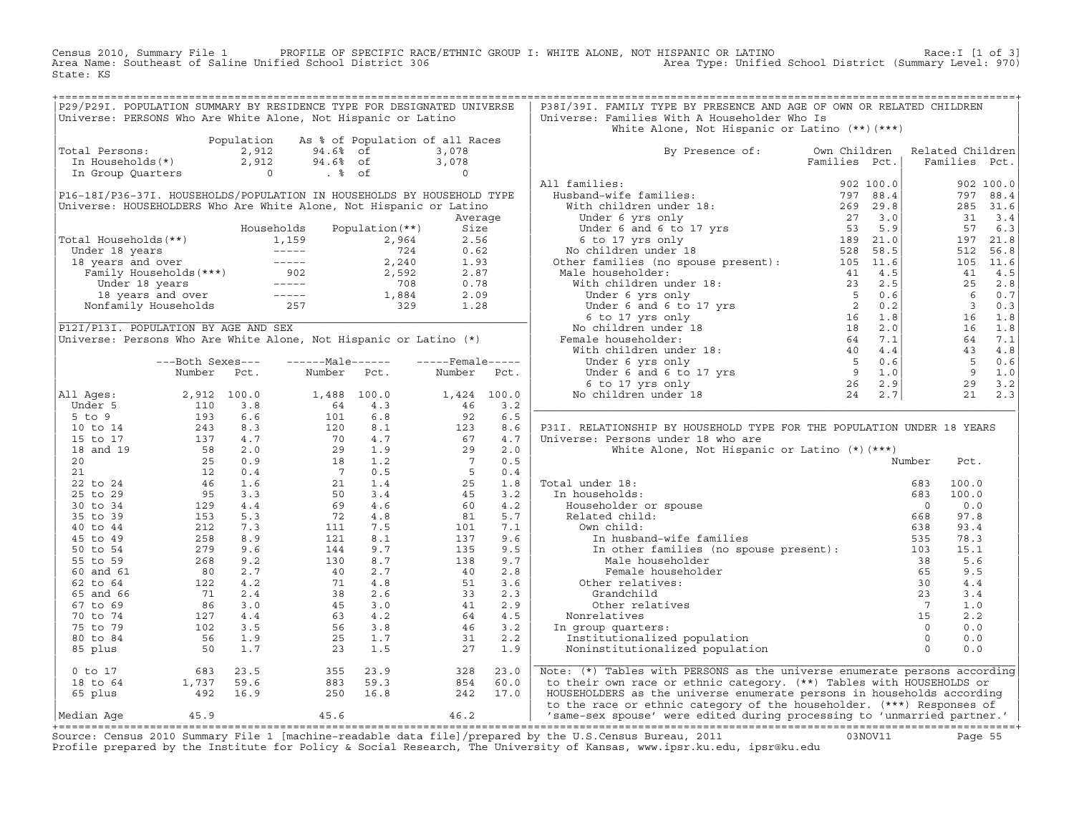Census 2010, Summary File 1 PROFILE OF SPECIFIC RACE/ETHNIC GROUP I: WHITE ALONE, NOT HISPANIC OR LATINO<br>Area Name: Southeast of Saline Unified School District 306 Area Type: Unified State: KS

| Total Persons:<br>0tal Persons: $2,912$ 94.6% of<br>In Households (*) 2,912 94.6% of<br>In Group Quarters 0 . % of<br>P16-18I/P36-37I. HOUSEHOLDS/POPULATION IN HOUSEHOLDS BY HOUSEHOLD TYPE<br>Universe: HOUSEHOLDERS Who Are White Alone, Not Hispanic or Latino<br>Total Households (**)<br>Under 18 years<br>1,159 2,964 2.56<br>18 years and over<br>Family Households (***)<br>1902 2,592 2.87<br>Under 18 years<br>18 years and over<br>18 years and over<br>18 years and over<br>18 years and over<br>1902 2,592 2 |                  |      | Population As % of Population of all Races                                                                                                                                          |      |                                                                       |      |                                                                                                                                                                                                                                                       |  |                 |             |
|----------------------------------------------------------------------------------------------------------------------------------------------------------------------------------------------------------------------------------------------------------------------------------------------------------------------------------------------------------------------------------------------------------------------------------------------------------------------------------------------------------------------------|------------------|------|-------------------------------------------------------------------------------------------------------------------------------------------------------------------------------------|------|-----------------------------------------------------------------------|------|-------------------------------------------------------------------------------------------------------------------------------------------------------------------------------------------------------------------------------------------------------|--|-----------------|-------------|
|                                                                                                                                                                                                                                                                                                                                                                                                                                                                                                                            |                  |      |                                                                                                                                                                                     |      |                                                                       |      | White Alone, Not Hispanic or Latino (**) (***)                                                                                                                                                                                                        |  |                 |             |
|                                                                                                                                                                                                                                                                                                                                                                                                                                                                                                                            |                  |      |                                                                                                                                                                                     |      | 3,078                                                                 |      | By Presence of: Own Children Related Children                                                                                                                                                                                                         |  |                 |             |
|                                                                                                                                                                                                                                                                                                                                                                                                                                                                                                                            |                  |      |                                                                                                                                                                                     |      |                                                                       |      | Families Pct.                                                                                                                                                                                                                                         |  | Families Pct.   |             |
|                                                                                                                                                                                                                                                                                                                                                                                                                                                                                                                            |                  |      |                                                                                                                                                                                     |      | $\begin{array}{c} 3,078 \\ 0 \end{array}$                             |      | Families Pct.<br>Husband-wife families :<br>With children under 18:<br>Under 6 yrs only<br>Under 6 and 6 to 17 yrs<br>26 29 3.0<br>Under 6 and 6 to 17 yrs<br>27 3.0<br>6 to 17 yrs only<br>No children under 18<br>28 58.5<br>6 to 17 yrs only<br>We |  |                 |             |
|                                                                                                                                                                                                                                                                                                                                                                                                                                                                                                                            |                  |      |                                                                                                                                                                                     |      |                                                                       |      | All families:                                                                                                                                                                                                                                         |  |                 |             |
|                                                                                                                                                                                                                                                                                                                                                                                                                                                                                                                            |                  |      |                                                                                                                                                                                     |      |                                                                       |      |                                                                                                                                                                                                                                                       |  |                 | 902 100.0   |
|                                                                                                                                                                                                                                                                                                                                                                                                                                                                                                                            |                  |      |                                                                                                                                                                                     |      |                                                                       |      |                                                                                                                                                                                                                                                       |  |                 | 797 88.4    |
|                                                                                                                                                                                                                                                                                                                                                                                                                                                                                                                            |                  |      |                                                                                                                                                                                     |      |                                                                       |      |                                                                                                                                                                                                                                                       |  |                 | 285 31.6    |
|                                                                                                                                                                                                                                                                                                                                                                                                                                                                                                                            |                  |      |                                                                                                                                                                                     |      | Average                                                               |      |                                                                                                                                                                                                                                                       |  |                 | 31 3.4      |
|                                                                                                                                                                                                                                                                                                                                                                                                                                                                                                                            |                  |      |                                                                                                                                                                                     |      |                                                                       |      |                                                                                                                                                                                                                                                       |  |                 | 57 6.3      |
|                                                                                                                                                                                                                                                                                                                                                                                                                                                                                                                            |                  |      |                                                                                                                                                                                     |      |                                                                       |      |                                                                                                                                                                                                                                                       |  |                 | 197 21.8    |
|                                                                                                                                                                                                                                                                                                                                                                                                                                                                                                                            |                  |      |                                                                                                                                                                                     |      |                                                                       |      |                                                                                                                                                                                                                                                       |  | 512             | 56.8        |
|                                                                                                                                                                                                                                                                                                                                                                                                                                                                                                                            |                  |      |                                                                                                                                                                                     |      |                                                                       |      |                                                                                                                                                                                                                                                       |  |                 | 105 11.6    |
|                                                                                                                                                                                                                                                                                                                                                                                                                                                                                                                            |                  |      |                                                                                                                                                                                     |      |                                                                       |      |                                                                                                                                                                                                                                                       |  |                 | 41 4.5      |
|                                                                                                                                                                                                                                                                                                                                                                                                                                                                                                                            |                  |      |                                                                                                                                                                                     |      |                                                                       |      |                                                                                                                                                                                                                                                       |  |                 | 25 2.8      |
|                                                                                                                                                                                                                                                                                                                                                                                                                                                                                                                            |                  |      |                                                                                                                                                                                     |      |                                                                       |      |                                                                                                                                                                                                                                                       |  |                 | 6 0.7       |
|                                                                                                                                                                                                                                                                                                                                                                                                                                                                                                                            |                  |      |                                                                                                                                                                                     |      |                                                                       |      |                                                                                                                                                                                                                                                       |  |                 | 30.3        |
|                                                                                                                                                                                                                                                                                                                                                                                                                                                                                                                            |                  |      |                                                                                                                                                                                     |      |                                                                       |      |                                                                                                                                                                                                                                                       |  | 16              | 1.8         |
| P12I/P13I. POPULATION BY AGE AND SEX                                                                                                                                                                                                                                                                                                                                                                                                                                                                                       |                  |      |                                                                                                                                                                                     |      |                                                                       |      |                                                                                                                                                                                                                                                       |  |                 | 16 1.8      |
| Universe: Persons Who Are White Alone, Not Hispanic or Latino (*)                                                                                                                                                                                                                                                                                                                                                                                                                                                          |                  |      |                                                                                                                                                                                     |      |                                                                       |      |                                                                                                                                                                                                                                                       |  |                 | 64 7.1      |
|                                                                                                                                                                                                                                                                                                                                                                                                                                                                                                                            |                  |      |                                                                                                                                                                                     |      |                                                                       |      |                                                                                                                                                                                                                                                       |  |                 | 43 4.8      |
|                                                                                                                                                                                                                                                                                                                                                                                                                                                                                                                            | ---Both Sexes--- |      | ------Male------                                                                                                                                                                    |      | $---$ Female $---$                                                    |      |                                                                                                                                                                                                                                                       |  | $5^{\circ}$     | 0.6         |
|                                                                                                                                                                                                                                                                                                                                                                                                                                                                                                                            | Number           | Pct. | Number Pct.                                                                                                                                                                         |      | Number                                                                | Pct. |                                                                                                                                                                                                                                                       |  | $\overline{9}$  | 1.0         |
|                                                                                                                                                                                                                                                                                                                                                                                                                                                                                                                            |                  |      |                                                                                                                                                                                     |      |                                                                       |      |                                                                                                                                                                                                                                                       |  |                 | 29 3.2      |
| All Ages:                                                                                                                                                                                                                                                                                                                                                                                                                                                                                                                  |                  |      |                                                                                                                                                                                     |      | 1,424 100.0                                                           |      |                                                                                                                                                                                                                                                       |  |                 | $21 \t 2.3$ |
| Under 5                                                                                                                                                                                                                                                                                                                                                                                                                                                                                                                    |                  |      |                                                                                                                                                                                     |      | 46                                                                    | 3.2  |                                                                                                                                                                                                                                                       |  |                 |             |
| $5$ to $9$                                                                                                                                                                                                                                                                                                                                                                                                                                                                                                                 |                  |      | $\begin{array}{cccc} 1,488& 100.0\\ 64& 4.3\\ 101& 6.8\\ 120& 8.1\\ 70& 4.7\\ 29& 1.9\\ 18& 1.2\\ 7& 0.5\\ 21& 1.4\\ 50& 3.4\\ 69& 4.6\\ 72& 4.8\\ 111& 7.5\\ 121& 8.1 \end{array}$ |      | 92                                                                    | 6.5  |                                                                                                                                                                                                                                                       |  |                 |             |
| 10 to 14                                                                                                                                                                                                                                                                                                                                                                                                                                                                                                                   |                  |      |                                                                                                                                                                                     |      | $\begin{array}{c} 123 \\ 67 \\ 29 \end{array}$                        | 8.6  | P31I. RELATIONSHIP BY HOUSEHOLD TYPE FOR THE POPULATION UNDER 18 YEARS                                                                                                                                                                                |  |                 |             |
| 15 to 17                                                                                                                                                                                                                                                                                                                                                                                                                                                                                                                   |                  |      |                                                                                                                                                                                     |      |                                                                       | 4.7  | Universe: Persons under 18 who are                                                                                                                                                                                                                    |  |                 |             |
| 18 and 19                                                                                                                                                                                                                                                                                                                                                                                                                                                                                                                  |                  |      |                                                                                                                                                                                     |      |                                                                       | 2.0  | White Alone, Not Hispanic or Latino (*) (***)                                                                                                                                                                                                         |  |                 |             |
| 20                                                                                                                                                                                                                                                                                                                                                                                                                                                                                                                         |                  |      |                                                                                                                                                                                     |      | $\begin{array}{c} 7 \\ 5 \\ 25 \\ \end{array}$                        | 0.5  |                                                                                                                                                                                                                                                       |  | Number<br>Pct.  |             |
| 21                                                                                                                                                                                                                                                                                                                                                                                                                                                                                                                         |                  |      |                                                                                                                                                                                     |      |                                                                       | 0.4  |                                                                                                                                                                                                                                                       |  |                 |             |
| 22 to 24                                                                                                                                                                                                                                                                                                                                                                                                                                                                                                                   |                  |      |                                                                                                                                                                                     |      |                                                                       | 1.8  | al under 18:<br>a households:<br>Householder or spouse<br>Related child:<br>Allahid:<br>Total under 18:                                                                                                                                               |  | 683<br>100.0    |             |
| 25 to 29                                                                                                                                                                                                                                                                                                                                                                                                                                                                                                                   |                  |      |                                                                                                                                                                                     |      | 45                                                                    | 3.2  | In households:                                                                                                                                                                                                                                        |  | 100.0<br>683    |             |
| 30 to 34                                                                                                                                                                                                                                                                                                                                                                                                                                                                                                                   |                  |      |                                                                                                                                                                                     |      | 60                                                                    | 4.2  |                                                                                                                                                                                                                                                       |  | $\Omega$<br>0.0 |             |
| 35 to 39                                                                                                                                                                                                                                                                                                                                                                                                                                                                                                                   |                  |      |                                                                                                                                                                                     |      | 81                                                                    | 5.7  |                                                                                                                                                                                                                                                       |  | 668<br>97.8     |             |
| 40 to 44                                                                                                                                                                                                                                                                                                                                                                                                                                                                                                                   |                  |      |                                                                                                                                                                                     |      | 101                                                                   | 7.1  | Own child:                                                                                                                                                                                                                                            |  | 638<br>93.4     |             |
| 45 to 49                                                                                                                                                                                                                                                                                                                                                                                                                                                                                                                   |                  |      | 121                                                                                                                                                                                 | 8.1  | 137                                                                   | 9.6  | In husband-wife families                                                                                                                                                                                                                              |  | 535<br>78.3     |             |
| 50 to 54                                                                                                                                                                                                                                                                                                                                                                                                                                                                                                                   |                  |      | 144                                                                                                                                                                                 | 9.7  | 135                                                                   | 9.5  | In other families (no spouse present): 103<br>Male bourget and leading the state of the state of the state of the state of the state of the state of the state of the state of the state of the state of the state of the state o                     |  | 15.1            |             |
| 55 to 59                                                                                                                                                                                                                                                                                                                                                                                                                                                                                                                   |                  |      | 130                                                                                                                                                                                 | 8.7  | 138                                                                   | 9.7  | Male householder                                                                                                                                                                                                                                      |  | 38<br>5.6       |             |
| 60 and 61                                                                                                                                                                                                                                                                                                                                                                                                                                                                                                                  |                  |      | 40                                                                                                                                                                                  | 2.7  | 40                                                                    | 2.8  | Female householder                                                                                                                                                                                                                                    |  | 9.5<br>65       |             |
| 62 to 64                                                                                                                                                                                                                                                                                                                                                                                                                                                                                                                   |                  |      |                                                                                                                                                                                     |      | $\begin{array}{r} 40 \\ 51 \\ 33 \\ 41 \\ 64 \\ 46 \\ 31 \end{array}$ | 3.6  | Other relatives:                                                                                                                                                                                                                                      |  | 30<br>4.4       |             |
| 65 and 66                                                                                                                                                                                                                                                                                                                                                                                                                                                                                                                  |                  |      |                                                                                                                                                                                     |      |                                                                       | 2.3  |                                                                                                                                                                                                                                                       |  | 3.4             |             |
| 67 to 69                                                                                                                                                                                                                                                                                                                                                                                                                                                                                                                   |                  |      |                                                                                                                                                                                     |      |                                                                       | 2.9  |                                                                                                                                                                                                                                                       |  | 1.0             |             |
| 70 to 74                                                                                                                                                                                                                                                                                                                                                                                                                                                                                                                   |                  |      |                                                                                                                                                                                     |      |                                                                       | 4.5  |                                                                                                                                                                                                                                                       |  | 2.2             |             |
| 75 to 79                                                                                                                                                                                                                                                                                                                                                                                                                                                                                                                   |                  |      |                                                                                                                                                                                     |      |                                                                       | 3.2  | In group quarters:                                                                                                                                                                                                                                    |  | 0.0             |             |
| 80 to 84                                                                                                                                                                                                                                                                                                                                                                                                                                                                                                                   |                  |      |                                                                                                                                                                                     |      |                                                                       | 2.2  |                                                                                                                                                                                                                                                       |  | 0.0             |             |
| 85 plus                                                                                                                                                                                                                                                                                                                                                                                                                                                                                                                    |                  |      | $\begin{array}{ccc} 40 & 2.7 \\ 71 & 4.8 \\ 38 & 2.6 \\ 45 & 3.0 \\ 63 & 4.2 \\ 56 & 3.8 \\ 25 & 1.7 \\ 23 & 1.5 \end{array}$                                                       |      | 27                                                                    | 1.9  | Grandchild 23<br>Other relatives 7<br>Nonrelatives 15<br>n group quarters: 6<br>Institutionalized population 0<br>Noninstitutionalized population 0<br>0                                                                                              |  | 0.0             |             |
| Number FCC:<br>2, 912 100.0<br>110 3.8<br>193 6.6<br>243 8.3<br>137 4.7<br>58 2.0<br>25 0.9<br>12 4.4<br>46 1.6<br>95 3.3<br>258 8.9<br>279 9.6<br>279 9.6<br>279 9.6<br>279 9.6<br>279 9.6<br>279 9.6<br>279 9.6<br>279 9.6<br>279 9.6<br>268 9.2<br>279 9.6<br>279 9.6<br>26                                                                                                                                                                                                                                             |                  |      |                                                                                                                                                                                     |      |                                                                       |      |                                                                                                                                                                                                                                                       |  |                 |             |
| $0$ to $17$<br>$683$ $23.5$<br>1,737 59.6<br>492 16.9                                                                                                                                                                                                                                                                                                                                                                                                                                                                      |                  |      | 355 23.9<br>883 59.3<br>250 16.8                                                                                                                                                    |      | 328                                                                   | 23.0 | Note: (*) Tables with PERSONS as the universe enumerate persons according                                                                                                                                                                             |  |                 |             |
| 18 to 64                                                                                                                                                                                                                                                                                                                                                                                                                                                                                                                   |                  |      |                                                                                                                                                                                     |      | 854                                                                   | 60.0 | to their own race or ethnic category. (**) Tables with HOUSEHOLDS or                                                                                                                                                                                  |  |                 |             |
| 65 plus                                                                                                                                                                                                                                                                                                                                                                                                                                                                                                                    |                  |      |                                                                                                                                                                                     |      | 242 17.0                                                              |      | HOUSEHOLDERS as the universe enumerate persons in households according                                                                                                                                                                                |  |                 |             |
|                                                                                                                                                                                                                                                                                                                                                                                                                                                                                                                            |                  |      |                                                                                                                                                                                     |      |                                                                       |      | to the race or ethnic category of the householder. (***) Responses of                                                                                                                                                                                 |  |                 |             |
| 45.9<br>Median Aqe                                                                                                                                                                                                                                                                                                                                                                                                                                                                                                         |                  |      | 45.6                                                                                                                                                                                | 46.2 |                                                                       |      | 'same-sex spouse' were edited during processing to 'unmarried partner.'                                                                                                                                                                               |  |                 |             |

Source: Census 2010 Summary File 1 [machine-readable data file]/prepared by the U.S.Census Bureau, 2011 Page 55<br>Profile prepared by the Institute for Policy & Social Research, The University of Kansas, www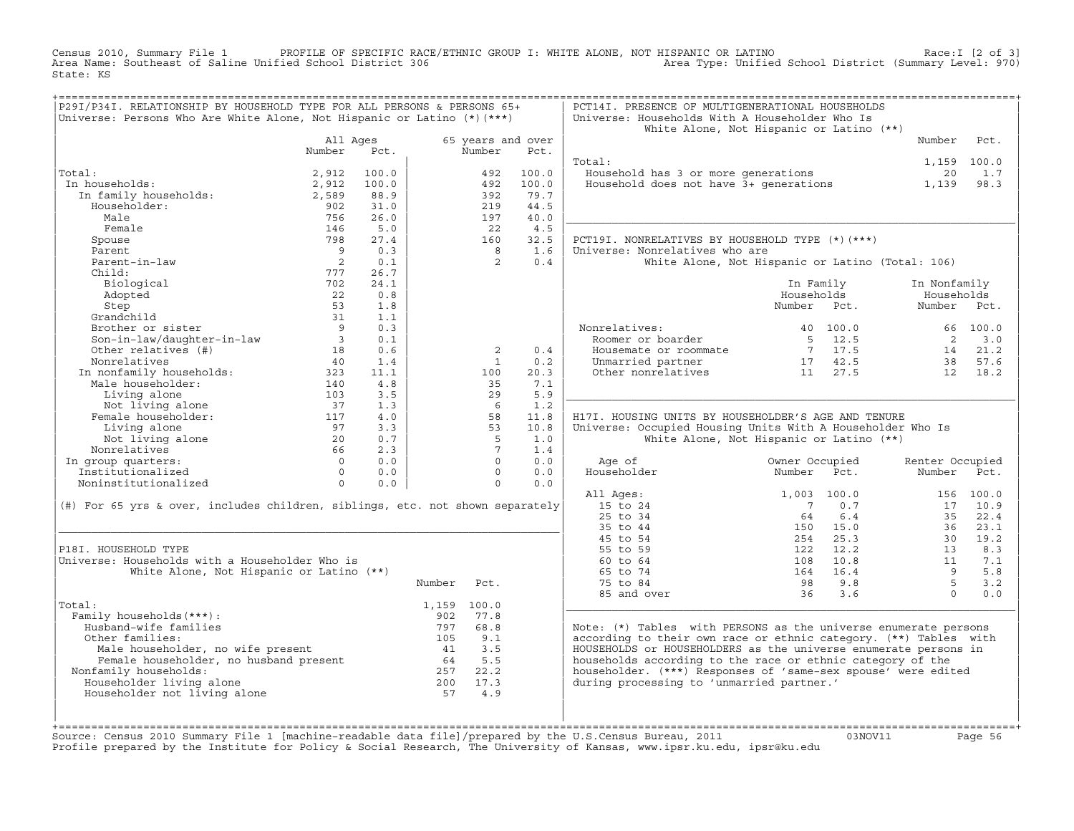Census 2010, Summary File 1 PROFILE OF SPECIFIC RACE/ETHNIC GROUP I: WHITE ALONE, NOT HISPANIC OR LATINO<br>Area Name: Southeast of Saline Unified School District 306 Area Type: Unified State: KS

| P29I/P34I. RELATIONSHIP BY HOUSEHOLD TYPE FOR ALL PERSONS & PERSONS 65+<br>Universe: Persons Who Are White Alone, Not Hispanic or Latino (*) (***) |                                                 |       |                       |                   |                | PCT14I. PRESENCE OF MULTIGENERATIONAL HOUSEHOLDS<br>Universe: Households With A Householder Who Is | White Alone, Not Hispanic or Latino (**)         |                            |           |
|----------------------------------------------------------------------------------------------------------------------------------------------------|-------------------------------------------------|-------|-----------------------|-------------------|----------------|----------------------------------------------------------------------------------------------------|--------------------------------------------------|----------------------------|-----------|
|                                                                                                                                                    | All Ages                                        |       |                       | 65 years and over |                |                                                                                                    |                                                  | Number                     | Pct.      |
|                                                                                                                                                    | Number                                          | Pct.  |                       | Number            | Pct.           |                                                                                                    |                                                  |                            |           |
| Total:                                                                                                                                             |                                                 | 100.0 |                       | 492               |                | Total:                                                                                             |                                                  | 1,159 100.0                | 1.7       |
| In households:                                                                                                                                     | 2,912                                           | 100.0 |                       | 492               | 100.0<br>100.0 | Household has 3 or more generations                                                                |                                                  | 20                         | 98.3      |
| .u<br>1 households:<br>In family households:                                                                                                       | 2,912<br>2,589                                  | 88.9  |                       | 392               | 79.7           | Household does not have 3+ generations                                                             |                                                  | 1,139                      |           |
| Householder:                                                                                                                                       | 902                                             | 31.0  |                       | 219               | 44.5           |                                                                                                    |                                                  |                            |           |
| Male                                                                                                                                               | 756                                             | 26.0  |                       | 197               | 40.0           |                                                                                                    |                                                  |                            |           |
| Female                                                                                                                                             | 146                                             | 5.0   |                       | 22                | 4.5            |                                                                                                    |                                                  |                            |           |
| Spouse                                                                                                                                             | 798                                             | 27.4  |                       | 160               | 32.5           | PCT19I. NONRELATIVES BY HOUSEHOLD TYPE (*) (***)                                                   |                                                  |                            |           |
| Parent                                                                                                                                             | $\overline{9}$                                  | 0.3   |                       | 8                 | 1.6            | Universe: Nonrelatives who are                                                                     |                                                  |                            |           |
| Parent-in-law                                                                                                                                      | $\overline{\phantom{a}}$                        | 0.1   |                       | 2                 | 0.4            |                                                                                                    | White Alone, Not Hispanic or Latino (Total: 106) |                            |           |
| Child:                                                                                                                                             | 777                                             | 26.7  |                       |                   |                |                                                                                                    |                                                  |                            |           |
| Biological                                                                                                                                         | 702                                             | 24.1  |                       |                   |                |                                                                                                    | In Family                                        | In Nonfamily               |           |
| Adopted                                                                                                                                            | 22                                              | 0.8   |                       |                   |                |                                                                                                    | Households                                       | Households                 |           |
|                                                                                                                                                    | 53                                              | 1.8   |                       |                   |                |                                                                                                    | Number Pct.                                      | Number Pct.                |           |
|                                                                                                                                                    | 31                                              | 1.1   |                       |                   |                |                                                                                                    |                                                  |                            |           |
| Step<br>Grandchild<br>Brother or sister<br>Son-in-law/daughter-in-law<br>Andrives (#)                                                              | $\overline{9}$                                  | 0.3   |                       |                   |                | Nonrelatives:                                                                                      | 40 100.0                                         |                            | 66 100.0  |
|                                                                                                                                                    |                                                 | 0.1   |                       |                   |                | Roomer or boarder                                                                                  | 5 12.5                                           | $\overline{\phantom{0}}^2$ | 3.0       |
|                                                                                                                                                    | 18                                              | 0.6   |                       | 2                 | 0.4            | Housemate or roommate                                                                              | $7 \quad 17.5$                                   |                            | 14 21.2   |
| Nonrelatives                                                                                                                                       | 40                                              | 1.4   |                       | 1                 | 0.2            | Unmarried partner 17 42.5<br>Other nonrelatives 11 27.5                                            |                                                  | 38                         | 57.6      |
|                                                                                                                                                    |                                                 | 11.1  |                       | 100               | 20.3           |                                                                                                    |                                                  | 12                         | 18.2      |
| $\begin{tabular}{ll} In nonfamily households: & \\ \hline \texttt{Male householder}: & \\ & 140 \end{tabular}$                                     |                                                 | 4.8   |                       | 35                | 7.1            |                                                                                                    |                                                  |                            |           |
| Living alone                                                                                                                                       | 103                                             | 3.5   |                       | 29                | 5.9            |                                                                                                    |                                                  |                            |           |
| Not living alone                                                                                                                                   |                                                 | 1.3   |                       | - 6               | 1.2            |                                                                                                    |                                                  |                            |           |
| Female householder:                                                                                                                                | $\begin{array}{c} 103 \\ 37 \\ 117 \end{array}$ | 4.0   |                       | 58                | 11.8           | H17I, HOUSING UNITS BY HOUSEHOLDER'S AGE AND TENURE                                                |                                                  |                            |           |
| Living alone                                                                                                                                       |                                                 | 3.3   |                       | 53                | 10.8           | Universe: Occupied Housing Units With A Householder Who Is                                         |                                                  |                            |           |
| Not living alone                                                                                                                                   |                                                 | 0.7   |                       | $-5$              | 1.0            |                                                                                                    | White Alone, Not Hispanic or Latino (**)         |                            |           |
| Nonrelatives                                                                                                                                       | 97<br>20<br>66                                  | 2.3   |                       | $7\overline{ }$   | 1.4            |                                                                                                    |                                                  |                            |           |
| In group quarters:                                                                                                                                 | $\overline{0}$                                  | 0.0   |                       | $\Omega$          | 0.0            | Age of                                                                                             | Owner Occupied                                   | Renter Occupied            |           |
| Institutionalized                                                                                                                                  | $\overline{0}$                                  | 0.0   |                       | $\Omega$          | 0.0            | Householder                                                                                        | Number<br>Pct.                                   | Number Pct.                |           |
| Noninstitutionalized                                                                                                                               | $\overline{0}$                                  | 0.0   |                       | $\Omega$          | 0.0            |                                                                                                    |                                                  |                            |           |
|                                                                                                                                                    |                                                 |       |                       |                   |                | All Ages:                                                                                          | 1,003 100.0                                      |                            | 156 100.0 |
| (#) For 65 yrs & over, includes children, siblings, etc. not shown separately                                                                      |                                                 |       |                       |                   |                | 15 to 24                                                                                           | $\overline{7}$<br>0.7                            |                            | 17 10.9   |
|                                                                                                                                                    |                                                 |       |                       |                   |                | 25 to 34                                                                                           | 6.4<br>64                                        | 35                         | 22.4      |
|                                                                                                                                                    |                                                 |       |                       |                   |                | 35 to 44                                                                                           | 15.0<br>150                                      | 36                         | 23.1      |
|                                                                                                                                                    |                                                 |       |                       |                   |                | 45 to 54                                                                                           | 25.3<br>254                                      | 30                         | 19.2      |
| P18I. HOUSEHOLD TYPE                                                                                                                               |                                                 |       |                       |                   |                | 55 to 59                                                                                           | 122<br>12.2                                      | 13                         | 8.3       |
| Universe: Households with a Householder Who is                                                                                                     |                                                 |       |                       |                   |                | 60 to 64                                                                                           | 108<br>10.8                                      | 11                         | 7.1       |
| White Alone, Not Hispanic or Latino (**)                                                                                                           |                                                 |       |                       |                   |                | 65 to 74                                                                                           | 164 16.4                                         | $\overline{9}$             | 5.8       |
|                                                                                                                                                    |                                                 |       | Number                | Pct.              |                | 75 to 84                                                                                           | 9.8<br>98                                        | $5^{\circ}$                | 3.2       |
|                                                                                                                                                    |                                                 |       |                       |                   |                | 85 and over                                                                                        | 3.6<br>36                                        | $\Omega$                   | 0.0       |
| Total:                                                                                                                                             |                                                 |       | 1,159 100.0           |                   |                |                                                                                                    |                                                  |                            |           |
| Family households (***) :                                                                                                                          |                                                 |       | 902                   | 77.8              |                |                                                                                                    |                                                  |                            |           |
| Husband-wife families                                                                                                                              |                                                 |       |                       | 797 68.8          |                | Note: $(*)$ Tables with PERSONS as the universe enumerate persons                                  |                                                  |                            |           |
| Other families:                                                                                                                                    |                                                 |       | 105                   | 9.1               |                | according to their own race or ethnic category. (**) Tables with                                   |                                                  |                            |           |
| ther ramilies:<br>Male householder, no wife present<br>Female householder, no husband present<br>Family households: 257 22.2                       |                                                 |       |                       |                   |                | HOUSEHOLDS or HOUSEHOLDERS as the universe enumerate persons in                                    |                                                  |                            |           |
|                                                                                                                                                    |                                                 |       |                       |                   |                | households according to the race or ethnic category of the                                         |                                                  |                            |           |
| Nonfamily households:                                                                                                                              |                                                 |       |                       |                   |                | householder. (***) Responses of 'same-sex spouse' were edited                                      |                                                  |                            |           |
| Householder living alone                                                                                                                           |                                                 |       | $\frac{200}{57}$ 17.3 |                   |                | during processing to 'unmarried partner.'                                                          |                                                  |                            |           |
| Householder not living alone                                                                                                                       |                                                 |       |                       |                   |                |                                                                                                    |                                                  |                            |           |
|                                                                                                                                                    |                                                 |       |                       |                   |                |                                                                                                    |                                                  |                            |           |
|                                                                                                                                                    |                                                 |       |                       |                   |                |                                                                                                    |                                                  |                            |           |

+===================================================================================================================================================+Source: Census 2010 Summary File 1 [machine−readable data file]/prepared by the U.S.Census Bureau, 2011 03NOV11 Page 56 Profile prepared by the Institute for Policy & Social Research, The University of Kansas, www.ipsr.ku.edu, ipsr@ku.edu